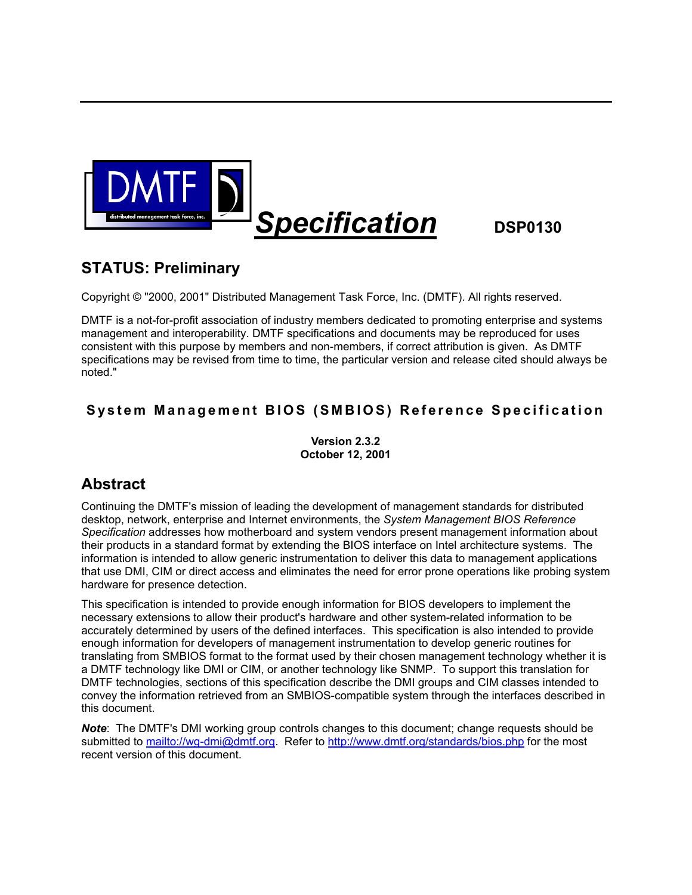

# **Specification** DSP0130

# **STATUS: Preliminary**

Copyright © "2000, 2001" Distributed Management Task Force, Inc. (DMTF). All rights reserved.

DMTF is a not-for-profit association of industry members dedicated to promoting enterprise and systems management and interoperability. DMTF specifications and documents may be reproduced for uses consistent with this purpose by members and non-members, if correct attribution is given. As DMTF specifications may be revised from time to time, the particular version and release cited should always be noted."

### **System Management BIOS (S MBIOS) Reference Specification**

**Version 2.3.2 October 12, 2001** 

# **Abstract**

Continuing the DMTF's mission of leading the development of management standards for distributed desktop, network, enterprise and Internet environments, the *System Management BIOS Reference Specification* addresses how motherboard and system vendors present management information about their products in a standard format by extending the BIOS interface on Intel architecture systems. The information is intended to allow generic instrumentation to deliver this data to management applications that use DMI, CIM or direct access and eliminates the need for error prone operations like probing system hardware for presence detection.

This specification is intended to provide enough information for BIOS developers to implement the necessary extensions to allow their product's hardware and other system-related information to be accurately determined by users of the defined interfaces. This specification is also intended to provide enough information for developers of management instrumentation to develop generic routines for translating from SMBIOS format to the format used by their chosen management technology whether it is a DMTF technology like DMI or CIM, or another technology like SNMP. To support this translation for DMTF technologies, sections of this specification describe the DMI groups and CIM classes intended to convey the information retrieved from an SMBIOS-compatible system through the interfaces described in this document.

*Note*: The DMTF's DMI working group controls changes to this document; change requests should be submitted to mailto://wg-dmi@dmtf.org. Refer to http://www.dmtf.org/standards/bios.php for the most recent version of this document.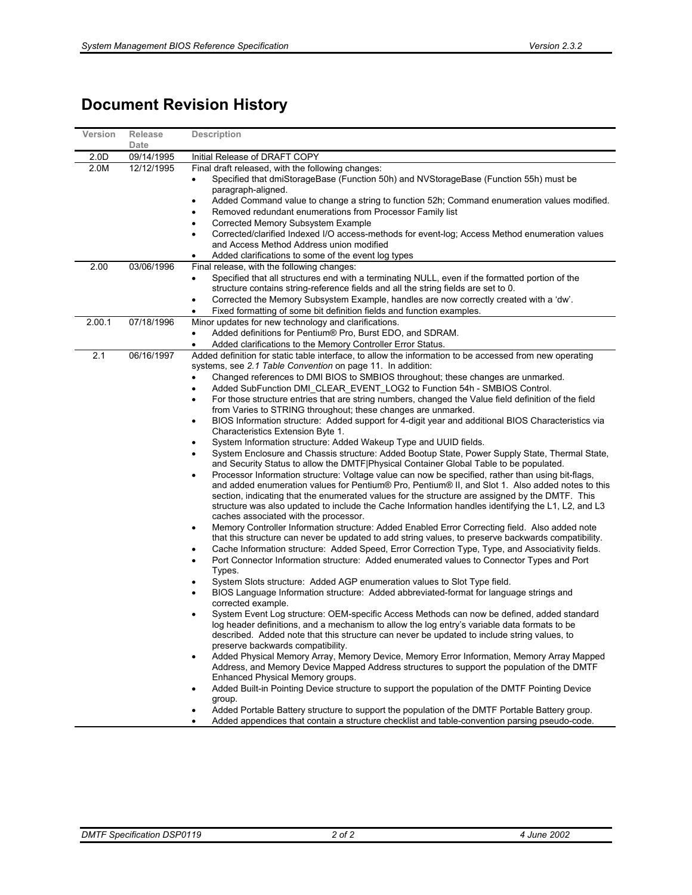# **Document Revision History**

| Version | <b>Release</b>                                                                                      | <b>Description</b>                                                                                                                                                                                                 |
|---------|-----------------------------------------------------------------------------------------------------|--------------------------------------------------------------------------------------------------------------------------------------------------------------------------------------------------------------------|
|         | Date                                                                                                |                                                                                                                                                                                                                    |
| 2.0D    | 09/14/1995                                                                                          | Initial Release of DRAFT COPY                                                                                                                                                                                      |
| 2.0M    | 12/12/1995                                                                                          | Final draft released, with the following changes:                                                                                                                                                                  |
|         |                                                                                                     | Specified that dmiStorageBase (Function 50h) and NVStorageBase (Function 55h) must be                                                                                                                              |
|         |                                                                                                     | paragraph-aligned.                                                                                                                                                                                                 |
|         |                                                                                                     | Added Command value to change a string to function 52h; Command enumeration values modified.<br>Removed redundant enumerations from Processor Family list                                                          |
|         |                                                                                                     | Corrected Memory Subsystem Example                                                                                                                                                                                 |
|         |                                                                                                     | Corrected/clarified Indexed I/O access-methods for event-log; Access Method enumeration values                                                                                                                     |
|         |                                                                                                     | and Access Method Address union modified                                                                                                                                                                           |
|         |                                                                                                     | Added clarifications to some of the event log types                                                                                                                                                                |
| 2.00    | 03/06/1996                                                                                          | Final release, with the following changes:                                                                                                                                                                         |
|         |                                                                                                     | Specified that all structures end with a terminating NULL, even if the formatted portion of the<br>٠                                                                                                               |
|         |                                                                                                     | structure contains string-reference fields and all the string fields are set to 0.                                                                                                                                 |
|         |                                                                                                     | Corrected the Memory Subsystem Example, handles are now correctly created with a 'dw'.<br>٠                                                                                                                        |
|         |                                                                                                     | Fixed formatting of some bit definition fields and function examples.                                                                                                                                              |
| 2.00.1  | 07/18/1996                                                                                          | Minor updates for new technology and clarifications.                                                                                                                                                               |
|         |                                                                                                     | Added definitions for Pentium® Pro, Burst EDO, and SDRAM.<br>$\bullet$                                                                                                                                             |
|         |                                                                                                     | Added clarifications to the Memory Controller Error Status.                                                                                                                                                        |
| 2.1     | 06/16/1997                                                                                          | Added definition for static table interface, to allow the information to be accessed from new operating<br>systems, see 2.1 Table Convention on page 11. In addition:                                              |
|         |                                                                                                     | Changed references to DMI BIOS to SMBIOS throughout; these changes are unmarked.                                                                                                                                   |
|         |                                                                                                     | Added SubFunction DMI_CLEAR_EVENT_LOG2 to Function 54h - SMBIOS Control.<br>٠                                                                                                                                      |
|         |                                                                                                     | For those structure entries that are string numbers, changed the Value field definition of the field                                                                                                               |
|         |                                                                                                     | from Varies to STRING throughout; these changes are unmarked.                                                                                                                                                      |
|         |                                                                                                     | BIOS Information structure: Added support for 4-digit year and additional BIOS Characteristics via<br>٠                                                                                                            |
|         |                                                                                                     | Characteristics Extension Byte 1.                                                                                                                                                                                  |
|         |                                                                                                     | System Information structure: Added Wakeup Type and UUID fields.                                                                                                                                                   |
|         |                                                                                                     | System Enclosure and Chassis structure: Added Bootup State, Power Supply State, Thermal State,                                                                                                                     |
|         |                                                                                                     | and Security Status to allow the DMTF Physical Container Global Table to be populated.                                                                                                                             |
|         |                                                                                                     | Processor Information structure: Voltage value can now be specified, rather than using bit-flags,<br>$\bullet$<br>and added enumeration values for Pentium® Pro, Pentium® II, and Slot 1. Also added notes to this |
|         |                                                                                                     | section, indicating that the enumerated values for the structure are assigned by the DMTF. This                                                                                                                    |
|         |                                                                                                     | structure was also updated to include the Cache Information handles identifying the L1, L2, and L3                                                                                                                 |
|         |                                                                                                     | caches associated with the processor.                                                                                                                                                                              |
|         |                                                                                                     | Memory Controller Information structure: Added Enabled Error Correcting field. Also added note<br>٠                                                                                                                |
|         |                                                                                                     | that this structure can never be updated to add string values, to preserve backwards compatibility.                                                                                                                |
|         |                                                                                                     | Cache Information structure: Added Speed, Error Correction Type, Type, and Associativity fields.                                                                                                                   |
|         |                                                                                                     | Port Connector Information structure: Added enumerated values to Connector Types and Port<br>Types.                                                                                                                |
|         |                                                                                                     | System Slots structure: Added AGP enumeration values to Slot Type field.                                                                                                                                           |
|         |                                                                                                     | BIOS Language Information structure: Added abbreviated-format for language strings and                                                                                                                             |
|         |                                                                                                     | corrected example.                                                                                                                                                                                                 |
|         |                                                                                                     | System Event Log structure: OEM-specific Access Methods can now be defined, added standard                                                                                                                         |
|         |                                                                                                     | log header definitions, and a mechanism to allow the log entry's variable data formats to be                                                                                                                       |
|         |                                                                                                     | described. Added note that this structure can never be updated to include string values, to                                                                                                                        |
|         |                                                                                                     | preserve backwards compatibility.                                                                                                                                                                                  |
|         |                                                                                                     | Added Physical Memory Array, Memory Device, Memory Error Information, Memory Array Mapped<br>Address, and Memory Device Mapped Address structures to support the population of the DMTF                            |
|         |                                                                                                     | Enhanced Physical Memory groups.                                                                                                                                                                                   |
|         | Added Built-in Pointing Device structure to support the population of the DMTF Pointing Device<br>٠ |                                                                                                                                                                                                                    |
|         |                                                                                                     | group.                                                                                                                                                                                                             |
|         |                                                                                                     | Added Portable Battery structure to support the population of the DMTF Portable Battery group.                                                                                                                     |
|         |                                                                                                     | Added appendices that contain a structure checklist and table-convention parsing pseudo-code.                                                                                                                      |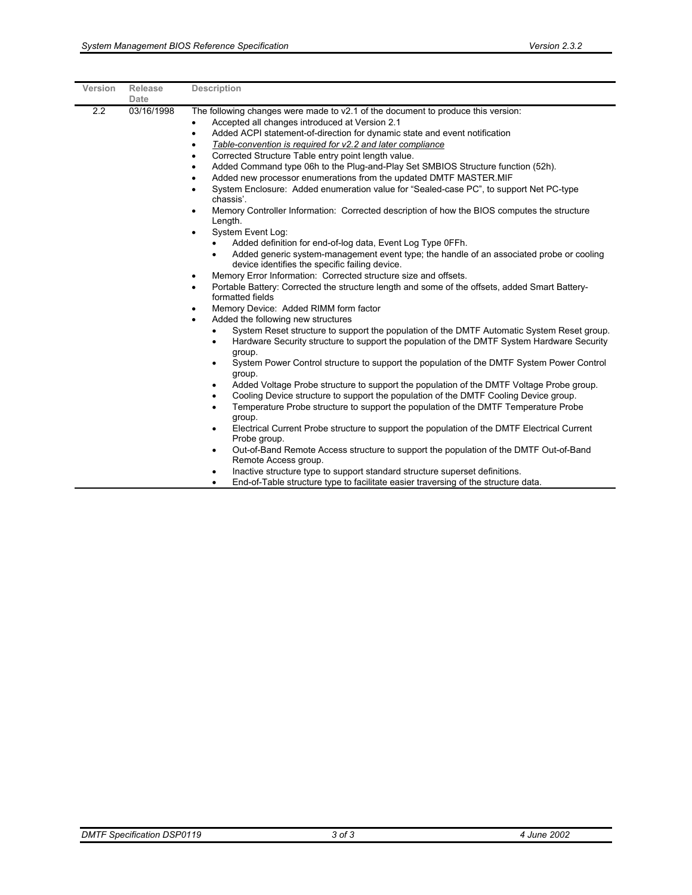| Version | <b>Release</b>     | <b>Description</b>                                                                                                                                                                                                                                                                                                                                                                                                                                                                                                                                                                                                                                                                                                                                                                                                                                                                                                                                                                                                                                                                                                                                                                                                |
|---------|--------------------|-------------------------------------------------------------------------------------------------------------------------------------------------------------------------------------------------------------------------------------------------------------------------------------------------------------------------------------------------------------------------------------------------------------------------------------------------------------------------------------------------------------------------------------------------------------------------------------------------------------------------------------------------------------------------------------------------------------------------------------------------------------------------------------------------------------------------------------------------------------------------------------------------------------------------------------------------------------------------------------------------------------------------------------------------------------------------------------------------------------------------------------------------------------------------------------------------------------------|
| 2.2     | Date<br>03/16/1998 | The following changes were made to v2.1 of the document to produce this version:<br>Accepted all changes introduced at Version 2.1<br>Added ACPI statement-of-direction for dynamic state and event notification<br>$\bullet$<br>Table-convention is required for v2.2 and later compliance<br>Corrected Structure Table entry point length value.<br>Added Command type 06h to the Plug-and-Play Set SMBIOS Structure function (52h).<br>Added new processor enumerations from the updated DMTF MASTER.MIF<br>System Enclosure: Added enumeration value for "Sealed-case PC", to support Net PC-type<br>٠<br>chassis'.<br>Memory Controller Information: Corrected description of how the BIOS computes the structure<br>$\bullet$<br>Length.<br>System Event Log:<br>$\bullet$<br>Added definition for end-of-log data, Event Log Type 0FFh.<br>٠<br>Added generic system-management event type; the handle of an associated probe or cooling<br>$\bullet$<br>device identifies the specific failing device.<br>Memory Error Information: Corrected structure size and offsets.<br>٠<br>Portable Battery: Corrected the structure length and some of the offsets, added Smart Battery-<br>٠<br>formatted fields |
|         |                    | Memory Device: Added RIMM form factor<br>Added the following new structures<br>$\bullet$<br>System Reset structure to support the population of the DMTF Automatic System Reset group.<br>$\bullet$<br>Hardware Security structure to support the population of the DMTF System Hardware Security<br>$\bullet$<br>group.<br>System Power Control structure to support the population of the DMTF System Power Control<br>$\bullet$<br>group.<br>Added Voltage Probe structure to support the population of the DMTF Voltage Probe group.<br>$\bullet$<br>Cooling Device structure to support the population of the DMTF Cooling Device group.<br>Temperature Probe structure to support the population of the DMTF Temperature Probe<br>$\bullet$<br>group.<br>Electrical Current Probe structure to support the population of the DMTF Electrical Current<br>$\bullet$<br>Probe group.<br>Out-of-Band Remote Access structure to support the population of the DMTF Out-of-Band<br>$\bullet$<br>Remote Access group.<br>Inactive structure type to support standard structure superset definitions.<br>$\bullet$<br>End of Toble of unturo tupe to fooilitate conies traversing of the otrusture data            |

• End-of-Table structure type to facilitate easier traversing of the structure data.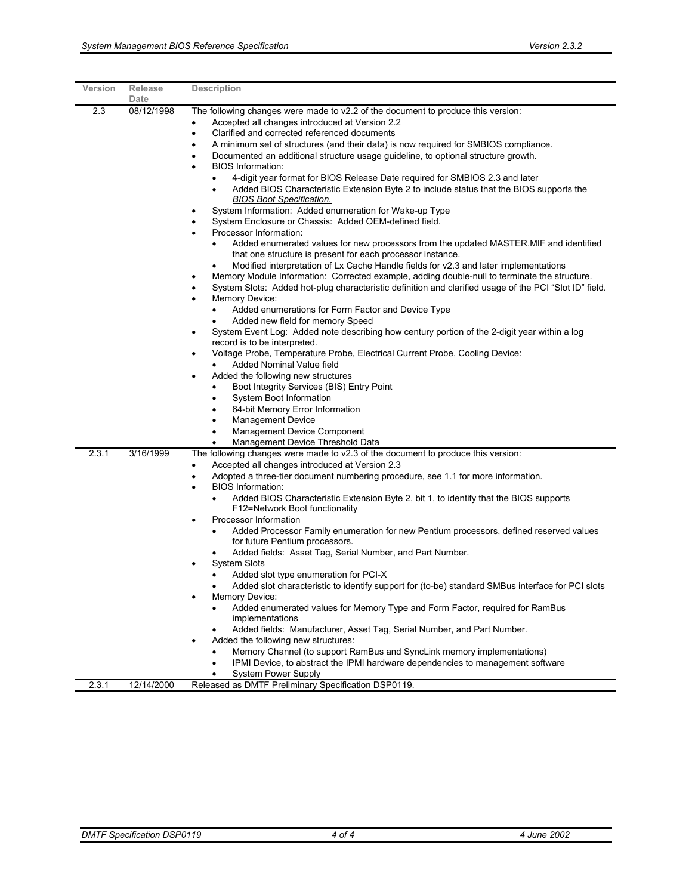| Version | Release<br>Date | <b>Description</b>                                                                                                                                                                                                                                                                                                                                                                                                                                                                                                                                                                                                                                                                                                                                                                                                                                                                                                                                                                                                                                                                                                                                                                                                                                                                                                                                                                                                                                                                                                                                                                                                                                                                                                                                                                                                                                                                                                                               |
|---------|-----------------|--------------------------------------------------------------------------------------------------------------------------------------------------------------------------------------------------------------------------------------------------------------------------------------------------------------------------------------------------------------------------------------------------------------------------------------------------------------------------------------------------------------------------------------------------------------------------------------------------------------------------------------------------------------------------------------------------------------------------------------------------------------------------------------------------------------------------------------------------------------------------------------------------------------------------------------------------------------------------------------------------------------------------------------------------------------------------------------------------------------------------------------------------------------------------------------------------------------------------------------------------------------------------------------------------------------------------------------------------------------------------------------------------------------------------------------------------------------------------------------------------------------------------------------------------------------------------------------------------------------------------------------------------------------------------------------------------------------------------------------------------------------------------------------------------------------------------------------------------------------------------------------------------------------------------------------------------|
| 2.3     | 08/12/1998      | The following changes were made to v2.2 of the document to produce this version:<br>Accepted all changes introduced at Version 2.2<br>٠<br>Clarified and corrected referenced documents<br>$\bullet$<br>A minimum set of structures (and their data) is now required for SMBIOS compliance.<br>٠<br>Documented an additional structure usage guideline, to optional structure growth.<br><b>BIOS Information:</b><br>$\bullet$<br>4-digit year format for BIOS Release Date required for SMBIOS 2.3 and later<br>Added BIOS Characteristic Extension Byte 2 to include status that the BIOS supports the<br>$\bullet$<br><u>BIOS Boot Specification.</u><br>System Information: Added enumeration for Wake-up Type<br>System Enclosure or Chassis: Added OEM-defined field.<br>Processor Information:<br>$\bullet$<br>Added enumerated values for new processors from the updated MASTER.MIF and identified<br>that one structure is present for each processor instance.<br>Modified interpretation of Lx Cache Handle fields for v2.3 and later implementations<br>Memory Module Information: Corrected example, adding double-null to terminate the structure.<br>$\bullet$<br>System Slots: Added hot-plug characteristic definition and clarified usage of the PCI "Slot ID" field.<br><b>Memory Device:</b><br>٠<br>Added enumerations for Form Factor and Device Type<br>$\bullet$<br>Added new field for memory Speed<br>System Event Log: Added note describing how century portion of the 2-digit year within a log<br>٠<br>record is to be interpreted.<br>Voltage Probe, Temperature Probe, Electrical Current Probe, Cooling Device:<br>٠<br>Added Nominal Value field<br>Added the following new structures<br>٠<br>Boot Integrity Services (BIS) Entry Point<br>System Boot Information<br>$\bullet$<br>64-bit Memory Error Information<br>٠<br><b>Management Device</b><br>$\bullet$<br>Management Device Component<br>$\bullet$ |
| 2.3.1   | 3/16/1999       | Management Device Threshold Data<br>The following changes were made to v2.3 of the document to produce this version:<br>Accepted all changes introduced at Version 2.3<br>$\bullet$<br>Adopted a three-tier document numbering procedure, see 1.1 for more information.<br><b>BIOS Information:</b><br>$\bullet$<br>Added BIOS Characteristic Extension Byte 2, bit 1, to identify that the BIOS supports<br>$\bullet$<br>F12=Network Boot functionality<br>Processor Information<br>$\bullet$<br>Added Processor Family enumeration for new Pentium processors, defined reserved values<br>$\bullet$<br>for future Pentium processors.<br>Added fields: Asset Tag, Serial Number, and Part Number.<br><b>System Slots</b><br>Added slot type enumeration for PCI-X<br>Added slot characteristic to identify support for (to-be) standard SMBus interface for PCI slots<br>Memory Device:<br>$\bullet$<br>Added enumerated values for Memory Type and Form Factor, required for RamBus<br>implementations<br>Added fields: Manufacturer, Asset Tag, Serial Number, and Part Number.<br>Added the following new structures:<br>$\bullet$<br>Memory Channel (to support RamBus and SyncLink memory implementations)<br>IPMI Device, to abstract the IPMI hardware dependencies to management software<br>$\bullet$<br>System Power Supply                                                                                                                                                                                                                                                                                                                                                                                                                                                                                                                                                                                                          |
| 2.3.1   | 12/14/2000      | Released as DMTF Preliminary Specification DSP0119.                                                                                                                                                                                                                                                                                                                                                                                                                                                                                                                                                                                                                                                                                                                                                                                                                                                                                                                                                                                                                                                                                                                                                                                                                                                                                                                                                                                                                                                                                                                                                                                                                                                                                                                                                                                                                                                                                              |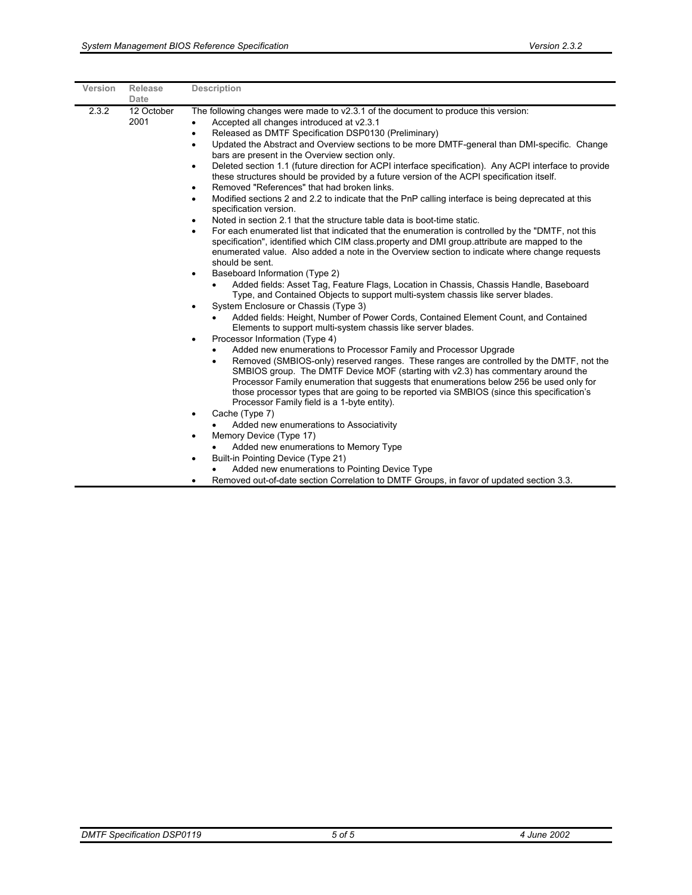| Version | Release<br>Date    | <b>Description</b>                                                                                                                                                                                                                                                                                                                                                                                                                                                                                                                     |
|---------|--------------------|----------------------------------------------------------------------------------------------------------------------------------------------------------------------------------------------------------------------------------------------------------------------------------------------------------------------------------------------------------------------------------------------------------------------------------------------------------------------------------------------------------------------------------------|
| 2.3.2   | 12 October<br>2001 | The following changes were made to $v2.3.1$ of the document to produce this version:<br>Accepted all changes introduced at v2.3.1<br>$\bullet$<br>Released as DMTF Specification DSP0130 (Preliminary)<br>Updated the Abstract and Overview sections to be more DMTF-general than DMI-specific. Change                                                                                                                                                                                                                                 |
|         |                    | bars are present in the Overview section only.<br>Deleted section 1.1 (future direction for ACPI interface specification). Any ACPI interface to provide<br>$\bullet$<br>these structures should be provided by a future version of the ACPI specification itself.<br>Removed "References" that had broken links.<br>٠                                                                                                                                                                                                                 |
|         |                    | Modified sections 2 and 2.2 to indicate that the PnP calling interface is being deprecated at this<br>specification version.<br>Noted in section 2.1 that the structure table data is boot-time static.                                                                                                                                                                                                                                                                                                                                |
|         |                    | For each enumerated list that indicated that the enumeration is controlled by the "DMTF, not this<br>specification", identified which CIM class property and DMI group attribute are mapped to the<br>enumerated value. Also added a note in the Overview section to indicate where change requests<br>should be sent.                                                                                                                                                                                                                 |
|         |                    | Baseboard Information (Type 2)<br>$\bullet$<br>Added fields: Asset Tag, Feature Flags, Location in Chassis, Chassis Handle, Baseboard<br>Type, and Contained Objects to support multi-system chassis like server blades.<br>System Enclosure or Chassis (Type 3)<br>$\bullet$                                                                                                                                                                                                                                                          |
|         |                    | Added fields: Height, Number of Power Cords, Contained Element Count, and Contained<br>$\bullet$<br>Elements to support multi-system chassis like server blades.                                                                                                                                                                                                                                                                                                                                                                       |
|         |                    | Processor Information (Type 4)<br>Added new enumerations to Processor Family and Processor Upgrade<br>Removed (SMBIOS-only) reserved ranges. These ranges are controlled by the DMTF, not the<br>$\bullet$<br>SMBIOS group. The DMTF Device MOF (starting with v2.3) has commentary around the<br>Processor Family enumeration that suggests that enumerations below 256 be used only for<br>those processor types that are going to be reported via SMBIOS (since this specification's<br>Processor Family field is a 1-byte entity). |
|         |                    | Cache (Type 7)<br>$\bullet$<br>Added new enumerations to Associativity                                                                                                                                                                                                                                                                                                                                                                                                                                                                 |
|         |                    | Memory Device (Type 17)<br>$\bullet$                                                                                                                                                                                                                                                                                                                                                                                                                                                                                                   |
|         |                    | Added new enumerations to Memory Type<br>Built-in Pointing Device (Type 21)<br>Added new enumerations to Pointing Device Type                                                                                                                                                                                                                                                                                                                                                                                                          |
|         |                    | Removed out-of-date section Correlation to DMTF Groups, in favor of updated section 3.3.                                                                                                                                                                                                                                                                                                                                                                                                                                               |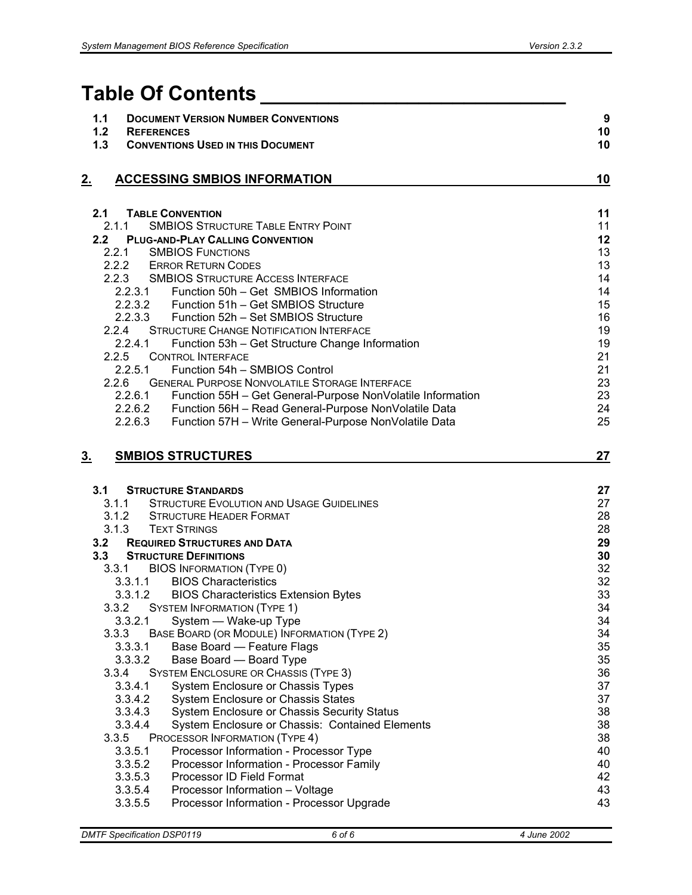# **Table Of Contents \_\_\_\_\_\_\_\_\_\_\_\_\_\_\_\_\_\_\_\_\_\_\_\_\_\_\_**

| 1.1<br>$1.2$<br>1.3 | <b>DOCUMENT VERSION NUMBER CONVENTIONS</b><br><b>REFERENCES</b><br><b>CONVENTIONS USED IN THIS DOCUMENT</b> | $\boldsymbol{9}$<br>10<br>10 |
|---------------------|-------------------------------------------------------------------------------------------------------------|------------------------------|
| <u>2.</u>           | <b>ACCESSING SMBIOS INFORMATION</b>                                                                         | 10                           |
| 2.1                 | <b>TABLE CONVENTION</b>                                                                                     | 11                           |
| 2.1.1               | <b>SMBIOS STRUCTURE TABLE ENTRY POINT</b>                                                                   | 11                           |
| 2.2                 | <b>PLUG-AND-PLAY CALLING CONVENTION</b>                                                                     | 12                           |
| 2.2.1               | <b>SMBIOS FUNCTIONS</b><br>2.2.2 ERROR RETURN CODES                                                         | 13<br>13                     |
|                     | 2.2.3 SMBIOS STRUCTURE ACCESS INTERFACE                                                                     | 14                           |
| 2.2.3.1             | Function 50h - Get SMBIOS Information                                                                       | 14                           |
|                     | 2.2.3.2 Function 51h - Get SMBIOS Structure                                                                 | 15                           |
| 2.2.3.3             | Function 52h - Set SMBIOS Structure                                                                         | 16                           |
| 2.2.4               | <b>STRUCTURE CHANGE NOTIFICATION INTERFACE</b>                                                              | 19                           |
| 2.2.4.1             | Function 53h - Get Structure Change Information                                                             | 19                           |
| 2.2.5               | <b>CONTROL INTERFACE</b>                                                                                    | 21                           |
| 2.2.5.1             | Function 54h - SMBIOS Control                                                                               | 21                           |
| 2.2.6               | <b>GENERAL PURPOSE NONVOLATILE STORAGE INTERFACE</b>                                                        | 23                           |
|                     | 2.2.6.1 Function 55H - Get General-Purpose NonVolatile Information                                          | 23                           |
|                     | 2.2.6.2 Function 56H - Read General-Purpose NonVolatile Data                                                | 24                           |
|                     | 2.2.6.3 Function 57H - Write General-Purpose NonVolatile Data                                               | 25                           |
| <u>3.</u>           | <b>SMBIOS STRUCTURES</b>                                                                                    | 27                           |
|                     |                                                                                                             |                              |
| 3.1                 | <b>STRUCTURE STANDARDS</b>                                                                                  | 27                           |
| 3.1.1               | <b>STRUCTURE EVOLUTION AND USAGE GUIDELINES</b>                                                             | 27                           |
|                     | 3.1.2 STRUCTURE HEADER FORMAT                                                                               | 28                           |
| 3.1.3               | <b>TEXT STRINGS</b>                                                                                         | 28                           |
| 3.2                 | <b>REQUIRED STRUCTURES AND DATA</b>                                                                         | 29                           |
| 3.3 <sub>2</sub>    | <b>STRUCTURE DEFINITIONS</b>                                                                                | 30                           |
| 3.3.1               | <b>BIOS INFORMATION (TYPE 0)</b>                                                                            | 32                           |
| 3.3.1.1             | <b>BIOS Characteristics</b>                                                                                 | 32                           |
|                     | 3.3.1.2 BIOS Characteristics Extension Bytes                                                                | 33                           |
| 3.3.2               | <b>SYSTEM INFORMATION (TYPE 1)</b>                                                                          | 34                           |
| 3.3.2.1             | System - Wake-up Type                                                                                       | 34                           |
| 3.3.3               | BASE BOARD (OR MODULE) INFORMATION (TYPE 2)                                                                 | 34                           |
| 3.3.3.1             | Base Board - Feature Flags                                                                                  | 35                           |
| 3.3.3.2<br>3.3.4    | Base Board - Board Type<br><b>SYSTEM ENCLOSURE OR CHASSIS (TYPE 3)</b>                                      | 35<br>36                     |
| 3.3.4.1             | System Enclosure or Chassis Types                                                                           | 37                           |
| 3.3.4.2             | <b>System Enclosure or Chassis States</b>                                                                   | 37                           |
| 3.3.4.3             | System Enclosure or Chassis Security Status                                                                 | 38                           |
| 3.3.4.4             | System Enclosure or Chassis: Contained Elements                                                             | 38                           |
| 3.3.5               | PROCESSOR INFORMATION (TYPE 4)                                                                              | 38                           |
| 3.3.5.1             | Processor Information - Processor Type                                                                      | 40                           |
| 3.3.5.2             | Processor Information - Processor Family                                                                    | 40                           |
| 3.3.5.3             | Processor ID Field Format                                                                                   | 42                           |
| 3.3.5.4             | Processor Information - Voltage                                                                             | 43                           |
| 3.3.5.5             | Processor Information - Processor Upgrade                                                                   | 43                           |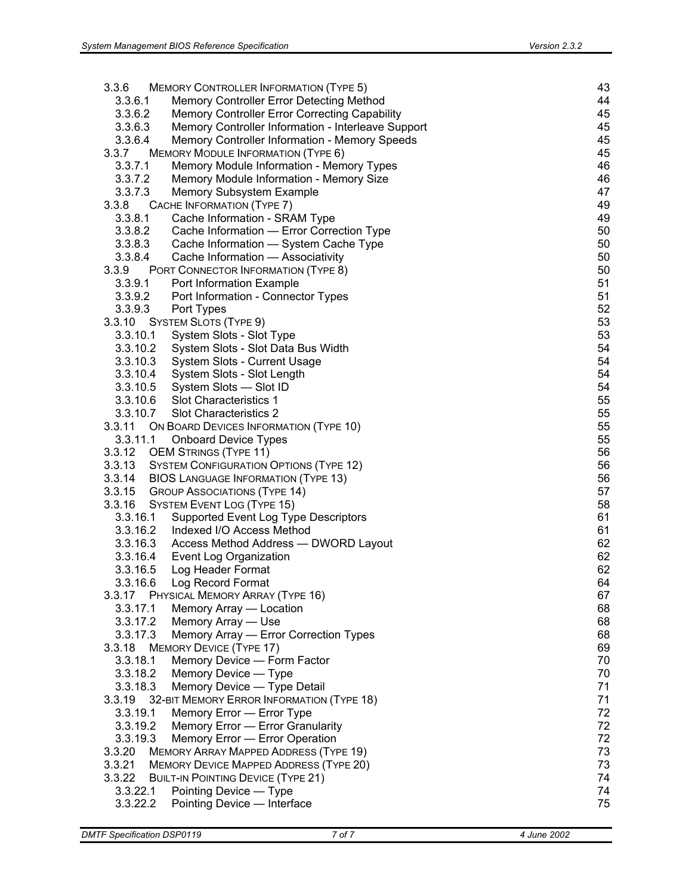| 3.3.6    | <b>MEMORY CONTROLLER INFORMATION (TYPE 5)</b>      | 43 |
|----------|----------------------------------------------------|----|
| 3.3.6.1  | Memory Controller Error Detecting Method           | 44 |
| 3.3.6.2  | Memory Controller Error Correcting Capability      | 45 |
| 3.3.6.3  | Memory Controller Information - Interleave Support | 45 |
| 3.3.6.4  | Memory Controller Information - Memory Speeds      | 45 |
| 3.3.7    | <b>MEMORY MODULE INFORMATION (TYPE 6)</b>          | 45 |
| 3.3.7.1  | Memory Module Information - Memory Types           | 46 |
| 3.3.7.2  | Memory Module Information - Memory Size            | 46 |
| 3.3.7.3  | Memory Subsystem Example                           | 47 |
| 3.3.8    | CACHE INFORMATION (TYPE 7)                         | 49 |
| 3.3.8.1  | Cache Information - SRAM Type                      | 49 |
| 3.3.8.2  | Cache Information - Error Correction Type          | 50 |
| 3.3.8.3  | Cache Information - System Cache Type              | 50 |
| 3.3.8.4  | Cache Information - Associativity                  | 50 |
| 3.3.9    | PORT CONNECTOR INFORMATION (TYPE 8)                | 50 |
| 3.3.9.1  | Port Information Example                           | 51 |
| 3.3.9.2  | Port Information - Connector Types                 | 51 |
| 3.3.9.3  | Port Types                                         | 52 |
|          | 3.3.10 SYSTEM SLOTS (TYPE 9)                       | 53 |
| 3.3.10.1 | System Slots - Slot Type                           | 53 |
| 3.3.10.2 | System Slots - Slot Data Bus Width                 | 54 |
| 3.3.10.3 | System Slots - Current Usage                       | 54 |
| 3.3.10.4 | System Slots - Slot Length                         | 54 |
| 3.3.10.5 | System Slots — Slot ID                             | 54 |
|          | 3.3.10.6 Slot Characteristics 1                    | 55 |
|          | 3.3.10.7 Slot Characteristics 2                    | 55 |
| 3.3.11   | ON BOARD DEVICES INFORMATION (TYPE 10)             | 55 |
|          | 3.3.11.1 Onboard Device Types                      | 55 |
| 3.3.12   | <b>OEM STRINGS (TYPE 11)</b>                       | 56 |
|          | 3.3.13 SYSTEM CONFIGURATION OPTIONS (TYPE 12)      | 56 |
| 3.3.14   | <b>BIOS LANGUAGE INFORMATION (TYPE 13)</b>         | 56 |
| 3.3.15   | <b>GROUP ASSOCIATIONS (TYPE 14)</b>                | 57 |
| 3.3.16   | <b>SYSTEM EVENT LOG (TYPE 15)</b>                  | 58 |
| 3.3.16.1 | Supported Event Log Type Descriptors               | 61 |
|          | 3.3.16.2 Indexed I/O Access Method                 | 61 |
|          | 3.3.16.3 Access Method Address - DWORD Layout      | 62 |
| 3.3.16.4 | Event Log Organization                             | 62 |
| 3.3.16.5 | Log Header Format                                  | 62 |
| 3.3.16.6 | Log Record Format                                  | 64 |
| 3.3.17   | PHYSICAL MEMORY ARRAY (TYPE 16)                    | 67 |
| 3.3.17.1 | Memory Array - Location                            | 68 |
| 3.3.17.2 | Memory Array - Use                                 | 68 |
| 3.3.17.3 | Memory Array - Error Correction Types              | 68 |
| 3.3.18   | <b>MEMORY DEVICE (TYPE 17)</b>                     | 69 |
| 3.3.18.1 | Memory Device - Form Factor                        | 70 |
| 3.3.18.2 | Memory Device - Type                               | 70 |
| 3.3.18.3 | Memory Device - Type Detail                        | 71 |
| 3.3.19   | 32-BIT MEMORY ERROR INFORMATION (TYPE 18)          | 71 |
| 3.3.19.1 | Memory Error - Error Type                          | 72 |
| 3.3.19.2 | Memory Error - Error Granularity                   | 72 |
| 3.3.19.3 | Memory Error - Error Operation                     | 72 |
| 3.3.20   | <b>MEMORY ARRAY MAPPED ADDRESS (TYPE 19)</b>       | 73 |
| 3.3.21   | <b>MEMORY DEVICE MAPPED ADDRESS (TYPE 20)</b>      | 73 |
| 3.3.22   | <b>BUILT-IN POINTING DEVICE (TYPE 21)</b>          | 74 |
| 3.3.22.1 | Pointing Device - Type                             | 74 |
| 3.3.22.2 | Pointing Device - Interface                        | 75 |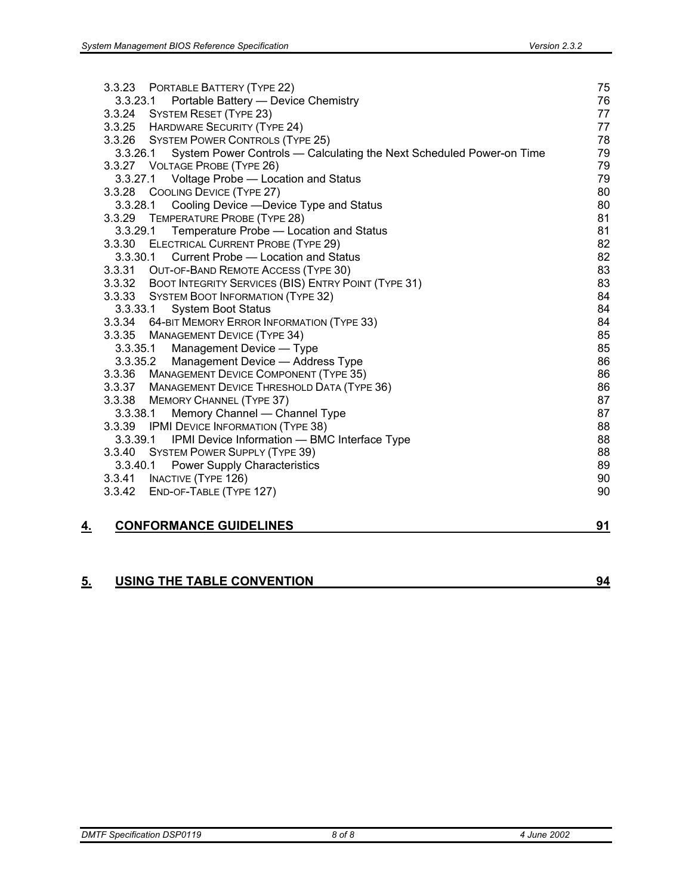|           | 3.3.27 VOLTAGE PROBE (TYPE 26)<br>3.3.27.1 Voltage Probe - Location and Status | 79<br>79 |
|-----------|--------------------------------------------------------------------------------|----------|
|           | 3.3.28 COOLING DEVICE (TYPE 27)                                                | 80       |
|           | 3.3.28.1 Cooling Device - Device Type and Status                               | 80       |
|           | 3.3.29 TEMPERATURE PROBE (TYPE 28)                                             | 81       |
|           | 3.3.29.1<br>Temperature Probe - Location and Status                            | 81       |
|           | 3.3.30<br><b>ELECTRICAL CURRENT PROBE (TYPE 29)</b>                            | 82       |
|           | Current Probe - Location and Status<br>3.3.30.1                                | 82       |
|           | 3.3.31 OUT-OF-BAND REMOTE ACCESS (TYPE 30)                                     | 83       |
|           | 3.3.32 BOOT INTEGRITY SERVICES (BIS) ENTRY POINT (TYPE 31)                     | 83       |
|           | 3.3.33 SYSTEM BOOT INFORMATION (TYPE 32)                                       | 84       |
|           | 3.3.33.1<br><b>System Boot Status</b>                                          | 84       |
|           | 3.3.34 64-BIT MEMORY ERROR INFORMATION (TYPE 33)                               | 84       |
|           | 3.3.35 MANAGEMENT DEVICE (TYPE 34)                                             | 85       |
|           | 3.3.35.1<br>Management Device - Type                                           | 85       |
|           | 3.3.35.2<br>Management Device - Address Type                                   | 86       |
|           | 3.3.36 MANAGEMENT DEVICE COMPONENT (TYPE 35)                                   | 86       |
|           | 3.3.37 MANAGEMENT DEVICE THRESHOLD DATA (TYPE 36)                              | 86       |
|           | 3.3.38 MEMORY CHANNEL (TYPE 37)                                                | 87       |
|           | Memory Channel - Channel Type<br>3.3.38.1                                      | 87       |
|           | 3.3.39 IPMI DEVICE INFORMATION (TYPE 38)                                       | 88       |
|           | IPMI Device Information - BMC Interface Type<br>3.3.39.1                       | 88       |
|           | 3.3.40 SYSTEM POWER SUPPLY (TYPE 39)                                           | 88       |
|           | <b>Power Supply Characteristics</b><br>3.3.40.1                                | 89       |
|           | 3.3.41 INACTIVE (TYPE 126)                                                     | 90       |
|           | 3.3.42 END-OF-TABLE (TYPE 127)                                                 | 90       |
| <u>4.</u> | <b>CONFORMANCE GUIDELINES</b>                                                  | 91       |

### **5. USING THE TABLE CONVENTION 94**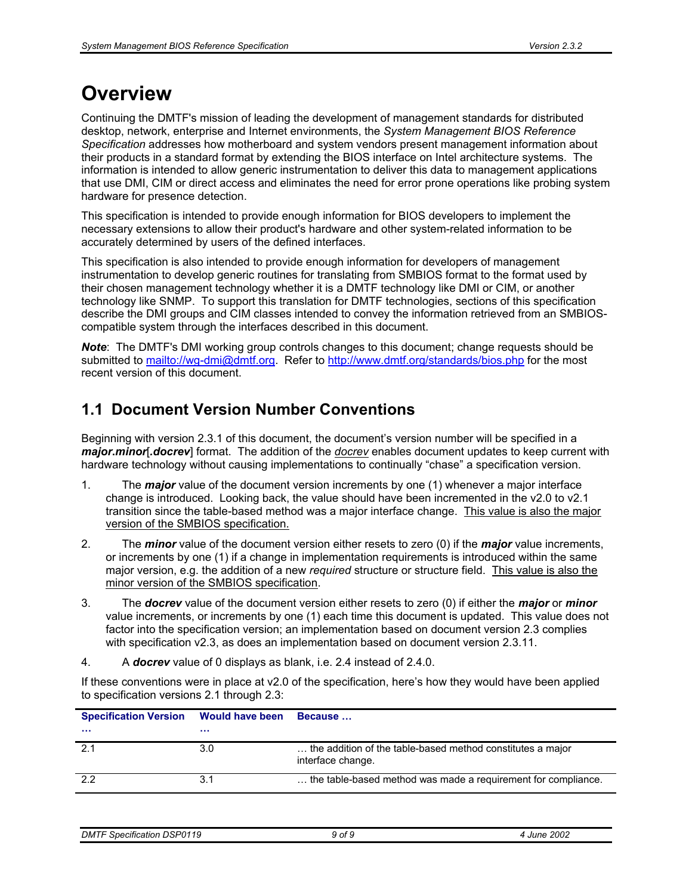# **Overview**

Continuing the DMTF's mission of leading the development of management standards for distributed desktop, network, enterprise and Internet environments, the *System Management BIOS Reference Specification* addresses how motherboard and system vendors present management information about their products in a standard format by extending the BIOS interface on Intel architecture systems. The information is intended to allow generic instrumentation to deliver this data to management applications that use DMI, CIM or direct access and eliminates the need for error prone operations like probing system hardware for presence detection.

This specification is intended to provide enough information for BIOS developers to implement the necessary extensions to allow their product's hardware and other system-related information to be accurately determined by users of the defined interfaces.

This specification is also intended to provide enough information for developers of management instrumentation to develop generic routines for translating from SMBIOS format to the format used by their chosen management technology whether it is a DMTF technology like DMI or CIM, or another technology like SNMP. To support this translation for DMTF technologies, sections of this specification describe the DMI groups and CIM classes intended to convey the information retrieved from an SMBIOScompatible system through the interfaces described in this document.

*Note*: The DMTF's DMI working group controls changes to this document; change requests should be submitted to mailto://wg-dmi@dmtf.org. Refer to http://www.dmtf.org/standards/bios.php for the most recent version of this document.

# **1.1 Document Version Number Conventions**

Beginning with version 2.3.1 of this document, the document's version number will be specified in a *major***.***minor*[*.docrev*] format. The addition of the *docrev* enables document updates to keep current with hardware technology without causing implementations to continually "chase" a specification version.

- 1. The *major* value of the document version increments by one (1) whenever a major interface change is introduced. Looking back, the value should have been incremented in the v2.0 to v2.1 transition since the table-based method was a major interface change. This value is also the major version of the SMBIOS specification.
- 2. The *minor* value of the document version either resets to zero (0) if the *major* value increments, or increments by one (1) if a change in implementation requirements is introduced within the same major version, e.g. the addition of a new *required* structure or structure field. This value is also the minor version of the SMBIOS specification.
- 3. The *docrev* value of the document version either resets to zero (0) if either the *major* or *minor* value increments, or increments by one (1) each time this document is updated. This value does not factor into the specification version; an implementation based on document version 2.3 complies with specification v2.3, as does an implementation based on document version 2.3.11.
- 4. A *docrev* value of 0 displays as blank, i.e. 2.4 instead of 2.4.0.

If these conventions were in place at v2.0 of the specification, here's how they would have been applied to specification versions 2.1 through 2.3:

| <b>Specification Version</b> | <b>Would have been</b> | Because                                                                         |
|------------------------------|------------------------|---------------------------------------------------------------------------------|
| .                            |                        |                                                                                 |
| 2.1                          | 3.0                    | the addition of the table-based method constitutes a major<br>interface change. |
| 2.2                          | 3.1                    | the table-based method was made a requirement for compliance.                   |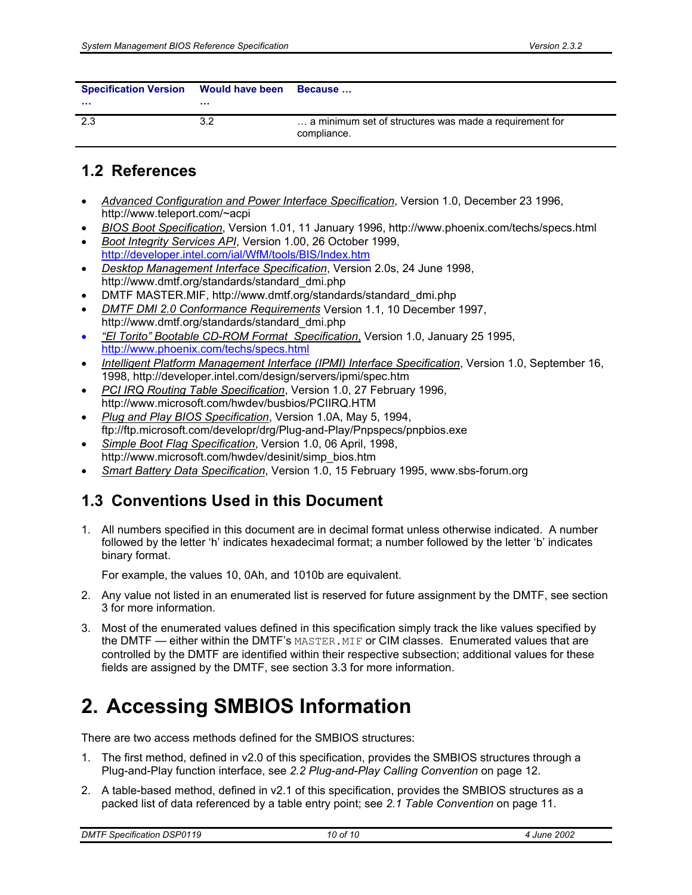| Specification Version Would have been |     | <b>Because</b>                                                        |
|---------------------------------------|-----|-----------------------------------------------------------------------|
| $\cdots$                              | .   |                                                                       |
| 2.3                                   | 3.2 | a minimum set of structures was made a requirement for<br>compliance. |

## **1.2 References**

- *Advanced Configuration and Power Interface Specification*, Version 1.0, December 23 1996, http://www.teleport.com/~acpi
- *BIOS Boot Specification*, Version 1.01, 11 January 1996, http://www.phoenix.com/techs/specs.html
- *Boot Integrity Services API*, Version 1.00, 26 October 1999, http://developer.intel.com/ial/WfM/tools/BIS/Index.htm
- *Desktop Management Interface Specification*, Version 2.0s, 24 June 1998, http://www.dmtf.org/standards/standard\_dmi.php
- DMTF MASTER.MIF, http://www.dmtf.org/standards/standard\_dmi.php
- *DMTF DMI 2.0 Conformance Requirements* Version 1.1, 10 December 1997, http://www.dmtf.org/standards/standard\_dmi.php
- *"El Torito" Bootable CD-ROM Format Specification*, Version 1.0, January 25 1995, http://www.phoenix.com/techs/specs.html
- *Intelligent Platform Management Interface (IPMI) Interface Specification*, Version 1.0, September 16, 1998, http://developer.intel.com/design/servers/ipmi/spec.htm
- *PCI IRQ Routing Table Specification*, Version 1.0, 27 February 1996, http://www.microsoft.com/hwdev/busbios/PCIIRQ.HTM
- *Plug and Play BIOS Specification*, Version 1.0A, May 5, 1994, ftp://ftp.microsoft.com/developr/drg/Plug-and-Play/Pnpspecs/pnpbios.exe
- *Simple Boot Flag Specification*, Version 1.0, 06 April, 1998, http://www.microsoft.com/hwdev/desinit/simp\_bios.htm
- *Smart Battery Data Specification*, Version 1.0, 15 February 1995, www.sbs-forum.org

# **1.3 Conventions Used in this Document**

1. All numbers specified in this document are in decimal format unless otherwise indicated. A number followed by the letter 'h' indicates hexadecimal format; a number followed by the letter 'b' indicates binary format.

For example, the values 10, 0Ah, and 1010b are equivalent.

- 2. Any value not listed in an enumerated list is reserved for future assignment by the DMTF, see section 3 for more information.
- 3. Most of the enumerated values defined in this specification simply track the like values specified by the DMTF — either within the DMTF's MASTER. MIF or CIM classes. Enumerated values that are controlled by the DMTF are identified within their respective subsection; additional values for these fields are assigned by the DMTF, see section 3.3 for more information.

# **2. Accessing SMBIOS Information**

There are two access methods defined for the SMBIOS structures:

- 1. The first method, defined in v2.0 of this specification, provides the SMBIOS structures through a Plug-and-Play function interface, see *2.2 Plug-and-Play Calling Convention* on page 12.
- 2. A table-based method, defined in v2.1 of this specification, provides the SMBIOS structures as a packed list of data referenced by a table entry point; see *2.1 Table Convention* on page 11.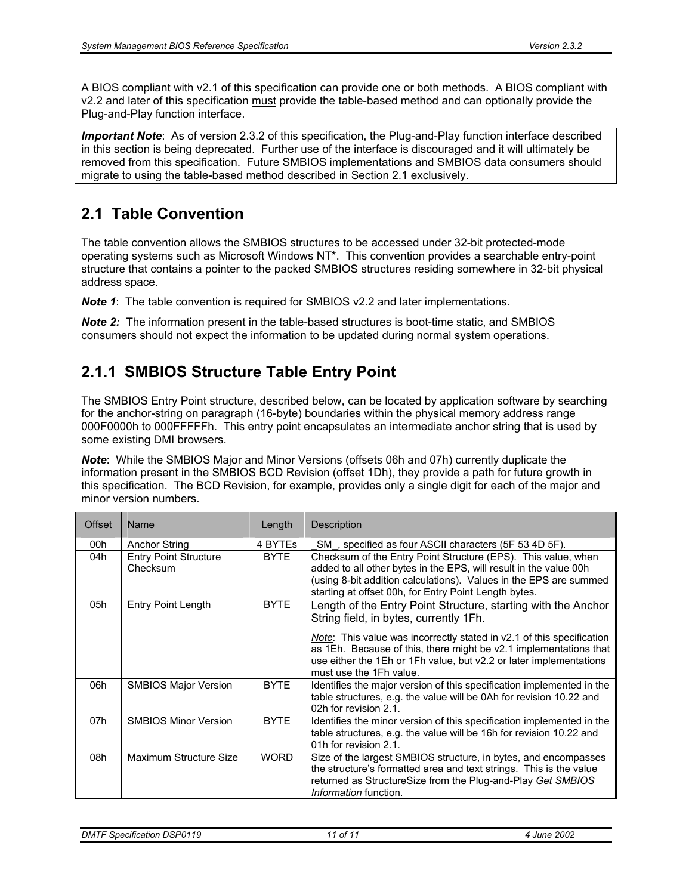A BIOS compliant with v2.1 of this specification can provide one or both methods. A BIOS compliant with v2.2 and later of this specification must provide the table-based method and can optionally provide the Plug-and-Play function interface.

*Important Note*: As of version 2.3.2 of this specification, the Plug-and-Play function interface described in this section is being deprecated. Further use of the interface is discouraged and it will ultimately be removed from this specification. Future SMBIOS implementations and SMBIOS data consumers should migrate to using the table-based method described in Section 2.1 exclusively.

## **2.1 Table Convention**

The table convention allows the SMBIOS structures to be accessed under 32-bit protected-mode operating systems such as Microsoft Windows NT\*. This convention provides a searchable entry-point structure that contains a pointer to the packed SMBIOS structures residing somewhere in 32-bit physical address space.

*Note 1*: The table convention is required for SMBIOS v2.2 and later implementations.

**Note 2:** The information present in the table-based structures is boot-time static, and SMBIOS consumers should not expect the information to be updated during normal system operations.

# **2.1.1 SMBIOS Structure Table Entry Point**

The SMBIOS Entry Point structure, described below, can be located by application software by searching for the anchor-string on paragraph (16-byte) boundaries within the physical memory address range 000F0000h to 000FFFFFh. This entry point encapsulates an intermediate anchor string that is used by some existing DMI browsers.

*Note*: While the SMBIOS Major and Minor Versions (offsets 06h and 07h) currently duplicate the information present in the SMBIOS BCD Revision (offset 1Dh), they provide a path for future growth in this specification. The BCD Revision, for example, provides only a single digit for each of the major and minor version numbers.

| <b>Offset</b> | Name                                     | Length      | Description                                                                                                                                                                                                                                                                                                                                            |
|---------------|------------------------------------------|-------------|--------------------------------------------------------------------------------------------------------------------------------------------------------------------------------------------------------------------------------------------------------------------------------------------------------------------------------------------------------|
| 00h           | <b>Anchor String</b>                     | 4 BYTES     | SM, specified as four ASCII characters (5F 53 4D 5F).                                                                                                                                                                                                                                                                                                  |
| 04h           | <b>Entry Point Structure</b><br>Checksum | <b>BYTE</b> | Checksum of the Entry Point Structure (EPS). This value, when<br>added to all other bytes in the EPS, will result in the value 00h<br>(using 8-bit addition calculations). Values in the EPS are summed<br>starting at offset 00h, for Entry Point Length bytes.                                                                                       |
| 05h           | Entry Point Length                       | <b>BYTE</b> | Length of the Entry Point Structure, starting with the Anchor<br>String field, in bytes, currently 1Fh.<br>Note: This value was incorrectly stated in v2.1 of this specification<br>as 1Eh. Because of this, there might be v2.1 implementations that<br>use either the 1Eh or 1Fh value, but v2.2 or later implementations<br>must use the 1Fh value. |
| 06h           | <b>SMBIOS Major Version</b>              | <b>BYTE</b> | Identifies the major version of this specification implemented in the<br>table structures, e.g. the value will be 0Ah for revision 10.22 and<br>02h for revision 2.1.                                                                                                                                                                                  |
| 07h           | <b>SMBIOS Minor Version</b>              | <b>BYTE</b> | Identifies the minor version of this specification implemented in the<br>table structures, e.g. the value will be 16h for revision 10.22 and<br>01h for revision 2.1.                                                                                                                                                                                  |
| 08h           | Maximum Structure Size                   | <b>WORD</b> | Size of the largest SMBIOS structure, in bytes, and encompasses<br>the structure's formatted area and text strings. This is the value<br>returned as StructureSize from the Plug-and-Play Get SMBIOS<br>Information function.                                                                                                                          |

*DMTF Specification DSP0119 11 of 11 4 June 2002*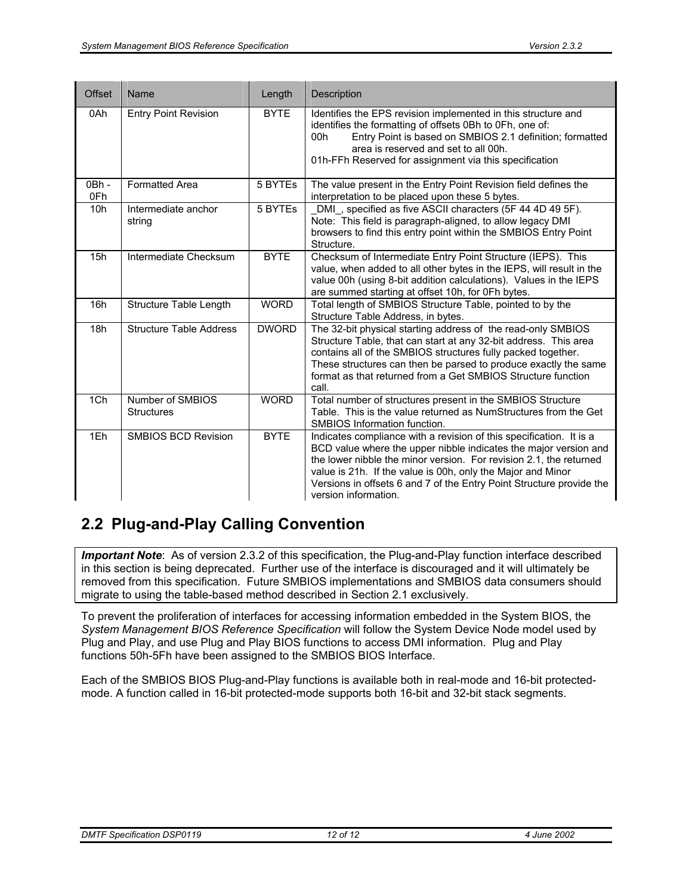| <b>Offset</b> | Name                                  | Length       | Description                                                                                                                                                                                                                                                                                                                                                                  |
|---------------|---------------------------------------|--------------|------------------------------------------------------------------------------------------------------------------------------------------------------------------------------------------------------------------------------------------------------------------------------------------------------------------------------------------------------------------------------|
| 0Ah           | <b>Entry Point Revision</b>           | <b>BYTE</b>  | Identifies the EPS revision implemented in this structure and<br>identifies the formatting of offsets 0Bh to 0Fh, one of:<br>Entry Point is based on SMBIOS 2.1 definition; formatted<br>00h<br>area is reserved and set to all 00h.<br>01h-FFh Reserved for assignment via this specification                                                                               |
| 0Bh -<br>0Fh  | <b>Formatted Area</b>                 | 5 BYTEs      | The value present in the Entry Point Revision field defines the<br>interpretation to be placed upon these 5 bytes.                                                                                                                                                                                                                                                           |
| 10h           | Intermediate anchor<br>string         | 5 BYTEs      | DMI, specified as five ASCII characters (5F 44 4D 49 5F).<br>Note: This field is paragraph-aligned, to allow legacy DMI<br>browsers to find this entry point within the SMBIOS Entry Point<br>Structure.                                                                                                                                                                     |
| 15h           | Intermediate Checksum                 | <b>BYTE</b>  | Checksum of Intermediate Entry Point Structure (IEPS). This<br>value, when added to all other bytes in the IEPS, will result in the<br>value 00h (using 8-bit addition calculations). Values in the IEPS<br>are summed starting at offset 10h, for 0Fh bytes.                                                                                                                |
| 16h           | Structure Table Length                | <b>WORD</b>  | Total length of SMBIOS Structure Table, pointed to by the<br>Structure Table Address, in bytes.                                                                                                                                                                                                                                                                              |
| 18h           | <b>Structure Table Address</b>        | <b>DWORD</b> | The 32-bit physical starting address of the read-only SMBIOS<br>Structure Table, that can start at any 32-bit address. This area<br>contains all of the SMBIOS structures fully packed together.<br>These structures can then be parsed to produce exactly the same<br>format as that returned from a Get SMBIOS Structure function<br>call.                                 |
| 1Ch           | Number of SMBIOS<br><b>Structures</b> | <b>WORD</b>  | Total number of structures present in the SMBIOS Structure<br>Table. This is the value returned as NumStructures from the Get<br>SMBIOS Information function.                                                                                                                                                                                                                |
| 1Eh           | <b>SMBIOS BCD Revision</b>            | <b>BYTE</b>  | Indicates compliance with a revision of this specification. It is a<br>BCD value where the upper nibble indicates the major version and<br>the lower nibble the minor version. For revision 2.1, the returned<br>value is 21h. If the value is 00h, only the Major and Minor<br>Versions in offsets 6 and 7 of the Entry Point Structure provide the<br>version information. |

# **2.2 Plug-and-Play Calling Convention**

*Important Note*: As of version 2.3.2 of this specification, the Plug-and-Play function interface described in this section is being deprecated. Further use of the interface is discouraged and it will ultimately be removed from this specification. Future SMBIOS implementations and SMBIOS data consumers should migrate to using the table-based method described in Section 2.1 exclusively.

To prevent the proliferation of interfaces for accessing information embedded in the System BIOS, the *System Management BIOS Reference Specification* will follow the System Device Node model used by Plug and Play, and use Plug and Play BIOS functions to access DMI information. Plug and Play functions 50h-5Fh have been assigned to the SMBIOS BIOS Interface.

Each of the SMBIOS BIOS Plug-and-Play functions is available both in real-mode and 16-bit protectedmode. A function called in 16-bit protected-mode supports both 16-bit and 32-bit stack segments.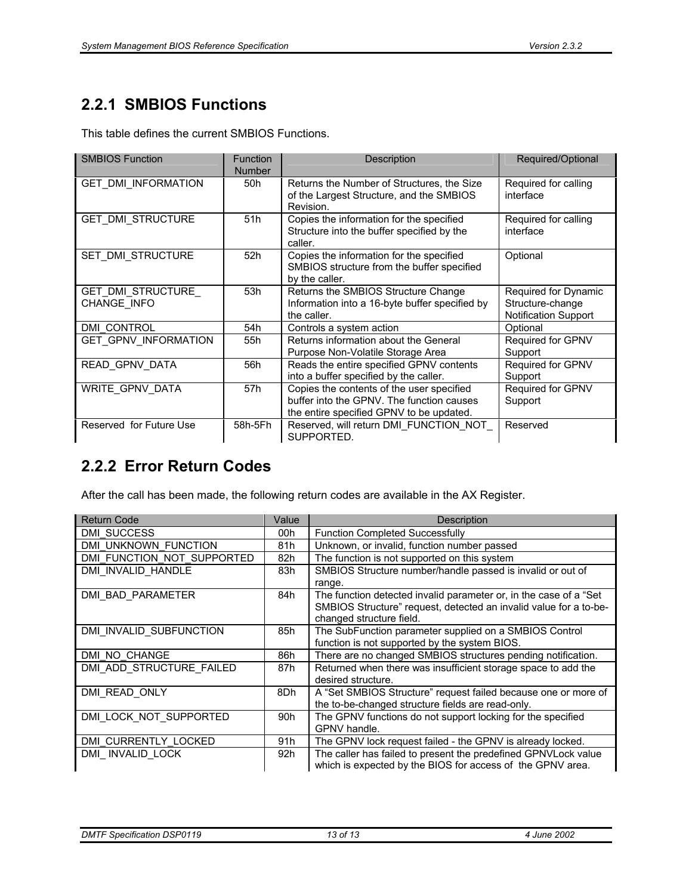# **2.2.1 SMBIOS Functions**

This table defines the current SMBIOS Functions.

| <b>SMBIOS Function</b>           | <b>Function</b><br><b>Number</b> | Description                                                                                                                        | Required/Optional                                                |
|----------------------------------|----------------------------------|------------------------------------------------------------------------------------------------------------------------------------|------------------------------------------------------------------|
| <b>GET DMI INFORMATION</b>       | 50h                              | Returns the Number of Structures, the Size<br>of the Largest Structure, and the SMBIOS<br>Revision.                                | Required for calling<br>interface                                |
| <b>GET DMI STRUCTURE</b>         | 51h                              | Copies the information for the specified<br>Structure into the buffer specified by the<br>caller.                                  | Required for calling<br>interface                                |
| SET DMI STRUCTURE                | 52h                              | Copies the information for the specified<br>SMBIOS structure from the buffer specified<br>by the caller.                           | Optional                                                         |
| GET DMI STRUCTURE<br>CHANGE INFO | 53h                              | Returns the SMBIOS Structure Change<br>Information into a 16-byte buffer specified by<br>the caller.                               | Required for Dynamic<br>Structure-change<br>Notification Support |
| <b>DMI CONTROL</b>               | 54h                              | Controls a system action                                                                                                           | Optional                                                         |
| <b>GET GPNV INFORMATION</b>      | 55h                              | Returns information about the General<br>Purpose Non-Volatile Storage Area                                                         | <b>Required for GPNV</b><br>Support                              |
| READ GPNV DATA                   | 56h                              | Reads the entire specified GPNV contents<br>into a buffer specified by the caller.                                                 | Required for GPNV<br>Support                                     |
| WRITE GPNV DATA                  | 57h                              | Copies the contents of the user specified<br>buffer into the GPNV. The function causes<br>the entire specified GPNV to be updated. | Required for GPNV<br>Support                                     |
| Reserved for Future Use          | 58h-5Fh                          | Reserved, will return DMI FUNCTION NOT<br>SUPPORTED.                                                                               | Reserved                                                         |

# **2.2.2 Error Return Codes**

After the call has been made, the following return codes are available in the AX Register.

| <b>Return Code</b>         | Value | Description                                                                                                                                                        |
|----------------------------|-------|--------------------------------------------------------------------------------------------------------------------------------------------------------------------|
| <b>DMI SUCCESS</b>         | 00h   | <b>Function Completed Successfully</b>                                                                                                                             |
| DMI UNKNOWN FUNCTION       | 81h   | Unknown, or invalid, function number passed                                                                                                                        |
| DMI FUNCTION NOT SUPPORTED | 82h   | The function is not supported on this system                                                                                                                       |
| DMI INVALID HANDLE         | 83h   | SMBIOS Structure number/handle passed is invalid or out of<br>range.                                                                                               |
| DMI BAD PARAMETER          | 84h   | The function detected invalid parameter or, in the case of a "Set<br>SMBIOS Structure" request, detected an invalid value for a to-be-<br>changed structure field. |
| DMI INVALID SUBFUNCTION    | 85h   | The SubFunction parameter supplied on a SMBIOS Control<br>function is not supported by the system BIOS.                                                            |
| DMI NO CHANGE              | 86h   | There are no changed SMBIOS structures pending notification.                                                                                                       |
| DMI ADD STRUCTURE FAILED   | 87h   | Returned when there was insufficient storage space to add the<br>desired structure.                                                                                |
| DMI READ ONLY              | 8Dh   | A "Set SMBIOS Structure" request failed because one or more of<br>the to-be-changed structure fields are read-only.                                                |
| DMI LOCK NOT SUPPORTED     | 90h   | The GPNV functions do not support locking for the specified<br>GPNV handle.                                                                                        |
| DMI CURRENTLY LOCKED       | 91h   | The GPNV lock request failed - the GPNV is already locked.                                                                                                         |
| DMI INVALID LOCK           | 92h   | The caller has failed to present the predefined GPNVLock value<br>which is expected by the BIOS for access of the GPNV area.                                       |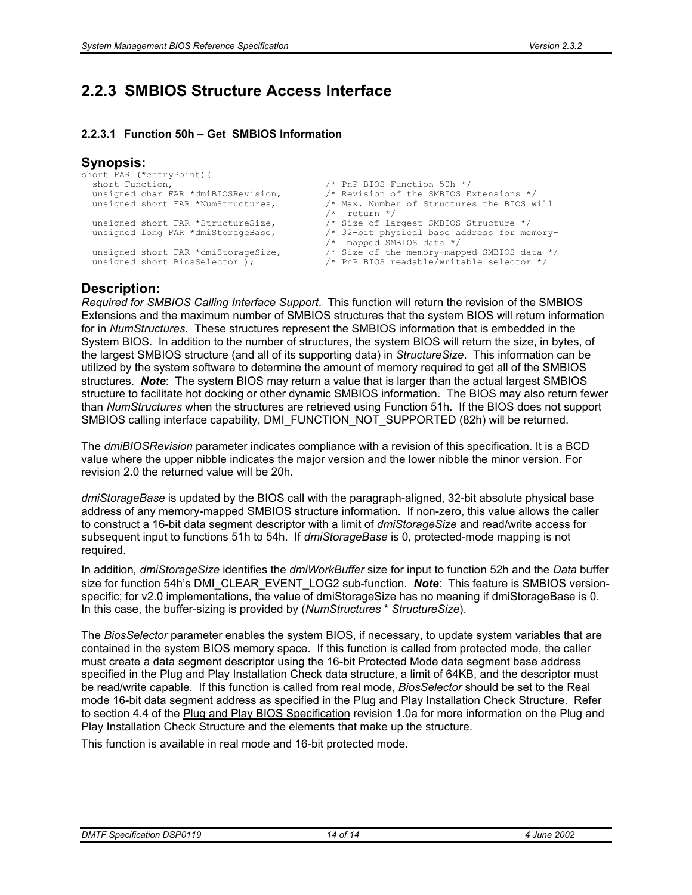### **2.2.3 SMBIOS Structure Access Interface**

#### **2.2.3.1 Function 50h – Get SMBIOS Information**

#### **Synopsis:**

```
short FAR (*entryPoint) (<br>short Function,
   short Function,<br>unsigned char FAR *dmiBIOSRevision, \frac{1}{1} \frac{1}{1} Revision of the SMBIOS E:
   unsigned char FAR *dmiBIOSRevision, \frac{1}{1} /* Revision of the SMBIOS Extensions */<br>unsigned short FAR *NumStructures, \frac{1}{1} Max. Number of Structures the BIOS w
                                                                        /* Max. Number of Structures the BIOS will /* return */
   /* return */<br>unsigned short FAR *StructureSize, \frac{1}{2} /* Size of la
   unsigned short FAR *StructureSize,<br>unsigned long FAR *dmiStorageBase, \frac{1}{2} /* Size of largest SMBIOS Structure */<br>1 32-bit physical base address for mer
                                                                        /* 32-bit physical base address for memory-
   /* mapped SMBIOS data */<br>unsigned short FAR *dmiStorageSize, /* Size of the memory-map
   unsigned short FAR *dmiStorageSize, \frac{1}{2} /* Size of the memory-mapped SMBIOS data */<br>unsigned short BiosSelector ); \frac{1}{2} /* PnP BIOS readable/writable selector */
                                                                        /* PnP BIOS readable/writable selector */
```
#### **Description:**

*Required for SMBIOS Calling Interface Support*. This function will return the revision of the SMBIOS Extensions and the maximum number of SMBIOS structures that the system BIOS will return information for in *NumStructures*. These structures represent the SMBIOS information that is embedded in the System BIOS. In addition to the number of structures, the system BIOS will return the size, in bytes, of the largest SMBIOS structure (and all of its supporting data) in *StructureSize*. This information can be utilized by the system software to determine the amount of memory required to get all of the SMBIOS structures. *Note*: The system BIOS may return a value that is larger than the actual largest SMBIOS structure to facilitate hot docking or other dynamic SMBIOS information. The BIOS may also return fewer than *NumStructures* when the structures are retrieved using Function 51h. If the BIOS does not support SMBIOS calling interface capability, DMI\_FUNCTION\_NOT\_SUPPORTED (82h) will be returned.

The *dmiBIOSRevision* parameter indicates compliance with a revision of this specification. It is a BCD value where the upper nibble indicates the major version and the lower nibble the minor version. For revision 2.0 the returned value will be 20h.

*dmiStorageBase* is updated by the BIOS call with the paragraph-aligned, 32-bit absolute physical base address of any memory-mapped SMBIOS structure information. If non-zero, this value allows the caller to construct a 16-bit data segment descriptor with a limit of *dmiStorageSize* and read/write access for subsequent input to functions 51h to 54h. If *dmiStorageBase* is 0, protected-mode mapping is not required.

In addition*, dmiStorageSize* identifies the *dmiWorkBuffer* size for input to function 52h and the *Data* buffer size for function 54h's DMI\_CLEAR\_EVENT\_LOG2 sub-function. *Note*: This feature is SMBIOS versionspecific; for v2.0 implementations, the value of dmiStorageSize has no meaning if dmiStorageBase is 0. In this case, the buffer-sizing is provided by (*NumStructures* \* *StructureSize*).

The *BiosSelector* parameter enables the system BIOS, if necessary, to update system variables that are contained in the system BIOS memory space. If this function is called from protected mode, the caller must create a data segment descriptor using the 16-bit Protected Mode data segment base address specified in the Plug and Play Installation Check data structure, a limit of 64KB, and the descriptor must be read/write capable. If this function is called from real mode, *BiosSelector* should be set to the Real mode 16-bit data segment address as specified in the Plug and Play Installation Check Structure. Refer to section 4.4 of the Plug and Play BIOS Specification revision 1.0a for more information on the Plug and Play Installation Check Structure and the elements that make up the structure.

This function is available in real mode and 16-bit protected mode.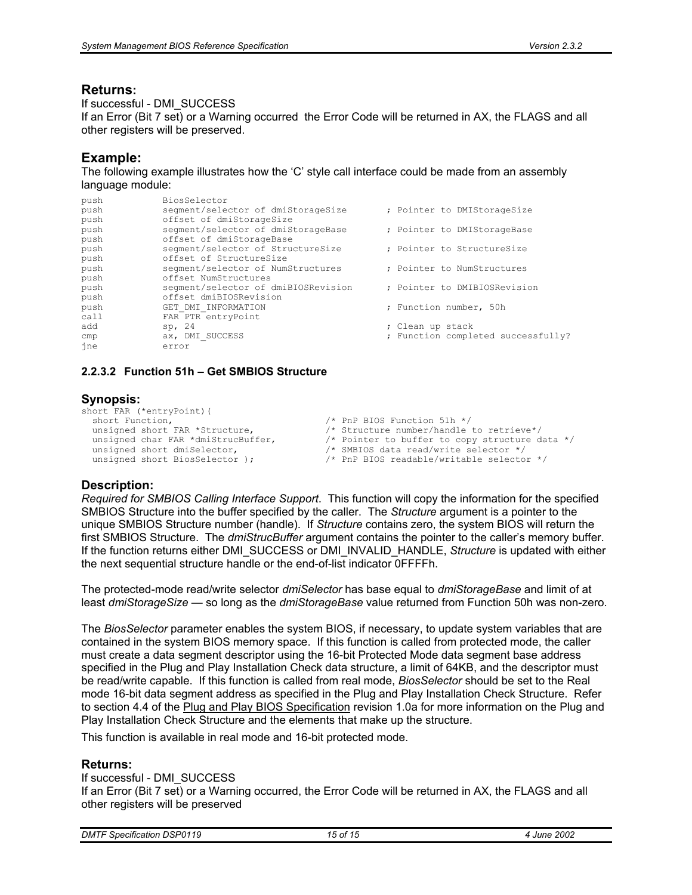#### **Returns:**

If successful - DMI\_SUCCESS

If an Error (Bit 7 set) or a Warning occurred the Error Code will be returned in AX, the FLAGS and all other registers will be preserved.

#### **Example:**

The following example illustrates how the 'C' style call interface could be made from an assembly language module:

| push | BiosSelector                        |                                    |
|------|-------------------------------------|------------------------------------|
| push | segment/selector of dmiStorageSize  | ; Pointer to DMIStorageSize        |
| push | offset of dmiStorageSize            |                                    |
| push | segment/selector of dmiStorageBase  | ; Pointer to DMIStorageBase        |
| push | offset of dmiStorageBase            |                                    |
| push | segment/selector of StructureSize   | ; Pointer to StructureSize         |
| push | offset of StructureSize             |                                    |
| push | segment/selector of NumStructures   | ; Pointer to NumStructures         |
| push | offset NumStructures                |                                    |
| push | segment/selector of dmiBIOSRevision | ; Pointer to DMIBIOSRevision       |
| push | offset dmiBIOSRevision              |                                    |
| push | GET DMI INFORMATION                 | ; Function number, 50h             |
| call | FAR PTR entryPoint                  |                                    |
| add  | sp, 24                              | ; Clean up stack                   |
| cmp  | ax, DMI SUCCESS                     | ; Function completed successfully? |
| ine  | error                               |                                    |

#### **2.2.3.2 Function 51h – Get SMBIOS Structure**

#### **Synopsis:**

```
short FAR (*entryPoint) (<br>short Function,
  short Function,<br>unsigned short FAR *Structure,<br>
/* Structure number/handle
  unsigned short FAR *Structure, /* Structure number/handle to retrieve*/<br>unsigned char FAR *dmiStrucBuffer, /* Pointer to buffer to copy structure d
  unsigned char FAR *dmiStrucBuffer, \frac{1}{2} /* Pointer to buffer to copy structure data */<br>unsigned short dmiSelector, \frac{1}{2} /* SMBIOS data read/write selector */
   unsigned short dmiSelector,<br>unsigned short BiosSelector );<br>
/* PnP BIOS readable/writable selecto
                                                                    /* PnP BIOS readable/writable selector */
```
#### **Description:**

*Required for SMBIOS Calling Interface Support*. This function will copy the information for the specified SMBIOS Structure into the buffer specified by the caller. The *Structure* argument is a pointer to the unique SMBIOS Structure number (handle). If *Structure* contains zero, the system BIOS will return the first SMBIOS Structure. The *dmiStrucBuffer* argument contains the pointer to the caller's memory buffer. If the function returns either DMI\_SUCCESS or DMI\_INVALID\_HANDLE, *Structure* is updated with either the next sequential structure handle or the end-of-list indicator 0FFFFh.

The protected-mode read/write selector *dmiSelector* has base equal to *dmiStorageBase* and limit of at least *dmiStorageSize —* so long as the *dmiStorageBase* value returned from Function 50h was non-zero*.*

The *BiosSelector* parameter enables the system BIOS, if necessary, to update system variables that are contained in the system BIOS memory space. If this function is called from protected mode, the caller must create a data segment descriptor using the 16-bit Protected Mode data segment base address specified in the Plug and Play Installation Check data structure, a limit of 64KB, and the descriptor must be read/write capable. If this function is called from real mode, *BiosSelector* should be set to the Real mode 16-bit data segment address as specified in the Plug and Play Installation Check Structure. Refer to section 4.4 of the Plug and Play BIOS Specification revision 1.0a for more information on the Plug and Play Installation Check Structure and the elements that make up the structure.

This function is available in real mode and 16-bit protected mode.

#### **Returns:**

If successful - DMI\_SUCCESS If an Error (Bit 7 set) or a Warning occurred, the Error Code will be returned in AX, the FLAGS and all other registers will be preserved

| <b>DMTF Specification DSP0119</b> | 15 of 15 | June 2002 |
|-----------------------------------|----------|-----------|
|                                   |          |           |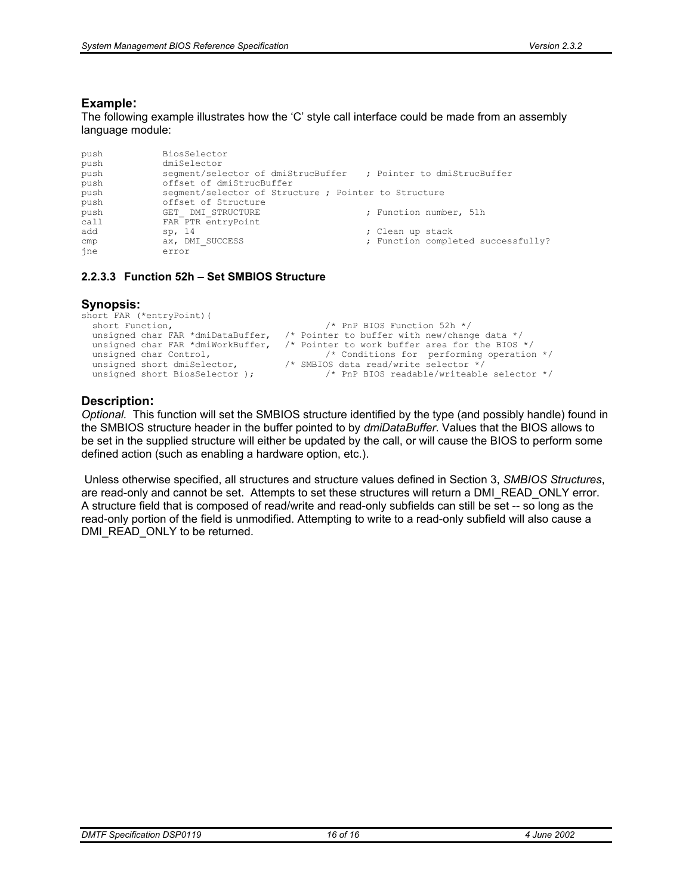#### **Example:**

The following example illustrates how the 'C' style call interface could be made from an assembly language module:

```
push BiosSelector<br>push dmiSelector
push dmiSelector<br>push segment/sel
push segment/selector of dmiStrucBuffer ; Pointer to dmiStrucBuffer<br>push offset of dmiStrucBuffer
               offset of dmiStrucBuffer
push segment/selector of Structure ; Pointer to Structure<br>
push offset of Structure
push offset of Structure<br>push GET DMI STRUCTURE
push GET_DMI_STRUCTURE ; Function number, 51h
               FAR PTR entryPoint
add sp, 14 ; Clean up stack cmp ax, DMI SUCCESS ; Function comple
cmp ax, DMI_SUCCESS ; Function completed successfully?<br>ine error
               error
```
#### **2.2.3.3 Function 52h – Set SMBIOS Structure**

#### **Synopsis:**

```
short FAR (*entryPoint)(<br>short Function,
short Function, \frac{1}{2} /* PnP BIOS Function 52h */
 unsigned char FAR *dmiDataBuffer, /* Pointer to buffer with new/change data */ 
 unsigned char FAR *dmiWorkBuffer, /* Pointer to work buffer area for the BIOS */ 
  unsigned char Control, \frac{1}{2} /* Conditions for performing operation */<br>unsigned short dmiSelector, \frac{1}{2} /* SMBIOS data read/write selector */
  unsigned short dmiSelector, \frac{1}{10} /* SMBIOS data read/write selector *<br>unsigned short BiosSelector ); \frac{1}{10} P BIOS readable/writeable
                                                          /* PnP BIOS readable/writeable selector */
```
#### **Description:**

*Optional.* This function will set the SMBIOS structure identified by the type (and possibly handle) found in the SMBIOS structure header in the buffer pointed to by *dmiDataBuffer*. Values that the BIOS allows to be set in the supplied structure will either be updated by the call, or will cause the BIOS to perform some defined action (such as enabling a hardware option, etc.).

 Unless otherwise specified, all structures and structure values defined in Section 3, *SMBIOS Structures*, are read-only and cannot be set. Attempts to set these structures will return a DMI\_READ\_ONLY error. A structure field that is composed of read/write and read-only subfields can still be set -- so long as the read-only portion of the field is unmodified. Attempting to write to a read-only subfield will also cause a DMI\_READ\_ONLY to be returned.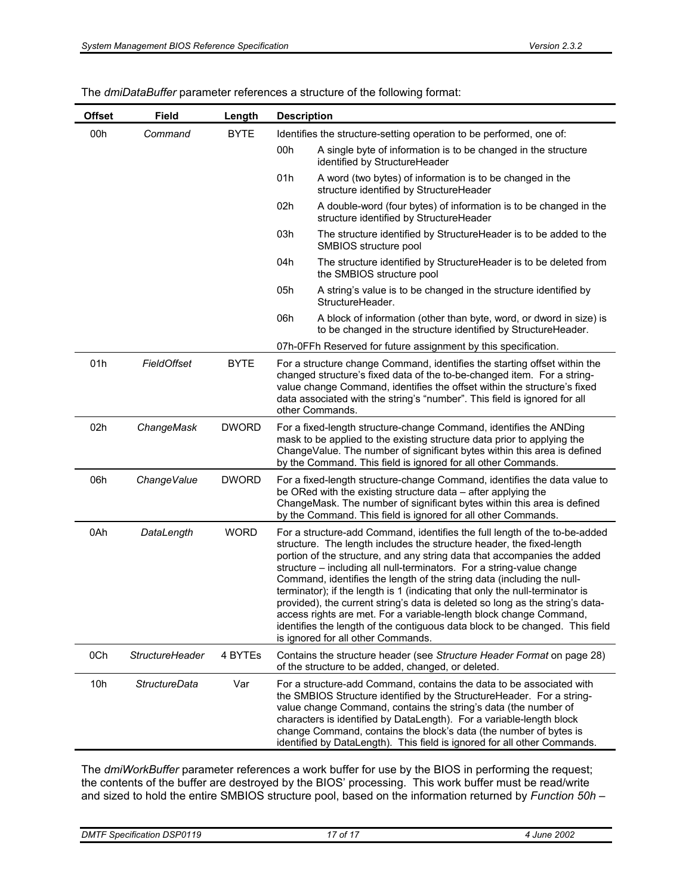| <b>Offset</b> | <b>Field</b>           | Length       | <b>Description</b>                                                                                                                                                                                                                                                                                                                                                                                                                                                                                                                                                                                                                                                                                                                              |
|---------------|------------------------|--------------|-------------------------------------------------------------------------------------------------------------------------------------------------------------------------------------------------------------------------------------------------------------------------------------------------------------------------------------------------------------------------------------------------------------------------------------------------------------------------------------------------------------------------------------------------------------------------------------------------------------------------------------------------------------------------------------------------------------------------------------------------|
| 00h           | Command                | <b>BYTE</b>  | Identifies the structure-setting operation to be performed, one of:                                                                                                                                                                                                                                                                                                                                                                                                                                                                                                                                                                                                                                                                             |
|               |                        |              | 00h<br>A single byte of information is to be changed in the structure<br>identified by StructureHeader                                                                                                                                                                                                                                                                                                                                                                                                                                                                                                                                                                                                                                          |
|               |                        |              | 01h<br>A word (two bytes) of information is to be changed in the<br>structure identified by StructureHeader                                                                                                                                                                                                                                                                                                                                                                                                                                                                                                                                                                                                                                     |
|               |                        |              | 02h<br>A double-word (four bytes) of information is to be changed in the<br>structure identified by StructureHeader                                                                                                                                                                                                                                                                                                                                                                                                                                                                                                                                                                                                                             |
|               |                        |              | 03h<br>The structure identified by StructureHeader is to be added to the<br>SMBIOS structure pool                                                                                                                                                                                                                                                                                                                                                                                                                                                                                                                                                                                                                                               |
|               |                        |              | 04h<br>The structure identified by StructureHeader is to be deleted from<br>the SMBIOS structure pool                                                                                                                                                                                                                                                                                                                                                                                                                                                                                                                                                                                                                                           |
|               |                        |              | 05h<br>A string's value is to be changed in the structure identified by<br>StructureHeader.                                                                                                                                                                                                                                                                                                                                                                                                                                                                                                                                                                                                                                                     |
|               |                        |              | 06h<br>A block of information (other than byte, word, or dword in size) is<br>to be changed in the structure identified by StructureHeader.                                                                                                                                                                                                                                                                                                                                                                                                                                                                                                                                                                                                     |
|               |                        |              | 07h-0FFh Reserved for future assignment by this specification.                                                                                                                                                                                                                                                                                                                                                                                                                                                                                                                                                                                                                                                                                  |
| 01h           | FieldOffset            | <b>BYTE</b>  | For a structure change Command, identifies the starting offset within the<br>changed structure's fixed data of the to-be-changed item. For a string-<br>value change Command, identifies the offset within the structure's fixed<br>data associated with the string's "number". This field is ignored for all<br>other Commands.                                                                                                                                                                                                                                                                                                                                                                                                                |
| 02h           | ChangeMask             | <b>DWORD</b> | For a fixed-length structure-change Command, identifies the ANDing<br>mask to be applied to the existing structure data prior to applying the<br>ChangeValue. The number of significant bytes within this area is defined<br>by the Command. This field is ignored for all other Commands.                                                                                                                                                                                                                                                                                                                                                                                                                                                      |
| 06h           | ChangeValue            | <b>DWORD</b> | For a fixed-length structure-change Command, identifies the data value to<br>be ORed with the existing structure data – after applying the<br>ChangeMask. The number of significant bytes within this area is defined<br>by the Command. This field is ignored for all other Commands.                                                                                                                                                                                                                                                                                                                                                                                                                                                          |
| 0Ah           | DataLength             | <b>WORD</b>  | For a structure-add Command, identifies the full length of the to-be-added<br>structure. The length includes the structure header, the fixed-length<br>portion of the structure, and any string data that accompanies the added<br>structure - including all null-terminators. For a string-value change<br>Command, identifies the length of the string data (including the null-<br>terminator); if the length is 1 (indicating that only the null-terminator is<br>provided), the current string's data is deleted so long as the string's data-<br>access rights are met. For a variable-length block change Command,<br>identifies the length of the contiguous data block to be changed. This field<br>is ignored for all other Commands. |
| 0Ch           | <b>StructureHeader</b> | 4 BYTEs      | Contains the structure header (see Structure Header Format on page 28)<br>of the structure to be added, changed, or deleted.                                                                                                                                                                                                                                                                                                                                                                                                                                                                                                                                                                                                                    |
| 10h           | <b>StructureData</b>   | Var          | For a structure-add Command, contains the data to be associated with<br>the SMBIOS Structure identified by the StructureHeader. For a string-<br>value change Command, contains the string's data (the number of<br>characters is identified by DataLength). For a variable-length block<br>change Command, contains the block's data (the number of bytes is<br>identified by DataLength). This field is ignored for all other Commands.                                                                                                                                                                                                                                                                                                       |

| The <i>dmiDataBuffer</i> parameter references a structure of the following format: |  |  |  |  |  |
|------------------------------------------------------------------------------------|--|--|--|--|--|
|------------------------------------------------------------------------------------|--|--|--|--|--|

The *dmiWorkBuffer* parameter references a work buffer for use by the BIOS in performing the request; the contents of the buffer are destroyed by the BIOS' processing. This work buffer must be read/write and sized to hold the entire SMBIOS structure pool, based on the information returned by *Function 50h –*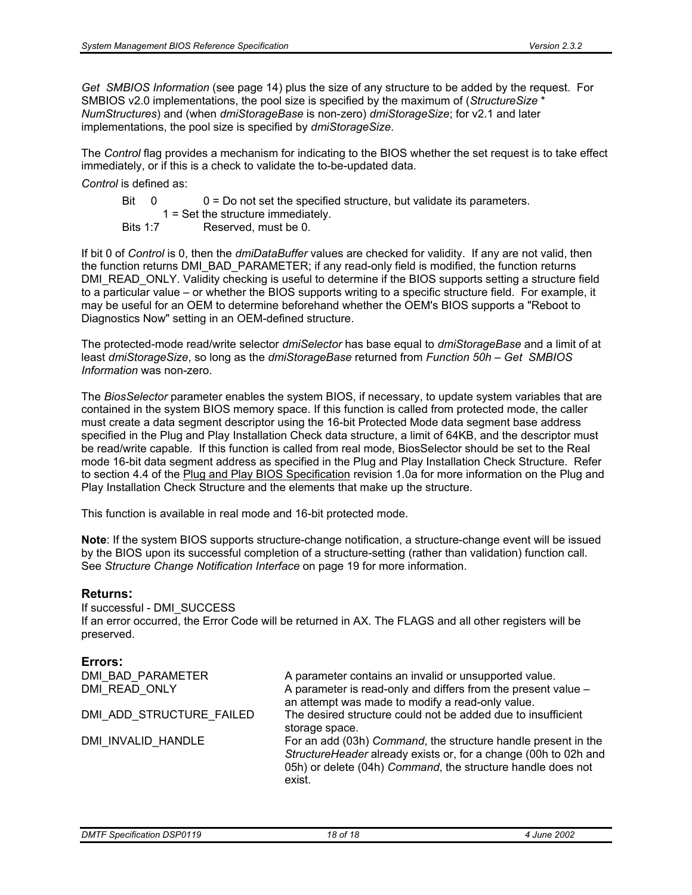*Get SMBIOS Information* (see page 14) plus the size of any structure to be added by the request. For SMBIOS v2.0 implementations, the pool size is specified by the maximum of (*StructureSize* \* *NumStructures*) and (when *dmiStorageBase* is non-zero) *dmiStorageSize*; for v2.1 and later implementations, the pool size is specified by *dmiStorageSize*.

The *Control* flag provides a mechanism for indicating to the BIOS whether the set request is to take effect immediately, or if this is a check to validate the to-be-updated data.

#### *Control* is defined as:

- Bit  $0 = 0$  = Do not set the specified structure, but validate its parameters.
	- 1 = Set the structure immediately.
- Bits 1:7 Reserved, must be 0.

If bit 0 of *Control* is 0, then the *dmiDataBuffer* values are checked for validity. If any are not valid, then the function returns DMI\_BAD\_PARAMETER; if any read-only field is modified, the function returns DMI\_READ\_ONLY. Validity checking is useful to determine if the BIOS supports setting a structure field to a particular value – or whether the BIOS supports writing to a specific structure field. For example, it may be useful for an OEM to determine beforehand whether the OEM's BIOS supports a "Reboot to Diagnostics Now" setting in an OEM-defined structure.

The protected-mode read/write selector *dmiSelector* has base equal to *dmiStorageBase* and a limit of at least *dmiStorageSize*, so long as the *dmiStorageBase* returned from *Function 50h – Get SMBIOS Information* was non-zero.

The *BiosSelector* parameter enables the system BIOS, if necessary, to update system variables that are contained in the system BIOS memory space. If this function is called from protected mode, the caller must create a data segment descriptor using the 16-bit Protected Mode data segment base address specified in the Plug and Play Installation Check data structure, a limit of 64KB, and the descriptor must be read/write capable. If this function is called from real mode, BiosSelector should be set to the Real mode 16-bit data segment address as specified in the Plug and Play Installation Check Structure. Refer to section 4.4 of the Plug and Play BIOS Specification revision 1.0a for more information on the Plug and Play Installation Check Structure and the elements that make up the structure.

This function is available in real mode and 16-bit protected mode.

**Note**: If the system BIOS supports structure-change notification, a structure-change event will be issued by the BIOS upon its successful completion of a structure-setting (rather than validation) function call. See *Structure Change Notification Interface* on page 19 for more information.

#### **Returns:**

If successful - DMI\_SUCCESS If an error occurred, the Error Code will be returned in AX. The FLAGS and all other registers will be preserved.

#### **Errors:**

| DMI BAD PARAMETER<br>DMI READ ONLY | A parameter contains an invalid or unsupported value.<br>A parameter is read-only and differs from the present value -<br>an attempt was made to modify a read-only value.                                |
|------------------------------------|-----------------------------------------------------------------------------------------------------------------------------------------------------------------------------------------------------------|
| DMI ADD STRUCTURE FAILED           | The desired structure could not be added due to insufficient<br>storage space.                                                                                                                            |
| DMI INVALID HANDLE                 | For an add (03h) Command, the structure handle present in the<br>StructureHeader already exists or, for a change (00h to 02h and<br>05h) or delete (04h) Command, the structure handle does not<br>exist. |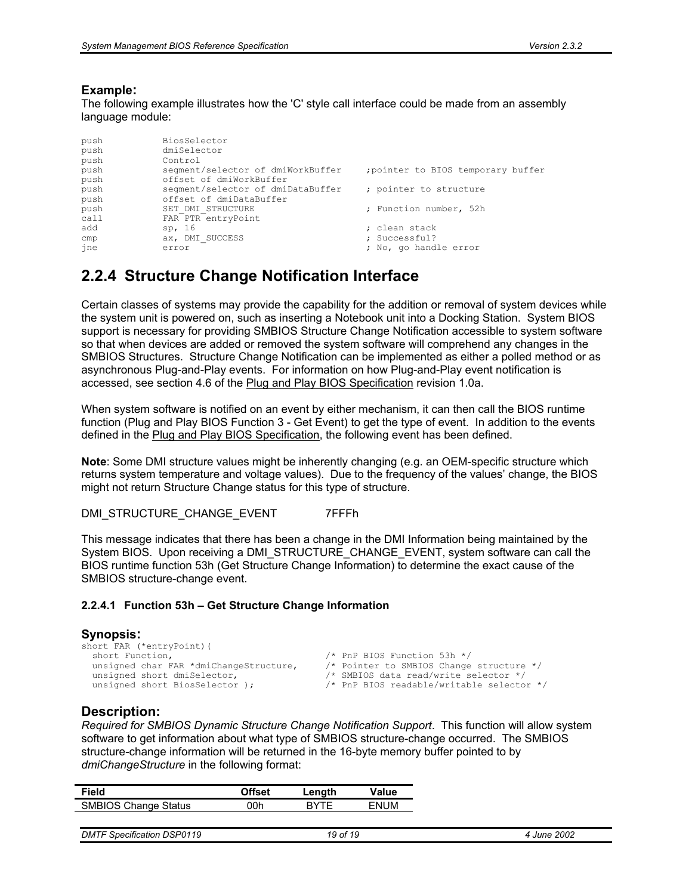#### **Example:**

The following example illustrates how the 'C' style call interface could be made from an assembly language module:

| push | BiosSelector                      |                                    |
|------|-----------------------------------|------------------------------------|
| push | dmiSelector                       |                                    |
| push | Control                           |                                    |
| push | segment/selector of dmiWorkBuffer | ; pointer to BIOS temporary buffer |
| push | offset of dmiWorkBuffer           |                                    |
| push | segment/selector of dmiDataBuffer | ; pointer to structure             |
| push | offset of dmiDataBuffer           |                                    |
| push | SET DMI STRUCTURE                 | ; Function number, 52h             |
| call | FAR PTR entryPoint                |                                    |
| add  | sp, 16                            | ; clean stack                      |
| cmp  | ax, DMI SUCCESS                   | ; Successful?                      |
| ine  | error                             | ; No, go handle error              |
|      |                                   |                                    |

### **2.2.4 Structure Change Notification Interface**

Certain classes of systems may provide the capability for the addition or removal of system devices while the system unit is powered on, such as inserting a Notebook unit into a Docking Station. System BIOS support is necessary for providing SMBIOS Structure Change Notification accessible to system software so that when devices are added or removed the system software will comprehend any changes in the SMBIOS Structures. Structure Change Notification can be implemented as either a polled method or as asynchronous Plug-and-Play events. For information on how Plug-and-Play event notification is accessed, see section 4.6 of the Plug and Play BIOS Specification revision 1.0a.

When system software is notified on an event by either mechanism, it can then call the BIOS runtime function (Plug and Play BIOS Function 3 - Get Event) to get the type of event. In addition to the events defined in the Plug and Play BIOS Specification, the following event has been defined.

**Note**: Some DMI structure values might be inherently changing (e.g. an OEM-specific structure which returns system temperature and voltage values). Due to the frequency of the values' change, the BIOS might not return Structure Change status for this type of structure.

DMI\_STRUCTURE\_CHANGE\_EVENT 7FFFh

This message indicates that there has been a change in the DMI Information being maintained by the System BIOS. Upon receiving a DMI\_STRUCTURE\_CHANGE\_EVENT, system software can call the BIOS runtime function 53h (Get Structure Change Information) to determine the exact cause of the SMBIOS structure-change event.

#### **2.2.4.1 Function 53h – Get Structure Change Information**

#### **Synopsis:**  short FAR (\*entryPoint)(<br>short Function, short Function,<br>unsigned char FAR \*dmiChangeStructure, /\* Pointer to SMBIOS Change /\* Pointer to SMBIOS Change structure \*/<br>/\* SMBIOS data read/write selector \*/ unsigned short dmiSelector,  $unsigned short BiosSelector$  );  $/*$  PnP BIOS readable/writable selector \*/

#### **Description:**

*Required for SMBIOS Dynamic Structure Change Notification Support*. This function will allow system software to get information about what type of SMBIOS structure-change occurred. The SMBIOS structure-change information will be returned in the 16-byte memory buffer pointed to by *dmiChangeStructure* in the following format:

|                             | Length             | Value       |
|-----------------------------|--------------------|-------------|
| <b>SMBIOS Change Status</b> | <b>RYTE</b><br>00h | <b>FNUM</b> |
|                             |                    |             |

| <b>DMT</b><br><b>DSP0119</b><br>Specification | 1 C<br>οt<br>1 O<br>$\sim$ | 2002<br>. June 1 |
|-----------------------------------------------|----------------------------|------------------|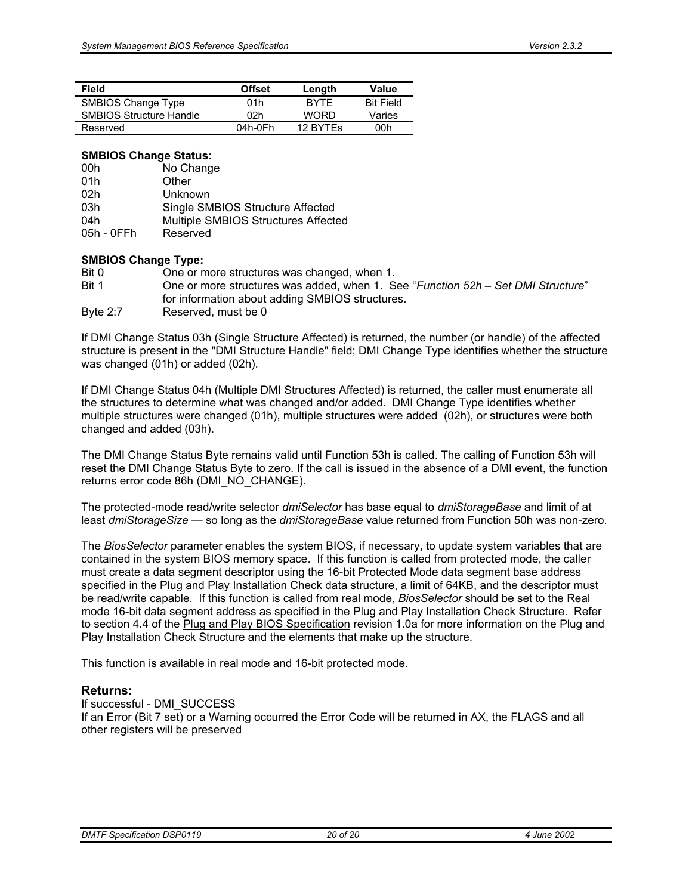| Field                          | <b>Offset</b> | Length      | Value            |
|--------------------------------|---------------|-------------|------------------|
| SMBIOS Change Type             | 01h           | <b>RYTE</b> | <b>Bit Field</b> |
| <b>SMBIOS Structure Handle</b> | 02h           | <b>WORD</b> | Varies           |
| Reserved                       | $04h-0Fh$     | 12 BYTES    | 00h              |

#### **SMBIOS Change Status:**

| 00h        | No Change                           |
|------------|-------------------------------------|
| 01h        | Other                               |
| 02h        | Unknown                             |
| 03h        | Single SMBIOS Structure Affected    |
| 04h        | Multiple SMBIOS Structures Affected |
| 05h - 0FFh | Reserved                            |

#### **SMBIOS Change Type:**

| Bit 0    | One or more structures was changed, when 1.                                      |
|----------|----------------------------------------------------------------------------------|
| Bit 1    | One or more structures was added, when 1. See "Function 52h - Set DMI Structure" |
|          | for information about adding SMBIOS structures.                                  |
| Byte 2:7 | Reserved, must be 0                                                              |
|          |                                                                                  |

If DMI Change Status 03h (Single Structure Affected) is returned, the number (or handle) of the affected structure is present in the "DMI Structure Handle" field; DMI Change Type identifies whether the structure was changed (01h) or added (02h).

If DMI Change Status 04h (Multiple DMI Structures Affected) is returned, the caller must enumerate all the structures to determine what was changed and/or added. DMI Change Type identifies whether multiple structures were changed (01h), multiple structures were added (02h), or structures were both changed and added (03h).

The DMI Change Status Byte remains valid until Function 53h is called. The calling of Function 53h will reset the DMI Change Status Byte to zero. If the call is issued in the absence of a DMI event, the function returns error code 86h (DMI\_NO\_CHANGE).

The protected-mode read/write selector *dmiSelector* has base equal to *dmiStorageBase* and limit of at least *dmiStorageSize —* so long as the *dmiStorageBase* value returned from Function 50h was non-zero*.*

The *BiosSelector* parameter enables the system BIOS, if necessary, to update system variables that are contained in the system BIOS memory space. If this function is called from protected mode, the caller must create a data segment descriptor using the 16-bit Protected Mode data segment base address specified in the Plug and Play Installation Check data structure, a limit of 64KB, and the descriptor must be read/write capable. If this function is called from real mode, *BiosSelector* should be set to the Real mode 16-bit data segment address as specified in the Plug and Play Installation Check Structure. Refer to section 4.4 of the Plug and Play BIOS Specification revision 1.0a for more information on the Plug and Play Installation Check Structure and the elements that make up the structure.

This function is available in real mode and 16-bit protected mode.

#### **Returns:**

If successful - DMI\_SUCCESS

If an Error (Bit 7 set) or a Warning occurred the Error Code will be returned in AX, the FLAGS and all other registers will be preserved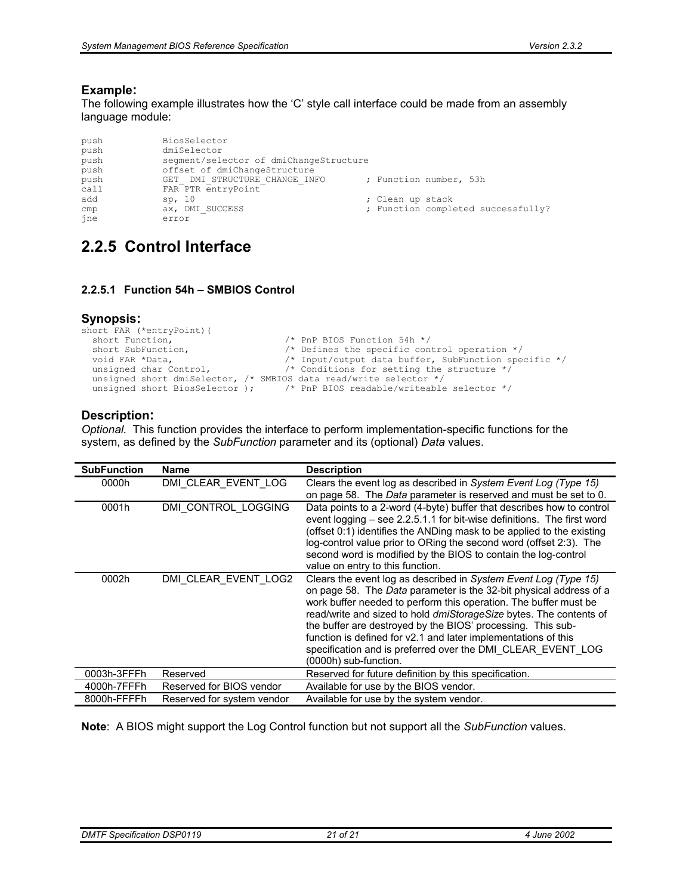#### **Example:**

The following example illustrates how the 'C' style call interface could be made from an assembly language module:

| push | BiosSelector                           |  |                  |                                    |  |  |  |  |
|------|----------------------------------------|--|------------------|------------------------------------|--|--|--|--|
| push | dmiSelector                            |  |                  |                                    |  |  |  |  |
| push | segment/selector of dmiChangeStructure |  |                  |                                    |  |  |  |  |
| push | offset of dmiChangeStructure           |  |                  |                                    |  |  |  |  |
| push | GET DMI STRUCTURE CHANGE INFO          |  |                  | ; Function number, 53h             |  |  |  |  |
| call | FAR PTR entryPoint                     |  |                  |                                    |  |  |  |  |
| add  | sp, 10                                 |  | ; Clean up stack |                                    |  |  |  |  |
| cmp  | ax, DMI SUCCESS                        |  |                  | ; Function completed successfully? |  |  |  |  |
| ine  | error                                  |  |                  |                                    |  |  |  |  |

### **2.2.5 Control Interface**

#### **2.2.5.1 Function 54h – SMBIOS Control**

#### **Synopsis:**

```
short FAR (*entryPoint)(<br>short Function,
   short Function, \frac{1}{1} /* PnP BIOS Function 54h */<br>short SubFunction, \frac{1}{1} /* Defines the specific con
   short SubFunction, \overline{'} > Defines the specific control operation */<br>void FAR *Data, \overline{'} /* Input/output data buffer, SubFunction specific
   void FAR *Data,<br>
\begin{array}{ccc}\n\sqrt{2} & \sqrt{2} & \sqrt{2} \\
\sqrt{2} & \sqrt{2} & \sqrt{2} \\
\sqrt{2} & \sqrt{2} & \sqrt{2} \\
\sqrt{2} & \sqrt{2} & \sqrt{2} \\
\sqrt{2} & \sqrt{2} & \sqrt{2} \\
\sqrt{2} & \sqrt{2} & \sqrt{2} \\
\sqrt{2} & \sqrt{2} & \sqrt{2} \\
\sqrt{2} & \sqrt{2} & \sqrt{2} \\
\sqrt{2} & \sqrt{2} & \sqrt{2} \\
\sqrt{2} & \sqrt{2} & \sqrt{2} \\
\sqrt{2} & \sqrt{2} & \sqrt{2\frac{1}{x} Conditions for setting the structure */
   unsigned short dmiSelector, /* SMBIOS data read/write selector */
   unsigned short BiosSelector ); /* PnP BIOS readable/writeable selector */
```
#### **Description:**

*Optional.* This function provides the interface to perform implementation-specific functions for the system, as defined by the *SubFunction* parameter and its (optional) *Data* values.

| <b>SubFunction</b> | <b>Name</b>                | <b>Description</b>                                                                                                                                                                                                                                                                                                                                                                                                                                                                                              |
|--------------------|----------------------------|-----------------------------------------------------------------------------------------------------------------------------------------------------------------------------------------------------------------------------------------------------------------------------------------------------------------------------------------------------------------------------------------------------------------------------------------------------------------------------------------------------------------|
| 0000h              | DMI CLEAR_EVENT_LOG        | Clears the event log as described in System Event Log (Type 15)<br>on page 58. The Data parameter is reserved and must be set to 0.                                                                                                                                                                                                                                                                                                                                                                             |
| 0001h              | DMI CONTROL LOGGING        | Data points to a 2-word (4-byte) buffer that describes how to control<br>event logging – see 2.2.5.1.1 for bit-wise definitions. The first word<br>(offset 0:1) identifies the ANDing mask to be applied to the existing<br>log-control value prior to ORing the second word (offset 2:3). The<br>second word is modified by the BIOS to contain the log-control<br>value on entry to this function.                                                                                                            |
| 0002h              | DMI CLEAR EVENT LOG2       | Clears the event log as described in System Event Log (Type 15)<br>on page 58. The Data parameter is the 32-bit physical address of a<br>work buffer needed to perform this operation. The buffer must be<br>read/write and sized to hold <i>dmiStorageSize</i> bytes. The contents of<br>the buffer are destroyed by the BIOS' processing. This sub-<br>function is defined for v2.1 and later implementations of this<br>specification and is preferred over the DMI CLEAR EVENT LOG<br>(0000h) sub-function. |
| 0003h-3FFFh        | Reserved                   | Reserved for future definition by this specification.                                                                                                                                                                                                                                                                                                                                                                                                                                                           |
| 4000h-7FFFh        | Reserved for BIOS vendor   | Available for use by the BIOS vendor.                                                                                                                                                                                                                                                                                                                                                                                                                                                                           |
| 8000h-FFFFh        | Reserved for system vendor | Available for use by the system vendor.                                                                                                                                                                                                                                                                                                                                                                                                                                                                         |

**Note**: A BIOS might support the Log Control function but not support all the *SubFunction* values.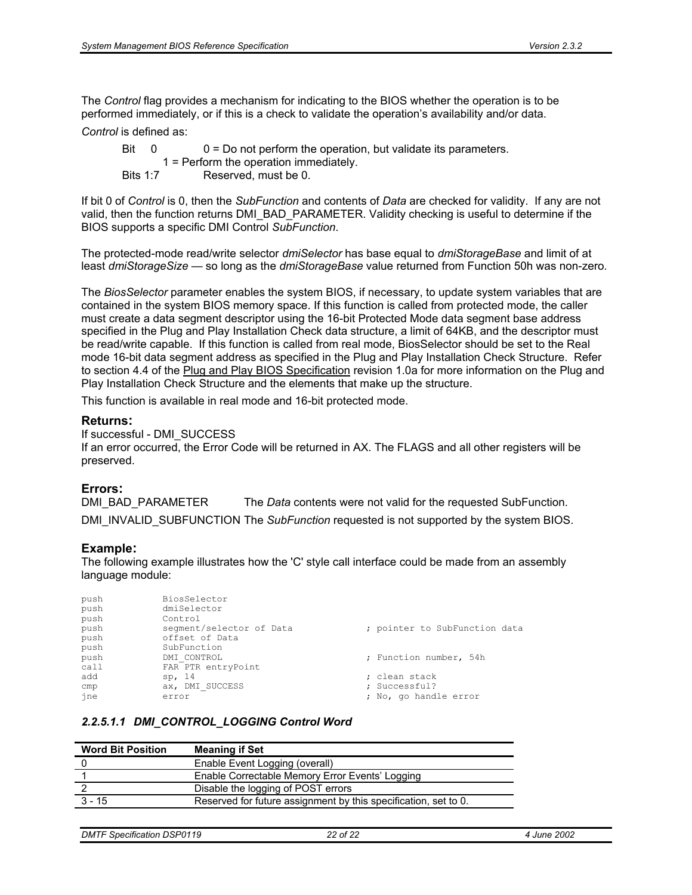The *Control* flag provides a mechanism for indicating to the BIOS whether the operation is to be performed immediately, or if this is a check to validate the operation's availability and/or data.

*Control* is defined as:

Bit  $0 = 0$  = Do not perform the operation, but validate its parameters. 1 = Perform the operation immediately. Bits 1:7 Reserved, must be 0.

If bit 0 of *Control* is 0, then the *SubFunction* and contents of *Data* are checked for validity. If any are not valid, then the function returns DMI\_BAD\_PARAMETER. Validity checking is useful to determine if the BIOS supports a specific DMI Control *SubFunction*.

The protected-mode read/write selector *dmiSelector* has base equal to *dmiStorageBase* and limit of at least *dmiStorageSize —* so long as the *dmiStorageBase* value returned from Function 50h was non-zero*.* 

The *BiosSelector* parameter enables the system BIOS, if necessary, to update system variables that are contained in the system BIOS memory space. If this function is called from protected mode, the caller must create a data segment descriptor using the 16-bit Protected Mode data segment base address specified in the Plug and Play Installation Check data structure, a limit of 64KB, and the descriptor must be read/write capable. If this function is called from real mode, BiosSelector should be set to the Real mode 16-bit data segment address as specified in the Plug and Play Installation Check Structure. Refer to section 4.4 of the Plug and Play BIOS Specification revision 1.0a for more information on the Plug and Play Installation Check Structure and the elements that make up the structure.

This function is available in real mode and 16-bit protected mode.

#### **Returns:**

If successful - DMI\_SUCCESS If an error occurred, the Error Code will be returned in AX. The FLAGS and all other registers will be preserved.

#### **Errors:**

DMI\_BAD\_PARAMETER The *Data* contents were not valid for the requested SubFunction. DMI\_INVALID\_SUBFUNCTION The *SubFunction* requested is not supported by the system BIOS.

#### **Example:**

The following example illustrates how the 'C' style call interface could be made from an assembly language module:

| push | BiosSelector             |                               |
|------|--------------------------|-------------------------------|
| push | dmiSelector              |                               |
| push | Control                  |                               |
| push | segment/selector of Data | ; pointer to SubFunction data |
| push | offset of Data           |                               |
| push | SubFunction              |                               |
| push | DMI CONTROL              | ; Function number, 54h        |
| call | FAR PTR entryPoint       |                               |
| add  | sp, 14                   | ; clean stack                 |
| cmp  | ax, DMI SUCCESS          | ; Successful?                 |
| jne  | error                    | ; No, go handle error         |

#### *2.2.5.1.1 DMI\_CONTROL\_LOGGING Control Word*

| <b>Word Bit Position</b> | <b>Meaning if Set</b>                                           |
|--------------------------|-----------------------------------------------------------------|
|                          | Enable Event Logging (overall)                                  |
|                          | Enable Correctable Memory Error Events' Logging                 |
|                          | Disable the logging of POST errors                              |
| $3 - 15$                 | Reserved for future assignment by this specification, set to 0. |
|                          |                                                                 |

```
DMTF Specification DSP0119 22 of 22 4 June 2002
```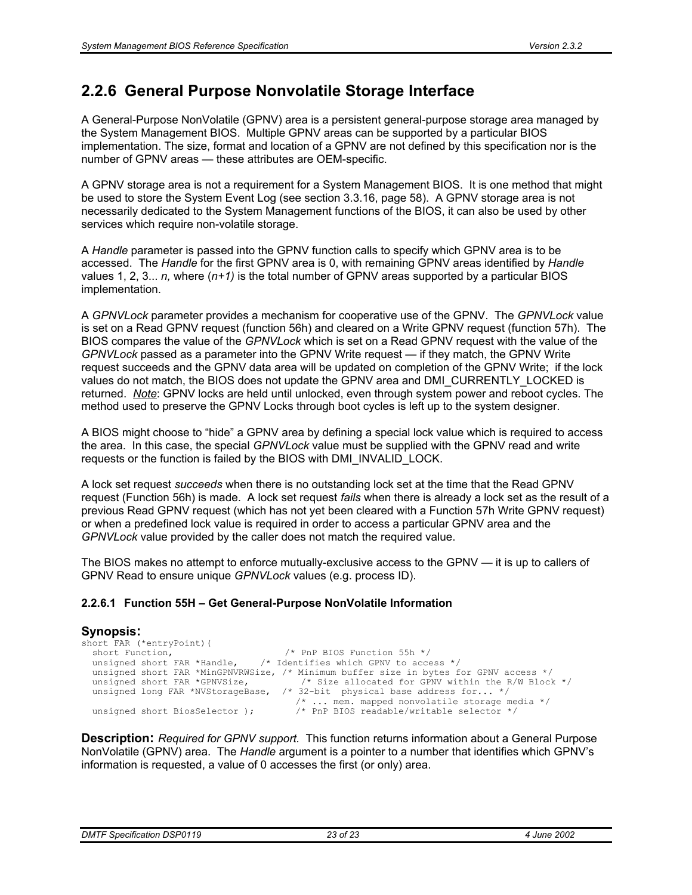### **2.2.6 General Purpose Nonvolatile Storage Interface**

A General-Purpose NonVolatile (GPNV) area is a persistent general-purpose storage area managed by the System Management BIOS. Multiple GPNV areas can be supported by a particular BIOS implementation. The size, format and location of a GPNV are not defined by this specification nor is the number of GPNV areas — these attributes are OEM-specific.

A GPNV storage area is not a requirement for a System Management BIOS. It is one method that might be used to store the System Event Log (see section 3.3.16, page 58). A GPNV storage area is not necessarily dedicated to the System Management functions of the BIOS, it can also be used by other services which require non-volatile storage.

A *Handle* parameter is passed into the GPNV function calls to specify which GPNV area is to be accessed. The *Handle* for the first GPNV area is 0, with remaining GPNV areas identified by *Handle*  values 1, 2, 3... *n,* where (*n+1)* is the total number of GPNV areas supported by a particular BIOS implementation.

A *GPNVLock* parameter provides a mechanism for cooperative use of the GPNV. The *GPNVLock* value is set on a Read GPNV request (function 56h) and cleared on a Write GPNV request (function 57h). The BIOS compares the value of the *GPNVLock* which is set on a Read GPNV request with the value of the *GPNVLock* passed as a parameter into the GPNV Write request — if they match, the GPNV Write request succeeds and the GPNV data area will be updated on completion of the GPNV Write; if the lock values do not match, the BIOS does not update the GPNV area and DMI\_CURRENTLY\_LOCKED is returned. *Note*: GPNV locks are held until unlocked, even through system power and reboot cycles. The method used to preserve the GPNV Locks through boot cycles is left up to the system designer.

A BIOS might choose to "hide" a GPNV area by defining a special lock value which is required to access the area. In this case, the special *GPNVLock* value must be supplied with the GPNV read and write requests or the function is failed by the BIOS with DMI\_INVALID\_LOCK.

A lock set request *succeeds* when there is no outstanding lock set at the time that the Read GPNV request (Function 56h) is made. A lock set request *fails* when there is already a lock set as the result of a previous Read GPNV request (which has not yet been cleared with a Function 57h Write GPNV request) or when a predefined lock value is required in order to access a particular GPNV area and the *GPNVLock* value provided by the caller does not match the required value.

The BIOS makes no attempt to enforce mutually-exclusive access to the GPNV — it is up to callers of GPNV Read to ensure unique *GPNVLock* values (e.g. process ID).

#### **2.2.6.1 Function 55H – Get General-Purpose NonVolatile Information**

#### **Synopsis:**  short FAR (\*entryPoint) (<br>short Function, short Function,  $\frac{1}{100}$  /\* PnP BIOS Function 55h \*/<br>unsigned short FAR \*Handle,  $\frac{1}{100}$  /\* Identifies which GPNV to acce  $\frac{1}{x}$  Identifies which GPNV to access \*/ unsigned short FAR \*MinGPNVRWSize, /\* Minimum buffer size in bytes for GPNV access \*/<br>unsigned short FAR \*GPNVSize, /\* Size allocated for GPNV within the R/W Block /\* Size allocated for GPNV within the R/W Block \*/ unsigned bnoit find Sindback,  $\frac{1}{2}$  and accurate the sense is  $\frac{1}{2}$ . /\* ... mem. mapped nonvolatile storage media \*/  $\frac{1}{x}$  PnP BIOS readable/writable selector \*/

**Description:** *Required for GPNV support.* This function returns information about a General Purpose NonVolatile (GPNV) area. The *Handle* argument is a pointer to a number that identifies which GPNV's information is requested, a value of 0 accesses the first (or only) area.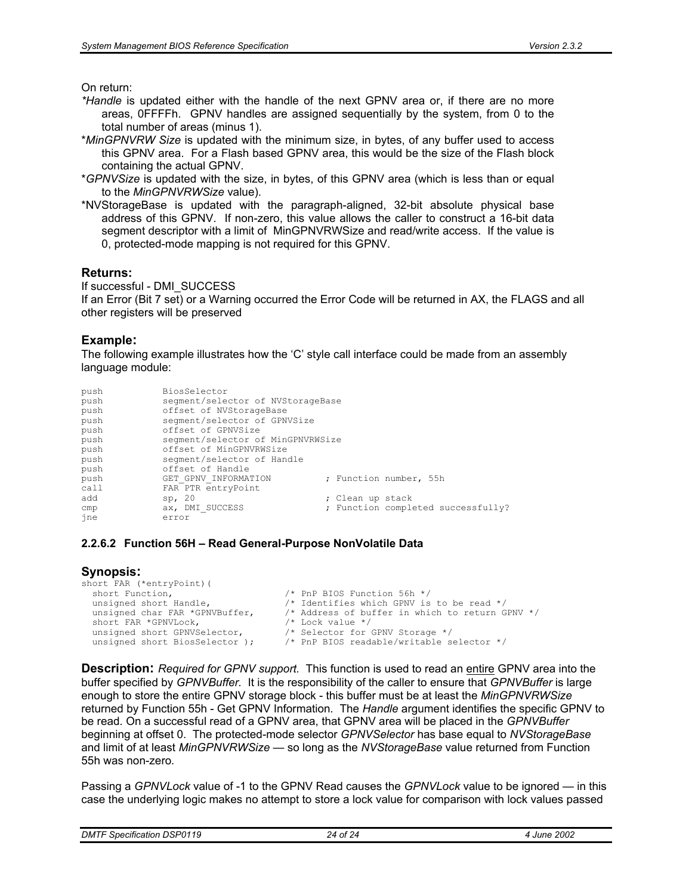On return:

- *\*Handle* is updated either with the handle of the next GPNV area or, if there are no more areas, 0FFFFh. GPNV handles are assigned sequentially by the system, from 0 to the total number of areas (minus 1).
- \**MinGPNVRW Size* is updated with the minimum size, in bytes, of any buffer used to access this GPNV area. For a Flash based GPNV area, this would be the size of the Flash block containing the actual GPNV.
- \**GPNVSize* is updated with the size, in bytes, of this GPNV area (which is less than or equal to the *MinGPNVRWSize* value).
- \*NVStorageBase is updated with the paragraph-aligned, 32-bit absolute physical base address of this GPNV. If non-zero, this value allows the caller to construct a 16-bit data segment descriptor with a limit of MinGPNVRWSize and read/write access. If the value is 0, protected-mode mapping is not required for this GPNV.

#### **Returns:**

If successful - DMI\_SUCCESS If an Error (Bit 7 set) or a Warning occurred the Error Code will be returned in AX, the FLAGS and all other registers will be preserved

#### **Example:**

The following example illustrates how the 'C' style call interface could be made from an assembly language module:

| push | BiosSelector                      |                                    |
|------|-----------------------------------|------------------------------------|
| push | segment/selector of NVStorageBase |                                    |
| push | offset of NVStorageBase           |                                    |
| push | segment/selector of GPNVSize      |                                    |
| push | offset of GPNVSize                |                                    |
| push | segment/selector of MinGPNVRWSize |                                    |
| push | offset of MinGPNVRWSize           |                                    |
| push | seqment/selector of Handle        |                                    |
| push | offset of Handle                  |                                    |
| push | GET GPNV INFORMATION              | ; Function number, 55h             |
| call | FAR PTR entryPoint                |                                    |
| add  | sp, 20                            | ; Clean up stack                   |
| cmp  | ax, DMI SUCCESS                   | ; Function completed successfully? |
| jne  | error                             |                                    |

#### **2.2.6.2 Function 56H – Read General-Purpose NonVolatile Data**

#### **Synopsis:**

| short FAR (*entryPoint) (      |                                                 |
|--------------------------------|-------------------------------------------------|
| short Function,                | $/*$ PnP BIOS Function 56h $*/$                 |
| unsigned short Handle,         | /* Identifies which GPNV is to be read $*/$     |
| unsigned char FAR *GPNVBuffer, | /* Address of buffer in which to return GPNV */ |
| short FAR *GPNVLock,           | $/*$ Lock value $*/$                            |
| unsigned short GPNVSelector,   | /* Selector for GPNV Storage */                 |
| unsigned short BiosSelector ); | $/*$ PnP BIOS readable/writable selector $*/$   |
|                                |                                                 |

**Description:** *Required for GPNV support.* This function is used to read an entire GPNV area into the buffer specified by *GPNVBuffer.* It is the responsibility of the caller to ensure that *GPNVBuffer* is large enough to store the entire GPNV storage block - this buffer must be at least the *MinGPNVRWSize*  returned by Function 55h - Get GPNV Information*.* The *Handle* argument identifies the specific GPNV to be read*.* On a successful read of a GPNV area, that GPNV area will be placed in the *GPNVBuffer*  beginning at offset 0.The protected-mode selector *GPNVSelector* has base equal to *NVStorageBase*  and limit of at least *MinGPNVRWSize —* so long as the *NVStorageBase* value returned from Function 55h was non-zero*.*

Passing a *GPNVLock* value of -1 to the GPNV Read causes the *GPNVLock* value to be ignored — in this case the underlying logic makes no attempt to store a lock value for comparison with lock values passed

| <b>DMTF Specification DSP0119</b> | 24 of 24 | 4 June 2002 |
|-----------------------------------|----------|-------------|
|-----------------------------------|----------|-------------|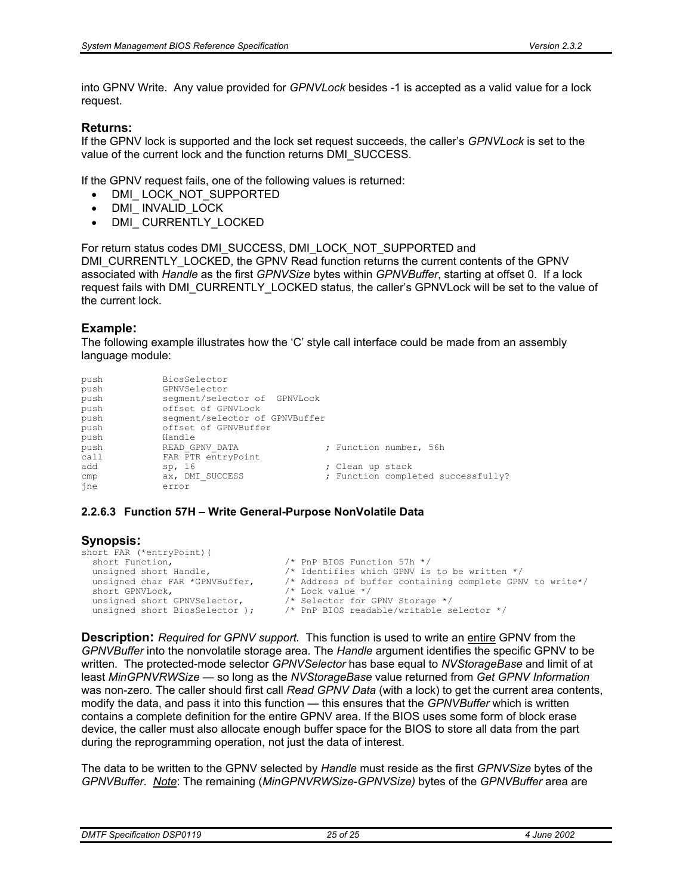into GPNV Write. Any value provided for *GPNVLock* besides -1 is accepted as a valid value for a lock request.

#### **Returns:**

If the GPNV lock is supported and the lock set request succeeds, the caller's *GPNVLock* is set to the value of the current lock and the function returns DMI\_SUCCESS.

If the GPNV request fails, one of the following values is returned:

- DMI\_LOCK\_NOT\_SUPPORTED
- DMI\_INVALID\_LOCK
- DMI CURRENTLY LOCKED

For return status codes DMI\_SUCCESS, DMI\_LOCK\_NOT\_SUPPORTED and DMI\_CURRENTLY\_LOCKED, the GPNV Read function returns the current contents of the GPNV associated with *Handle* as the first *GPNVSize* bytes within *GPNVBuffer*, starting at offset 0. If a lock request fails with DMI\_CURRENTLY\_LOCKED status, the caller's GPNVLock will be set to the value of the current lock*.* 

#### **Example:**

The following example illustrates how the 'C' style call interface could be made from an assembly language module:

| push<br>push | BiosSelector<br>GPNVSelector   |                  |                                    |
|--------------|--------------------------------|------------------|------------------------------------|
| push         | seqment/selector of GPNVLock   |                  |                                    |
| push         | offset of GPNVLock             |                  |                                    |
| push         | segment/selector of GPNVBuffer |                  |                                    |
| push         | offset of GPNVBuffer           |                  |                                    |
| push         | Handle                         |                  |                                    |
| push         | READ GPNV DATA                 |                  | ; Function number, 56h             |
| call         | FAR PTR entryPoint             |                  |                                    |
| add          | sp, 16                         | ; Clean up stack |                                    |
| cmp          | ax, DMI SUCCESS                |                  | ; Function completed successfully? |
| jne          | error                          |                  |                                    |

#### **2.2.6.3 Function 57H – Write General-Purpose NonVolatile Data**

#### **Synopsis:**

```
short FAR (*entryPoint) (<br>short Function,
  short Function,<br>
unsigned short Handle,<br>
/* Identifies which GPNV is
  unsigned short Handle, \frac{1}{2} /* Identifies which GPNV is to be written \frac{*}{2} unsigned char FAR *GPNVBuffer, \frac{1}{2} Address of buffer containing complete GPN
  unsigned char FAR *GPNVBuffer, \frac{1}{1} Address of buffer containing complete GPNV to write*/<br>short GPNVLock, \frac{1}{1} Lock value */
  short GPNVLock, \frac{1}{x} Lock value */<br>unsigned short GPNVSelector. \frac{1}{x} Selector for
                                                        was considered and the selector for GPNV Storage */
  unsigned short BiosSelector ); /* PnP BIOS readable/writable selector */
```
**Description:** *Required for GPNV support.* This function is used to write an entire GPNV from the *GPNVBuffer* into the nonvolatile storage area*.* The *Handle* argument identifies the specific GPNV to be written*.* The protected-mode selector *GPNVSelector* has base equal to *NVStorageBase* and limit of at least *MinGPNVRWSize —* so long as the *NVStorageBase* value returned from *Get GPNV Information* was non-zero*.* The caller should first call *Read GPNV Data* (with a lock) to get the current area contents, modify the data, and pass it into this function — this ensures that the *GPNVBuffer* which is written contains a complete definition for the entire GPNV area. If the BIOS uses some form of block erase device, the caller must also allocate enough buffer space for the BIOS to store all data from the part during the reprogramming operation, not just the data of interest.

The data to be written to the GPNV selected by *Handle* must reside as the first *GPNVSize* bytes of the *GPNVBuffer*. *Note*: The remaining (*MinGPNVRWSize*-*GPNVSize)* bytes of the *GPNVBuffer* area are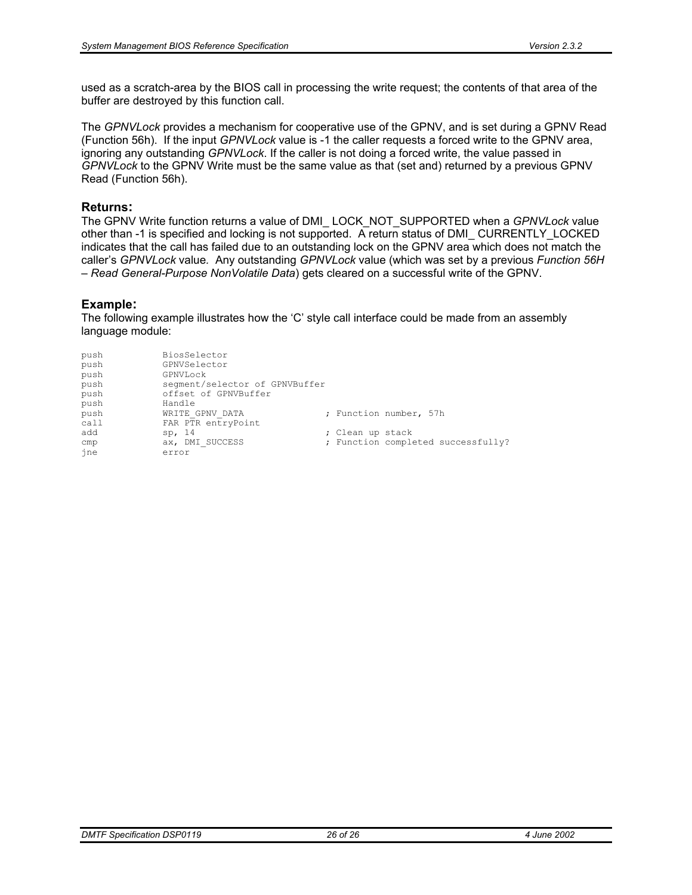used as a scratch-area by the BIOS call in processing the write request; the contents of that area of the buffer are destroyed by this function call.

The *GPNVLock* provides a mechanism for cooperative use of the GPNV, and is set during a GPNV Read (Function 56h). If the input *GPNVLock* value is -1 the caller requests a forced write to the GPNV area, ignoring any outstanding *GPNVLock*. If the caller is not doing a forced write, the value passed in *GPNVLock* to the GPNV Write must be the same value as that (set and) returned by a previous GPNV Read (Function 56h).

#### **Returns:**

The GPNV Write function returns a value of DMI\_ LOCK\_NOT\_SUPPORTED when a *GPNVLock* value other than -1 is specified and locking is not supported. A return status of DMI\_ CURRENTLY\_LOCKED indicates that the call has failed due to an outstanding lock on the GPNV area which does not match the caller's *GPNVLock* value*.* Any outstanding *GPNVLock* value (which was set by a previous *Function 56H – Read General-Purpose NonVolatile Data*) gets cleared on a successful write of the GPNV.

#### **Example:**

The following example illustrates how the 'C' style call interface could be made from an assembly language module:

| push             | BiosSelector                   |                        |                                    |
|------------------|--------------------------------|------------------------|------------------------------------|
| push             | GPNVSelector                   |                        |                                    |
| push<br>GPNVLock |                                |                        |                                    |
| push             | segment/selector of GPNVBuffer |                        |                                    |
| push             | offset of GPNVBuffer           |                        |                                    |
| push<br>Handle   |                                |                        |                                    |
| push             | WRITE GPNV DATA                | ; Function number, 57h |                                    |
| call             | FAR PTR entryPoint             |                        |                                    |
| add<br>sp, 14    |                                | ; Clean up stack       |                                    |
| cmp              | ax, DMI SUCCESS                |                        | ; Function completed successfully? |
| ine<br>error     |                                |                        |                                    |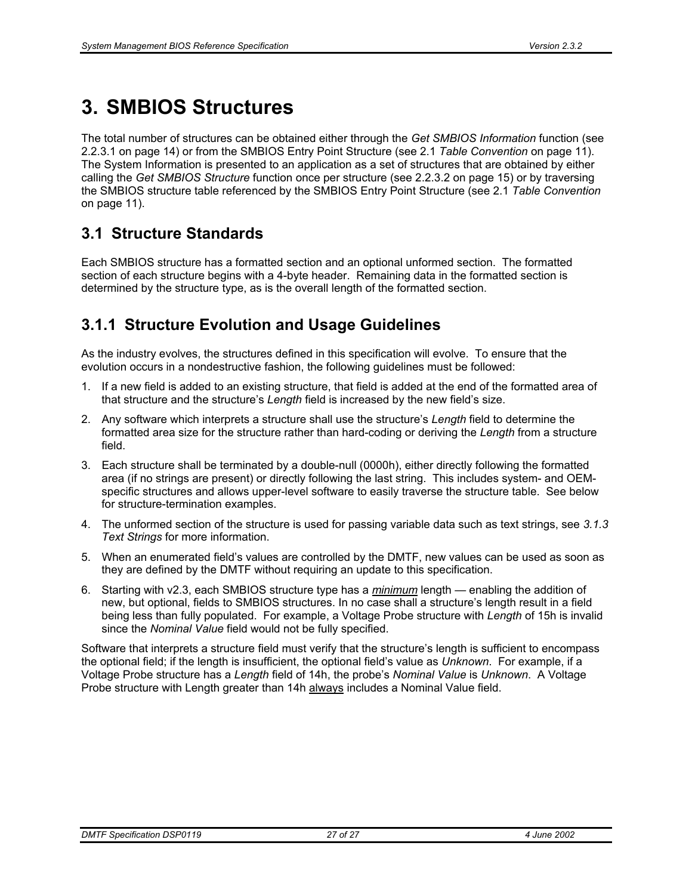# **3. SMBIOS Structures**

The total number of structures can be obtained either through the *Get SMBIOS Information* function (see 2.2.3.1 on page 14) or from the SMBIOS Entry Point Structure (see 2.1 *Table Convention* on page 11). The System Information is presented to an application as a set of structures that are obtained by either calling the *Get SMBIOS Structure* function once per structure (see 2.2.3.2 on page 15) or by traversing the SMBIOS structure table referenced by the SMBIOS Entry Point Structure (see 2.1 *Table Convention* on page 11).

## **3.1 Structure Standards**

Each SMBIOS structure has a formatted section and an optional unformed section. The formatted section of each structure begins with a 4-byte header. Remaining data in the formatted section is determined by the structure type, as is the overall length of the formatted section.

# **3.1.1 Structure Evolution and Usage Guidelines**

As the industry evolves, the structures defined in this specification will evolve. To ensure that the evolution occurs in a nondestructive fashion, the following guidelines must be followed:

- 1. If a new field is added to an existing structure, that field is added at the end of the formatted area of that structure and the structure's *Length* field is increased by the new field's size.
- 2. Any software which interprets a structure shall use the structure's *Length* field to determine the formatted area size for the structure rather than hard-coding or deriving the *Length* from a structure field.
- 3. Each structure shall be terminated by a double-null (0000h), either directly following the formatted area (if no strings are present) or directly following the last string. This includes system- and OEMspecific structures and allows upper-level software to easily traverse the structure table. See below for structure-termination examples.
- 4. The unformed section of the structure is used for passing variable data such as text strings, see *3.1.3 Text Strings* for more information.
- 5. When an enumerated field's values are controlled by the DMTF, new values can be used as soon as they are defined by the DMTF without requiring an update to this specification.
- 6. Starting with v2.3, each SMBIOS structure type has a *minimum* length enabling the addition of new, but optional, fields to SMBIOS structures. In no case shall a structure's length result in a field being less than fully populated. For example, a Voltage Probe structure with *Length* of 15h is invalid since the *Nominal Value* field would not be fully specified.

Software that interprets a structure field must verify that the structure's length is sufficient to encompass the optional field; if the length is insufficient, the optional field's value as *Unknown*. For example, if a Voltage Probe structure has a *Length* field of 14h, the probe's *Nominal Value* is *Unknown*. A Voltage Probe structure with Length greater than 14h always includes a Nominal Value field.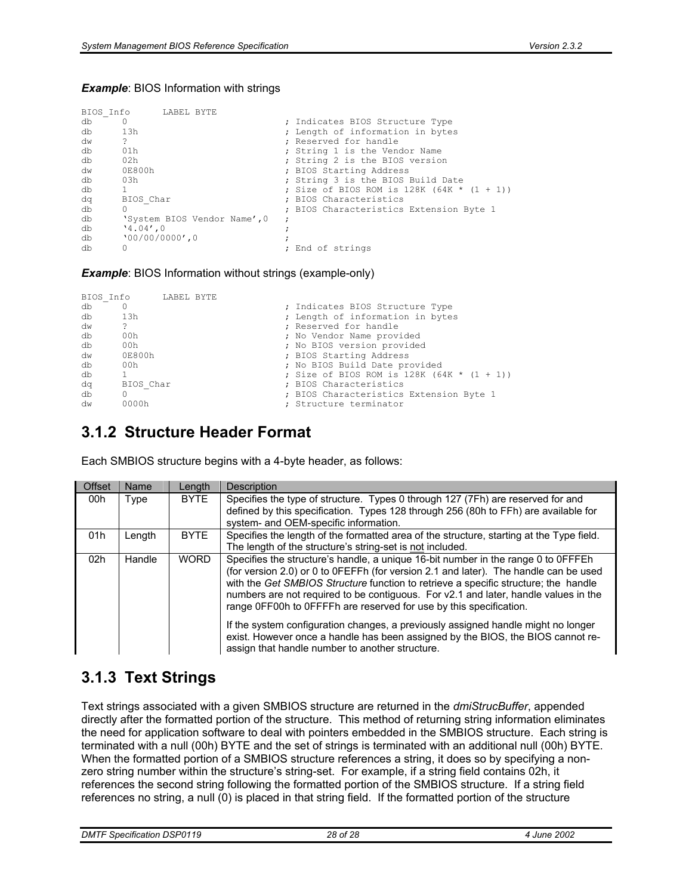#### **Example: BIOS Information with strings**

|    | BIOS Info           | LABEL BYTE |                              |                                              |
|----|---------------------|------------|------------------------------|----------------------------------------------|
| db |                     |            |                              | ; Indicates BIOS Structure Type              |
| db | 13h                 |            |                              | ; Length of information in bytes             |
| dw | ?                   |            |                              | : Reserved for handle                        |
| db | 01h                 |            |                              | ; String 1 is the Vendor Name                |
| db | 02h                 |            |                              | ; String 2 is the BIOS version               |
| dw | 0E800h              |            |                              | ; BIOS Starting Address                      |
| db | 03h                 |            |                              | ; String 3 is the BIOS Build Date            |
| db |                     |            |                              | ; Size of BIOS ROM is $128K (64K * (1 + 1))$ |
| dq | BIOS Char           |            |                              | : BIOS Characteristics                       |
| db | 0                   |            |                              | ; BIOS Characteristics Extension Byte 1      |
| db |                     |            | 'System BIOS Vendor Name', 0 |                                              |
| db | $'4.04'$ , 0        |            |                              |                                              |
| db | $'00/00/00000'$ , 0 |            |                              |                                              |
| db |                     |            |                              | ; End of strings                             |

#### *Example*: BIOS Information without strings (example-only)

|    | BIOS Info | LABEL BYTE |  |                                               |
|----|-----------|------------|--|-----------------------------------------------|
| db |           |            |  | ; Indicates BIOS Structure Type               |
| db | 13h       |            |  | ; Length of information in bytes              |
| dw | ?         |            |  | ; Reserved for handle                         |
| db | 00h       |            |  | ; No Vendor Name provided                     |
| db | 00h       |            |  | ; No BIOS version provided                    |
| dw | 0E800h    |            |  | ; BIOS Starting Address                       |
| db | 00h       |            |  | ; No BIOS Build Date provided                 |
| db |           |            |  | ; Size of BIOS ROM is 128K (64K * $(1 + 1)$ ) |
| dq | BIOS Char |            |  | ; BIOS Characteristics                        |
| db |           |            |  | ; BIOS Characteristics Extension Byte 1       |
| dw | 0000h     |            |  | Structure terminator                          |

### **3.1.2 Structure Header Format**

Each SMBIOS structure begins with a 4-byte header, as follows:

| Offset | Name   | Length      | Description                                                                                                                                                                                                                                                                                                                                                                                                                                                                                                        |
|--------|--------|-------------|--------------------------------------------------------------------------------------------------------------------------------------------------------------------------------------------------------------------------------------------------------------------------------------------------------------------------------------------------------------------------------------------------------------------------------------------------------------------------------------------------------------------|
| 00h    | Type   | <b>BYTE</b> | Specifies the type of structure. Types 0 through 127 (7Fh) are reserved for and<br>defined by this specification. Types 128 through 256 (80h to FFh) are available for<br>system- and OEM-specific information.                                                                                                                                                                                                                                                                                                    |
| 01h    | Length | <b>BYTE</b> | Specifies the length of the formatted area of the structure, starting at the Type field.<br>The length of the structure's string-set is not included.                                                                                                                                                                                                                                                                                                                                                              |
| 02h    | Handle | <b>WORD</b> | Specifies the structure's handle, a unique 16-bit number in the range 0 to 0FFFEh<br>(for version 2.0) or 0 to 0FEFFh (for version 2.1 and later). The handle can be used<br>with the Get SMBIOS Structure function to retrieve a specific structure; the handle<br>numbers are not required to be contiguous. For v2.1 and later, handle values in the<br>range OFF00h to OFFFFh are reserved for use by this specification.<br>If the system configuration changes, a previously assigned handle might no longer |
|        |        |             | exist. However once a handle has been assigned by the BIOS, the BIOS cannot re-<br>assign that handle number to another structure.                                                                                                                                                                                                                                                                                                                                                                                 |

### **3.1.3 Text Strings**

Text strings associated with a given SMBIOS structure are returned in the *dmiStrucBuffer*, appended directly after the formatted portion of the structure. This method of returning string information eliminates the need for application software to deal with pointers embedded in the SMBIOS structure. Each string is terminated with a null (00h) BYTE and the set of strings is terminated with an additional null (00h) BYTE. When the formatted portion of a SMBIOS structure references a string, it does so by specifying a nonzero string number within the structure's string-set. For example, if a string field contains 02h, it references the second string following the formatted portion of the SMBIOS structure. If a string field references no string, a null (0) is placed in that string field. If the formatted portion of the structure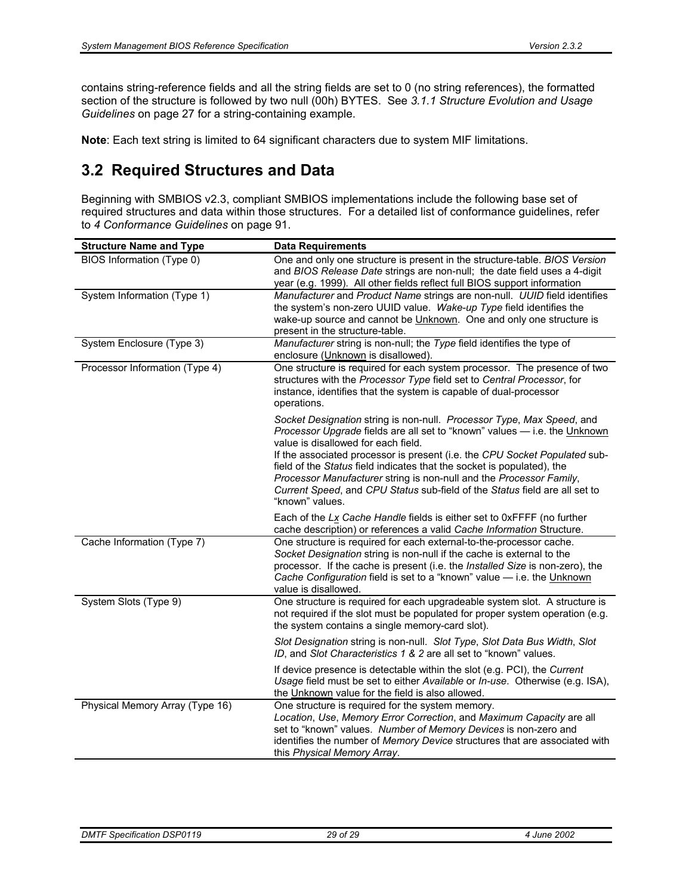contains string-reference fields and all the string fields are set to 0 (no string references), the formatted section of the structure is followed by two null (00h) BYTES. See *3.1.1 Structure Evolution and Usage Guidelines* on page 27 for a string-containing example.

**Note**: Each text string is limited to 64 significant characters due to system MIF limitations.

# **3.2 Required Structures and Data**

Beginning with SMBIOS v2.3, compliant SMBIOS implementations include the following base set of required structures and data within those structures. For a detailed list of conformance guidelines, refer to *4 Conformance Guidelines* on page 91.

| <b>Structure Name and Type</b>  | <b>Data Requirements</b>                                                                                                                                                                                                                                                                                                                                                                                                                                                                                                  |
|---------------------------------|---------------------------------------------------------------------------------------------------------------------------------------------------------------------------------------------------------------------------------------------------------------------------------------------------------------------------------------------------------------------------------------------------------------------------------------------------------------------------------------------------------------------------|
| BIOS Information (Type 0)       | One and only one structure is present in the structure-table. BIOS Version<br>and BIOS Release Date strings are non-null; the date field uses a 4-digit<br>year (e.g. 1999). All other fields reflect full BIOS support information                                                                                                                                                                                                                                                                                       |
| System Information (Type 1)     | Manufacturer and Product Name strings are non-null. UUID field identifies<br>the system's non-zero UUID value. Wake-up Type field identifies the<br>wake-up source and cannot be Unknown. One and only one structure is<br>present in the structure-table.                                                                                                                                                                                                                                                                |
| System Enclosure (Type 3)       | Manufacturer string is non-null; the Type field identifies the type of<br>enclosure (Unknown is disallowed).                                                                                                                                                                                                                                                                                                                                                                                                              |
| Processor Information (Type 4)  | One structure is required for each system processor. The presence of two<br>structures with the Processor Type field set to Central Processor, for<br>instance, identifies that the system is capable of dual-processor<br>operations.                                                                                                                                                                                                                                                                                    |
|                                 | Socket Designation string is non-null. Processor Type, Max Speed, and<br>Processor Upgrade fields are all set to "known" values - i.e. the Unknown<br>value is disallowed for each field.<br>If the associated processor is present (i.e. the CPU Socket Populated sub-<br>field of the Status field indicates that the socket is populated), the<br>Processor Manufacturer string is non-null and the Processor Family,<br>Current Speed, and CPU Status sub-field of the Status field are all set to<br>"known" values. |
|                                 | Each of the Lx Cache Handle fields is either set to 0xFFFF (no further<br>cache description) or references a valid Cache Information Structure.                                                                                                                                                                                                                                                                                                                                                                           |
| Cache Information (Type 7)      | One structure is required for each external-to-the-processor cache.<br>Socket Designation string is non-null if the cache is external to the<br>processor. If the cache is present (i.e. the Installed Size is non-zero), the<br>Cache Configuration field is set to a "known" value - i.e. the Unknown<br>value is disallowed.                                                                                                                                                                                           |
| System Slots (Type 9)           | One structure is required for each upgradeable system slot. A structure is<br>not required if the slot must be populated for proper system operation (e.g.<br>the system contains a single memory-card slot).                                                                                                                                                                                                                                                                                                             |
|                                 | Slot Designation string is non-null. Slot Type, Slot Data Bus Width, Slot<br>ID, and Slot Characteristics 1 & 2 are all set to "known" values.                                                                                                                                                                                                                                                                                                                                                                            |
|                                 | If device presence is detectable within the slot (e.g. PCI), the Current<br>Usage field must be set to either Available or In-use. Otherwise (e.g. ISA),<br>the Unknown value for the field is also allowed.                                                                                                                                                                                                                                                                                                              |
| Physical Memory Array (Type 16) | One structure is required for the system memory.<br>Location, Use, Memory Error Correction, and Maximum Capacity are all<br>set to "known" values. Number of Memory Devices is non-zero and<br>identifies the number of Memory Device structures that are associated with<br>this Physical Memory Array.                                                                                                                                                                                                                  |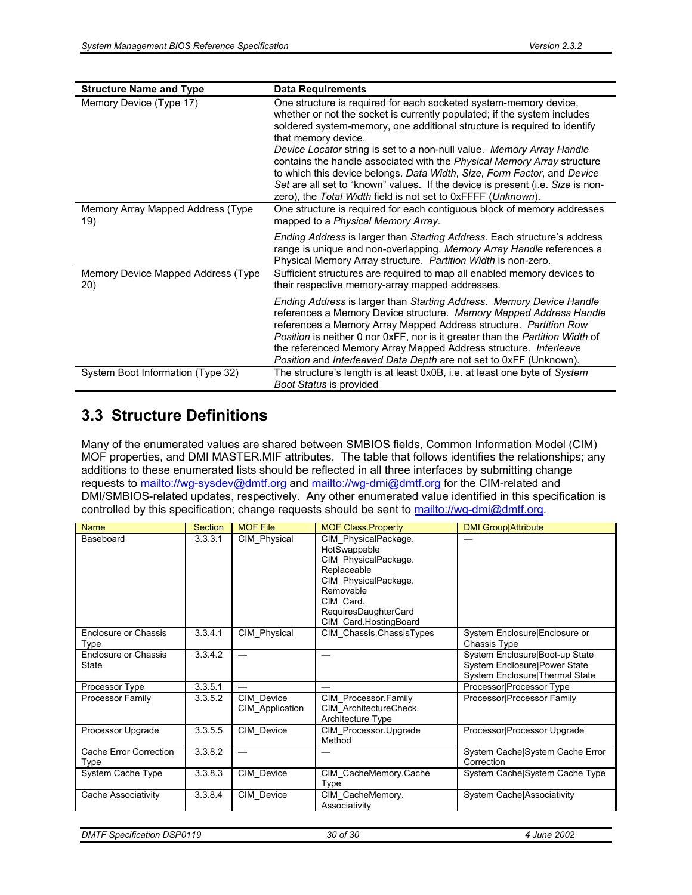| <b>Structure Name and Type</b>            | <b>Data Requirements</b>                                                                                                                                                                                                                                                                                                                                                                                                                                                                                                                                                                                                          |
|-------------------------------------------|-----------------------------------------------------------------------------------------------------------------------------------------------------------------------------------------------------------------------------------------------------------------------------------------------------------------------------------------------------------------------------------------------------------------------------------------------------------------------------------------------------------------------------------------------------------------------------------------------------------------------------------|
| Memory Device (Type 17)                   | One structure is required for each socketed system-memory device,<br>whether or not the socket is currently populated; if the system includes<br>soldered system-memory, one additional structure is required to identify<br>that memory device.<br>Device Locator string is set to a non-null value. Memory Array Handle<br>contains the handle associated with the Physical Memory Array structure<br>to which this device belongs. Data Width, Size, Form Factor, and Device<br>Set are all set to "known" values. If the device is present (i.e. Size is non-<br>zero), the Total Width field is not set to 0xFFFF (Unknown). |
| Memory Array Mapped Address (Type<br>19)  | One structure is required for each contiguous block of memory addresses<br>mapped to a Physical Memory Array.                                                                                                                                                                                                                                                                                                                                                                                                                                                                                                                     |
|                                           | Ending Address is larger than Starting Address. Each structure's address<br>range is unique and non-overlapping. Memory Array Handle references a<br>Physical Memory Array structure. Partition Width is non-zero.                                                                                                                                                                                                                                                                                                                                                                                                                |
| Memory Device Mapped Address (Type<br>20) | Sufficient structures are required to map all enabled memory devices to<br>their respective memory-array mapped addresses.                                                                                                                                                                                                                                                                                                                                                                                                                                                                                                        |
|                                           | Ending Address is larger than Starting Address. Memory Device Handle<br>references a Memory Device structure. Memory Mapped Address Handle<br>references a Memory Array Mapped Address structure. Partition Row<br>Position is neither 0 nor 0xFF, nor is it greater than the Partition Width of<br>the referenced Memory Array Mapped Address structure. Interleave<br>Position and Interleaved Data Depth are not set to 0xFF (Unknown).                                                                                                                                                                                        |
| System Boot Information (Type 32)         | The structure's length is at least 0x0B, i.e. at least one byte of System<br>Boot Status is provided                                                                                                                                                                                                                                                                                                                                                                                                                                                                                                                              |

### **3.3 Structure Definitions**

Many of the enumerated values are shared between SMBIOS fields, Common Information Model (CIM) MOF properties, and DMI MASTER.MIF attributes. The table that follows identifies the relationships; any additions to these enumerated lists should be reflected in all three interfaces by submitting change requests to mailto://wg-sysdev@dmtf.org and mailto://wg-dmi@dmtf.org for the CIM-related and DMI/SMBIOS-related updates, respectively. Any other enumerated value identified in this specification is controlled by this specification; change requests should be sent to mailto://wg-dmi@dmtf.org.

| <b>Name</b>                    | <b>Section</b> | <b>MOF File</b>               | <b>MOF Class Property</b>                                                                                                                                                      | <b>DMI Group/Attribute</b>                                                                       |
|--------------------------------|----------------|-------------------------------|--------------------------------------------------------------------------------------------------------------------------------------------------------------------------------|--------------------------------------------------------------------------------------------------|
| Baseboard                      | 3.3.3.1        | CIM Physical                  | CIM PhysicalPackage.<br>HotSwappable<br>CIM PhysicalPackage.<br>Replaceable<br>CIM PhysicalPackage.<br>Removable<br>CIM Card.<br>RequiresDaughterCard<br>CIM Card.HostingBoard |                                                                                                  |
| Enclosure or Chassis<br>Type   | 3.3.4.1        | CIM Physical                  | CIM Chassis.ChassisTypes                                                                                                                                                       | System Enclosure Enclosure or<br>Chassis Type                                                    |
| Enclosure or Chassis<br>State  | 3.3.4.2        |                               |                                                                                                                                                                                | System Enclosure Boot-up State<br>System Endlosure Power State<br>System Enclosure Thermal State |
| Processor Type                 | 3.3.5.1        |                               |                                                                                                                                                                                | Processor Processor Type                                                                         |
| Processor Family               | 3.3.5.2        | CIM Device<br>CIM Application | CIM Processor.Family<br>CIM ArchitectureCheck.<br>Architecture Type                                                                                                            | Processor Processor Family                                                                       |
| Processor Upgrade              | 3.3.5.5        | CIM Device                    | CIM Processor Upgrade<br>Method                                                                                                                                                | Processor Processor Upgrade                                                                      |
| Cache Error Correction<br>Type | 3.3.8.2        |                               |                                                                                                                                                                                | System Cache System Cache Error<br>Correction                                                    |
| System Cache Type              | 3.3.8.3        | CIM Device                    | CIM CacheMemory.Cache<br>Type                                                                                                                                                  | System Cache System Cache Type                                                                   |
| Cache Associativity            | 3.3.8.4        | CIM_Device                    | CIM CacheMemory.<br>Associativity                                                                                                                                              | System Cache Associativity                                                                       |

| <b>DMTF Specification DSP0119</b> | 30 of 30 | 4 June 2002 |
|-----------------------------------|----------|-------------|
|                                   |          |             |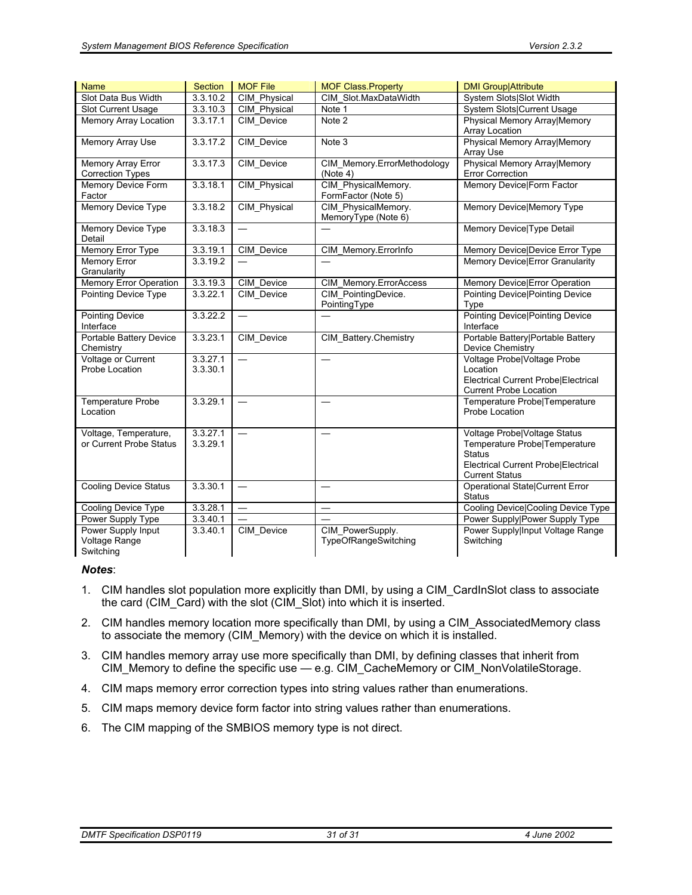| <b>Name</b>                                          | <b>Section</b>       | <b>MOF File</b>          | <b>MOF Class Property</b>                  | <b>DMI Group Attribute</b>                                                                                                                     |
|------------------------------------------------------|----------------------|--------------------------|--------------------------------------------|------------------------------------------------------------------------------------------------------------------------------------------------|
| Slot Data Bus Width                                  | 3.3.10.2             | <b>CIM Physical</b>      | CIM Slot.MaxDataWidth                      | System Slots Slot Width                                                                                                                        |
| Slot Current Usage                                   | 3.3.10.3             | CIM_Physical             | Note 1                                     | System Slots Current Usage                                                                                                                     |
| <b>Memory Array Location</b>                         | 3.3.17.1             | CIM Device               | Note 2                                     | Physical Memory Array Memory<br>Array Location                                                                                                 |
| <b>Memory Array Use</b>                              | 3.3.17.2             | CIM_Device               | Note 3                                     | Physical Memory Array Memory<br>Array Use                                                                                                      |
| <b>Memory Array Error</b><br><b>Correction Types</b> | 3.3.17.3             | CIM_Device               | CIM_Memory.ErrorMethodology<br>(Note 4)    | Physical Memory Array Memory<br>Error Correction                                                                                               |
| Memory Device Form<br>Factor                         | 3.3.18.1             | CIM_Physical             | CIM_PhysicalMemory.<br>FormFactor (Note 5) | Memory Device Form Factor                                                                                                                      |
| Memory Device Type                                   | 3.3.18.2             | CIM_Physical             | CIM_PhysicalMemory.<br>MemoryType (Note 6) | Memory Device Memory Type                                                                                                                      |
| Memory Device Type<br>Detail                         | 3.3.18.3             | $\overline{\phantom{0}}$ |                                            | Memory Device Type Detail                                                                                                                      |
| Memory Error Type                                    | 3.3.19.1             | CIM Device               | CIM_Memory.ErrorInfo                       | Memory Device Device Error Type                                                                                                                |
| <b>Memory Error</b><br>Granularity                   | 3.3.19.2             |                          |                                            | Memory Device Error Granularity                                                                                                                |
| <b>Memory Error Operation</b>                        | 3.3.19.3             | CIM Device               | CIM_Memory.ErrorAccess                     | Memory Device Error Operation                                                                                                                  |
| <b>Pointing Device Type</b>                          | 3.3.22.1             | CIM_Device               | CIM_PointingDevice.<br>PointingType        | <b>Pointing Device Pointing Device</b><br>Type                                                                                                 |
| <b>Pointing Device</b><br>Interface                  | 3.3.22.2             |                          |                                            | <b>Pointing Device Pointing Device</b><br>Interface                                                                                            |
| Portable Battery Device<br>Chemistry                 | 3.3.23.1             | CIM_Device               | CIM_Battery.Chemistry                      | Portable Battery Portable Battery<br>Device Chemistry                                                                                          |
| Voltage or Current<br>Probe Location                 | 3.3.27.1<br>3.3.30.1 | $\equiv$                 | $\overline{\phantom{0}}$                   | Voltage Probe Voltage Probe<br>Location<br>Electrical Current Probe Electrical<br><b>Current Probe Location</b>                                |
| <b>Temperature Probe</b><br>Location                 | 3.3.29.1             |                          |                                            | Temperature Probe Temperature<br>Probe Location                                                                                                |
| Voltage, Temperature,<br>or Current Probe Status     | 3.3.27.1<br>3.3.29.1 | $\overline{\phantom{0}}$ |                                            | Voltage Probe Voltage Status<br>Temperature Probe Temperature<br><b>Status</b><br>Electrical Current Probe Electrical<br><b>Current Status</b> |
| <b>Cooling Device Status</b>                         | 3.3.30.1             | $\overline{\phantom{0}}$ |                                            | <b>Operational State Current Error</b><br><b>Status</b>                                                                                        |
| Cooling Device Type                                  | 3.3.28.1             | $\overline{\phantom{0}}$ |                                            | Cooling Device Cooling Device Type                                                                                                             |
| Power Supply Type                                    | 3.3.40.1             |                          |                                            | Power Supply Power Supply Type                                                                                                                 |
| Power Supply Input<br>Voltage Range<br>Switching     | 3.3.40.1             | CIM_Device               | CIM PowerSupply.<br>TypeOfRangeSwitching   | Power Supply Input Voltage Range<br>Switching                                                                                                  |

#### *Notes*:

- 1. CIM handles slot population more explicitly than DMI, by using a CIM\_CardInSlot class to associate the card (CIM\_Card) with the slot (CIM\_Slot) into which it is inserted.
- 2. CIM handles memory location more specifically than DMI, by using a CIM\_AssociatedMemory class to associate the memory (CIM\_Memory) with the device on which it is installed.
- 3. CIM handles memory array use more specifically than DMI, by defining classes that inherit from CIM\_Memory to define the specific use — e.g. CIM\_CacheMemory or CIM\_NonVolatileStorage.
- 4. CIM maps memory error correction types into string values rather than enumerations.
- 5. CIM maps memory device form factor into string values rather than enumerations.
- 6. The CIM mapping of the SMBIOS memory type is not direct.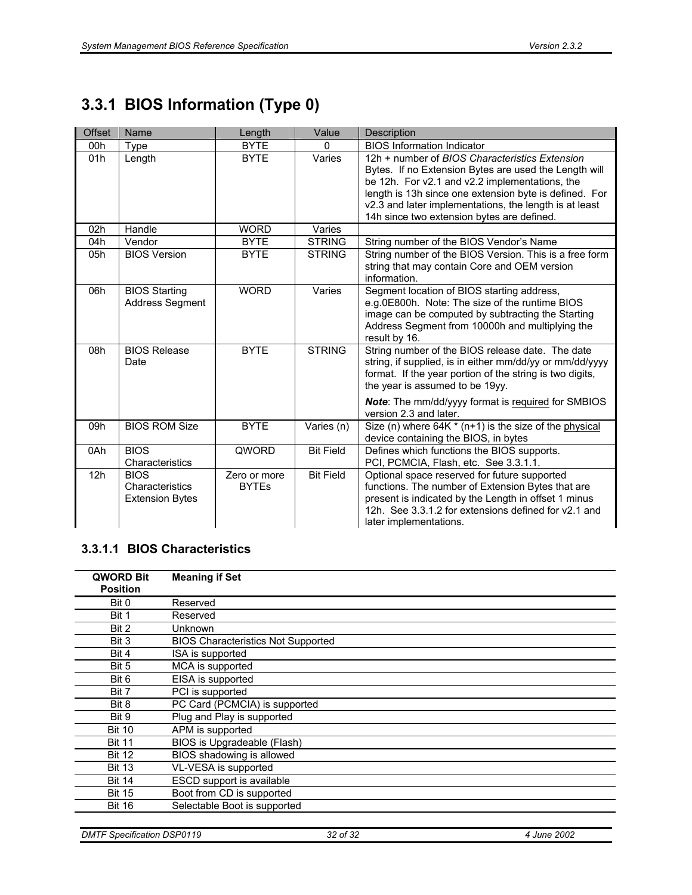# **3.3.1 BIOS Information (Type 0)**

| <b>Offset</b> | Name                                                     | Length                       | Value            | Description                                                                                                                                                                                                                                                                                                                 |
|---------------|----------------------------------------------------------|------------------------------|------------------|-----------------------------------------------------------------------------------------------------------------------------------------------------------------------------------------------------------------------------------------------------------------------------------------------------------------------------|
| 00h           | <b>Type</b>                                              | <b>BYTE</b>                  | $\Omega$         | <b>BIOS Information Indicator</b>                                                                                                                                                                                                                                                                                           |
| 01h           | Length                                                   | <b>BYTE</b>                  | Varies           | 12h + number of BIOS Characteristics Extension<br>Bytes. If no Extension Bytes are used the Length will<br>be 12h. For v2.1 and v2.2 implementations, the<br>length is 13h since one extension byte is defined. For<br>v2.3 and later implementations, the length is at least<br>14h since two extension bytes are defined. |
| 02h           | Handle                                                   | <b>WORD</b>                  | Varies           |                                                                                                                                                                                                                                                                                                                             |
| 04h           | Vendor                                                   | <b>BYTE</b>                  | <b>STRING</b>    | String number of the BIOS Vendor's Name                                                                                                                                                                                                                                                                                     |
| 05h           | <b>BIOS Version</b>                                      | <b>BYTE</b>                  | <b>STRING</b>    | String number of the BIOS Version. This is a free form<br>string that may contain Core and OEM version<br>information.                                                                                                                                                                                                      |
| 06h           | <b>BIOS Starting</b><br><b>Address Segment</b>           | <b>WORD</b>                  | Varies           | Segment location of BIOS starting address,<br>e.g.0E800h. Note: The size of the runtime BIOS<br>image can be computed by subtracting the Starting<br>Address Segment from 10000h and multiplying the<br>result by 16.                                                                                                       |
| 08h           | <b>BIOS Release</b><br>Date                              | <b>BYTE</b>                  | <b>STRING</b>    | String number of the BIOS release date. The date<br>string, if supplied, is in either mm/dd/yy or mm/dd/yyyy<br>format. If the year portion of the string is two digits,<br>the year is assumed to be 19yy.<br><b>Note:</b> The mm/dd/yyyy format is required for SMBIOS<br>version 2.3 and later.                          |
| 09h           | <b>BIOS ROM Size</b>                                     | <b>BYTE</b>                  | Varies (n)       | Size (n) where $64K * (n+1)$ is the size of the physical<br>device containing the BIOS, in bytes                                                                                                                                                                                                                            |
| 0Ah           | <b>BIOS</b><br>Characteristics                           | QWORD                        | <b>Bit Field</b> | Defines which functions the BIOS supports.<br>PCI, PCMCIA, Flash, etc. See 3.3.1.1.                                                                                                                                                                                                                                         |
| 12h           | <b>BIOS</b><br>Characteristics<br><b>Extension Bytes</b> | Zero or more<br><b>BYTEs</b> | <b>Bit Field</b> | Optional space reserved for future supported<br>functions. The number of Extension Bytes that are<br>present is indicated by the Length in offset 1 minus<br>12h. See 3.3.1.2 for extensions defined for y2.1 and<br>later implementations.                                                                                 |

### **3.3.1.1 BIOS Characteristics**

| <b>QWORD Bit</b><br><b>Position</b> | <b>Meaning if Set</b>                     |
|-------------------------------------|-------------------------------------------|
| Bit 0                               | Reserved                                  |
| Bit 1                               | Reserved                                  |
| Bit 2                               | Unknown                                   |
| Bit 3                               | <b>BIOS Characteristics Not Supported</b> |
| Bit 4                               | ISA is supported                          |
| Bit 5                               | MCA is supported                          |
| Bit 6                               | EISA is supported                         |
| Bit 7                               | PCI is supported                          |
| Bit 8                               | PC Card (PCMCIA) is supported             |
| Bit 9                               | Plug and Play is supported                |
| <b>Bit 10</b>                       | APM is supported                          |
| <b>Bit 11</b>                       | BIOS is Upgradeable (Flash)               |
| <b>Bit 12</b>                       | BIOS shadowing is allowed                 |
| <b>Bit 13</b>                       | VL-VESA is supported                      |
| <b>Bit 14</b>                       | ESCD support is available                 |
| <b>Bit 15</b>                       | Boot from CD is supported                 |
| <b>Bit 16</b>                       | Selectable Boot is supported              |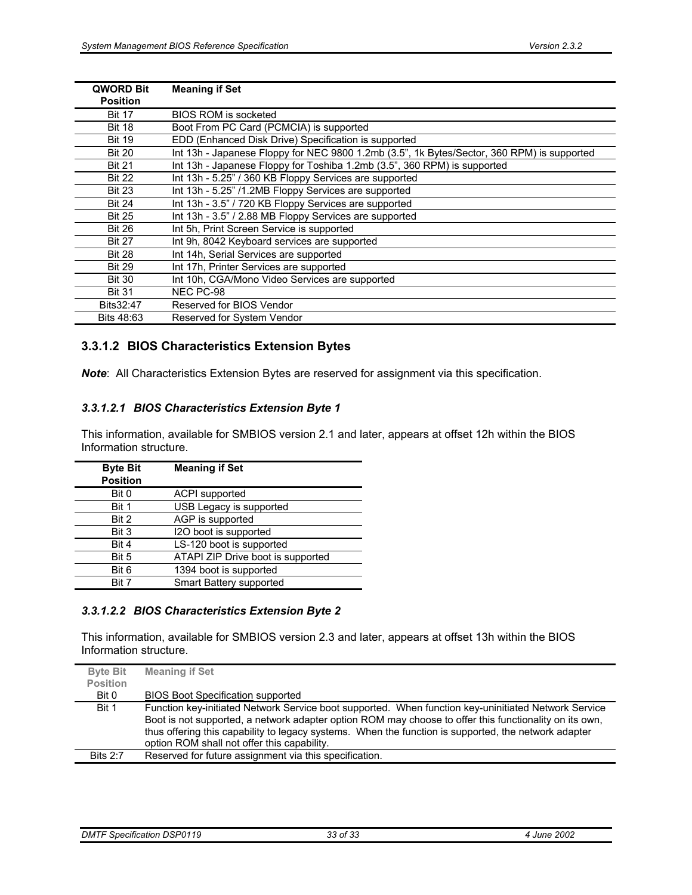| <b>QWORD Bit</b><br><b>Position</b> | <b>Meaning if Set</b>                                                                      |
|-------------------------------------|--------------------------------------------------------------------------------------------|
| <b>Bit 17</b>                       | <b>BIOS ROM is socketed</b>                                                                |
| <b>Bit 18</b>                       | Boot From PC Card (PCMCIA) is supported                                                    |
| <b>Bit 19</b>                       | EDD (Enhanced Disk Drive) Specification is supported                                       |
| <b>Bit 20</b>                       | Int 13h - Japanese Floppy for NEC 9800 1.2mb (3.5", 1k Bytes/Sector, 360 RPM) is supported |
| <b>Bit 21</b>                       | Int 13h - Japanese Floppy for Toshiba 1.2mb (3.5", 360 RPM) is supported                   |
| <b>Bit 22</b>                       | Int 13h - 5.25" / 360 KB Floppy Services are supported                                     |
| <b>Bit 23</b>                       | Int 13h - 5.25" /1.2MB Floppy Services are supported                                       |
| <b>Bit 24</b>                       | Int 13h - 3.5" / 720 KB Floppy Services are supported                                      |
| <b>Bit 25</b>                       | Int 13h - 3.5" / 2.88 MB Floppy Services are supported                                     |
| <b>Bit 26</b>                       | Int 5h, Print Screen Service is supported                                                  |
| <b>Bit 27</b>                       | Int 9h, 8042 Keyboard services are supported                                               |
| <b>Bit 28</b>                       | Int 14h, Serial Services are supported                                                     |
| <b>Bit 29</b>                       | Int 17h, Printer Services are supported                                                    |
| <b>Bit 30</b>                       | Int 10h, CGA/Mono Video Services are supported                                             |
| <b>Bit 31</b>                       | NEC PC-98                                                                                  |
| Bits32:47                           | Reserved for BIOS Vendor                                                                   |
| Bits 48:63                          | Reserved for System Vendor                                                                 |

#### **3.3.1.2 BIOS Characteristics Extension Bytes**

*Note*: All Characteristics Extension Bytes are reserved for assignment via this specification.

#### *3.3.1.2.1 BIOS Characteristics Extension Byte 1*

This information, available for SMBIOS version 2.1 and later, appears at offset 12h within the BIOS Information structure.

| <b>Byte Bit</b><br><b>Position</b> | <b>Meaning if Set</b>             |
|------------------------------------|-----------------------------------|
| Bit 0                              | <b>ACPI</b> supported             |
| Bit 1                              | USB Legacy is supported           |
| Bit 2                              | AGP is supported                  |
| Bit 3                              | I2O boot is supported             |
| Bit 4                              | LS-120 boot is supported          |
| Bit 5                              | ATAPI ZIP Drive boot is supported |
| Bit 6                              | 1394 boot is supported            |
| <b>Bit 7</b>                       | Smart Battery supported           |

#### *3.3.1.2.2 BIOS Characteristics Extension Byte 2*

This information, available for SMBIOS version 2.3 and later, appears at offset 13h within the BIOS Information structure.

| <b>Byte Bit</b> | <b>Meaning if Set</b>                                                                                  |
|-----------------|--------------------------------------------------------------------------------------------------------|
| <b>Position</b> |                                                                                                        |
| Bit 0           | <b>BIOS Boot Specification supported</b>                                                               |
| Bit 1           | Function key-initiated Network Service boot supported. When function key-uninitiated Network Service   |
|                 | Boot is not supported, a network adapter option ROM may choose to offer this functionality on its own, |
|                 | thus offering this capability to legacy systems. When the function is supported, the network adapter   |
|                 | option ROM shall not offer this capability.                                                            |
| <b>Bits 2:7</b> | Reserved for future assignment via this specification.                                                 |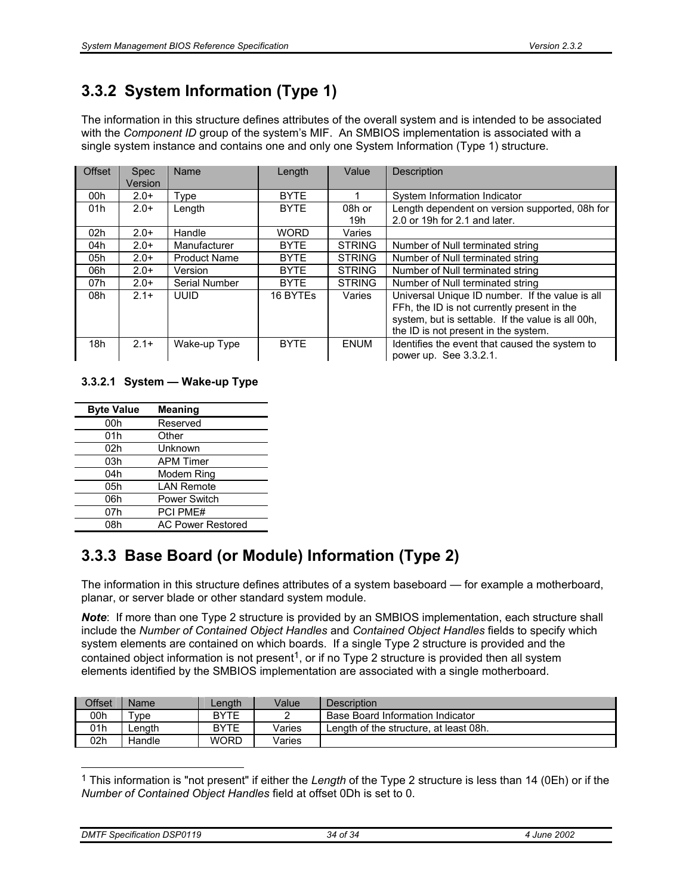# **3.3.2 System Information (Type 1)**

The information in this structure defines attributes of the overall system and is intended to be associated with the *Component ID* group of the system's MIF. An SMBIOS implementation is associated with a single system instance and contains one and only one System Information (Type 1) structure.

| Offset | <b>Spec</b><br>Version | Name                | Length      | Value         | Description                                                                                                                                                                                 |
|--------|------------------------|---------------------|-------------|---------------|---------------------------------------------------------------------------------------------------------------------------------------------------------------------------------------------|
| 00h    | $2.0+$                 | Type                | <b>BYTE</b> |               | System Information Indicator                                                                                                                                                                |
| 01h    | $2.0+$                 | Length              | <b>BYTE</b> | 08h or        | Length dependent on version supported, 08h for                                                                                                                                              |
|        |                        |                     |             | 19h           | 2.0 or 19h for 2.1 and later.                                                                                                                                                               |
| 02h    | $2.0+$                 | Handle              | <b>WORD</b> | Varies        |                                                                                                                                                                                             |
| 04h    | $2.0+$                 | Manufacturer        | <b>BYTE</b> | <b>STRING</b> | Number of Null terminated string                                                                                                                                                            |
| 05h    | $2.0+$                 | <b>Product Name</b> | <b>BYTE</b> | <b>STRING</b> | Number of Null terminated string                                                                                                                                                            |
| 06h    | $2.0+$                 | Version             | <b>BYTE</b> | <b>STRING</b> | Number of Null terminated string                                                                                                                                                            |
| 07h    | $2.0+$                 | Serial Number       | <b>BYTE</b> | <b>STRING</b> | Number of Null terminated string                                                                                                                                                            |
| 08h    | $2.1+$                 | <b>UUID</b>         | 16 BYTEs    | Varies        | Universal Unique ID number. If the value is all<br>FFh, the ID is not currently present in the<br>system, but is settable. If the value is all 00h,<br>the ID is not present in the system. |
| 18h    | $2.1+$                 | Wake-up Type        | <b>BYTE</b> | <b>ENUM</b>   | Identifies the event that caused the system to<br>power up. See 3.3.2.1.                                                                                                                    |

#### **3.3.2.1 System — Wake-up Type**

| <b>Byte Value</b> | <b>Meaning</b>           |
|-------------------|--------------------------|
| 00h               | Reserved                 |
| 01h               | Other                    |
| 02h               | Unknown                  |
| 03h               | <b>APM Timer</b>         |
| 04h               | Modem Ring               |
| 05h               | <b>LAN Remote</b>        |
| 06h               | <b>Power Switch</b>      |
| 07h               | <b>PCI PME#</b>          |
| 08h               | <b>AC Power Restored</b> |

# **3.3.3 Base Board (or Module) Information (Type 2)**

The information in this structure defines attributes of a system baseboard — for example a motherboard, planar, or server blade or other standard system module.

*Note*: If more than one Type 2 structure is provided by an SMBIOS implementation, each structure shall include the *Number of Contained Object Handles* and *Contained Object Handles* fields to specify which system elements are contained on which boards. If a single Type 2 structure is provided and the contained object information is not present<sup>1</sup>, or if no Type 2 structure is provided then all system elements identified by the SMBIOS implementation are associated with a single motherboard.

| Offset | <b>Name</b>   | Lenath      | Value  | Description                            |
|--------|---------------|-------------|--------|----------------------------------------|
| 00h    | $r_{\rm VDE}$ | BYTE        |        | Base Board Information Indicator       |
| 01h    | -enath        | <b>BYTE</b> | Varies | Length of the structure, at least 08h. |
| 02h    | Handle        | <b>WORD</b> | Varies |                                        |

<sup>1</sup> This information is "not present" if either the *Length* of the Type 2 structure is less than 14 (0Eh) or if the *Number of Contained Object Handles* field at offset 0Dh is set to 0.

*DMTF Specification DSP0119 34 of 34 4 June 2002* 

l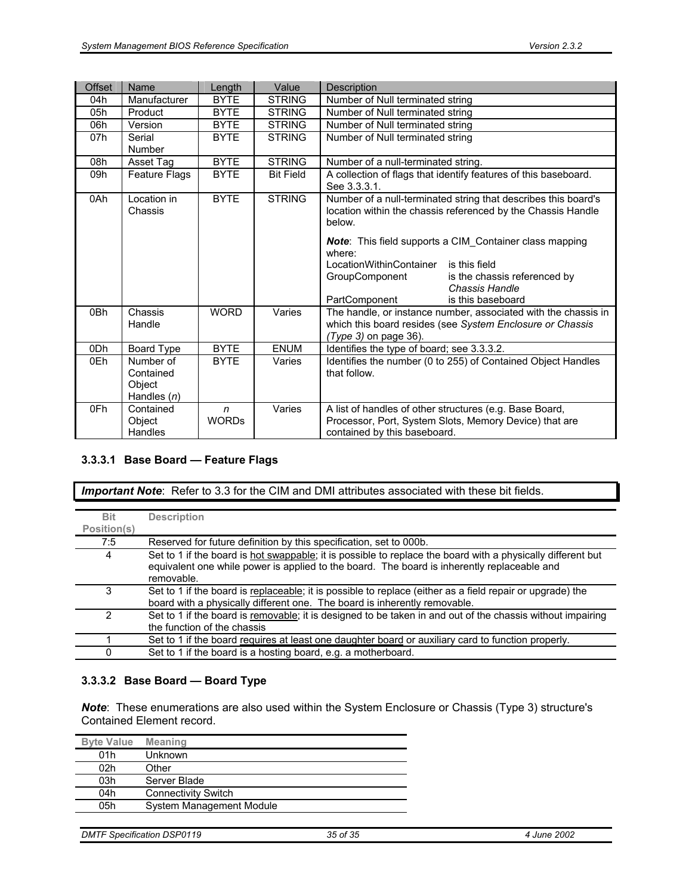| Offset | Name                                              | Length                       | Value            | Description                                                                                                                                                                                                                    |  |
|--------|---------------------------------------------------|------------------------------|------------------|--------------------------------------------------------------------------------------------------------------------------------------------------------------------------------------------------------------------------------|--|
| 04h    | Manufacturer                                      | <b>BYTE</b>                  | <b>STRING</b>    | Number of Null terminated string                                                                                                                                                                                               |  |
| 05h    | Product                                           | <b>BYTE</b>                  | <b>STRING</b>    | Number of Null terminated string                                                                                                                                                                                               |  |
| 06h    | Version                                           | <b>BYTE</b>                  | <b>STRING</b>    | Number of Null terminated string                                                                                                                                                                                               |  |
| 07h    | Serial<br>Number                                  | <b>BYTE</b>                  | <b>STRING</b>    | Number of Null terminated string                                                                                                                                                                                               |  |
| 08h    | Asset Tag                                         | <b>BYTE</b>                  | <b>STRING</b>    | Number of a null-terminated string.                                                                                                                                                                                            |  |
| 09h    | <b>Feature Flags</b>                              | <b>BYTE</b>                  | <b>Bit Field</b> | A collection of flags that identify features of this baseboard.<br>See 3.3.3.1.                                                                                                                                                |  |
| 0Ah    | Location in<br>Chassis                            | <b>BYTE</b>                  | <b>STRING</b>    | Number of a null-terminated string that describes this board's<br>location within the chassis referenced by the Chassis Handle<br>below.                                                                                       |  |
|        |                                                   |                              |                  | <b>Note:</b> This field supports a CIM Container class mapping<br>where:<br>LocationWithinContainer<br>is this field<br>is the chassis referenced by<br>GroupComponent<br>Chassis Handle<br>PartComponent<br>is this baseboard |  |
| 0Bh    | Chassis<br>Handle                                 | <b>WORD</b>                  | Varies           | The handle, or instance number, associated with the chassis in<br>which this board resides (see System Enclosure or Chassis<br>$(Type 3)$ on page 36).                                                                         |  |
| 0Dh    | Board Type                                        | <b>BYTE</b>                  | <b>ENUM</b>      | Identifies the type of board; see 3.3.3.2.                                                                                                                                                                                     |  |
| 0Eh    | Number of<br>Contained<br>Object<br>Handles $(n)$ | <b>BYTE</b>                  | Varies           | Identifies the number (0 to 255) of Contained Object Handles<br>that follow.                                                                                                                                                   |  |
| 0Fh    | Contained<br>Object<br>Handles                    | $\mathsf{n}$<br><b>WORDs</b> | Varies           | A list of handles of other structures (e.g. Base Board,<br>Processor, Port, System Slots, Memory Device) that are<br>contained by this baseboard.                                                                              |  |

#### **3.3.3.1 Base Board — Feature Flags**

*Important Note*: Refer to 3.3 for the CIM and DMI attributes associated with these bit fields.

| <b>Bit</b>  | <b>Description</b>                                                                                                                                                                                                       |
|-------------|--------------------------------------------------------------------------------------------------------------------------------------------------------------------------------------------------------------------------|
| Position(s) |                                                                                                                                                                                                                          |
| 7:5         | Reserved for future definition by this specification, set to 000b.                                                                                                                                                       |
| 4           | Set to 1 if the board is hot swappable; it is possible to replace the board with a physically different but<br>equivalent one while power is applied to the board. The board is inherently replaceable and<br>removable. |
| 3           | Set to 1 if the board is replaceable; it is possible to replace (either as a field repair or upgrade) the<br>board with a physically different one. The board is inherently removable.                                   |
| 2           | Set to 1 if the board is removable; it is designed to be taken in and out of the chassis without impairing<br>the function of the chassis                                                                                |
|             | Set to 1 if the board requires at least one daughter board or auxiliary card to function properly.                                                                                                                       |
| 0           | Set to 1 if the board is a hosting board, e.g. a motherboard.                                                                                                                                                            |

#### **3.3.3.2 Base Board — Board Type**

*Note*: These enumerations are also used within the System Enclosure or Chassis (Type 3) structure's Contained Element record.

| <b>Byte Value</b> | <b>Meaning</b>             |
|-------------------|----------------------------|
| 01h               | Unknown                    |
| 02h               | Other                      |
| 03h               | Server Blade               |
| 04h               | <b>Connectivity Switch</b> |
| 05h               | System Management Module   |

| <b>DMTF Specification DSP0119</b> | 35 of 35 | 4 June 2002 |
|-----------------------------------|----------|-------------|
|-----------------------------------|----------|-------------|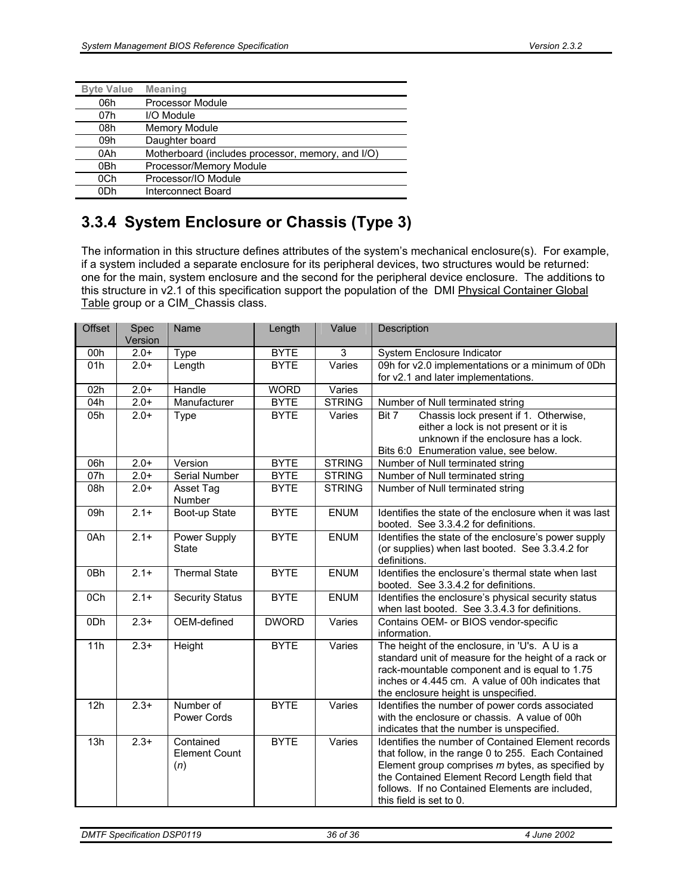| <b>Byte Value</b> | <b>Meaning</b>                                    |
|-------------------|---------------------------------------------------|
| 06h               | Processor Module                                  |
| 07h               | I/O Module                                        |
| 08h               | Memory Module                                     |
| 09h               | Daughter board                                    |
| 0Ah               | Motherboard (includes processor, memory, and I/O) |
| 0Bh               | Processor/Memory Module                           |
| 0Ch               | Processor/IO Module                               |
| 0Dh               | Interconnect Board                                |

# **3.3.4 System Enclosure or Chassis (Type 3)**

The information in this structure defines attributes of the system's mechanical enclosure(s). For example, if a system included a separate enclosure for its peripheral devices, two structures would be returned: one for the main, system enclosure and the second for the peripheral device enclosure. The additions to this structure in v2.1 of this specification support the population of the DMI Physical Container Global Table group or a CIM\_Chassis class.

| <b>Offset</b> | Spec<br>Version | Name                                     | Length       | Value         | Description                                                                                                                                                                                                                                                                                  |
|---------------|-----------------|------------------------------------------|--------------|---------------|----------------------------------------------------------------------------------------------------------------------------------------------------------------------------------------------------------------------------------------------------------------------------------------------|
| 00h           | $2.0+$          | Type                                     | <b>BYTE</b>  | 3             | System Enclosure Indicator                                                                                                                                                                                                                                                                   |
| 01h           | $2.0+$          | Length                                   | <b>BYTE</b>  | Varies        | 09h for v2.0 implementations or a minimum of 0Dh<br>for v2.1 and later implementations.                                                                                                                                                                                                      |
| 02h           | $2.0+$          | Handle                                   | <b>WORD</b>  | Varies        |                                                                                                                                                                                                                                                                                              |
| 04h           | $2.0+$          | Manufacturer                             | <b>BYTE</b>  | <b>STRING</b> | Number of Null terminated string                                                                                                                                                                                                                                                             |
| 05h           | $2.0+$          | Type                                     | <b>BYTE</b>  | Varies        | Chassis lock present if 1. Otherwise,<br>Bit 7<br>either a lock is not present or it is<br>unknown if the enclosure has a lock.<br>Bits 6:0 Enumeration value, see below.                                                                                                                    |
| 06h           | $2.0+$          | Version                                  | <b>BYTE</b>  | <b>STRING</b> | Number of Null terminated string                                                                                                                                                                                                                                                             |
| 07h           | $2.0+$          | <b>Serial Number</b>                     | <b>BYTE</b>  | <b>STRING</b> | Number of Null terminated string                                                                                                                                                                                                                                                             |
| 08h           | $2.0+$          | Asset Tag<br>Number                      | <b>BYTE</b>  | <b>STRING</b> | Number of Null terminated string                                                                                                                                                                                                                                                             |
| 09h           | $2.1+$          | Boot-up State                            | <b>BYTE</b>  | <b>ENUM</b>   | Identifies the state of the enclosure when it was last<br>booted. See 3.3.4.2 for definitions.                                                                                                                                                                                               |
| 0Ah           | $2.1 +$         | Power Supply<br><b>State</b>             | <b>BYTE</b>  | <b>ENUM</b>   | Identifies the state of the enclosure's power supply<br>(or supplies) when last booted. See 3.3.4.2 for<br>definitions.                                                                                                                                                                      |
| 0Bh           | $2.1+$          | <b>Thermal State</b>                     | <b>BYTE</b>  | <b>ENUM</b>   | Identifies the enclosure's thermal state when last<br>booted. See 3.3.4.2 for definitions.                                                                                                                                                                                                   |
| 0Ch           | $2.1+$          | <b>Security Status</b>                   | <b>BYTE</b>  | <b>ENUM</b>   | Identifies the enclosure's physical security status<br>when last booted. See 3.3.4.3 for definitions.                                                                                                                                                                                        |
| 0Dh           | $2.3+$          | OEM-defined                              | <b>DWORD</b> | Varies        | Contains OEM- or BIOS vendor-specific<br>information.                                                                                                                                                                                                                                        |
| 11h           | $2.3+$          | Height                                   | <b>BYTE</b>  | Varies        | The height of the enclosure, in 'U's. A U is a<br>standard unit of measure for the height of a rack or<br>rack-mountable component and is equal to 1.75<br>inches or 4.445 cm. A value of 00h indicates that<br>the enclosure height is unspecified.                                         |
| 12h           | $2.3+$          | Number of<br><b>Power Cords</b>          | <b>BYTE</b>  | Varies        | Identifies the number of power cords associated<br>with the enclosure or chassis. A value of 00h<br>indicates that the number is unspecified.                                                                                                                                                |
| 13h           | $2.3+$          | Contained<br><b>Element Count</b><br>(n) | <b>BYTE</b>  | Varies        | Identifies the number of Contained Element records<br>that follow, in the range 0 to 255. Each Contained<br>Element group comprises m bytes, as specified by<br>the Contained Element Record Length field that<br>follows. If no Contained Elements are included,<br>this field is set to 0. |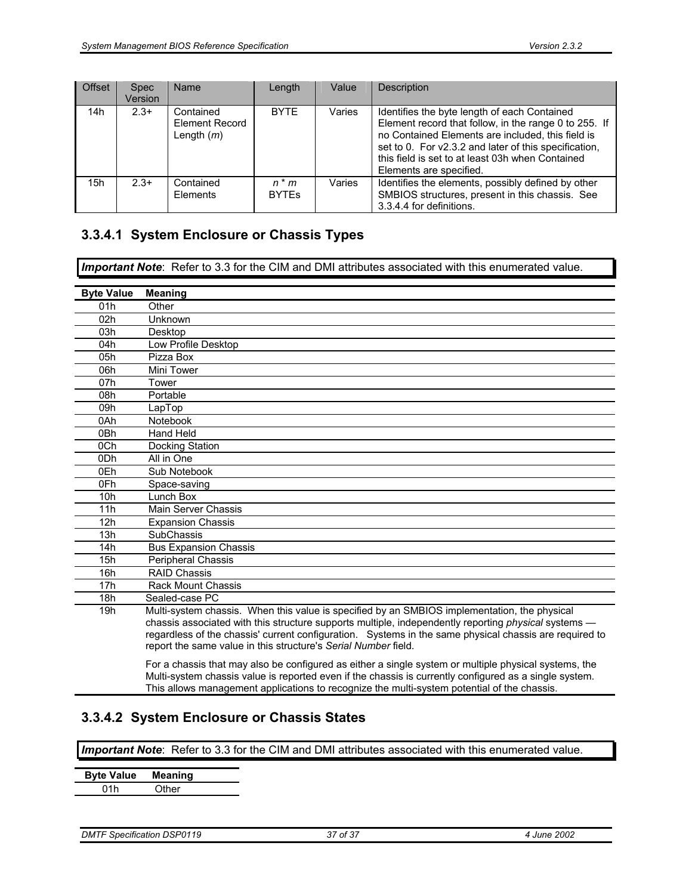| <b>Offset</b> | <b>Spec</b><br>Version | <b>Name</b>                                        | Length                  | Value  | Description                                                                                                                                                                                                                                                                                        |
|---------------|------------------------|----------------------------------------------------|-------------------------|--------|----------------------------------------------------------------------------------------------------------------------------------------------------------------------------------------------------------------------------------------------------------------------------------------------------|
| 14h           | $2.3+$                 | Contained<br><b>Element Record</b><br>Length $(m)$ | <b>BYTE</b>             | Varies | Identifies the byte length of each Contained<br>Element record that follow, in the range 0 to 255. If<br>no Contained Elements are included, this field is<br>set to 0. For v2.3.2 and later of this specification,<br>this field is set to at least 03h when Contained<br>Elements are specified. |
| 15h           | $2.3+$                 | Contained<br>Elements                              | $n * m$<br><b>BYTES</b> | Varies | Identifies the elements, possibly defined by other<br>SMBIOS structures, present in this chassis. See<br>3.3.4.4 for definitions.                                                                                                                                                                  |

## **3.3.4.1 System Enclosure or Chassis Types**

*Important Note*: Refer to 3.3 for the CIM and DMI attributes associated with this enumerated value.

| <b>Byte Value</b> | <b>Meaning</b>                                                                                                                                                                                                                                                                                                                                                                          |
|-------------------|-----------------------------------------------------------------------------------------------------------------------------------------------------------------------------------------------------------------------------------------------------------------------------------------------------------------------------------------------------------------------------------------|
| 01h               | Other                                                                                                                                                                                                                                                                                                                                                                                   |
| 02h               | Unknown                                                                                                                                                                                                                                                                                                                                                                                 |
| 03h               | Desktop                                                                                                                                                                                                                                                                                                                                                                                 |
| 04h               | Low Profile Desktop                                                                                                                                                                                                                                                                                                                                                                     |
| 05h               | Pizza Box                                                                                                                                                                                                                                                                                                                                                                               |
| 06h               | Mini Tower                                                                                                                                                                                                                                                                                                                                                                              |
| 07h               | Tower                                                                                                                                                                                                                                                                                                                                                                                   |
| 08h               | Portable                                                                                                                                                                                                                                                                                                                                                                                |
| 09h               | LapTop                                                                                                                                                                                                                                                                                                                                                                                  |
| 0Ah               | Notebook                                                                                                                                                                                                                                                                                                                                                                                |
| 0 <sub>Bh</sub>   | Hand Held                                                                                                                                                                                                                                                                                                                                                                               |
| 0Ch               | Docking Station                                                                                                                                                                                                                                                                                                                                                                         |
| 0 <sub>Dh</sub>   | All in One                                                                                                                                                                                                                                                                                                                                                                              |
| 0Eh               | Sub Notebook                                                                                                                                                                                                                                                                                                                                                                            |
| 0Fh               | Space-saving                                                                                                                                                                                                                                                                                                                                                                            |
| 10 <sub>h</sub>   | Lunch Box                                                                                                                                                                                                                                                                                                                                                                               |
| 11h               | Main Server Chassis                                                                                                                                                                                                                                                                                                                                                                     |
| 12h               | <b>Expansion Chassis</b>                                                                                                                                                                                                                                                                                                                                                                |
| 13h               | <b>SubChassis</b>                                                                                                                                                                                                                                                                                                                                                                       |
| 14h               | <b>Bus Expansion Chassis</b>                                                                                                                                                                                                                                                                                                                                                            |
| 15h               | <b>Peripheral Chassis</b>                                                                                                                                                                                                                                                                                                                                                               |
| 16h               | <b>RAID Chassis</b>                                                                                                                                                                                                                                                                                                                                                                     |
| 17 <sub>h</sub>   | <b>Rack Mount Chassis</b>                                                                                                                                                                                                                                                                                                                                                               |
| 18h               | Sealed-case PC                                                                                                                                                                                                                                                                                                                                                                          |
| 19h               | Multi-system chassis. When this value is specified by an SMBIOS implementation, the physical<br>chassis associated with this structure supports multiple, independently reporting <i>physical</i> systems —<br>regardless of the chassis' current configuration. Systems in the same physical chassis are required to<br>report the same value in this structure's Serial Number field. |
|                   | For a chassis that may also be configured as either a single system or multiple physical systems, the                                                                                                                                                                                                                                                                                   |

For a chassis that may also be configured as either a single system or multiple physical systems, the Multi-system chassis value is reported even if the chassis is currently configured as a single system. This allows management applications to recognize the multi-system potential of the chassis.

# **3.3.4.2 System Enclosure or Chassis States**

*Important Note*: Refer to 3.3 for the CIM and DMI attributes associated with this enumerated value.

| <b>Byte Value</b> | <b>Meaning</b> |
|-------------------|----------------|
| 01h               | Other          |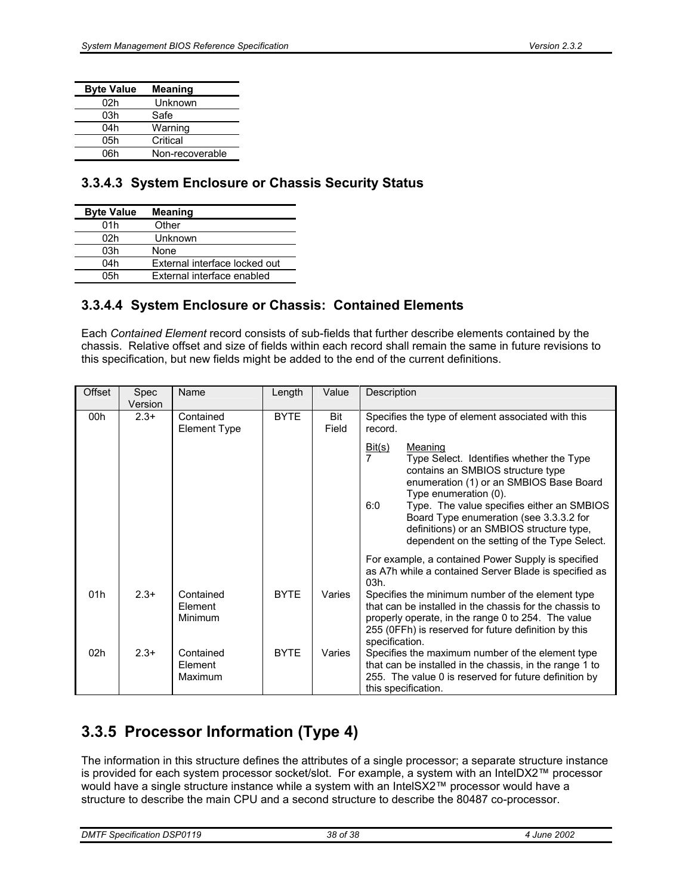| <b>Byte Value</b> | <b>Meaning</b>  |
|-------------------|-----------------|
| 02h               | Unknown         |
| 03h               | Safe            |
| 04h               | Warning         |
| 05h               | Critical        |
| 06h               | Non-recoverable |

## **3.3.4.3 System Enclosure or Chassis Security Status**

| <b>Byte Value</b> | <b>Meaning</b>                |
|-------------------|-------------------------------|
| 01h               | Other                         |
| 02h               | Unknown                       |
| 03h               | None                          |
| 04h               | External interface locked out |
| 05h               | External interface enabled    |

## **3.3.4.4 System Enclosure or Chassis: Contained Elements**

Each *Contained Element* record consists of sub-fields that further describe elements contained by the chassis. Relative offset and size of fields within each record shall remain the same in future revisions to this specification, but new fields might be added to the end of the current definitions.

| Offset          | <b>Spec</b><br>Version | Name                             | Length      | Value        | Description                                                                                                                                                                                                                                                                                                                                                                           |  |
|-----------------|------------------------|----------------------------------|-------------|--------------|---------------------------------------------------------------------------------------------------------------------------------------------------------------------------------------------------------------------------------------------------------------------------------------------------------------------------------------------------------------------------------------|--|
| 00h             | $2.3+$                 | Contained<br><b>Element Type</b> | <b>BYTE</b> | Bit<br>Field | Specifies the type of element associated with this<br>record.                                                                                                                                                                                                                                                                                                                         |  |
|                 |                        |                                  |             |              | Bit(s)<br>Meaning<br>$\overline{7}$<br>Type Select. Identifies whether the Type<br>contains an SMBIOS structure type<br>enumeration (1) or an SMBIOS Base Board<br>Type enumeration (0).<br>6:0<br>Type. The value specifies either an SMBIOS<br>Board Type enumeration (see 3.3.3.2 for<br>definitions) or an SMBIOS structure type,<br>dependent on the setting of the Type Select. |  |
|                 |                        |                                  |             |              | For example, a contained Power Supply is specified<br>as A7h while a contained Server Blade is specified as<br>03h.                                                                                                                                                                                                                                                                   |  |
| 01h             | $2.3+$                 | Contained<br>Element<br>Minimum  | <b>BYTE</b> | Varies       | Specifies the minimum number of the element type<br>that can be installed in the chassis for the chassis to<br>properly operate, in the range 0 to 254. The value<br>255 (OFFh) is reserved for future definition by this<br>specification.                                                                                                                                           |  |
| 02 <sub>h</sub> | $2.3+$                 | Contained<br>Element<br>Maximum  | <b>BYTE</b> | Varies       | Specifies the maximum number of the element type<br>that can be installed in the chassis, in the range 1 to<br>255. The value 0 is reserved for future definition by<br>this specification.                                                                                                                                                                                           |  |

# **3.3.5 Processor Information (Type 4)**

The information in this structure defines the attributes of a single processor; a separate structure instance is provided for each system processor socket/slot. For example, a system with an IntelDX2™ processor would have a single structure instance while a system with an IntelSX2™ processor would have a structure to describe the main CPU and a second structure to describe the 80487 co-processor.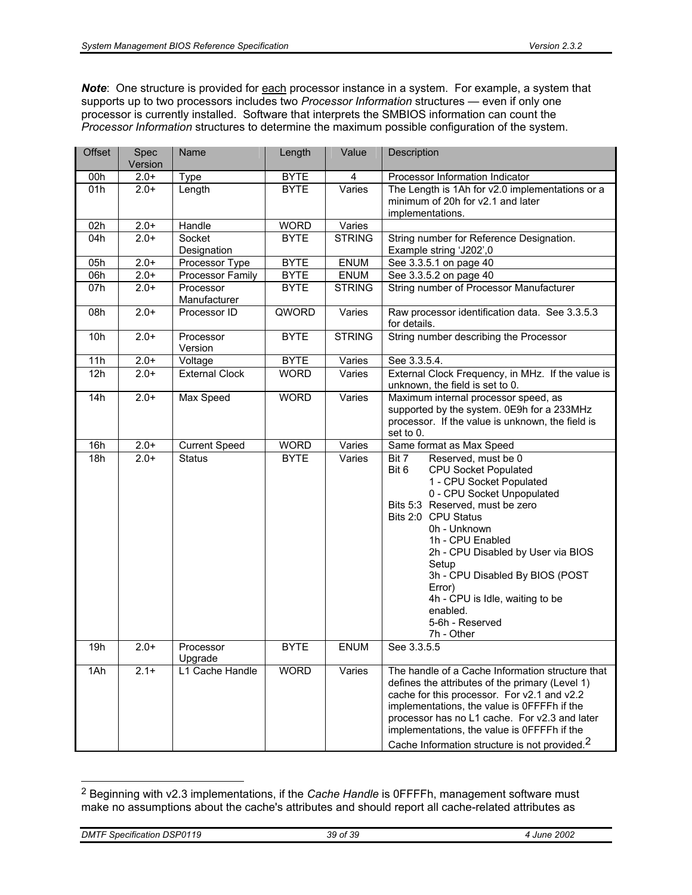*Note*: One structure is provided for each processor instance in a system. For example, a system that supports up to two processors includes two *Processor Information* structures — even if only one processor is currently installed. Software that interprets the SMBIOS information can count the *Processor Information* structures to determine the maximum possible configuration of the system.

| Offset | Spec<br>Version | Name                      | Length      | Value         | Description                                                                                                                                                                                                                                                                                                                                                                                              |  |
|--------|-----------------|---------------------------|-------------|---------------|----------------------------------------------------------------------------------------------------------------------------------------------------------------------------------------------------------------------------------------------------------------------------------------------------------------------------------------------------------------------------------------------------------|--|
| 00h    | $2.0+$          | Type                      | <b>BYTE</b> | 4             | Processor Information Indicator                                                                                                                                                                                                                                                                                                                                                                          |  |
| 01h    | $2.0+$          | Length                    | <b>BYTE</b> | Varies        | The Length is 1Ah for v2.0 implementations or a<br>minimum of 20h for v2.1 and later<br>implementations.                                                                                                                                                                                                                                                                                                 |  |
| 02h    | $2.0+$          | Handle                    | <b>WORD</b> | Varies        |                                                                                                                                                                                                                                                                                                                                                                                                          |  |
| 04h    | $2.0+$          | Socket<br>Designation     | <b>BYTE</b> | <b>STRING</b> | String number for Reference Designation.<br>Example string 'J202',0                                                                                                                                                                                                                                                                                                                                      |  |
| 05h    | $2.0+$          | Processor Type            | <b>BYTE</b> | <b>ENUM</b>   | See 3.3.5.1 on page 40                                                                                                                                                                                                                                                                                                                                                                                   |  |
| 06h    | $2.0+$          | Processor Family          | <b>BYTE</b> | <b>ENUM</b>   | See 3.3.5.2 on page 40                                                                                                                                                                                                                                                                                                                                                                                   |  |
| 07h    | $2.0+$          | Processor<br>Manufacturer | <b>BYTE</b> | <b>STRING</b> | String number of Processor Manufacturer                                                                                                                                                                                                                                                                                                                                                                  |  |
| 08h    | $2.0+$          | Processor ID              | QWORD       | Varies        | Raw processor identification data. See 3.3.5.3<br>for details.                                                                                                                                                                                                                                                                                                                                           |  |
| 10h    | $2.0+$          | Processor<br>Version      | <b>BYTE</b> | <b>STRING</b> | String number describing the Processor                                                                                                                                                                                                                                                                                                                                                                   |  |
| 11h    | $2.0+$          | Voltage                   | <b>BYTE</b> | Varies        | See 3.3.5.4.                                                                                                                                                                                                                                                                                                                                                                                             |  |
| 12h    | $2.0+$          | External Clock            | <b>WORD</b> | Varies        | External Clock Frequency, in MHz. If the value is<br>unknown, the field is set to 0.                                                                                                                                                                                                                                                                                                                     |  |
| 14h    | $2.0+$          | Max Speed                 | <b>WORD</b> | Varies        | Maximum internal processor speed, as<br>supported by the system. 0E9h for a 233MHz<br>processor. If the value is unknown, the field is<br>set to 0.                                                                                                                                                                                                                                                      |  |
| 16h    | $2.0+$          | Current Speed             | <b>WORD</b> | Varies        | Same format as Max Speed                                                                                                                                                                                                                                                                                                                                                                                 |  |
| 18h    | $2.0+$          | <b>Status</b>             | <b>BYTE</b> | Varies        | Bit 7<br>Reserved, must be 0<br>Bit 6<br><b>CPU Socket Populated</b><br>1 - CPU Socket Populated<br>0 - CPU Socket Unpopulated<br>Bits 5:3 Reserved, must be zero<br>Bits 2:0 CPU Status<br>0h - Unknown<br>1h - CPU Enabled<br>2h - CPU Disabled by User via BIOS<br>Setup<br>3h - CPU Disabled By BIOS (POST<br>Error)<br>4h - CPU is Idle, waiting to be<br>enabled.<br>5-6h - Reserved<br>7h - Other |  |
| 19h    | $2.0+$          | Processor<br>Upgrade      | <b>BYTE</b> | <b>ENUM</b>   | See 3.3.5.5                                                                                                                                                                                                                                                                                                                                                                                              |  |
| 1Ah    | $2.1 +$         | L1 Cache Handle           | <b>WORD</b> | Varies        | The handle of a Cache Information structure that<br>defines the attributes of the primary (Level 1)<br>cache for this processor. For v2.1 and v2.2<br>implementations, the value is OFFFFh if the<br>processor has no L1 cache. For v2.3 and later<br>implementations, the value is OFFFFh if the<br>Cache Information structure is not provided. <sup>2</sup>                                           |  |

<sup>2</sup> Beginning with v2.3 implementations, if the *Cache Handle* is 0FFFFh, management software must make no assumptions about the cache's attributes and should report all cache-related attributes as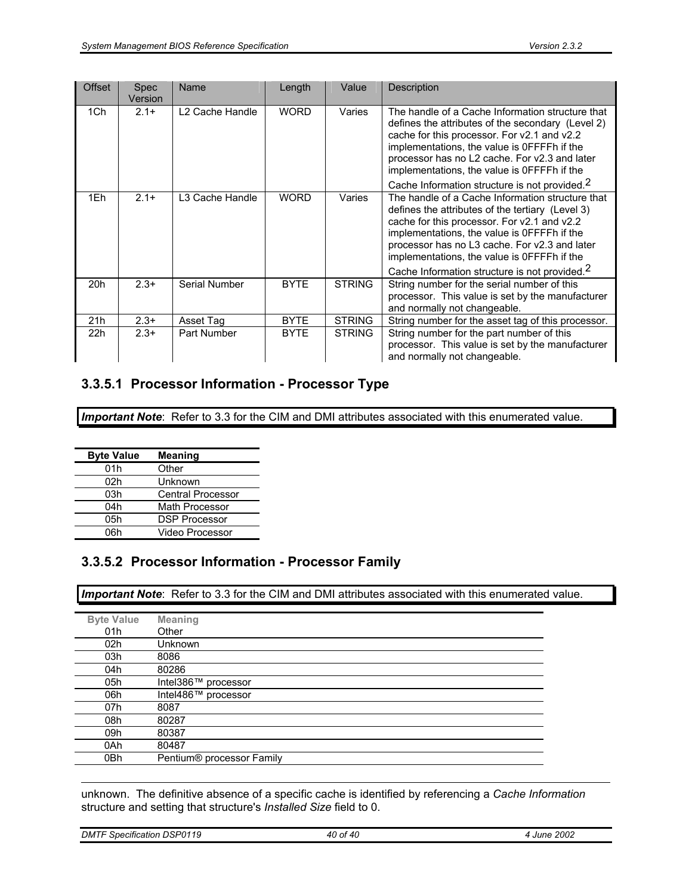| <b>Offset</b> | Spec<br>Version | Name                        | Length      | Value         | Description                                                                                                                                                                                                                                                                                                                                                      |
|---------------|-----------------|-----------------------------|-------------|---------------|------------------------------------------------------------------------------------------------------------------------------------------------------------------------------------------------------------------------------------------------------------------------------------------------------------------------------------------------------------------|
| 1Ch           | $2.1+$          | L <sub>2</sub> Cache Handle | <b>WORD</b> | Varies        | The handle of a Cache Information structure that<br>defines the attributes of the secondary (Level 2)<br>cache for this processor. For v2.1 and v2.2<br>implementations, the value is OFFFFh if the<br>processor has no L2 cache. For v2.3 and later<br>implementations, the value is OFFFFh if the<br>Cache Information structure is not provided. <sup>2</sup> |
| 1Eh           | $2.1+$          | L3 Cache Handle             | <b>WORD</b> | Varies        | The handle of a Cache Information structure that<br>defines the attributes of the tertiary (Level 3)<br>cache for this processor. For v2.1 and v2.2<br>implementations, the value is OFFFFh if the<br>processor has no L3 cache. For v2.3 and later<br>implementations, the value is OFFFFh if the<br>Cache Information structure is not provided. <sup>2</sup>  |
| 20h           | $2.3+$          | Serial Number               | <b>BYTE</b> | <b>STRING</b> | String number for the serial number of this<br>processor. This value is set by the manufacturer<br>and normally not changeable.                                                                                                                                                                                                                                  |
| 21h           | $2.3+$          | Asset Tag                   | <b>BYTE</b> | <b>STRING</b> | String number for the asset tag of this processor.                                                                                                                                                                                                                                                                                                               |
| 22h           | $2.3+$          | Part Number                 | <b>BYTE</b> | <b>STRING</b> | String number for the part number of this<br>processor. This value is set by the manufacturer<br>and normally not changeable.                                                                                                                                                                                                                                    |

## **3.3.5.1 Processor Information - Processor Type**

**Important Note**: Refer to 3.3 for the CIM and DMI attributes associated with this enumerated value.

| <b>Byte Value</b> | <b>Meaning</b>           |
|-------------------|--------------------------|
| 01h               | Other                    |
| 02h               | Unknown                  |
| 03h               | <b>Central Processor</b> |
| 04h               | Math Processor           |
| 05h               | <b>DSP Processor</b>     |
| 06h               | Video Processor          |

## **3.3.5.2 Processor Information - Processor Family**

*Important Note*: Refer to 3.3 for the CIM and DMI attributes associated with this enumerated value.

| <b>Byte Value</b> | <b>Meaning</b>            |
|-------------------|---------------------------|
| 01h               | Other                     |
| 02h               | <b>Unknown</b>            |
| 03h               | 8086                      |
| 04h               | 80286                     |
| 05h               | Intel386™ processor       |
| 06h               | Intel486™ processor       |
| 07h               | 8087                      |
| 08h               | 80287                     |
| 09h               | 80387                     |
| 0Ah               | 80487                     |
| 0Bh               | Pentium® processor Family |
|                   |                           |

unknown. The definitive absence of a specific cache is identified by referencing a *Cache Information* structure and setting that structure's *Installed Size* field to 0.

| <b>DMTF Specification DSP0119</b> | 40 of 40 | 2002<br>June |
|-----------------------------------|----------|--------------|
|                                   |          |              |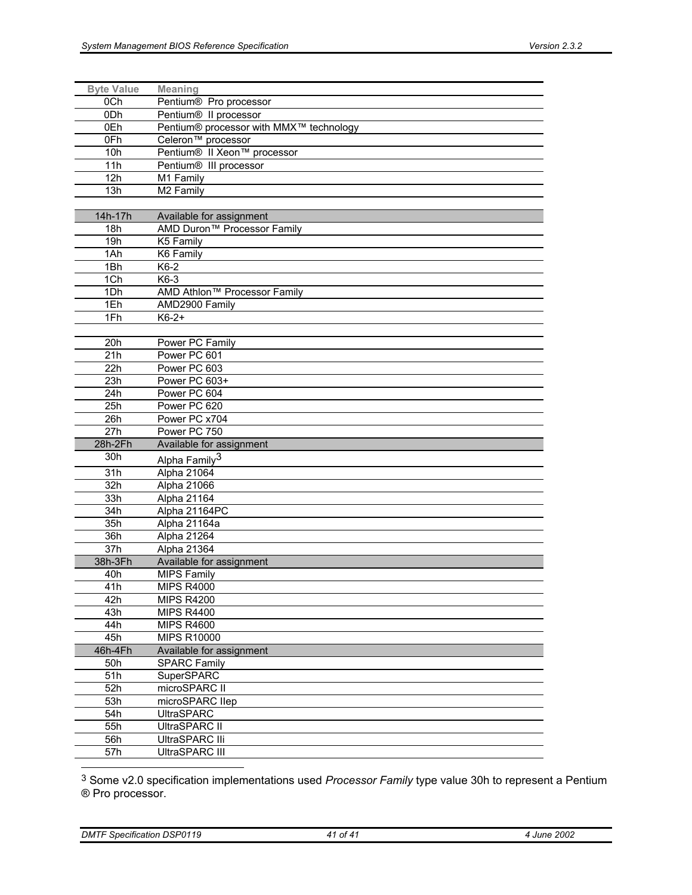| <b>Byte Value</b> | <b>Meaning</b>                          |
|-------------------|-----------------------------------------|
| 0Ch               | Pentium® Pro processor                  |
| 0Dh               | Pentium® II processor                   |
| 0Eh               | Pentium® processor with MMX™ technology |
| 0Fh               | Celeron <sup>™</sup> processor          |
| 10h               | Pentium® II Xeon™ processor             |
| 11h               | Pentium® III processor                  |
| 12h               | M1 Family                               |
| 13h               | M2 Family                               |
|                   |                                         |
| 14h-17h           | Available for assignment                |
| 18h               | AMD Duron <sup>™</sup> Processor Family |
| 19h               | K5 Family                               |
| 1Ah               | K6 Family                               |
| 1Bh               | K6-2                                    |
| 1Ch               | K6-3                                    |
| 1Dh               | AMD Athlon™ Processor Family            |
| 1Eh               | AMD2900 Family                          |
| 1Fh               | $K6-2+$                                 |
|                   |                                         |
| 20h               | Power PC Family                         |
| 21h               | Power PC 601                            |
| 22h               | Power PC 603                            |
| 23h               | Power PC 603+                           |
| 24h               | Power PC 604                            |
| 25h               | Power PC 620                            |
| 26h               | Power PC x704                           |
| 27h               | Power PC 750                            |
| 28h-2Fh           | Available for assignment                |
| 30h               | Alpha Family <sup>3</sup>               |
| 31h               | Alpha 21064                             |
| 32h               | Alpha 21066                             |
| 33h               | Alpha 21164                             |
| 34h               |                                         |
|                   | Alpha 21164PC                           |
| 35h               | Alpha 21164a                            |
| 36h               | Alpha 21264                             |
| 37h<br>38h-3Fh    | Alpha 21364                             |
|                   | Available for assignment                |
| 40h               | <b>MIPS Family</b>                      |
| 41h               | <b>MIPS R4000</b>                       |
| 42h               | <b>MIPS R4200</b>                       |
| 43h               | <b>MIPS R4400</b>                       |
| 44h               | <b>MIPS R4600</b>                       |
| 45h               | <b>MIPS R10000</b>                      |
| 46h-4Fh           | Available for assignment                |
| 50h               | <b>SPARC Family</b>                     |
| 51h               | SuperSPARC                              |
| 52h               | microSPARC II                           |
| 53h               | microSPARC Ilep                         |
| 54h               | <b>UltraSPARC</b>                       |
| 55h               | UltraSPARC II                           |
| 56h               | UltraSPARC IIi                          |
| 57h               | UltraSPARC III                          |

3 Some v2.0 specification implementations used *Processor Family* type value 30h to represent a Pentium ® Pro processor.

*DMTF Specification DSP0119 41 of 41 4 June 2002*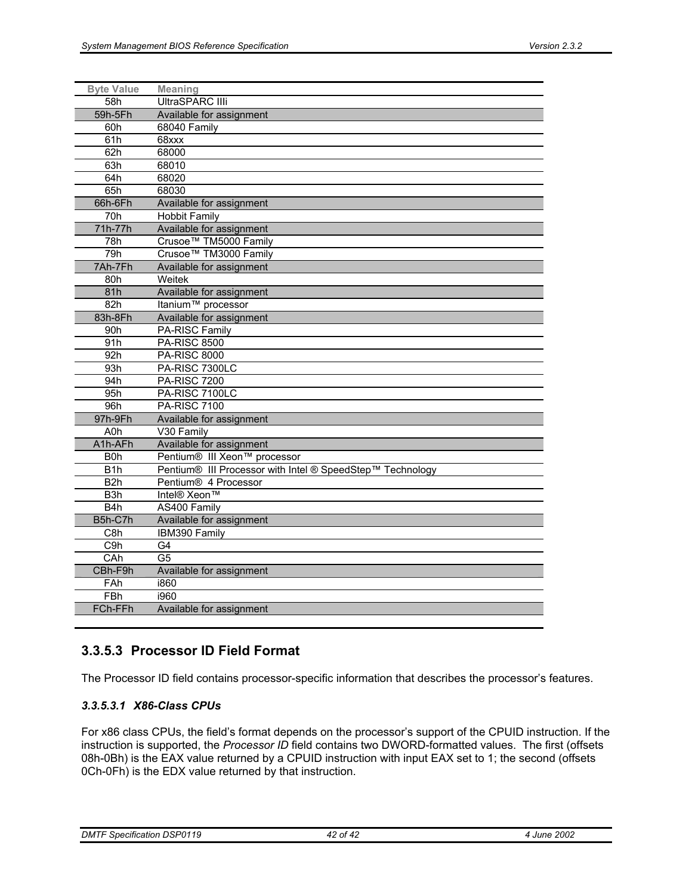| <b>Byte Value</b> | <b>Meaning</b>                                            |
|-------------------|-----------------------------------------------------------|
| 58h               | UltraSPARC IIIi                                           |
| 59h-5Fh           | Available for assignment                                  |
| 60h               | 68040 Family                                              |
| 61h               | 68xxx                                                     |
| 62h               | 68000                                                     |
| 63h               | 68010                                                     |
| 64h               | 68020                                                     |
| 65h               | 68030                                                     |
| 66h-6Fh           | Available for assignment                                  |
| 70h               | <b>Hobbit Family</b>                                      |
| 71h-77h           | Available for assignment                                  |
| 78h               | Crusoe™ TM5000 Family                                     |
| 79h               | Crusoe™ TM3000 Family                                     |
| 7Ah-7Fh           | Available for assignment                                  |
| 80h               | Weitek                                                    |
| 81h               | Available for assignment                                  |
| 82h               | Itanium <sup>™</sup> processor                            |
| 83h-8Fh           | Available for assignment                                  |
| 90h               | PA-RISC Family                                            |
| 91h               | <b>PA-RISC 8500</b>                                       |
| 92h               | <b>PA-RISC 8000</b>                                       |
| 93h               | PA-RISC 7300LC                                            |
| 94h               | <b>PA-RISC 7200</b>                                       |
| 95h               | PA-RISC 7100LC                                            |
| 96h               | <b>PA-RISC 7100</b>                                       |
| 97h-9Fh           | Available for assignment                                  |
| A0h               | V30 Family                                                |
| A1h-AFh           | Available for assignment                                  |
| B <sub>0</sub> h  | Pentium® III Xeon™ processor                              |
| B <sub>1</sub> h  | Pentium® III Processor with Intel ® SpeedStep™ Technology |
| B <sub>2</sub> h  | Pentium® 4 Processor                                      |
| B3h               | Intel® Xeon™                                              |
| B <sub>4</sub> h  | AS400 Family                                              |
| B5h-C7h           | Available for assignment                                  |
| C8h               | IBM390 Family                                             |
| C9h               | G4                                                        |
| CAh               | G <sub>5</sub>                                            |
| CBh-F9h           | Available for assignment                                  |
| FAh               | i860                                                      |
| <b>FBh</b>        | i960                                                      |
| FCh-FFh           | Available for assignment                                  |

## **3.3.5.3 Processor ID Field Format**

The Processor ID field contains processor-specific information that describes the processor's features.

### *3.3.5.3.1 X86-Class CPUs*

For x86 class CPUs, the field's format depends on the processor's support of the CPUID instruction. If the instruction is supported, the *Processor ID* field contains two DWORD-formatted values. The first (offsets 08h-0Bh) is the EAX value returned by a CPUID instruction with input EAX set to 1; the second (offsets 0Ch-0Fh) is the EDX value returned by that instruction.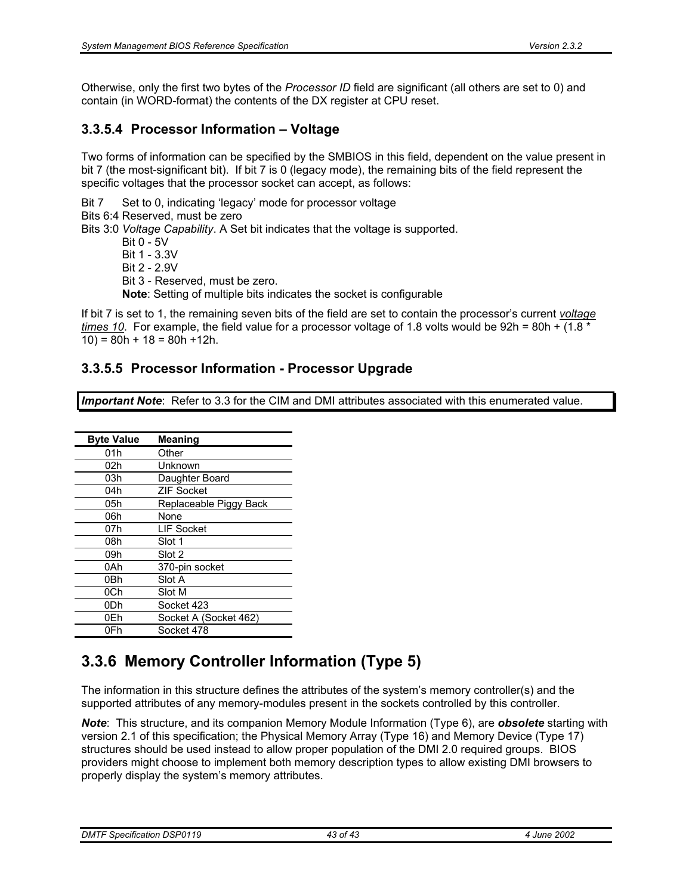Otherwise, only the first two bytes of the *Processor ID* field are significant (all others are set to 0) and contain (in WORD-format) the contents of the DX register at CPU reset.

# **3.3.5.4 Processor Information – Voltage**

Two forms of information can be specified by the SMBIOS in this field, dependent on the value present in bit 7 (the most-significant bit). If bit 7 is 0 (legacy mode), the remaining bits of the field represent the specific voltages that the processor socket can accept, as follows:

Bit 7 Set to 0, indicating 'legacy' mode for processor voltage

Bits 6:4 Reserved, must be zero

Bits 3:0 *Voltage Capability*. A Set bit indicates that the voltage is supported.

 Bit 0 - 5V Bit 1 - 3.3V Bit 2 - 2.9V Bit 3 - Reserved, must be zero. **Note**: Setting of multiple bits indicates the socket is configurable

If bit 7 is set to 1, the remaining seven bits of the field are set to contain the processor's current *voltage times 10.* For example, the field value for a processor voltage of 1.8 volts would be 92h = 80h + (1.8 \*  $10$ ) = 80h + 18 = 80h + 12h.

# **3.3.5.5 Processor Information - Processor Upgrade**

*Important Note*: Refer to 3.3 for the CIM and DMI attributes associated with this enumerated value.

| <b>Byte Value</b> | <b>Meaning</b>         |
|-------------------|------------------------|
| 01h               | Other                  |
| 02h               | Unknown                |
| 03h               | Daughter Board         |
| 04h               | <b>ZIF Socket</b>      |
| 05h               | Replaceable Piggy Back |
| 06h               | None                   |
| 07h               | LIF Socket             |
| 08h               | Slot 1                 |
| 09h               | Slot 2                 |
| 0Ah               | 370-pin socket         |
| 0Bh               | Slot A                 |
| 0Ch               | Slot M                 |
| 0Dh               | Socket 423             |
| 0Eh               | Socket A (Socket 462)  |
| 0Fh               | Socket 478             |

# **3.3.6 Memory Controller Information (Type 5)**

The information in this structure defines the attributes of the system's memory controller(s) and the supported attributes of any memory-modules present in the sockets controlled by this controller.

*Note*: This structure, and its companion Memory Module Information (Type 6), are *obsolete* starting with version 2.1 of this specification; the Physical Memory Array (Type 16) and Memory Device (Type 17) structures should be used instead to allow proper population of the DMI 2.0 required groups. BIOS providers might choose to implement both memory description types to allow existing DMI browsers to properly display the system's memory attributes.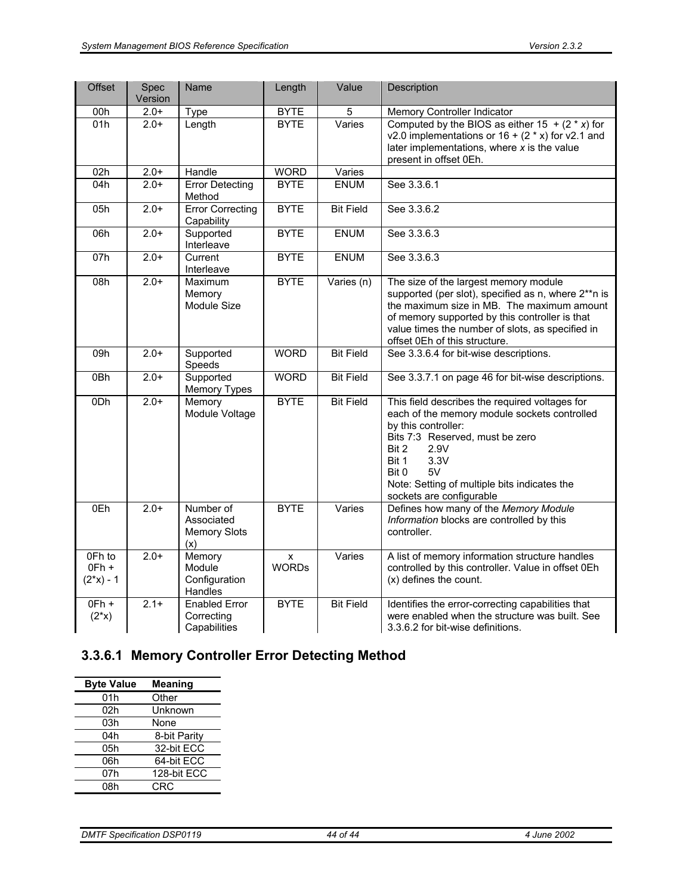| <b>Offset</b>                    | Spec<br>Version | Name                                                  | Length            | Value            | Description                                                                                                                                                                                                                                                                           |
|----------------------------------|-----------------|-------------------------------------------------------|-------------------|------------------|---------------------------------------------------------------------------------------------------------------------------------------------------------------------------------------------------------------------------------------------------------------------------------------|
| 00h                              | $2.0+$          | Type                                                  | <b>BYTE</b>       | 5                | Memory Controller Indicator                                                                                                                                                                                                                                                           |
| 01h                              | $2.0+$          | Length                                                | <b>BYTE</b>       | Varies           | Computed by the BIOS as either $15 + (2 \cdot x)$ for<br>v2.0 implementations or $16 + (2 * x)$ for v2.1 and<br>later implementations, where $x$ is the value<br>present in offset 0Eh.                                                                                               |
| 02h                              | $2.0+$          | Handle                                                | <b>WORD</b>       | Varies           |                                                                                                                                                                                                                                                                                       |
| 04h                              | $2.0+$          | <b>Error Detecting</b><br>Method                      | <b>BYTE</b>       | <b>ENUM</b>      | See 3.3.6.1                                                                                                                                                                                                                                                                           |
| 05h                              | $2.0+$          | <b>Error Correcting</b><br>Capability                 | <b>BYTE</b>       | <b>Bit Field</b> | See 3.3.6.2                                                                                                                                                                                                                                                                           |
| 06h                              | $2.0+$          | Supported<br>Interleave                               | <b>BYTE</b>       | <b>ENUM</b>      | See 3.3.6.3                                                                                                                                                                                                                                                                           |
| 07h                              | $2.0+$          | Current<br>Interleave                                 | <b>BYTE</b>       | <b>ENUM</b>      | See 3.3.6.3                                                                                                                                                                                                                                                                           |
| 08h                              | $2.0+$          | Maximum<br>Memory<br>Module Size                      | <b>BYTE</b>       | Varies (n)       | The size of the largest memory module<br>supported (per slot), specified as n, where 2**n is<br>the maximum size in MB. The maximum amount<br>of memory supported by this controller is that<br>value times the number of slots, as specified in<br>offset 0Eh of this structure.     |
| 09h                              | $2.0+$          | Supported<br>Speeds                                   | <b>WORD</b>       | <b>Bit Field</b> | See 3.3.6.4 for bit-wise descriptions.                                                                                                                                                                                                                                                |
| 0Bh                              | $2.0+$          | Supported<br><b>Memory Types</b>                      | <b>WORD</b>       | <b>Bit Field</b> | See 3.3.7.1 on page 46 for bit-wise descriptions.                                                                                                                                                                                                                                     |
| 0 <sub>Dh</sub>                  | $2.0+$          | Memory<br>Module Voltage                              | <b>BYTE</b>       | <b>Bit Field</b> | This field describes the required voltages for<br>each of the memory module sockets controlled<br>by this controller:<br>Bits 7:3 Reserved, must be zero<br>Bit 2<br>2.9V<br>Bit 1<br>3.3V<br>Bit 0<br>5V<br>Note: Setting of multiple bits indicates the<br>sockets are configurable |
| 0Eh                              | $2.0+$          | Number of<br>Associated<br><b>Memory Slots</b><br>(x) | <b>BYTE</b>       | Varies           | Defines how many of the Memory Module<br>Information blocks are controlled by this<br>controller.                                                                                                                                                                                     |
| 0Fh to<br>$OFh +$<br>$(2*x) - 1$ | $2.0+$          | Memory<br>Module<br>Configuration<br>Handles          | X<br><b>WORDs</b> | Varies           | A list of memory information structure handles<br>controlled by this controller. Value in offset 0Eh<br>(x) defines the count.                                                                                                                                                        |
| $OFh +$<br>$(2^{*}x)$            | $2.1+$          | <b>Enabled Error</b><br>Correcting<br>Capabilities    | <b>BYTE</b>       | <b>Bit Field</b> | Identifies the error-correcting capabilities that<br>were enabled when the structure was built. See<br>3.3.6.2 for bit-wise definitions.                                                                                                                                              |

# **3.3.6.1 Memory Controller Error Detecting Method**

| <b>Byte Value</b> | Meaning      |
|-------------------|--------------|
| 01h               | Other        |
| 02h               | Unknown      |
| 03h               | None         |
| 04h               | 8-bit Parity |
| 05h               | 32-bit ECC   |
| 06h               | 64-bit ECC   |
| 07h               | 128-bit ECC  |
| 08h               | <b>CRC</b>   |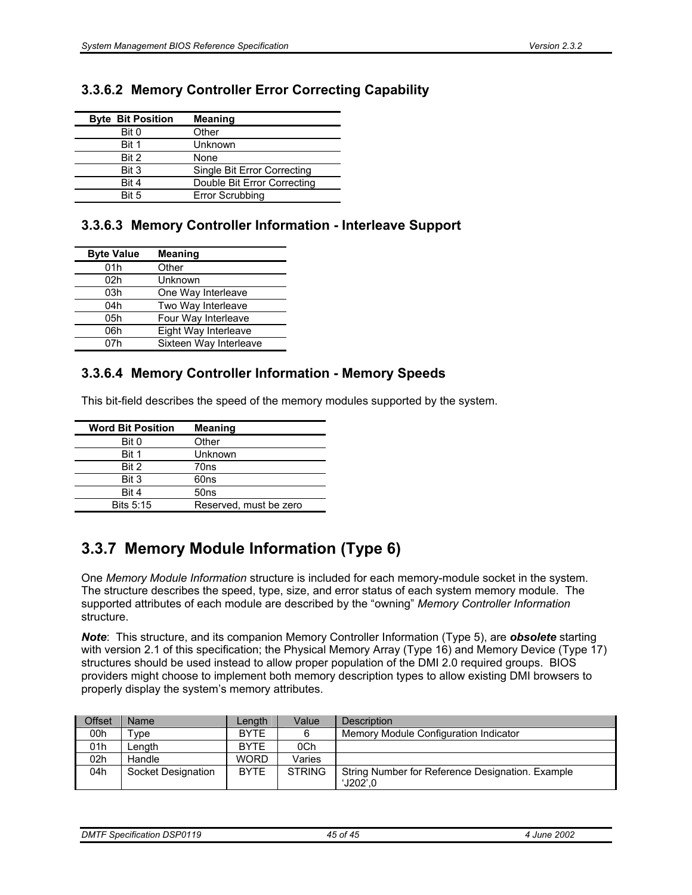|  |  | 3.3.6.2 Memory Controller Error Correcting Capability |  |  |  |
|--|--|-------------------------------------------------------|--|--|--|
|--|--|-------------------------------------------------------|--|--|--|

| <b>Byte Bit Position</b> | <b>Meaning</b>              |
|--------------------------|-----------------------------|
| Bit 0                    | Other                       |
| Bit 1                    | Unknown                     |
| Bit 2                    | None                        |
| Bit 3                    | Single Bit Error Correcting |
| Bit 4                    | Double Bit Error Correcting |
| Rit 5                    | <b>Error Scrubbing</b>      |

## **3.3.6.3 Memory Controller Information - Interleave Support**

| <b>Byte Value</b> | <b>Meaning</b>         |
|-------------------|------------------------|
| 01h               | Other                  |
| 02h               | Unknown                |
| 03h               | One Way Interleave     |
| 04h               | Two Way Interleave     |
| 05h               | Four Way Interleave    |
| 06h               | Eight Way Interleave   |
| n7h               | Sixteen Way Interleave |

## **3.3.6.4 Memory Controller Information - Memory Speeds**

This bit-field describes the speed of the memory modules supported by the system.

| <b>Word Bit Position</b> | <b>Meaning</b>         |
|--------------------------|------------------------|
| Bit 0                    | Other                  |
| Bit 1                    | Unknown                |
| Bit 2                    | 70ns                   |
| Bit 3                    | 60ns                   |
| Bit 4                    | 50ns                   |
| Bits 5:15                | Reserved, must be zero |

# **3.3.7 Memory Module Information (Type 6)**

One *Memory Module Information* structure is included for each memory-module socket in the system. The structure describes the speed, type, size, and error status of each system memory module. The supported attributes of each module are described by the "owning" *Memory Controller Information* structure.

*Note*: This structure, and its companion Memory Controller Information (Type 5), are *obsolete* starting with version 2.1 of this specification; the Physical Memory Array (Type 16) and Memory Device (Type 17) structures should be used instead to allow proper population of the DMI 2.0 required groups. BIOS providers might choose to implement both memory description types to allow existing DMI browsers to properly display the system's memory attributes.

| <b>Offset</b> | <b>Name</b>        | Lenath      | Value         | <b>Description</b>                                              |
|---------------|--------------------|-------------|---------------|-----------------------------------------------------------------|
| 00h           | $\mathsf{vpe}$     | <b>BYTE</b> |               | Memory Module Configuration Indicator                           |
| 01h           | Length             | <b>BYTE</b> | 0Ch           |                                                                 |
| 02h           | Handle             | <b>WORD</b> | Varies        |                                                                 |
| 04h           | Socket Designation | <b>BYTE</b> | <b>STRING</b> | String Number for Reference Designation. Example<br>$'$ J202'.0 |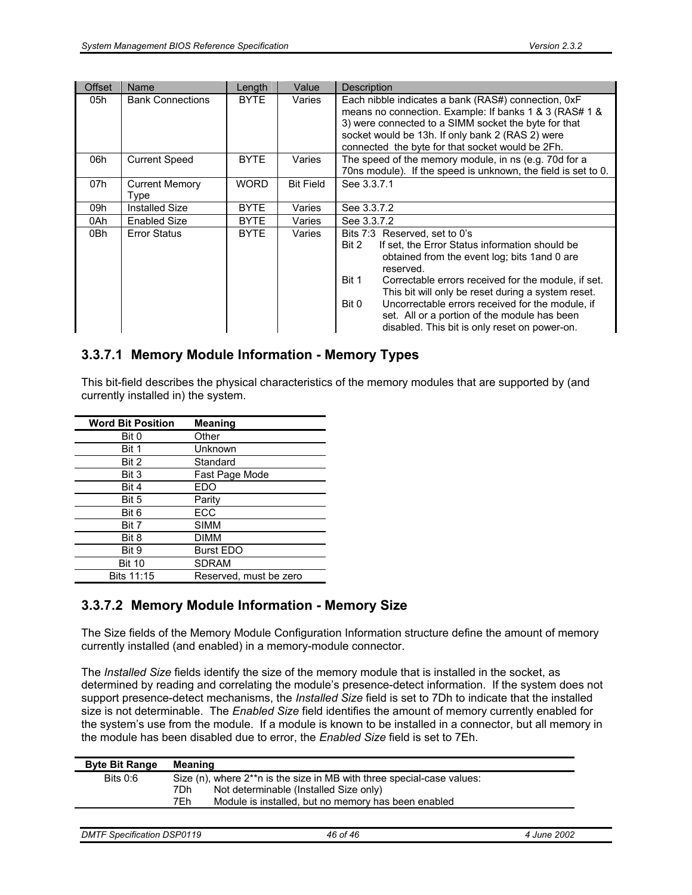| <b>Offset</b> | Name                          | Length      | Value            | <b>Description</b>                                                                                                                                                                                                                                                                                                                                                                                                                         |
|---------------|-------------------------------|-------------|------------------|--------------------------------------------------------------------------------------------------------------------------------------------------------------------------------------------------------------------------------------------------------------------------------------------------------------------------------------------------------------------------------------------------------------------------------------------|
| 05h           | <b>Bank Connections</b>       | <b>BYTE</b> | Varies           | Each nibble indicates a bank (RAS#) connection, 0xF<br>means no connection. Example: If banks 1 & 3 (RAS# 1 &<br>3) were connected to a SIMM socket the byte for that<br>socket would be 13h. If only bank 2 (RAS 2) were<br>connected the byte for that socket would be 2Fh.                                                                                                                                                              |
| 06h           | <b>Current Speed</b>          | <b>BYTE</b> | Varies           | The speed of the memory module, in ns (e.g. 70d for a<br>70ns module). If the speed is unknown, the field is set to 0.                                                                                                                                                                                                                                                                                                                     |
| 07h           | <b>Current Memory</b><br>Type | <b>WORD</b> | <b>Bit Field</b> | See 3.3.7.1                                                                                                                                                                                                                                                                                                                                                                                                                                |
| 09h           | Installed Size                | <b>BYTE</b> | Varies           | See 3.3.7.2                                                                                                                                                                                                                                                                                                                                                                                                                                |
| 0Ah           | <b>Enabled Size</b>           | <b>BYTE</b> | Varies           | See 3.3.7.2                                                                                                                                                                                                                                                                                                                                                                                                                                |
| 0Bh           | <b>Error Status</b>           | <b>BYTE</b> | Varies           | Bits 7:3 Reserved, set to 0's<br>Bit 2<br>If set, the Error Status information should be<br>obtained from the event log; bits 1 and 0 are<br>reserved.<br>Bit 1<br>Correctable errors received for the module, if set.<br>This bit will only be reset during a system reset.<br>Uncorrectable errors received for the module, if<br>Bit 0<br>set. All or a portion of the module has been<br>disabled. This bit is only reset on power-on. |

### **3.3.7.1 Memory Module Information - Memory Types**

This bit-field describes the physical characteristics of the memory modules that are supported by (and currently installed in) the system.

| <b>Word Bit Position</b> | <b>Meaning</b>         |
|--------------------------|------------------------|
| Bit 0                    | Other                  |
| Bit 1                    | Unknown                |
| Bit 2                    | Standard               |
| Bit 3                    | Fast Page Mode         |
| Bit 4                    | EDO                    |
| Bit 5                    | Parity                 |
| Bit 6                    | ECC                    |
| Bit 7                    | <b>SIMM</b>            |
| Bit 8                    | DIMM                   |
| Bit 9                    | <b>Burst EDO</b>       |
| <b>Bit 10</b>            | <b>SDRAM</b>           |
| Bits 11:15               | Reserved, must be zero |

## **3.3.7.2 Memory Module Information - Memory Size**

The Size fields of the Memory Module Configuration Information structure define the amount of memory currently installed (and enabled) in a memory-module connector.

The *Installed Size* fields identify the size of the memory module that is installed in the socket, as determined by reading and correlating the module's presence-detect information. If the system does not support presence-detect mechanisms, the *Installed Size* field is set to 7Dh to indicate that the installed size is not determinable. The *Enabled Size* field identifies the amount of memory currently enabled for the system's use from the module. If a module is known to be installed in a connector, but all memory in the module has been disabled due to error, the *Enabled Size* field is set to 7Eh.

| Bits $0:6$<br>Size (n), where 2**n is the size in MB with three special-case values: |  |
|--------------------------------------------------------------------------------------|--|
| Not determinable (Installed Size only)<br>7Dh                                        |  |
| 7Eh<br>Module is installed, but no memory has been enabled                           |  |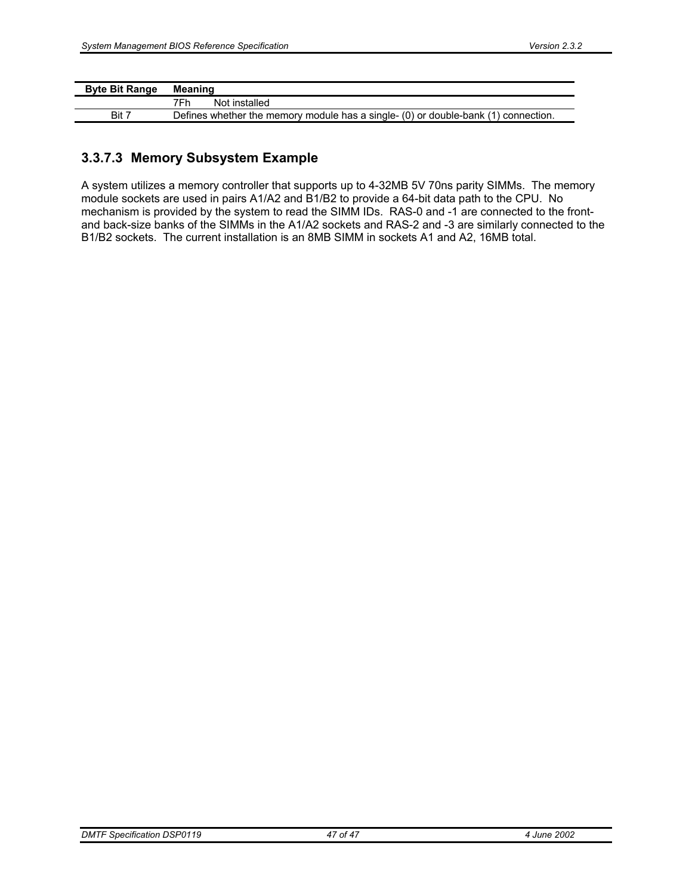| <b>Byte Bit Range</b> | Meaning                                                                            |
|-----------------------|------------------------------------------------------------------------------------|
|                       | 7Fh<br>Not installed                                                               |
| Bit 7                 | Defines whether the memory module has a single- (0) or double-bank (1) connection. |

## **3.3.7.3 Memory Subsystem Example**

A system utilizes a memory controller that supports up to 4-32MB 5V 70ns parity SIMMs. The memory module sockets are used in pairs A1/A2 and B1/B2 to provide a 64-bit data path to the CPU. No mechanism is provided by the system to read the SIMM IDs. RAS-0 and -1 are connected to the frontand back-size banks of the SIMMs in the A1/A2 sockets and RAS-2 and -3 are similarly connected to the B1/B2 sockets. The current installation is an 8MB SIMM in sockets A1 and A2, 16MB total.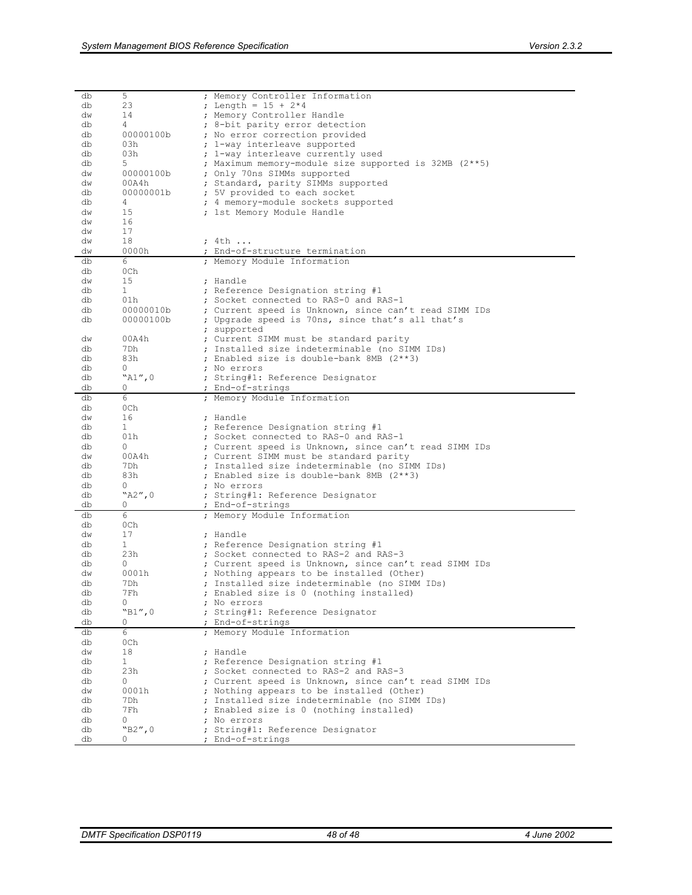| db | 5            | ; Memory Controller Information                       |
|----|--------------|-------------------------------------------------------|
| db | 23           | ; Length = $15 + 2*4$                                 |
| dw | 14           | ; Memory Controller Handle                            |
| db | 4            | 8-bit parity error detection                          |
| db | 00000100b    | ; No error correction provided                        |
| db | 03h          | ; 1-way interleave supported                          |
| db | 03h          | ; 1-way interleave currently used                     |
| db | 5            | ; Maximum memory-module size supported is 32MB (2**5) |
|    |              |                                                       |
| dw | 00000100b    | ; Only 70ns SIMMs supported                           |
| dw | 00A4h        | ; Standard, parity SIMMs supported                    |
| db | 00000001b    | ; 5V provided to each socket                          |
| db | 4            | ; 4 memory-module sockets supported                   |
| dw | 15           | ; 1st Memory Module Handle                            |
| dw | 16           |                                                       |
| dw | 17           |                                                       |
| dw | 18           | ; 4th                                                 |
| dw | 0000h        | ; End-of-structure termination                        |
| db | 6            | ; Memory Module Information                           |
| db | 0Ch          |                                                       |
| dw | 15           | ; Handle                                              |
| db | $\mathbf{1}$ | ; Reference Designation string #1                     |
| db | 01h          | ; Socket connected to RAS-0 and RAS-1                 |
| db |              |                                                       |
|    | 00000010b    | ; Current speed is Unknown, since can't read SIMM IDs |
| db | 00000100b    | ; Upgrade speed is 70ns, since that's all that's      |
|    |              | ; supported                                           |
| dw | 00A4h        | ; Current SIMM must be standard parity                |
| db | 7Dh          | Installed size indeterminable (no SIMM IDs)           |
| db | 83h          | ; Enabled size is double-bank 8MB (2**3)              |
| db | 0            | ; No errors                                           |
| db | "A1",0       | ; String#1: Reference Designator                      |
| db | 0            | ; End-of-strings                                      |
| db | 6            | ; Memory Module Information                           |
| db | 0Ch          |                                                       |
| dw | 16           | ; Handle                                              |
| db | $\mathbf{1}$ | ; Reference Designation string #1                     |
| db | 01h          | ; Socket connected to RAS-0 and RAS-1                 |
| db | 0            | ; Current speed is Unknown, since can't read SIMM IDs |
| dw | 00A4h        | ; Current SIMM must be standard parity                |
|    | 7Dh          | ; Installed size indeterminable (no SIMM IDs)         |
| db |              |                                                       |
| db | 83h          | ; Enabled size is double-bank 8MB (2**3)              |
| db | 0            | ; No errors                                           |
| db | "A2",0       | ; String#1: Reference Designator                      |
| db | U            | End-of-strings                                        |
| db | 6            | ; Memory Module Information                           |
| db | 0Ch          |                                                       |
| dw | 17           | ; Handle                                              |
| db | 1            | ; Reference Designation string #1                     |
| db | 23h          | ; Socket connected to RAS-2 and RAS-3                 |
| db | 0            | ; Current speed is Unknown, since can't read SIMM IDs |
| dw | 0001h        | ; Nothing appears to be installed (Other)             |
| db | 7Dh          | ; Installed size indeterminable (no SIMM IDs)         |
| db | 7Fh          | ; Enabled size is 0 (nothing installed)               |
| db | $\circ$      | ; No errors                                           |
| db | "B1",0       | ; String#1: Reference Designator                      |
| db | 0            | ; End-of-strings                                      |
|    |              |                                                       |
| db | 6            | ; Memory Module Information                           |
| db | 0Ch          |                                                       |
| dw | 18           | ; Handle                                              |
| db | $\mathbf{1}$ | ; Reference Designation string #1                     |
| db | 23h          | : Socket connected to RAS-2 and RAS-3                 |
| db | 0            | ; Current speed is Unknown, since can't read SIMM IDs |
| dw | 0001h        | ; Nothing appears to be installed (Other)             |
| db | 7Dh          | ; Installed size indeterminable (no SIMM IDs)         |
| db | 7Fh          | ; Enabled size is 0 (nothing installed)               |
| db | 0            | ; No errors                                           |
| db | "B2",0       | ; String#1: Reference Designator                      |
| db | 0            | ; End-of-strings                                      |
|    |              |                                                       |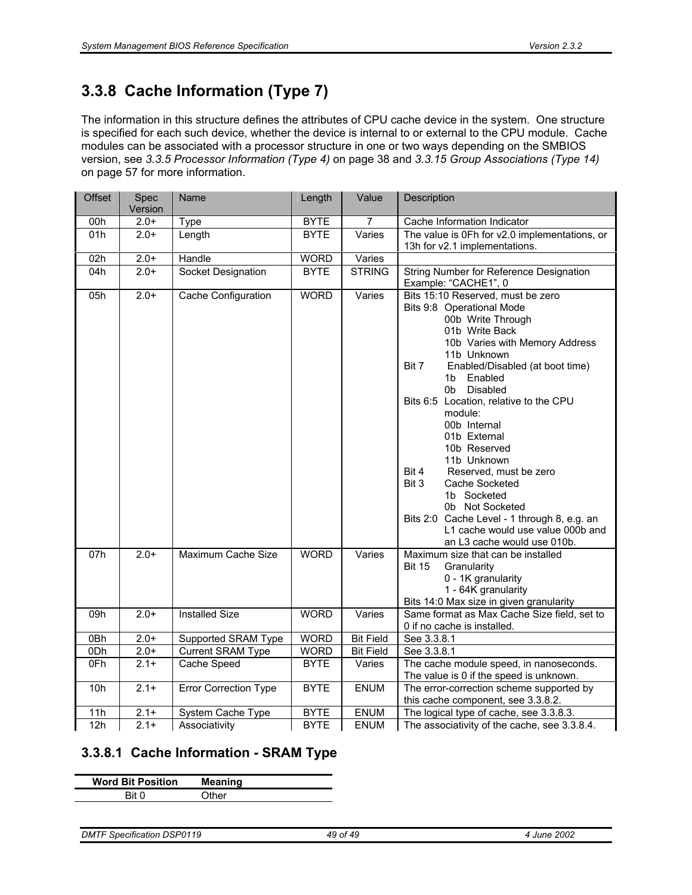# **3.3.8 Cache Information (Type 7)**

The information in this structure defines the attributes of CPU cache device in the system. One structure is specified for each such device, whether the device is internal to or external to the CPU module. Cache modules can be associated with a processor structure in one or two ways depending on the SMBIOS version, see *3.3.5 Processor Information (Type 4)* on page 38 and *3.3.15 Group Associations (Type 14)* on page 57 for more information.

| <b>Offset</b><br>Spec<br>Name<br>Length<br>Value<br>Description<br>Version                                                                                                                                                                                  |                                                                                                                                                                                                                                                                                                                                                                                |
|-------------------------------------------------------------------------------------------------------------------------------------------------------------------------------------------------------------------------------------------------------------|--------------------------------------------------------------------------------------------------------------------------------------------------------------------------------------------------------------------------------------------------------------------------------------------------------------------------------------------------------------------------------|
| $2.0+$<br>00h<br>Type<br><b>BYTE</b><br>Cache Information Indicator<br>7                                                                                                                                                                                    |                                                                                                                                                                                                                                                                                                                                                                                |
| 01h<br>$2.0+$<br>Length<br><b>BYTE</b><br>Varies<br>13h for v2.1 implementations.                                                                                                                                                                           | The value is 0Fh for v2.0 implementations, or                                                                                                                                                                                                                                                                                                                                  |
| 02h<br>$2.0+$<br>Handle<br><b>WORD</b><br>Varies                                                                                                                                                                                                            |                                                                                                                                                                                                                                                                                                                                                                                |
| <b>STRING</b><br>04h<br>$2.0+$<br>Socket Designation<br><b>BYTE</b>                                                                                                                                                                                         | String Number for Reference Designation                                                                                                                                                                                                                                                                                                                                        |
| Example: "CACHE1", 0                                                                                                                                                                                                                                        |                                                                                                                                                                                                                                                                                                                                                                                |
| <b>WORD</b><br>Varies<br>05h<br>$2.0+$<br>Cache Configuration<br>Bits 9:8 Operational Mode<br>01b Write Back<br>11b Unknown<br>Bit 7<br>1b<br>0b<br>module:<br>00b Internal<br>01b External<br>10b Reserved<br>11b Unknown<br>Bit 4<br>Bit 3<br>1b Socketed | Bits 15:10 Reserved, must be zero<br>00b Write Through<br>10b Varies with Memory Address<br>Enabled/Disabled (at boot time)<br>Enabled<br>Disabled<br>Bits 6:5 Location, relative to the CPU<br>Reserved, must be zero<br>Cache Socketed<br>0b Not Socketed<br>Bits 2:0 Cache Level - 1 through 8, e.g. an<br>L1 cache would use value 000b and<br>an L3 cache would use 010b. |
| <b>WORD</b><br>07h<br>$2.0+$<br>Maximum Cache Size<br>Varies<br><b>Bit 15</b><br>Granularity                                                                                                                                                                | Maximum size that can be installed<br>0 - 1K granularity<br>1 - 64K granularity<br>Bits 14:0 Max size in given granularity                                                                                                                                                                                                                                                     |
| <b>Installed Size</b><br>09h<br>$2.0+$<br><b>WORD</b><br>Varies                                                                                                                                                                                             | Same format as Max Cache Size field, set to                                                                                                                                                                                                                                                                                                                                    |
| 0 if no cache is installed.                                                                                                                                                                                                                                 |                                                                                                                                                                                                                                                                                                                                                                                |
| See 3.3.8.1<br>0Bh<br>$2.0+$<br><b>WORD</b><br><b>Bit Field</b><br>Supported SRAM Type                                                                                                                                                                      |                                                                                                                                                                                                                                                                                                                                                                                |
| <b>Bit Field</b><br>ODh<br><b>Current SRAM Type</b><br><b>WORD</b><br>See 3.3.8.1<br>$2.0+$                                                                                                                                                                 |                                                                                                                                                                                                                                                                                                                                                                                |
| $2.1+$<br>0Fh<br>Cache Speed<br><b>BYTE</b><br>Varies                                                                                                                                                                                                       | The cache module speed, in nanoseconds.                                                                                                                                                                                                                                                                                                                                        |
|                                                                                                                                                                                                                                                             | The value is 0 if the speed is unknown.                                                                                                                                                                                                                                                                                                                                        |
| <b>ENUM</b><br>10h<br>$2.1+$<br><b>Error Correction Type</b><br><b>BYTE</b>                                                                                                                                                                                 | The error-correction scheme supported by                                                                                                                                                                                                                                                                                                                                       |
|                                                                                                                                                                                                                                                             |                                                                                                                                                                                                                                                                                                                                                                                |
|                                                                                                                                                                                                                                                             |                                                                                                                                                                                                                                                                                                                                                                                |
| <b>ENUM</b><br>11h<br>$2.1 +$<br><b>BYTE</b><br>System Cache Type                                                                                                                                                                                           | this cache component, see 3.3.8.2.<br>The logical type of cache, see 3.3.8.3.                                                                                                                                                                                                                                                                                                  |

## **3.3.8.1 Cache Information - SRAM Type**

| <b>Word Bit Position</b> | <b>Meaning</b> |
|--------------------------|----------------|
| ח Rit                    | Other          |
|                          |                |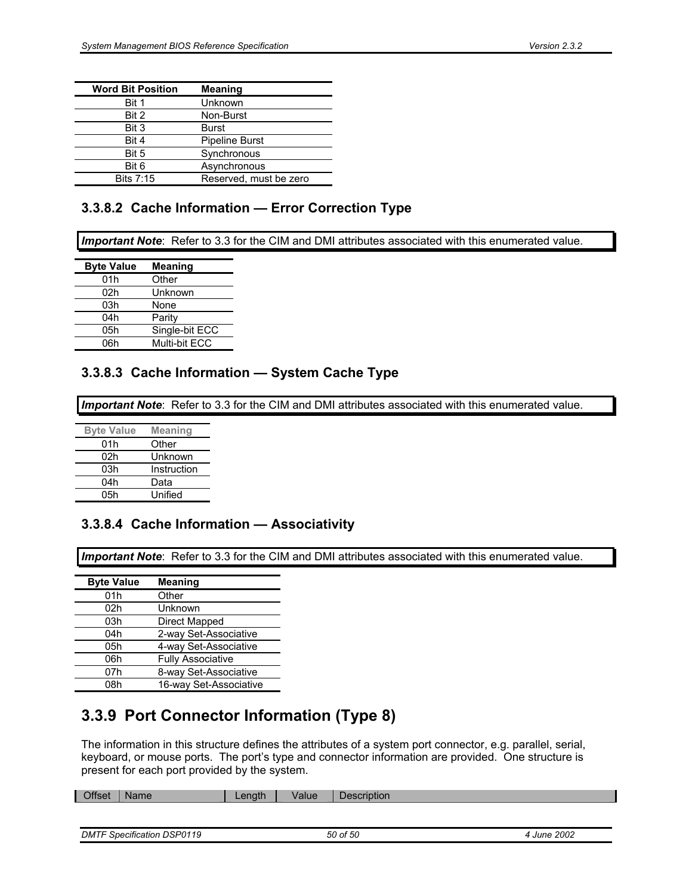| <b>Word Bit Position</b> | <b>Meaning</b>         |
|--------------------------|------------------------|
| Bit 1                    | Unknown                |
| Bit 2                    | Non-Burst              |
| Bit 3                    | Burst                  |
| Bit 4                    | <b>Pipeline Burst</b>  |
| Bit 5                    | Synchronous            |
| Bit 6                    | Asynchronous           |
| Bits 7:15                | Reserved, must be zero |

## **3.3.8.2 Cache Information — Error Correction Type**

*Important Note*: Refer to 3.3 for the CIM and DMI attributes associated with this enumerated value.

| <b>Meaning</b> |
|----------------|
| Other          |
| Unknown        |
| None           |
| Parity         |
| Single-bit ECC |
| Multi-bit ECC  |
|                |

### **3.3.8.3 Cache Information — System Cache Type**

*Important Note*: Refer to 3.3 for the CIM and DMI attributes associated with this enumerated value.

| <b>Byte Value</b> | <b>Meaning</b> |
|-------------------|----------------|
| 01h               | Other          |
| 02h               | Unknown        |
| 03h               | Instruction    |
| 04h               | Data           |
| 05h               | Unified        |

### **3.3.8.4 Cache Information — Associativity**

*Important Note*: Refer to 3.3 for the CIM and DMI attributes associated with this enumerated value.

| <b>Byte Value</b> | <b>Meaning</b>           |
|-------------------|--------------------------|
| 01h               | Other                    |
| 02h               | Unknown                  |
| 03h               | Direct Mapped            |
| 04h               | 2-way Set-Associative    |
| 05h               | 4-way Set-Associative    |
| 06h               | <b>Fully Associative</b> |
| 07h               | 8-way Set-Associative    |
| 08h               | 16-way Set-Associative   |

# **3.3.9 Port Connector Information (Type 8)**

The information in this structure defines the attributes of a system port connector, e.g. parallel, serial, keyboard, or mouse ports. The port's type and connector information are provided. One structure is present for each port provided by the system.

| <b>Offset</b> | <b>Name</b> | _ength | Value | <b>Description</b> |
|---------------|-------------|--------|-------|--------------------|
|               |             |        |       |                    |

```
DMTF Specification DSP0119 50 of 50 4 June 2002
```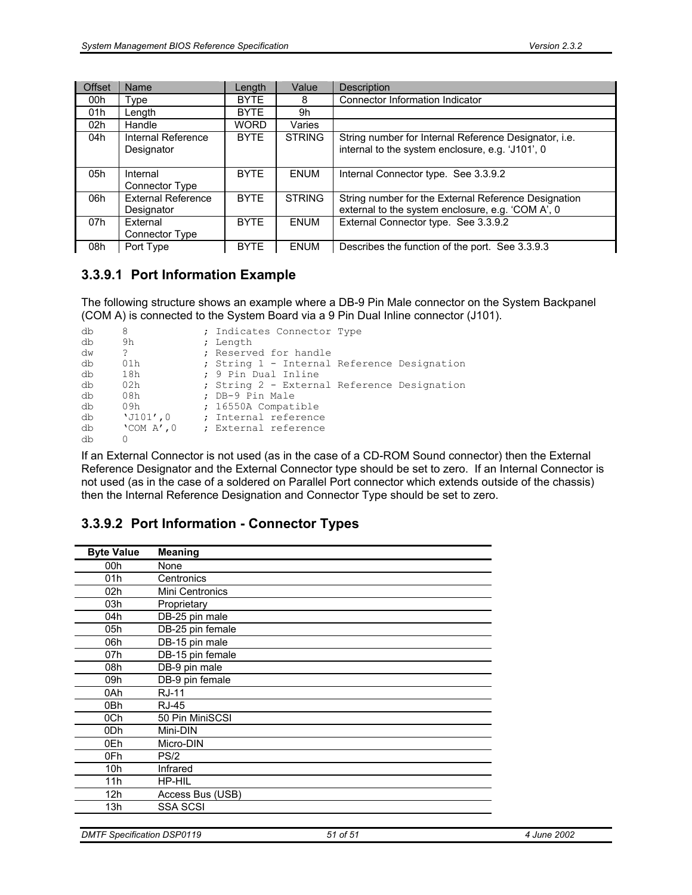| <b>Offset</b> | <b>Name</b>                             | Length      | Value         | <b>Description</b>                                                                                        |
|---------------|-----------------------------------------|-------------|---------------|-----------------------------------------------------------------------------------------------------------|
| 00h           | Type                                    | <b>BYTE</b> | 8             | Connector Information Indicator                                                                           |
| 01h           | Length                                  | <b>BYTE</b> | 9h            |                                                                                                           |
| 02h           | Handle                                  | <b>WORD</b> | Varies        |                                                                                                           |
| 04h           | Internal Reference<br>Designator        | <b>BYTE</b> | <b>STRING</b> | String number for Internal Reference Designator, i.e.<br>internal to the system enclosure, e.g. 'J101', 0 |
| 05h           | Internal<br>Connector Type              | <b>BYTE</b> | <b>ENUM</b>   | Internal Connector type. See 3.3.9.2                                                                      |
| 06h           | <b>External Reference</b><br>Designator | <b>BYTE</b> | <b>STRING</b> | String number for the External Reference Designation<br>external to the system enclosure, e.g. 'COM A', 0 |
| 07h           | External<br>Connector Type              | <b>BYTE</b> | <b>ENUM</b>   | External Connector type. See 3.3.9.2                                                                      |
| 08h           | Port Type                               | <b>BYTE</b> | <b>ENUM</b>   | Describes the function of the port. See 3.3.9.3                                                           |

## **3.3.9.1 Port Information Example**

The following structure shows an example where a DB-9 Pin Male connector on the System Backpanel (COM A) is connected to the System Board via a 9 Pin Dual Inline connector (J101).

| db | 8                 | ; Indicates Connector Type                  |  |
|----|-------------------|---------------------------------------------|--|
| db | 9h                | ; Length                                    |  |
| dw | $\tilde{ }$       | ; Reserved for handle                       |  |
| db | 01h               | ; String 1 - Internal Reference Designation |  |
| db | 18h               | ; 9 Pin Dual Inline                         |  |
| db | 02h               | ; String 2 - External Reference Designation |  |
| db | 08h               | ; DB-9 Pin Male                             |  |
| db | 09h               | ; 16550A Compatible                         |  |
| db | $'J101'$ ,0       | ; Internal reference                        |  |
| db | $'$ COM A $'$ , 0 | ; External reference                        |  |
| db | 0                 |                                             |  |

If an External Connector is not used (as in the case of a CD-ROM Sound connector) then the External Reference Designator and the External Connector type should be set to zero. If an Internal Connector is not used (as in the case of a soldered on Parallel Port connector which extends outside of the chassis) then the Internal Reference Designation and Connector Type should be set to zero.

## **3.3.9.2 Port Information - Connector Types**

| <b>Byte Value</b> | <b>Meaning</b>   |
|-------------------|------------------|
| 00h               | None             |
| 01h               | Centronics       |
| 02h               | Mini Centronics  |
| 03h               | Proprietary      |
| 04h               | DB-25 pin male   |
| 05h               | DB-25 pin female |
| 06h               | DB-15 pin male   |
| 07h               | DB-15 pin female |
| 08h               | DB-9 pin male    |
| 09h               | DB-9 pin female  |
| 0Ah               | <b>RJ-11</b>     |
| 0 <sub>Bh</sub>   | <b>RJ-45</b>     |
| 0Ch               | 50 Pin MiniSCSI  |
| 0 <sub>Dh</sub>   | Mini-DIN         |
| 0Eh               | Micro-DIN        |
| 0Fh               | PS/2             |
| 10h               | Infrared         |
| 11h               | HP-HIL           |
| 12h               | Access Bus (USB) |
| 13h               | <b>SSA SCSI</b>  |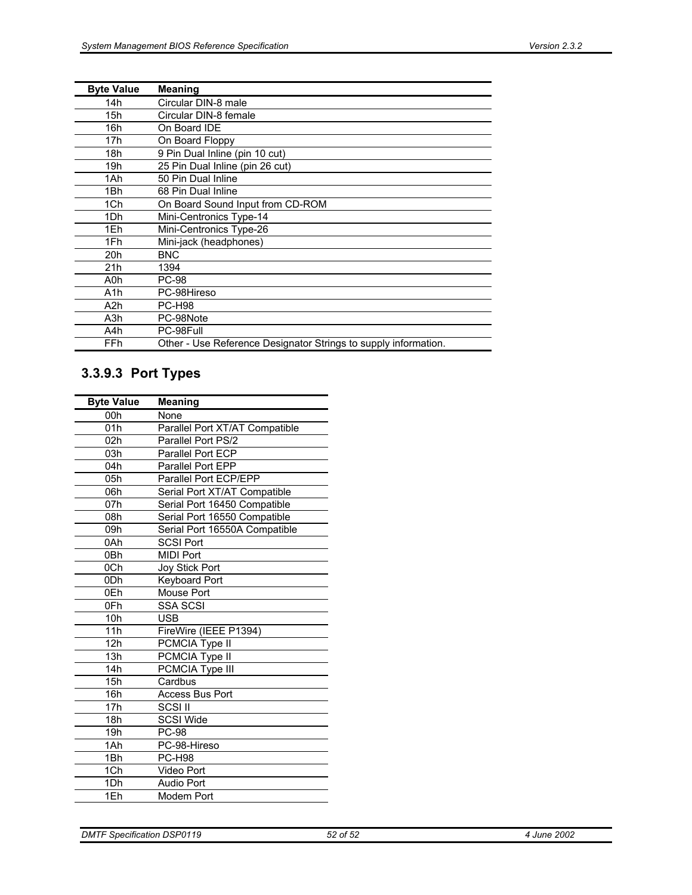| <b>Byte Value</b> | <b>Meaning</b>                                                  |
|-------------------|-----------------------------------------------------------------|
| 14h               | Circular DIN-8 male                                             |
| 15h               | Circular DIN-8 female                                           |
| 16h               | On Board IDE                                                    |
| 17h               | On Board Floppy                                                 |
| 18h               | 9 Pin Dual Inline (pin 10 cut)                                  |
| 19h               | 25 Pin Dual Inline (pin 26 cut)                                 |
| 1Ah               | 50 Pin Dual Inline                                              |
| 1Bh               | 68 Pin Dual Inline                                              |
| 1Ch               | On Board Sound Input from CD-ROM                                |
| 1Dh               | Mini-Centronics Type-14                                         |
| 1Eh               | Mini-Centronics Type-26                                         |
| 1Fh               | Mini-jack (headphones)                                          |
| 20h               | BNC                                                             |
| 21h               | 1394                                                            |
| A0h               | <b>PC-98</b>                                                    |
| A1h               | PC-98Hireso                                                     |
| A2h               | <b>PC-H98</b>                                                   |
| A3h               | PC-98Note                                                       |
| A4h               | PC-98Full                                                       |
| <b>FFh</b>        | Other - Use Reference Designator Strings to supply information. |

# **3.3.9.3 Port Types**

| <b>Byte Value</b> | Meaning                        |  |
|-------------------|--------------------------------|--|
| 00h               | None                           |  |
| 01h               | Parallel Port XT/AT Compatible |  |
| 02h               | Parallel Port PS/2             |  |
| 03h               | Parallel Port ECP              |  |
| 04h               | <b>Parallel Port EPP</b>       |  |
| 05h               | Parallel Port ECP/EPP          |  |
| 06h               | Serial Port XT/AT Compatible   |  |
| 07h               | Serial Port 16450 Compatible   |  |
| 08h               | Serial Port 16550 Compatible   |  |
| 09h               | Serial Port 16550A Compatible  |  |
| 0Ah               | <b>SCSI Port</b>               |  |
| 0 <sub>Bh</sub>   | MIDI Port                      |  |
| 0Ch               | <b>Joy Stick Port</b>          |  |
| 0 <sub>Dh</sub>   | <b>Keyboard Port</b>           |  |
| 0Eh               | Mouse Port                     |  |
| 0Fh               | SSA SCSI                       |  |
| 10h               | <b>USB</b>                     |  |
| 11h               | FireWire (IEEE P1394)          |  |
| 12h               | PCMCIA Type II                 |  |
| 13h               | PCMCIA Type II                 |  |
| 14h               | PCMCIA Type III                |  |
| 15h               | Cardbus                        |  |
| 16h               | <b>Access Bus Port</b>         |  |
| 17 <sub>h</sub>   | SCSI II                        |  |
| 18h               | <b>SCSI Wide</b>               |  |
| 19 <sub>h</sub>   | <b>PC-98</b>                   |  |
| 1Ah               | PC-98-Hireso                   |  |
| 1Bh               | <b>PC-H98</b>                  |  |
| 1Ch               | Video Port                     |  |
| 1Dh               | <b>Audio Port</b>              |  |
| 1Eh               | Modem Port                     |  |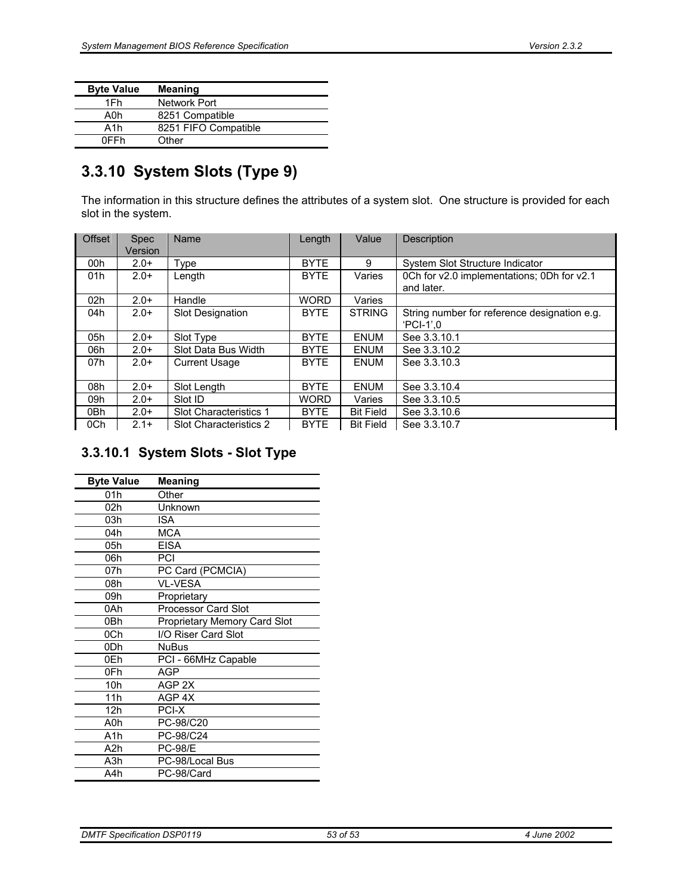| <b>Byte Value</b> | <b>Meaning</b>       |  |  |
|-------------------|----------------------|--|--|
| 1Fh               | Network Port         |  |  |
| A0h               | 8251 Compatible      |  |  |
| A1h               | 8251 FIFO Compatible |  |  |
| 0FFh              | Other                |  |  |

# **3.3.10 System Slots (Type 9)**

The information in this structure defines the attributes of a system slot. One structure is provided for each slot in the system.

| <b>Offset</b>   | <b>Spec</b><br>Version | Name                    | Length      | Value            | Description                                                 |
|-----------------|------------------------|-------------------------|-------------|------------------|-------------------------------------------------------------|
| 00h             | $2.0+$                 | Type                    | <b>BYTE</b> | 9                | System Slot Structure Indicator                             |
| 01h             | $2.0+$                 | Length                  | <b>BYTE</b> | Varies           | 0Ch for v2.0 implementations; 0Dh for v2.1<br>and later.    |
| 02 <sub>h</sub> | $2.0+$                 | Handle                  | <b>WORD</b> | Varies           |                                                             |
| 04h             | $2.0+$                 | <b>Slot Designation</b> | <b>BYTE</b> | <b>STRING</b>    | String number for reference designation e.g.<br>$'PCI-1'.0$ |
| 05h             | $2.0+$                 | Slot Type               | <b>BYTE</b> | <b>ENUM</b>      | See 3.3.10.1                                                |
| 06h             | $2.0+$                 | Slot Data Bus Width     | <b>BYTE</b> | <b>ENUM</b>      | See 3.3.10.2                                                |
| 07h             | $2.0+$                 | <b>Current Usage</b>    | <b>BYTE</b> | ENUM             | See 3.3.10.3                                                |
| 08h             | $2.0+$                 | Slot Length             | <b>BYTE</b> | <b>ENUM</b>      | See 3.3.10.4                                                |
| 09h             | $2.0+$                 | Slot ID                 | <b>WORD</b> | Varies           | See 3.3.10.5                                                |
| 0Bh             | $2.0+$                 | Slot Characteristics 1  | <b>BYTE</b> | <b>Bit Field</b> | See 3.3.10.6                                                |
| 0Ch             | $2.1+$                 | Slot Characteristics 2  | <b>BYTE</b> | <b>Bit Field</b> | See 3.3.10.7                                                |

# **3.3.10.1 System Slots - Slot Type**

| <b>Byte Value</b> | <b>Meaning</b>               |  |
|-------------------|------------------------------|--|
| 01h               | Other                        |  |
| 02h               | Unknown                      |  |
| 03h               | ISA                          |  |
| 04h               | <b>MCA</b>                   |  |
| 05h               | <b>EISA</b>                  |  |
| 06h               | PCI                          |  |
| 07h               | PC Card (PCMCIA)             |  |
| 08h               | <b>VL-VESA</b>               |  |
| 09h               | Proprietary                  |  |
| 0Ah               | Processor Card Slot          |  |
| 0Bh               | Proprietary Memory Card Slot |  |
| 0Ch               | I/O Riser Card Slot          |  |
| 0 <sub>Dh</sub>   | <b>NuBus</b>                 |  |
| 0Fh               | PCI - 66MHz Capable          |  |
| 0Fh               | AGP                          |  |
| 10h               | AGP <sub>2X</sub>            |  |
| 11h               | AGP <sub>4X</sub>            |  |
| 12h               | PCI-X                        |  |
| A0h               | PC-98/C20                    |  |
| A1h               | PC-98/C24                    |  |
| A2h               | <b>PC-98/E</b>               |  |
| A3h               | PC-98/Local Bus              |  |
| A4h               | PC-98/Card                   |  |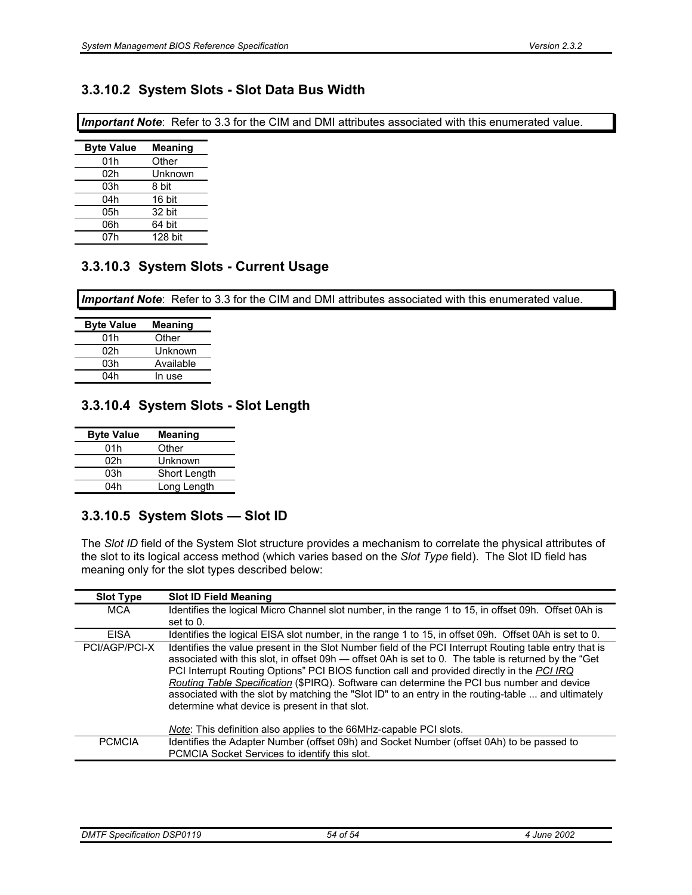## **3.3.10.2 System Slots - Slot Data Bus Width**

*Important Note*: Refer to 3.3 for the CIM and DMI attributes associated with this enumerated value.

| <b>Byte Value</b> | Meaning |
|-------------------|---------|
| 01h               | Other   |
| 02h               | Unknown |
| 03h               | 8 bit   |
| 04h               | 16 bit  |
| 05h               | 32 bit  |
| 06h               | 64 bit  |
| 07h               | 128 bit |

## **3.3.10.3 System Slots - Current Usage**

*Important Note*: Refer to 3.3 for the CIM and DMI attributes associated with this enumerated value.

| <b>Byte Value</b> | Meaning   |
|-------------------|-----------|
| 01h               | Other     |
| 02h               | Unknown   |
| 03h               | Available |
| 04h               | In use    |

### **3.3.10.4 System Slots - Slot Length**

| <b>Byte Value</b> | <b>Meaning</b> |
|-------------------|----------------|
| 01h               | Other          |
| 02h               | Unknown        |
| 03h               | Short Length   |
| 04h               | Long Length    |

## **3.3.10.5 System Slots — Slot ID**

The *Slot ID* field of the System Slot structure provides a mechanism to correlate the physical attributes of the slot to its logical access method (which varies based on the *Slot Type* field). The Slot ID field has meaning only for the slot types described below:

| <b>Slot Type</b> | <b>Slot ID Field Meaning</b>                                                                                                                                                                                                                                                                                                                                                                                                                                                                                                                                                                                                              |
|------------------|-------------------------------------------------------------------------------------------------------------------------------------------------------------------------------------------------------------------------------------------------------------------------------------------------------------------------------------------------------------------------------------------------------------------------------------------------------------------------------------------------------------------------------------------------------------------------------------------------------------------------------------------|
| <b>MCA</b>       | Identifies the logical Micro Channel slot number, in the range 1 to 15, in offset 09h. Offset 0Ah is<br>set to 0.                                                                                                                                                                                                                                                                                                                                                                                                                                                                                                                         |
| <b>EISA</b>      | Identifies the logical EISA slot number, in the range 1 to 15, in offset 09h. Offset 0Ah is set to 0.                                                                                                                                                                                                                                                                                                                                                                                                                                                                                                                                     |
| PCI/AGP/PCI-X    | Identifies the value present in the Slot Number field of the PCI Interrupt Routing table entry that is<br>associated with this slot, in offset 09h — offset 0Ah is set to 0. The table is returned by the "Get<br>PCI Interrupt Routing Options" PCI BIOS function call and provided directly in the PCI IRQ<br>Routing Table Specification (\$PIRQ). Software can determine the PCI bus number and device<br>associated with the slot by matching the "Slot ID" to an entry in the routing-table  and ultimately<br>determine what device is present in that slot.<br>Note: This definition also applies to the 66MHz-capable PCI slots. |
| <b>PCMCIA</b>    | Identifies the Adapter Number (offset 09h) and Socket Number (offset 0Ah) to be passed to<br>PCMCIA Socket Services to identify this slot.                                                                                                                                                                                                                                                                                                                                                                                                                                                                                                |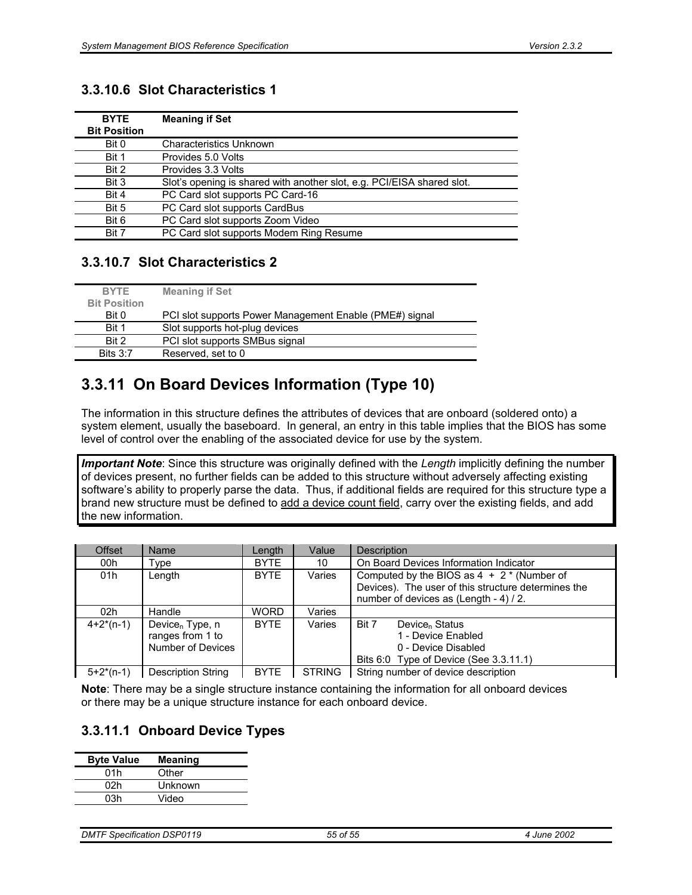## **3.3.10.6 Slot Characteristics 1**

| <b>BYTE</b><br><b>Bit Position</b> | <b>Meaning if Set</b>                                                  |
|------------------------------------|------------------------------------------------------------------------|
| Bit 0                              | <b>Characteristics Unknown</b>                                         |
| Bit 1                              | Provides 5.0 Volts                                                     |
| Bit 2                              | Provides 3.3 Volts                                                     |
| Bit 3                              | Slot's opening is shared with another slot, e.g. PCI/EISA shared slot. |
| Bit 4                              | PC Card slot supports PC Card-16                                       |
| Bit 5                              | PC Card slot supports CardBus                                          |
| Bit 6                              | PC Card slot supports Zoom Video                                       |
| Bit 7                              | PC Card slot supports Modem Ring Resume                                |

## **3.3.10.7 Slot Characteristics 2**

| <b>BYTE</b>         | <b>Meaning if Set</b>                                   |
|---------------------|---------------------------------------------------------|
| <b>Bit Position</b> |                                                         |
| Bit 0               | PCI slot supports Power Management Enable (PME#) signal |
| Bit 1               | Slot supports hot-plug devices                          |
| Bit 2               | PCI slot supports SMBus signal                          |
| Bits $3:7$          | Reserved, set to 0                                      |

# **3.3.11 On Board Devices Information (Type 10)**

The information in this structure defines the attributes of devices that are onboard (soldered onto) a system element, usually the baseboard. In general, an entry in this table implies that the BIOS has some level of control over the enabling of the associated device for use by the system.

*Important Note*: Since this structure was originally defined with the *Length* implicitly defining the number of devices present, no further fields can be added to this structure without adversely affecting existing software's ability to properly parse the data. Thus, if additional fields are required for this structure type a brand new structure must be defined to add a device count field, carry over the existing fields, and add the new information.

| <b>Offset</b>   | <b>Name</b>                                                            | Length      | Value         | <b>Description</b>                                                                                                                            |  |  |
|-----------------|------------------------------------------------------------------------|-------------|---------------|-----------------------------------------------------------------------------------------------------------------------------------------------|--|--|
| 00h             | Type                                                                   | <b>BYTE</b> | 10            | On Board Devices Information Indicator                                                                                                        |  |  |
| 01h             | Length                                                                 | <b>BYTE</b> | Varies        | Computed by the BIOS as $4 + 2$ * (Number of<br>Devices). The user of this structure determines the<br>number of devices as (Length - 4) / 2. |  |  |
| 02 <sub>h</sub> | Handle                                                                 | <b>WORD</b> | Varies        |                                                                                                                                               |  |  |
| $4+2^{*}(n-1)$  | Device <sub>n</sub> Type, $n$<br>ranges from 1 to<br>Number of Devices | <b>BYTE</b> | Varies        | Device <sub>n</sub> Status<br>Bit 7<br>1 - Device Enabled<br>0 - Device Disabled<br>Bits 6:0 Type of Device (See 3.3.11.1)                    |  |  |
| $5+2*(n-1)$     | <b>Description String</b>                                              | <b>BYTE</b> | <b>STRING</b> | String number of device description                                                                                                           |  |  |

**Note**: There may be a single structure instance containing the information for all onboard devices or there may be a unique structure instance for each onboard device.

## **3.3.11.1 Onboard Device Types**

| <b>Byte Value</b> | Meaning |
|-------------------|---------|
| 01h               | Other   |
| 02h               | Unknown |
| 03h               | Video   |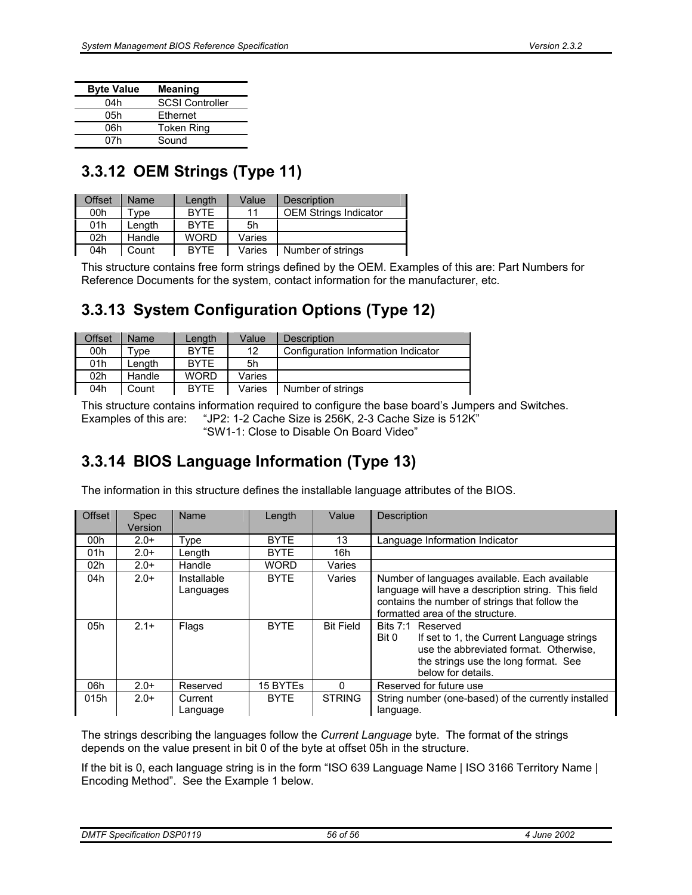| <b>Byte Value</b> | Meaning                |
|-------------------|------------------------|
| 04h               | <b>SCSI Controller</b> |
| 05h               | Ethernet               |
| 06h               | <b>Token Ring</b>      |
| 07h               | Sound                  |

# **3.3.12 OEM Strings (Type 11)**

| Offset          | <b>Name</b> | Length      | Value  | Description                  |
|-----------------|-------------|-------------|--------|------------------------------|
| 00h             | Tvpe        | <b>BYTE</b> | 11     | <b>OEM Strings Indicator</b> |
| 01h             | Lenath      | <b>BYTE</b> | 5h     |                              |
| 02 <sub>h</sub> | Handle      | WORD        | Varies |                              |
| 04h             | Count       | <b>BYTE</b> | Varies | Number of strings            |

This structure contains free form strings defined by the OEM. Examples of this are: Part Numbers for Reference Documents for the system, contact information for the manufacturer, etc.

# **3.3.13 System Configuration Options (Type 12)**

| Offset | <b>Name</b> | Lenath      | Value  | <b>Description</b>                  |
|--------|-------------|-------------|--------|-------------------------------------|
| 00h    | ™vpe        | <b>BYTE</b> | 12     | Configuration Information Indicator |
| 01h    | Lenath      | <b>BYTE</b> | 5h     |                                     |
| 02h    | Handle      | <b>WORD</b> | Varies |                                     |
| 04h    | Count       | <b>BYTE</b> | Varies | Number of strings                   |

This structure contains information required to configure the base board's Jumpers and Switches. Examples of this are: "JP2: 1-2 Cache Size is 256K, 2-3 Cache Size is 512K" "SW1-1: Close to Disable On Board Video"

# **3.3.14 BIOS Language Information (Type 13)**

The information in this structure defines the installable language attributes of the BIOS.

| Offset          | <b>Spec</b><br>Version | Name                     | Length      | Value            | Description                                                                                                                                                                                |
|-----------------|------------------------|--------------------------|-------------|------------------|--------------------------------------------------------------------------------------------------------------------------------------------------------------------------------------------|
| 00h             | $2.0+$                 | Type                     | <b>BYTE</b> | 13               | Language Information Indicator                                                                                                                                                             |
| 01h             | $2.0+$                 | Length                   | <b>BYTE</b> | 16h              |                                                                                                                                                                                            |
| 02 <sub>h</sub> | $2.0+$                 | Handle                   | <b>WORD</b> | Varies           |                                                                                                                                                                                            |
| 04h             | $2.0+$                 | Installable<br>Languages | <b>BYTF</b> | Varies           | Number of languages available. Each available<br>language will have a description string. This field<br>contains the number of strings that follow the<br>formatted area of the structure. |
| 05h             | $2.1+$                 | Flags                    | <b>BYTE</b> | <b>Bit Field</b> | Bits 7:1 Reserved<br>If set to 1, the Current Language strings<br>Bit 0<br>use the abbreviated format. Otherwise.<br>the strings use the long format. See<br>below for details.            |
| 06h             | $2.0+$                 | Reserved                 | 15 BYTEs    | $\Omega$         | Reserved for future use                                                                                                                                                                    |
| 015h            | $2.0+$                 | Current<br>Language      | <b>BYTF</b> | <b>STRING</b>    | String number (one-based) of the currently installed<br>language.                                                                                                                          |

The strings describing the languages follow the *Current Language* byte. The format of the strings depends on the value present in bit 0 of the byte at offset 05h in the structure.

If the bit is 0, each language string is in the form "ISO 639 Language Name | ISO 3166 Territory Name | Encoding Method". See the Example 1 below.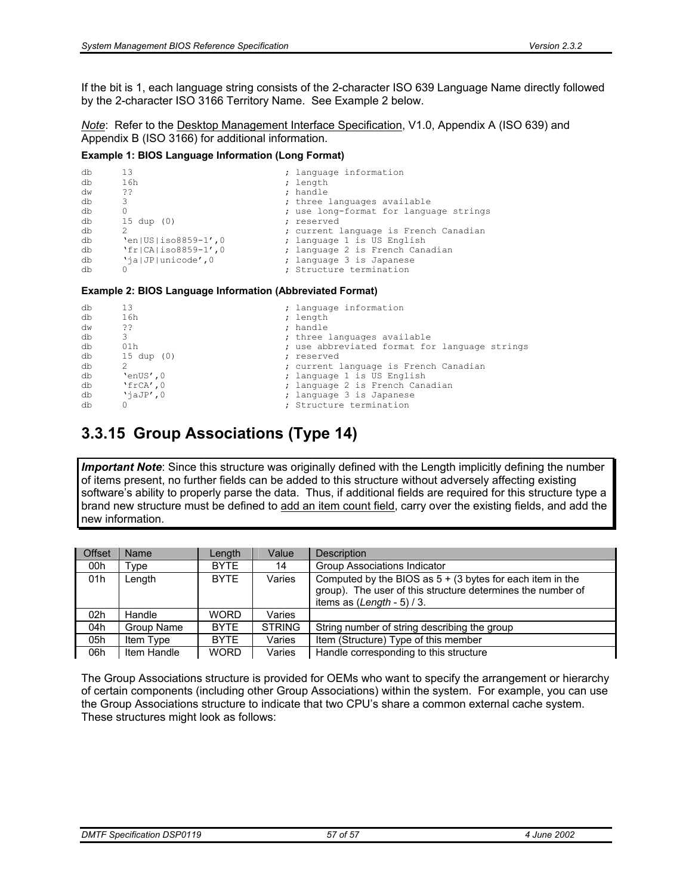If the bit is 1, each language string consists of the 2-character ISO 639 Language Name directly followed by the 2-character ISO 3166 Territory Name. See Example 2 below.

*Note*: Refer to the Desktop Management Interface Specification, V1.0, Appendix A (ISO 639) and Appendix B (ISO 3166) for additional information.

#### **Example 1: BIOS Language Information (Long Format)**

```
db 13 ; language information<br>
db 16h ; length<br>
information<br>
db 16h ; length
\frac{d\mathbf{b}}{d\mathbf{w}} 16h ; length \frac{1}{2} ; handle
                                                                  ; handle
db 3 3 (a) 3 (a) 3 (a) 3 (a) 3 (a) 3 (a) 3 (a) 3 (a) 3 (a) 3 (a) 3 (a) 3 (a) 3 (a) 3 (a) 3 (a) 3 (a) 3 (a) 3 (a) 3 (a) 3 (a) 3 (a) 3 (a) 3 (a) 3 (a) 3 (a) 3 (a) 3 (a) 3 (a) 3 (a) 3 (a) 3 (a) 3 (a) 3 (a) 3 (a) 3 (a) 3 (a) 3
db 0 0<br>db 15 dup (0) \qquad ; use long-format for language strings
             15 dup (0)
db 2<br>
db 'en|US|iso8859-1',0 ; current language is French Canadian<br>
db 'fr|CA|iso8859-1',0 ; language 2 is French Canadian
db \text{len}[\text{US}|\text{iso8859-1}', 0 ; language 1 is US English<br>db \text{YfICAlisos8859-1}', 0 ; language 2 is French Can
db \text{Yf} \mid \text{CA} \mid \text{iso} \mid 8859-1', 0 ; language 2 is French Canadian db \text{Yj} \mid \text{JP} \mid \text{unicode}', 0 ; language 3 is Japanese
db 'ja|JP|unicode',0 ; language 3 is Japanese<br>db 0 ; Structure termination
                                                                  : Structure termination
```
#### **Example 2: BIOS Language Information (Abbreviated Format)**

```
db 13 ; language information<br>db 16h : length : length
\frac{d\mathbf{b}}{d\mathbf{w}} 16h ; length ; length ; length ; length ; length ; length ; length ; length ; length ; length ; length ; length ; length ; length ; length ; length ; length ; length ; length ; length ; length ; lengt
dw ?? ; handle the state of the state of the state of the state of the state of the state of the state of the state of the state of the state of the state of the state of the state of the state of the state of the state of
db 3 3 (a) 3 (a) 3 (a) 3 (a) 3 (a) 3 (a) 3 (a) 3 (a) 3 (a) 3 (a) 3 (a) 3 (a) 3 (a) 3 (a) 3 (a) 3 (a) 3 (a) 3 (a) 3 (a) 3 (a) 3 (a) 3 (a) 3 (a) 3 (a) 3 (a) 3 (a) 3 (a) 3 (a) 3 (a) 3 (a) 3 (a) 3 (a) 3 (a) 3 (a) 3 (a) 3 (a) 3
db 01h ; use abbreviated format for language strings 
\begin{array}{ccc}\n\text{db} & 15 \text{ dup} & (0) & \text{ } & \text{ } & \text{ } \\
\text{db} & 2 & \text{ } & \text{ } & \text{ } \\
\end{array}; current language is French Canadian
db 'enUS',0 ; language 1 is US English<br>db 'frCA',0 ; language 2 is French Can
db 'frCA', 0 ; language 2 is French Canadian<br>db 'jaJP', 0 ; language 3 is Japanese
db 'jaJP',0 ; language 3 is Japanese<br>db 0 : Structure termination
                                                                            ; Structure termination
```
# **3.3.15 Group Associations (Type 14)**

*Important Note*: Since this structure was originally defined with the Length implicitly defining the number of items present, no further fields can be added to this structure without adversely affecting existing software's ability to properly parse the data. Thus, if additional fields are required for this structure type a brand new structure must be defined to add an item count field, carry over the existing fields, and add the new information.

| <b>Offset</b> | Name        | Length      | Value         | <b>Description</b>                                                                                                                                                   |
|---------------|-------------|-------------|---------------|----------------------------------------------------------------------------------------------------------------------------------------------------------------------|
| 00h           | Type        | <b>BYTE</b> | 14            | Group Associations Indicator                                                                                                                                         |
| 01h           | Length      | <b>BYTE</b> | Varies        | Computed by the BIOS as $5 + (3 \text{ bytes for each item in the})$<br>group). The user of this structure determines the number of<br>items as $(Length - 5) / 3$ . |
| 02h           | Handle      | <b>WORD</b> | Varies        |                                                                                                                                                                      |
| 04h           | Group Name  | <b>BYTE</b> | <b>STRING</b> | String number of string describing the group                                                                                                                         |
| 05h           | Item Type   | <b>BYTE</b> | Varies        | Item (Structure) Type of this member                                                                                                                                 |
| 06h           | Item Handle | <b>WORD</b> | Varies        | Handle corresponding to this structure                                                                                                                               |

The Group Associations structure is provided for OEMs who want to specify the arrangement or hierarchy of certain components (including other Group Associations) within the system. For example, you can use the Group Associations structure to indicate that two CPU's share a common external cache system. These structures might look as follows: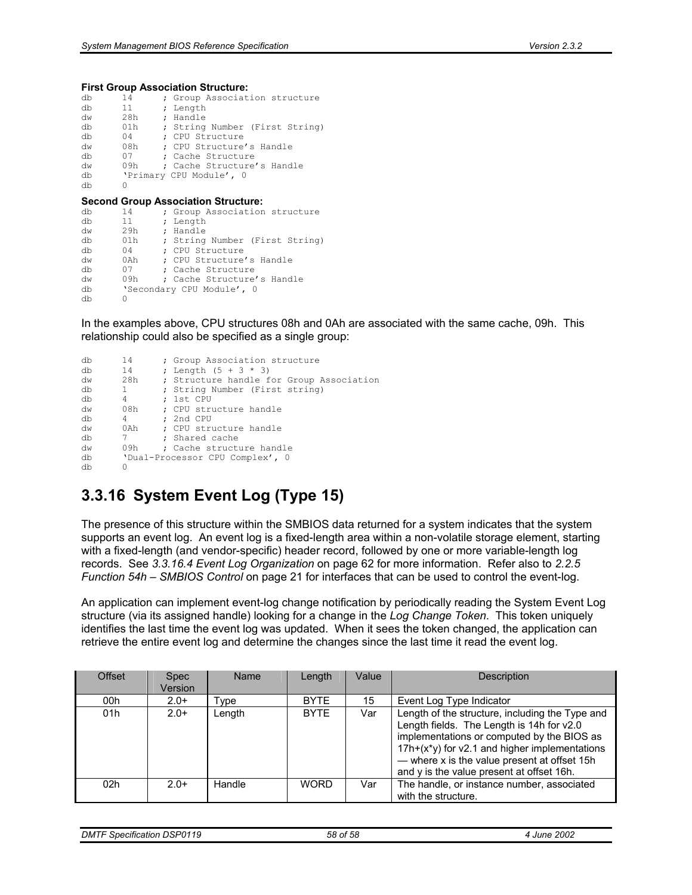#### **First Group Association Structure:**

| db | 14  | ; Group Association structure              |
|----|-----|--------------------------------------------|
| db | 11  | ; Length                                   |
| dw | 28h | ; Handle                                   |
| db | 01h | ; String Number (First String)             |
| db | 04  | : CPU Structure                            |
| dw | 08h | : CPU Structure's Handle                   |
| db | 07  | : Cache Structure                          |
| dw | 09h | : Cache Structure's Handle                 |
| db |     | 'Primary CPU Module', 0                    |
| db | Ω   |                                            |
|    |     |                                            |
|    |     | <b>Second Group Association Structure:</b> |
| db | 14  | ; Group Association structure              |
| db | 11  | ; Length                                   |
| dw | 29h | ; Handle                                   |
| db | 01h | ; String Number (First String)             |
| db | 04  | : CPU Structure                            |
| dw |     |                                            |
| db | 07  | : Cache Structure                          |
| dw | 09h | ; Cache Structure's Handle                 |
| db |     |                                            |
|    |     | 'Secondary CPU Module', 0                  |

In the examples above, CPU structures 08h and 0Ah are associated with the same cache, 09h. This relationship could also be specified as a single group:

```
db 14 ; Group Association structure<br>db 14 ; Length (5 + 3 * 3)14 ; Length (5 + 3 * 3)<br>
28h : Structure handle f
dw 28h ; Structure handle for Group Association<br>db 1 : String Number (First string)
db 1 ; String Number (First string)<br>db 4 : 1st CPH
db  4 ; 1st CPU<br>dw  08h ; CPU stru
dw 08h ; CPU structure handle<br>db 4 ; 2nd CPU
db \begin{array}{ccc} 4 & ; 2nd CPU \\ dw & 0Ah & ; CPU str \end{array}dw 0Ah ; CPU structure handle<br>db 7 : Shared cache
db 7 ; Shared cache<br>dw 09h ; Cache structu
dw 09h ; Cache structure handle 
          'Dual-Processor CPU Complex', 0dh
```
# **3.3.16 System Event Log (Type 15)**

The presence of this structure within the SMBIOS data returned for a system indicates that the system supports an event log. An event log is a fixed-length area within a non-volatile storage element, starting with a fixed-length (and vendor-specific) header record, followed by one or more variable-length log records. See *3.3.16.4 Event Log Organization* on page 62 for more information. Refer also to *2.2.5 Function 54h – SMBIOS Control* on page 21 for interfaces that can be used to control the event-log.

An application can implement event-log change notification by periodically reading the System Event Log structure (via its assigned handle) looking for a change in the *Log Change Token*. This token uniquely identifies the last time the event log was updated. When it sees the token changed, the application can retrieve the entire event log and determine the changes since the last time it read the event log.

| Offset          | <b>Spec</b><br>Version | Name   | Length      | Value | <b>Description</b>                                                                                                                                                                                                                                                                       |
|-----------------|------------------------|--------|-------------|-------|------------------------------------------------------------------------------------------------------------------------------------------------------------------------------------------------------------------------------------------------------------------------------------------|
| 00 <sub>h</sub> | $2.0+$                 | Type   | <b>BYTE</b> | 15    | Event Log Type Indicator                                                                                                                                                                                                                                                                 |
| 01h             | $2.0+$                 | Length | <b>BYTE</b> | Var   | Length of the structure, including the Type and<br>Length fields. The Length is 14h for v2.0<br>implementations or computed by the BIOS as<br>17h+(x*y) for v2.1 and higher implementations<br>- where x is the value present at offset 15h<br>and y is the value present at offset 16h. |
| 02 <sub>h</sub> | $2.0+$                 | Handle | <b>WORD</b> | Var   | The handle, or instance number, associated<br>with the structure.                                                                                                                                                                                                                        |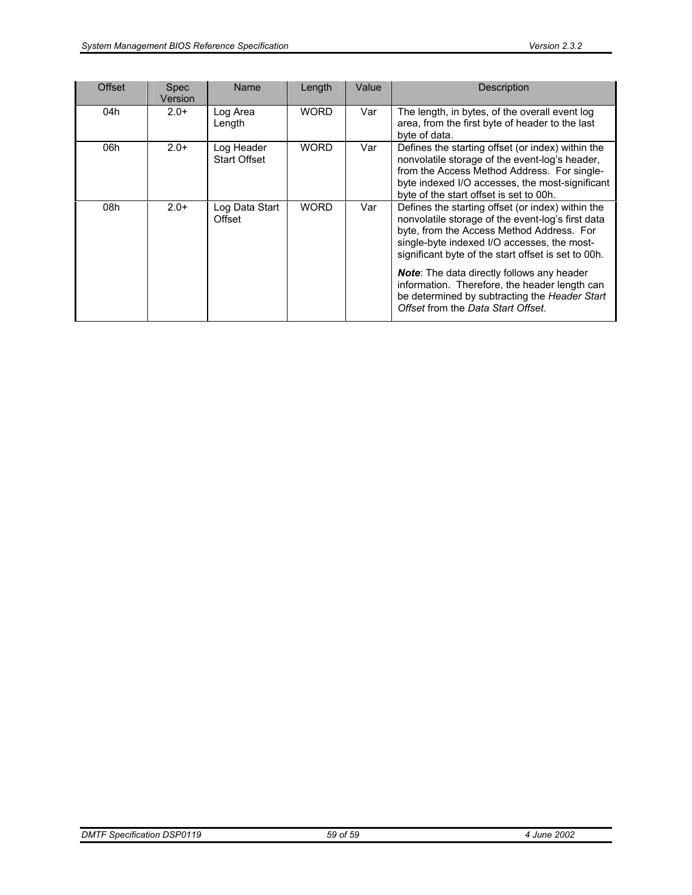| Offset | <b>Spec</b><br>Version | <b>Name</b>                       | Length      | Value | <b>Description</b>                                                                                                                                                                                                                                        |
|--------|------------------------|-----------------------------------|-------------|-------|-----------------------------------------------------------------------------------------------------------------------------------------------------------------------------------------------------------------------------------------------------------|
| 04h    | $2.0+$                 | Log Area<br>Length                | <b>WORD</b> | Var   | The length, in bytes, of the overall event log<br>area, from the first byte of header to the last<br>byte of data.                                                                                                                                        |
| 06h    | $2.0+$                 | Log Header<br><b>Start Offset</b> | <b>WORD</b> | Var   | Defines the starting offset (or index) within the<br>nonvolatile storage of the event-log's header,<br>from the Access Method Address. For single-<br>byte indexed I/O accesses, the most-significant<br>byte of the start offset is set to 00h.          |
| 08h    | $2.0+$                 | Log Data Start<br>Offset          | <b>WORD</b> | Var   | Defines the starting offset (or index) within the<br>nonvolatile storage of the event-log's first data<br>byte, from the Access Method Address. For<br>single-byte indexed I/O accesses, the most-<br>significant byte of the start offset is set to 00h. |
|        |                        |                                   |             |       | <b>Note:</b> The data directly follows any header<br>information. Therefore, the header length can<br>be determined by subtracting the Header Start<br>Offset from the Data Start Offset.                                                                 |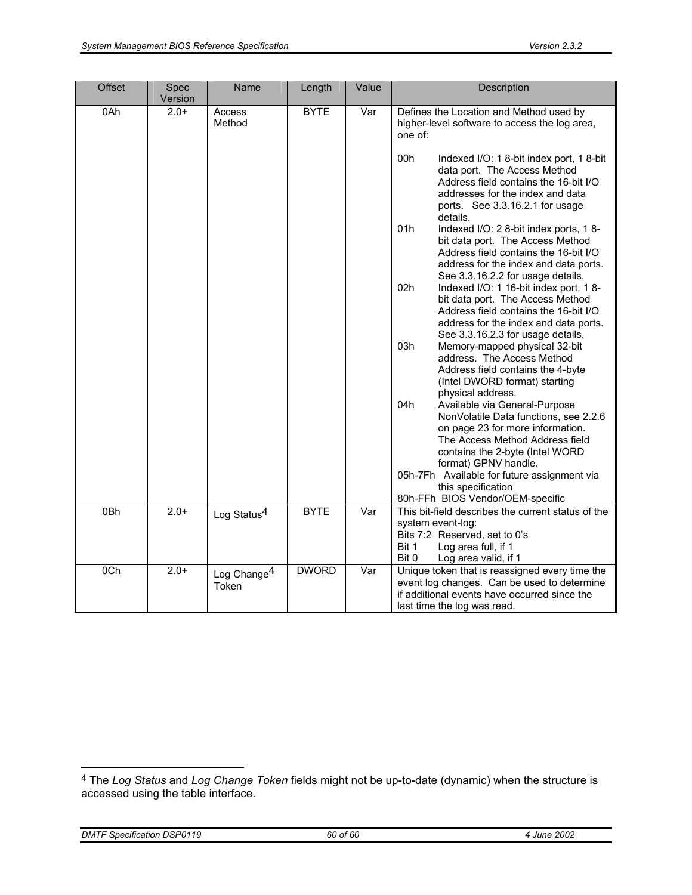| <b>Offset</b> | Spec<br>Version | Name                             | Length       | Value | Description                                                                                                                                                                                                                                                                                                                                                         |
|---------------|-----------------|----------------------------------|--------------|-------|---------------------------------------------------------------------------------------------------------------------------------------------------------------------------------------------------------------------------------------------------------------------------------------------------------------------------------------------------------------------|
| 0Ah           | $2.0+$          | Access<br>Method                 | <b>BYTE</b>  | Var   | Defines the Location and Method used by<br>higher-level software to access the log area,<br>one of:<br>00h<br>Indexed I/O: 1 8-bit index port, 1 8-bit<br>data port. The Access Method<br>Address field contains the 16-bit I/O<br>addresses for the index and data<br>ports. See 3.3.16.2.1 for usage<br>details.<br>01h<br>Indexed I/O: 2 8-bit index ports, 1 8- |
|               |                 |                                  |              |       | bit data port. The Access Method<br>Address field contains the 16-bit I/O<br>address for the index and data ports.<br>See 3.3.16.2.2 for usage details.                                                                                                                                                                                                             |
|               |                 |                                  |              |       | 02h<br>Indexed I/O: 1 16-bit index port, 1 8-<br>bit data port. The Access Method<br>Address field contains the 16-bit I/O<br>address for the index and data ports.<br>See 3.3.16.2.3 for usage details.                                                                                                                                                            |
|               |                 |                                  |              |       | 03h<br>Memory-mapped physical 32-bit<br>address. The Access Method<br>Address field contains the 4-byte<br>(Intel DWORD format) starting<br>physical address.                                                                                                                                                                                                       |
|               |                 |                                  |              |       | 04h<br>Available via General-Purpose<br>NonVolatile Data functions, see 2.2.6<br>on page 23 for more information.<br>The Access Method Address field<br>contains the 2-byte (Intel WORD<br>format) GPNV handle.                                                                                                                                                     |
|               |                 |                                  |              |       | 05h-7Fh Available for future assignment via<br>this specification<br>80h-FFh BIOS Vendor/OEM-specific                                                                                                                                                                                                                                                               |
| 0Bh           | $2.0+$          | Log Status <sup>4</sup>          | <b>BYTE</b>  | Var   | This bit-field describes the current status of the<br>system event-log:<br>Bits 7:2 Reserved, set to 0's<br>Bit 1<br>Log area full, if 1<br>Bit 0<br>Log area valid, if 1                                                                                                                                                                                           |
| 0Ch           | $2.0+$          | Log Change <sup>4</sup><br>Token | <b>DWORD</b> | Var   | Unique token that is reassigned every time the<br>event log changes. Can be used to determine<br>if additional events have occurred since the<br>last time the log was read.                                                                                                                                                                                        |

<sup>4</sup> The *Log Status* and *Log Change Token* fields might not be up-to-date (dynamic) when the structure is accessed using the table interface.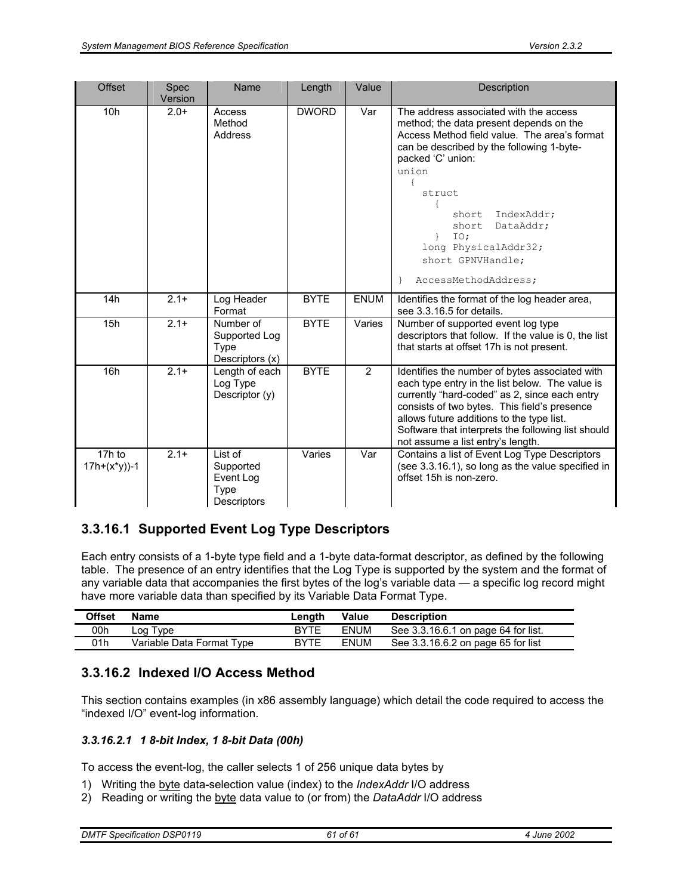| <b>Offset</b>           | <b>Spec</b><br>Version | Name                                                     | Length       | Value          | Description                                                                                                                                                                                                                                                                                                                                     |
|-------------------------|------------------------|----------------------------------------------------------|--------------|----------------|-------------------------------------------------------------------------------------------------------------------------------------------------------------------------------------------------------------------------------------------------------------------------------------------------------------------------------------------------|
| 10 <sub>h</sub>         | $2.0+$                 | Access<br>Method<br>Address                              | <b>DWORD</b> | Var            | The address associated with the access<br>method; the data present depends on the<br>Access Method field value. The area's format<br>can be described by the following 1-byte-<br>packed 'C' union:<br>union<br>struct<br>IndexAddr;<br>short<br>short<br>DataAddr;<br>IO:<br>long PhysicalAddr32;<br>short GPNVHandle;<br>AccessMethodAddress; |
| 14h                     | $2.1+$                 | Log Header<br>Format                                     | <b>BYTE</b>  | <b>ENUM</b>    | Identifies the format of the log header area,<br>see 3.3.16.5 for details.                                                                                                                                                                                                                                                                      |
| 15h                     | $2.1+$                 | Number of<br>Supported Log<br>Type<br>Descriptors (x)    | <b>BYTE</b>  | Varies         | Number of supported event log type<br>descriptors that follow. If the value is 0, the list<br>that starts at offset 17h is not present.                                                                                                                                                                                                         |
| 16h                     | $2.1 +$                | Length of each<br>Log Type<br>Descriptor (y)             | <b>BYTE</b>  | $\overline{2}$ | Identifies the number of bytes associated with<br>each type entry in the list below. The value is<br>currently "hard-coded" as 2, since each entry<br>consists of two bytes. This field's presence<br>allows future additions to the type list.<br>Software that interprets the following list should<br>not assume a list entry's length.      |
| 17h to<br>$17h+(x*y)-1$ | $2.1+$                 | List of<br>Supported<br>Event Log<br>Type<br>Descriptors | Varies       | Var            | Contains a list of Event Log Type Descriptors<br>(see 3.3.16.1), so long as the value specified in<br>offset 15h is non-zero.                                                                                                                                                                                                                   |

# **3.3.16.1 Supported Event Log Type Descriptors**

Each entry consists of a 1-byte type field and a 1-byte data-format descriptor, as defined by the following table. The presence of an entry identifies that the Log Type is supported by the system and the format of any variable data that accompanies the first bytes of the log's variable data — a specific log record might have more variable data than specified by its Variable Data Format Type.

| Offset | Name                      | Length      | Value       | <b>Description</b>                  |
|--------|---------------------------|-------------|-------------|-------------------------------------|
| 00h    | ∟og Type                  | BYTE        | <b>ENUM</b> | See 3.3.16.6.1 on page 64 for list. |
| 01h    | Variable Data Format Type | <b>BYTE</b> | <b>ENUM</b> | See 3.3.16.6.2 on page 65 for list  |

## **3.3.16.2 Indexed I/O Access Method**

This section contains examples (in x86 assembly language) which detail the code required to access the "indexed I/O" event-log information.

### *3.3.16.2.1 1 8-bit Index, 1 8-bit Data (00h)*

To access the event-log, the caller selects 1 of 256 unique data bytes by

- 1) Writing the byte data-selection value (index) to the *IndexAddr* I/O address
- 2) Reading or writing the byte data value to (or from) the *DataAddr* I/O address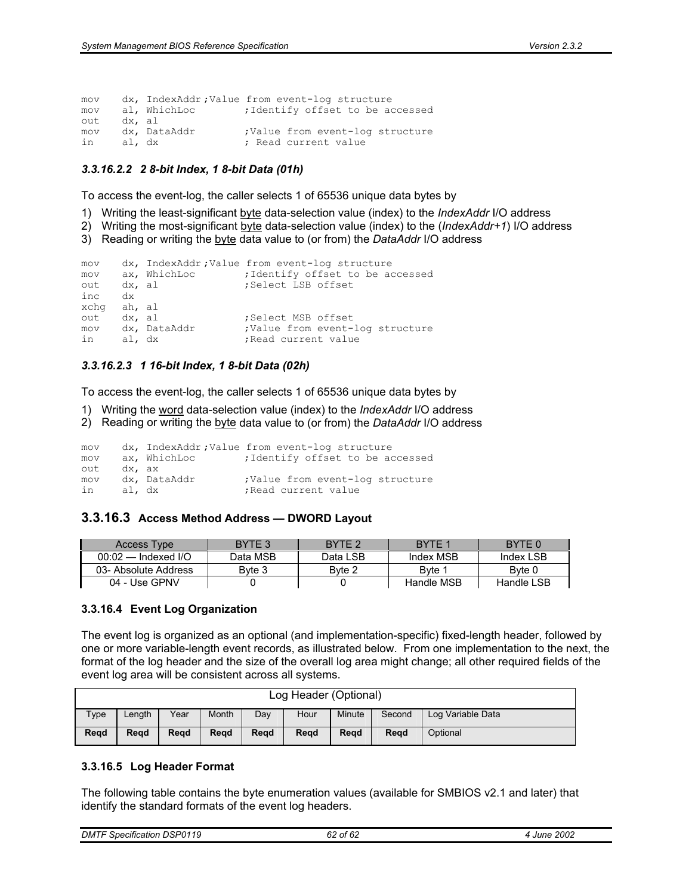| mov |        |              | dx, IndexAddr; Value from event-log structure |
|-----|--------|--------------|-----------------------------------------------|
| mov |        | al, WhichLoc | ; Identify offset to be accessed              |
| out | dx, al |              |                                               |
| mov |        | dx, DataAddr | ; Value from event-log structure              |
| in  | al, dx |              | : Read current value                          |

#### *3.3.16.2.2 2 8-bit Index, 1 8-bit Data (01h)*

To access the event-log, the caller selects 1 of 65536 unique data bytes by

- 1) Writing the least-significant byte data-selection value (index) to the *IndexAddr* I/O address
- 2) Writing the most-significant byte data-selection value (index) to the (*IndexAddr+1*) I/O address
- 3) Reading or writing the byte data value to (or from) the *DataAddr* I/O address

```
mov dx, IndexAddr ;Value from event-log structure 
mov ax, WhichLoc : identify offset to be accessed
out dx, al \qquad \qquad ; Select LSB offset
inc dx 
xchg ah, al<br>out dx, al
out dx, al ;Select MSB offset 
                      ;Value from event-log structure
in al, dx ; Read current value
```
#### *3.3.16.2.3 1 16-bit Index, 1 8-bit Data (02h)*

To access the event-log, the caller selects 1 of 65536 unique data bytes by

- 1) Writing the word data-selection value (index) to the *IndexAddr* I/O address
- 2) Reading or writing the byte data value to (or from) the *DataAddr* I/O address

mov dx, IndexAddr ;Value from event-log structure

| mov       |        | ax, WhichLoc | ; Identify offset to be accessed                         |
|-----------|--------|--------------|----------------------------------------------------------|
| out       | dx, ax |              |                                                          |
| mov<br>in | al, dx | dx, DataAddr | ; Value from event-log structure<br>; Read current value |

### **3.3.16.3 Access Method Address — DWORD Layout**

| Access Type           | BYTE 3   | RYTE <sub>2</sub> | BYTE 1     | BYTE 0     |
|-----------------------|----------|-------------------|------------|------------|
| $00:02$ — Indexed I/O | Data MSB | Data LSB          | Index MSB  | Index LSB  |
| 03- Absolute Address  | Byte 3   | Byte 2            | Byte 1     | Byte 0     |
| 04 - Use GPNV         |          |                   | Handle MSB | Handle LSB |

### **3.3.16.4 Event Log Organization**

The event log is organized as an optional (and implementation-specific) fixed-length header, followed by one or more variable-length event records, as illustrated below. From one implementation to the next, the format of the log header and the size of the overall log area might change; all other required fields of the event log area will be consistent across all systems.

| Log Header (Optional) |        |      |       |      |      |        |        |                   |
|-----------------------|--------|------|-------|------|------|--------|--------|-------------------|
| Type                  | .enath | Year | Month | Dav  | Hour | Minute | Second | Log Variable Data |
| Read                  | Read   | Read | Read  | Read | Read | Read   | Read   | Optional          |

#### **3.3.16.5 Log Header Format**

The following table contains the byte enumeration values (available for SMBIOS v2.1 and later) that identify the standard formats of the event log headers.

| <b>DSP0119</b><br>$\cdot$<br><b>DMTF</b><br>Specification | $\mathfrak{c}$<br>. of 62<br>υz | 2002<br>June |
|-----------------------------------------------------------|---------------------------------|--------------|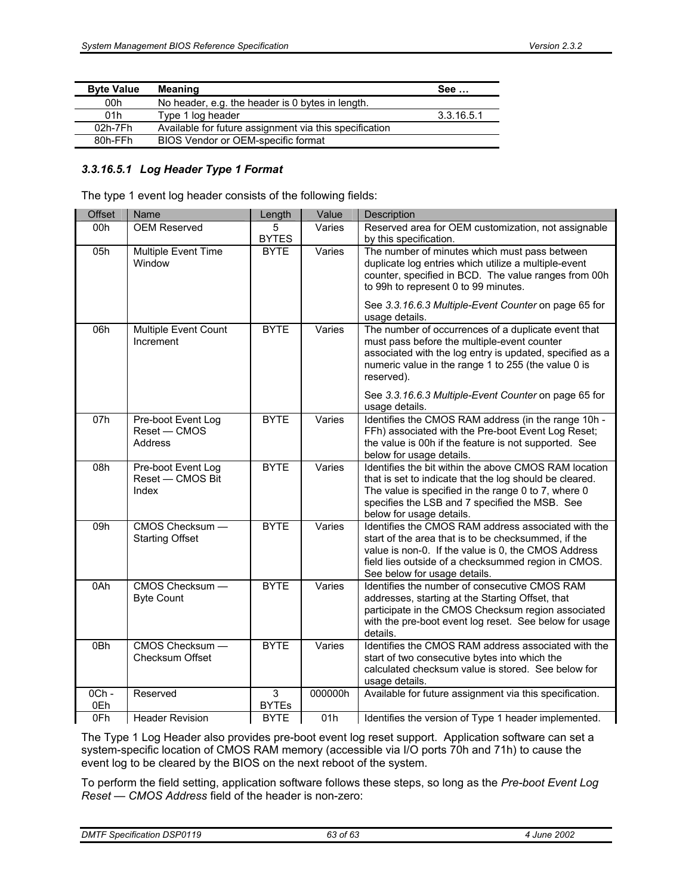| <b>Byte Value</b> | <b>Meaning</b>                                         | See        |
|-------------------|--------------------------------------------------------|------------|
| 00h               | No header, e.g. the header is 0 bytes in length.       |            |
| 01h               | Type 1 log header                                      | 3.3.16.5.1 |
| 02h-7Fh           | Available for future assignment via this specification |            |
| 80h-FFh           | BIOS Vendor or OEM-specific format                     |            |

#### *3.3.16.5.1 Log Header Type 1 Format*

The type 1 event log header consists of the following fields:

| Offset                 | Name                                                 | Length            | Value   | Description                                                                                                                                                                                                                                              |
|------------------------|------------------------------------------------------|-------------------|---------|----------------------------------------------------------------------------------------------------------------------------------------------------------------------------------------------------------------------------------------------------------|
| 00h                    | <b>OEM Reserved</b>                                  | 5                 | Varies  | Reserved area for OEM customization, not assignable                                                                                                                                                                                                      |
|                        |                                                      | <b>BYTES</b>      |         | by this specification.                                                                                                                                                                                                                                   |
| 05h                    | Multiple Event Time<br>Window                        | <b>BYTE</b>       | Varies  | The number of minutes which must pass between<br>duplicate log entries which utilize a multiple-event<br>counter, specified in BCD. The value ranges from 00h<br>to 99h to represent 0 to 99 minutes.                                                    |
|                        |                                                      |                   |         | See 3.3.16.6.3 Multiple-Event Counter on page 65 for<br>usage details.                                                                                                                                                                                   |
| 06h                    | Multiple Event Count<br>Increment                    | <b>BYTE</b>       | Varies  | The number of occurrences of a duplicate event that<br>must pass before the multiple-event counter<br>associated with the log entry is updated, specified as a<br>numeric value in the range 1 to 255 (the value 0 is<br>reserved).                      |
|                        |                                                      |                   |         | See 3.3.16.6.3 Multiple-Event Counter on page 65 for<br>usage details.                                                                                                                                                                                   |
| 07h                    | Pre-boot Event Log<br>Reset - CMOS<br><b>Address</b> | <b>BYTE</b>       | Varies  | Identifies the CMOS RAM address (in the range 10h -<br>FFh) associated with the Pre-boot Event Log Reset;<br>the value is 00h if the feature is not supported. See<br>below for usage details.                                                           |
| 08h                    | Pre-boot Event Log<br>Reset - CMOS Bit<br>Index      | <b>BYTE</b>       | Varies  | Identifies the bit within the above CMOS RAM location<br>that is set to indicate that the log should be cleared.<br>The value is specified in the range 0 to 7, where 0<br>specifies the LSB and 7 specified the MSB. See<br>below for usage details.    |
| 09h                    | CMOS Checksum -<br><b>Starting Offset</b>            | <b>BYTE</b>       | Varies  | Identifies the CMOS RAM address associated with the<br>start of the area that is to be checksummed, if the<br>value is non-0. If the value is 0, the CMOS Address<br>field lies outside of a checksummed region in CMOS.<br>See below for usage details. |
| $0$ Ah                 | CMOS Checksum -<br><b>Byte Count</b>                 | <b>BYTE</b>       | Varies  | Identifies the number of consecutive CMOS RAM<br>addresses, starting at the Starting Offset, that<br>participate in the CMOS Checksum region associated<br>with the pre-boot event log reset. See below for usage<br>details.                            |
| 0Bh                    | CMOS Checksum -<br>Checksum Offset                   | <b>BYTE</b>       | Varies  | Identifies the CMOS RAM address associated with the<br>start of two consecutive bytes into which the<br>calculated checksum value is stored. See below for<br>usage details.                                                                             |
| 0 <sub>Ch</sub><br>0Eh | Reserved                                             | 3<br><b>BYTEs</b> | 000000h | Available for future assignment via this specification.                                                                                                                                                                                                  |
| 0Fh                    | <b>Header Revision</b>                               | <b>BYTE</b>       | 01h     | Identifies the version of Type 1 header implemented.                                                                                                                                                                                                     |
|                        |                                                      |                   |         |                                                                                                                                                                                                                                                          |

The Type 1 Log Header also provides pre-boot event log reset support. Application software can set a system-specific location of CMOS RAM memory (accessible via I/O ports 70h and 71h) to cause the event log to be cleared by the BIOS on the next reboot of the system.

To perform the field setting, application software follows these steps, so long as the *Pre-boot Event Log Reset — CMOS Address* field of the header is non-zero: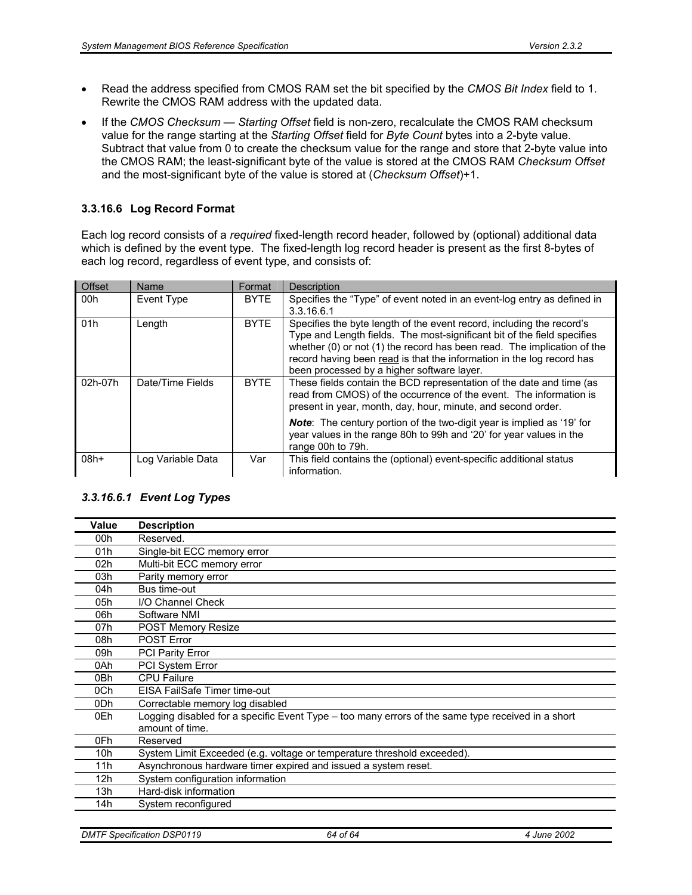- Read the address specified from CMOS RAM set the bit specified by the *CMOS Bit Index* field to 1. Rewrite the CMOS RAM address with the updated data.
- If the *CMOS Checksum Starting Offset* field is non-zero, recalculate the CMOS RAM checksum value for the range starting at the *Starting Offset* field for *Byte Count* bytes into a 2-byte value. Subtract that value from 0 to create the checksum value for the range and store that 2-byte value into the CMOS RAM; the least-significant byte of the value is stored at the CMOS RAM *Checksum Offset* and the most-significant byte of the value is stored at (*Checksum Offset*)+1.

### **3.3.16.6 Log Record Format**

Each log record consists of a *required* fixed-length record header, followed by (optional) additional data which is defined by the event type. The fixed-length log record header is present as the first 8-bytes of each log record, regardless of event type, and consists of:

| <b>Offset</b> | Name              | Format      | <b>Description</b>                                                                                                                                                                                                                                                                                                                                 |
|---------------|-------------------|-------------|----------------------------------------------------------------------------------------------------------------------------------------------------------------------------------------------------------------------------------------------------------------------------------------------------------------------------------------------------|
| 00h           | Event Type        | <b>BYTE</b> | Specifies the "Type" of event noted in an event-log entry as defined in<br>3.3.16.6.1                                                                                                                                                                                                                                                              |
| 01h           | Length            | <b>BYTE</b> | Specifies the byte length of the event record, including the record's<br>Type and Length fields. The most-significant bit of the field specifies<br>whether (0) or not (1) the record has been read. The implication of the<br>record having been read is that the information in the log record has<br>been processed by a higher software layer. |
| 02h-07h       | Date/Time Fields  | <b>BYTE</b> | These fields contain the BCD representation of the date and time (as<br>read from CMOS) of the occurrence of the event. The information is<br>present in year, month, day, hour, minute, and second order.                                                                                                                                         |
|               |                   |             | Note: The century portion of the two-digit year is implied as '19' for<br>year values in the range 80h to 99h and '20' for year values in the<br>range 00h to 79h.                                                                                                                                                                                 |
| 08h+          | Log Variable Data | Var         | This field contains the (optional) event-specific additional status<br>information.                                                                                                                                                                                                                                                                |

### *3.3.16.6.1 Event Log Types*

| Value           | <b>Description</b>                                                                                                   |
|-----------------|----------------------------------------------------------------------------------------------------------------------|
| 00h             | Reserved.                                                                                                            |
| 01h             | Single-bit ECC memory error                                                                                          |
| 02 <sub>h</sub> | Multi-bit ECC memory error                                                                                           |
| 03h             | Parity memory error                                                                                                  |
| 04h             | Bus time-out                                                                                                         |
| 05h             | I/O Channel Check                                                                                                    |
| 06h             | Software NMI                                                                                                         |
| 07h             | POST Memory Resize                                                                                                   |
| 08h             | <b>POST Error</b>                                                                                                    |
| 09h             | <b>PCI Parity Error</b>                                                                                              |
| 0Ah             | PCI System Error                                                                                                     |
| 0Bh             | <b>CPU Failure</b>                                                                                                   |
| 0Ch             | EISA FailSafe Timer time-out                                                                                         |
| 0Dh             | Correctable memory log disabled                                                                                      |
| 0Eh             | Logging disabled for a specific Event Type – too many errors of the same type received in a short<br>amount of time. |
| 0Fh             | Reserved                                                                                                             |
| 10h             | System Limit Exceeded (e.g. voltage or temperature threshold exceeded).                                              |
| 11h             | Asynchronous hardware timer expired and issued a system reset.                                                       |
| 12h             | System configuration information                                                                                     |
| 13h             | Hard-disk information                                                                                                |
| 14h             | System reconfigured                                                                                                  |
|                 |                                                                                                                      |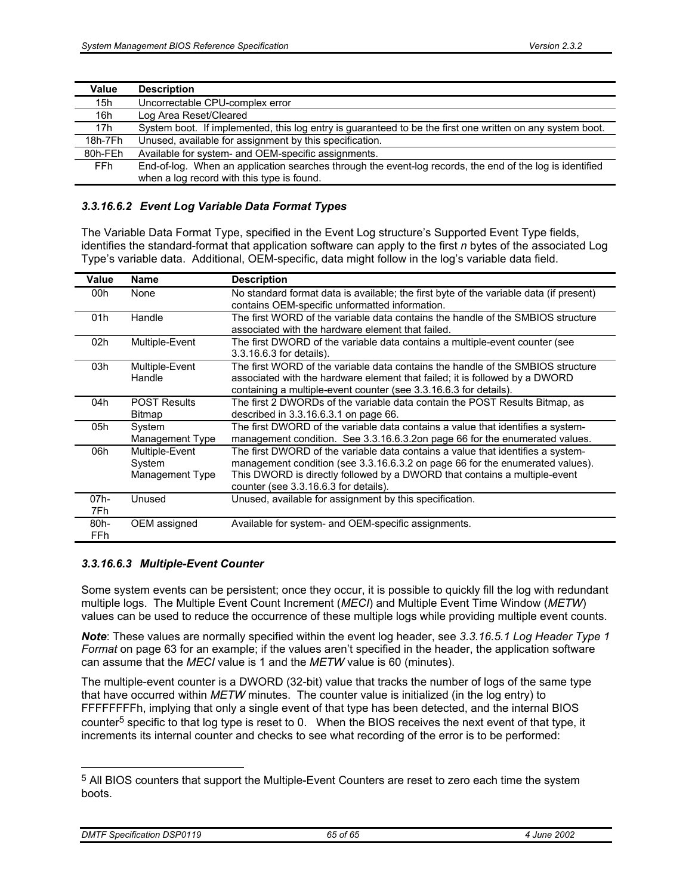| Value   | <b>Description</b>                                                                                        |
|---------|-----------------------------------------------------------------------------------------------------------|
| 15h     | Uncorrectable CPU-complex error                                                                           |
| 16h     | Log Area Reset/Cleared                                                                                    |
| 17h     | System boot. If implemented, this log entry is guaranteed to be the first one written on any system boot. |
| 18h-7Fh | Unused, available for assignment by this specification.                                                   |
| 80h-FEh | Available for system- and OEM-specific assignments.                                                       |
| FFh.    | End-of-log. When an application searches through the event-log records, the end of the log is identified  |
|         | when a log record with this type is found.                                                                |

#### *3.3.16.6.2 Event Log Variable Data Format Types*

The Variable Data Format Type, specified in the Event Log structure's Supported Event Type fields, identifies the standard-format that application software can apply to the first *n* bytes of the associated Log Type's variable data. Additional, OEM-specific, data might follow in the log's variable data field.

| Value  | <b>Name</b>         | <b>Description</b>                                                                     |
|--------|---------------------|----------------------------------------------------------------------------------------|
| 00h    | None                | No standard format data is available; the first byte of the variable data (if present) |
|        |                     | contains OEM-specific unformatted information.                                         |
| 01h    | Handle              | The first WORD of the variable data contains the handle of the SMBIOS structure        |
|        |                     | associated with the hardware element that failed.                                      |
| 02h    | Multiple-Event      | The first DWORD of the variable data contains a multiple-event counter (see            |
|        |                     | 3.3.16.6.3 for details).                                                               |
| 03h    | Multiple-Event      | The first WORD of the variable data contains the handle of the SMBIOS structure        |
|        | Handle              | associated with the hardware element that failed; it is followed by a DWORD            |
|        |                     | containing a multiple-event counter (see 3.3.16.6.3 for details).                      |
| 04h    | <b>POST Results</b> | The first 2 DWORDs of the variable data contain the POST Results Bitmap, as            |
|        | <b>Bitmap</b>       | described in 3.3.16.6.3.1 on page 66.                                                  |
| 05h    | System              | The first DWORD of the variable data contains a value that identifies a system-        |
|        | Management Type     | management condition. See 3.3.16.6.3.2on page 66 for the enumerated values.            |
| 06h    | Multiple-Event      | The first DWORD of the variable data contains a value that identifies a system-        |
|        | System              | management condition (see 3.3.16.6.3.2 on page 66 for the enumerated values).          |
|        | Management Type     | This DWORD is directly followed by a DWORD that contains a multiple-event              |
|        |                     | counter (see 3.3.16.6.3 for details).                                                  |
| $07h-$ | Unused              | Unused, available for assignment by this specification.                                |
| 7Fh.   |                     |                                                                                        |
| 80h-   | OEM assigned        | Available for system- and OEM-specific assignments.                                    |
| FFh.   |                     |                                                                                        |

### *3.3.16.6.3 Multiple-Event Counter*

Some system events can be persistent; once they occur, it is possible to quickly fill the log with redundant multiple logs. The Multiple Event Count Increment (*MECI*) and Multiple Event Time Window (*METW*) values can be used to reduce the occurrence of these multiple logs while providing multiple event counts.

*Note*: These values are normally specified within the event log header, see *3.3.16.5.1 Log Header Type 1 Format* on page 63 for an example; if the values aren't specified in the header, the application software can assume that the *MECI* value is 1 and the *METW* value is 60 (minutes).

The multiple-event counter is a DWORD (32-bit) value that tracks the number of logs of the same type that have occurred within *METW* minutes. The counter value is initialized (in the log entry) to FFFFFFFFh, implying that only a single event of that type has been detected, and the internal BIOS counter<sup>5</sup> specific to that log type is reset to 0. When the BIOS receives the next event of that type, it increments its internal counter and checks to see what recording of the error is to be performed:

<sup>5</sup> All BIOS counters that support the Multiple-Event Counters are reset to zero each time the system boots.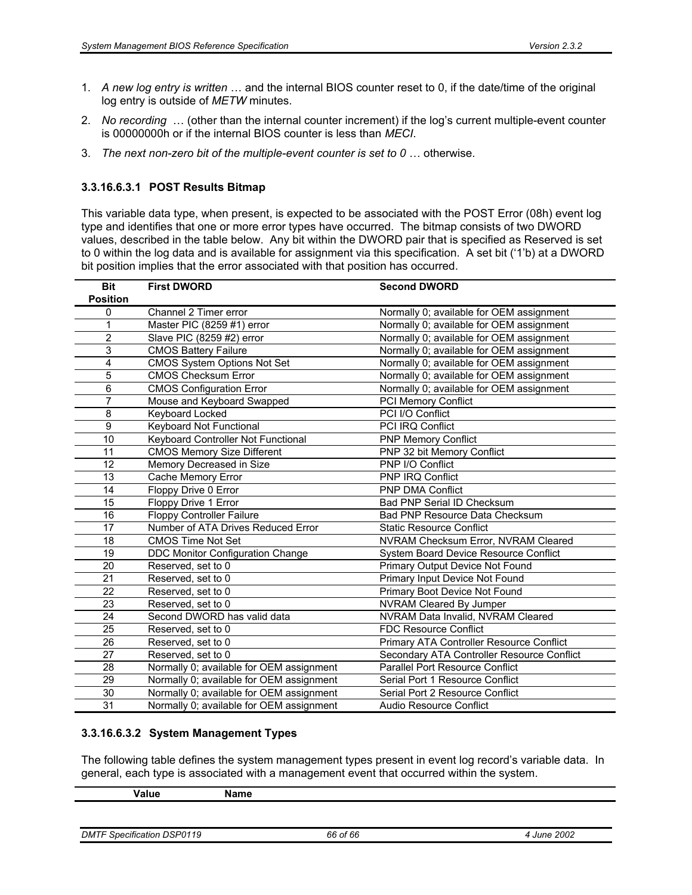- 1. *A new log entry is written* … and the internal BIOS counter reset to 0, if the date/time of the original log entry is outside of *METW* minutes.
- 2. *No recording* … (other than the internal counter increment) if the log's current multiple-event counter is 00000000h or if the internal BIOS counter is less than *MECI*.
- 3. *The next non-zero bit of the multiple-event counter is set to 0* … otherwise.

### **3.3.16.6.3.1 POST Results Bitmap**

This variable data type, when present, is expected to be associated with the POST Error (08h) event log type and identifies that one or more error types have occurred. The bitmap consists of two DWORD values, described in the table below. Any bit within the DWORD pair that is specified as Reserved is set to 0 within the log data and is available for assignment via this specification. A set bit ('1'b) at a DWORD bit position implies that the error associated with that position has occurred.

| <b>Bit</b>      | <b>First DWORD</b>                       | <b>Second DWORD</b>                        |
|-----------------|------------------------------------------|--------------------------------------------|
| <b>Position</b> |                                          |                                            |
| 0               | Channel 2 Timer error                    | Normally 0; available for OEM assignment   |
| 1               | Master PIC (8259 #1) error               | Normally 0; available for OEM assignment   |
| 2               | Slave PIC (8259 #2) error                | Normally 0; available for OEM assignment   |
| 3               | <b>CMOS Battery Failure</b>              | Normally 0; available for OEM assignment   |
| 4               | <b>CMOS System Options Not Set</b>       | Normally 0; available for OEM assignment   |
| 5               | <b>CMOS Checksum Error</b>               | Normally 0; available for OEM assignment   |
| 6               | <b>CMOS Configuration Error</b>          | Normally 0; available for OEM assignment   |
| 7               | Mouse and Keyboard Swapped               | <b>PCI Memory Conflict</b>                 |
| 8               | Keyboard Locked                          | PCI I/O Conflict                           |
| 9               | Keyboard Not Functional                  | PCI IRQ Conflict                           |
| 10              | Keyboard Controller Not Functional       | <b>PNP Memory Conflict</b>                 |
| 11              | <b>CMOS Memory Size Different</b>        | PNP 32 bit Memory Conflict                 |
| 12              | Memory Decreased in Size                 | PNP I/O Conflict                           |
| 13              | Cache Memory Error                       | <b>PNP IRQ Conflict</b>                    |
| 14              | Floppy Drive 0 Error                     | <b>PNP DMA Conflict</b>                    |
| 15              | Floppy Drive 1 Error                     | Bad PNP Serial ID Checksum                 |
| 16              | <b>Floppy Controller Failure</b>         | Bad PNP Resource Data Checksum             |
| 17              | Number of ATA Drives Reduced Error       | <b>Static Resource Conflict</b>            |
| 18              | <b>CMOS Time Not Set</b>                 | NVRAM Checksum Error, NVRAM Cleared        |
| 19              | DDC Monitor Configuration Change         | System Board Device Resource Conflict      |
| 20              | Reserved, set to 0                       | Primary Output Device Not Found            |
| 21              | Reserved, set to 0                       | Primary Input Device Not Found             |
| 22              | Reserved, set to 0                       | Primary Boot Device Not Found              |
| 23              | Reserved, set to 0                       | NVRAM Cleared By Jumper                    |
| 24              | Second DWORD has valid data              | NVRAM Data Invalid, NVRAM Cleared          |
| 25              | Reserved, set to 0                       | <b>FDC Resource Conflict</b>               |
| 26              | Reserved, set to 0                       | Primary ATA Controller Resource Conflict   |
| 27              | Reserved, set to 0                       | Secondary ATA Controller Resource Conflict |
| 28              | Normally 0; available for OEM assignment | <b>Parallel Port Resource Conflict</b>     |
| 29              | Normally 0; available for OEM assignment | Serial Port 1 Resource Conflict            |
| 30              | Normally 0; available for OEM assignment | Serial Port 2 Resource Conflict            |
| 31              | Normally 0; available for OEM assignment | Audio Resource Conflict                    |

### **3.3.16.6.3.2 System Management Types**

The following table defines the system management types present in event log record's variable data. In general, each type is associated with a management event that occurred within the system.

| - 155<br>.<br>$ -$ | -----<br>чн |  |
|--------------------|-------------|--|
|                    |             |  |

| <b>DMTF Specification DSP0119</b><br>4 June 2002<br>66 of 66 |  |
|--------------------------------------------------------------|--|
|--------------------------------------------------------------|--|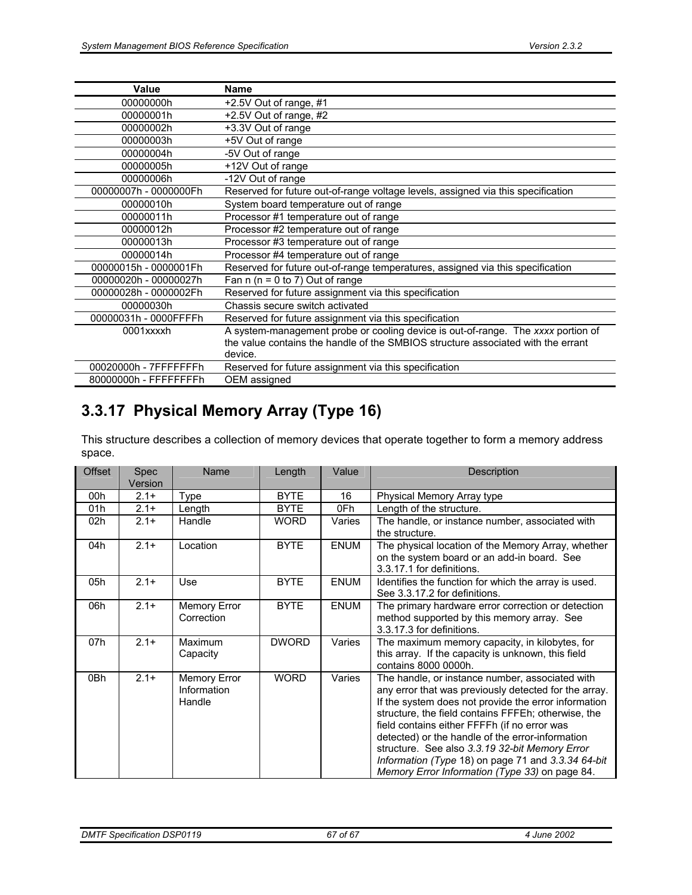| Value                 | <b>Name</b>                                                                      |
|-----------------------|----------------------------------------------------------------------------------|
| 00000000h             | +2.5V Out of range, #1                                                           |
| 00000001h             | +2.5V Out of range, #2                                                           |
| 00000002h             | +3.3V Out of range                                                               |
| 00000003h             | +5V Out of range                                                                 |
| 00000004h             | -5V Out of range                                                                 |
| 00000005h             | +12V Out of range                                                                |
| 00000006h             | -12V Out of range                                                                |
| 00000007h - 0000000Fh | Reserved for future out-of-range voltage levels, assigned via this specification |
| 00000010h             | System board temperature out of range                                            |
| 00000011h             | Processor #1 temperature out of range                                            |
| 00000012h             | Processor #2 temperature out of range                                            |
| 00000013h             | Processor #3 temperature out of range                                            |
| 00000014h             | Processor #4 temperature out of range                                            |
| 00000015h - 0000001Fh | Reserved for future out-of-range temperatures, assigned via this specification   |
| 00000020h - 00000027h | Fan $n(n = 0 to 7)$ Out of range                                                 |
| 00000028h - 0000002Fh | Reserved for future assignment via this specification                            |
| 00000030h             | Chassis secure switch activated                                                  |
| 00000031h - 0000FFFFh | Reserved for future assignment via this specification                            |
| 0001xxxxh             | A system-management probe or cooling device is out-of-range. The xxxx portion of |
|                       | the value contains the handle of the SMBIOS structure associated with the errant |
|                       | device.                                                                          |
| 00020000h - 7FFFFFFFh | Reserved for future assignment via this specification                            |
| 80000000h - FFFFFFFFh | OEM assigned                                                                     |

# **3.3.17 Physical Memory Array (Type 16)**

This structure describes a collection of memory devices that operate together to form a memory address space.

| Offset | <b>Spec</b><br>Version | Name                                         | Length       | Value       | Description                                                                                                                                                                                                                                                                                                                                                                                                                                                                           |
|--------|------------------------|----------------------------------------------|--------------|-------------|---------------------------------------------------------------------------------------------------------------------------------------------------------------------------------------------------------------------------------------------------------------------------------------------------------------------------------------------------------------------------------------------------------------------------------------------------------------------------------------|
| 00h    | $2.1+$                 | Type                                         | <b>BYTE</b>  | 16          | Physical Memory Array type                                                                                                                                                                                                                                                                                                                                                                                                                                                            |
| 01h    | $2.1+$                 | Length                                       | <b>BYTE</b>  | 0Fh         | Length of the structure.                                                                                                                                                                                                                                                                                                                                                                                                                                                              |
| 02h    | $2.1+$                 | Handle                                       | <b>WORD</b>  | Varies      | The handle, or instance number, associated with<br>the structure.                                                                                                                                                                                                                                                                                                                                                                                                                     |
| 04h    | $2.1+$                 | Location                                     | <b>BYTE</b>  | <b>ENUM</b> | The physical location of the Memory Array, whether<br>on the system board or an add-in board. See<br>3.3.17.1 for definitions.                                                                                                                                                                                                                                                                                                                                                        |
| 05h    | $2.1+$                 | Use                                          | <b>BYTE</b>  | <b>ENUM</b> | Identifies the function for which the array is used.<br>See 3.3.17.2 for definitions.                                                                                                                                                                                                                                                                                                                                                                                                 |
| 06h    | $2.1+$                 | <b>Memory Error</b><br>Correction            | <b>BYTE</b>  | <b>ENUM</b> | The primary hardware error correction or detection<br>method supported by this memory array. See<br>3.3.17.3 for definitions.                                                                                                                                                                                                                                                                                                                                                         |
| 07h    | $2.1+$                 | <b>Maximum</b><br>Capacity                   | <b>DWORD</b> | Varies      | The maximum memory capacity, in kilobytes, for<br>this array. If the capacity is unknown, this field<br>contains 8000 0000h.                                                                                                                                                                                                                                                                                                                                                          |
| 0Bh    | $2.1+$                 | <b>Memory Error</b><br>Information<br>Handle | <b>WORD</b>  | Varies      | The handle, or instance number, associated with<br>any error that was previously detected for the array.<br>If the system does not provide the error information<br>structure, the field contains FFFEh; otherwise, the<br>field contains either FFFFh (if no error was<br>detected) or the handle of the error-information<br>structure. See also 3.3.19 32-bit Memory Error<br>Information (Type 18) on page 71 and 3.3.34 64-bit<br>Memory Error Information (Type 33) on page 84. |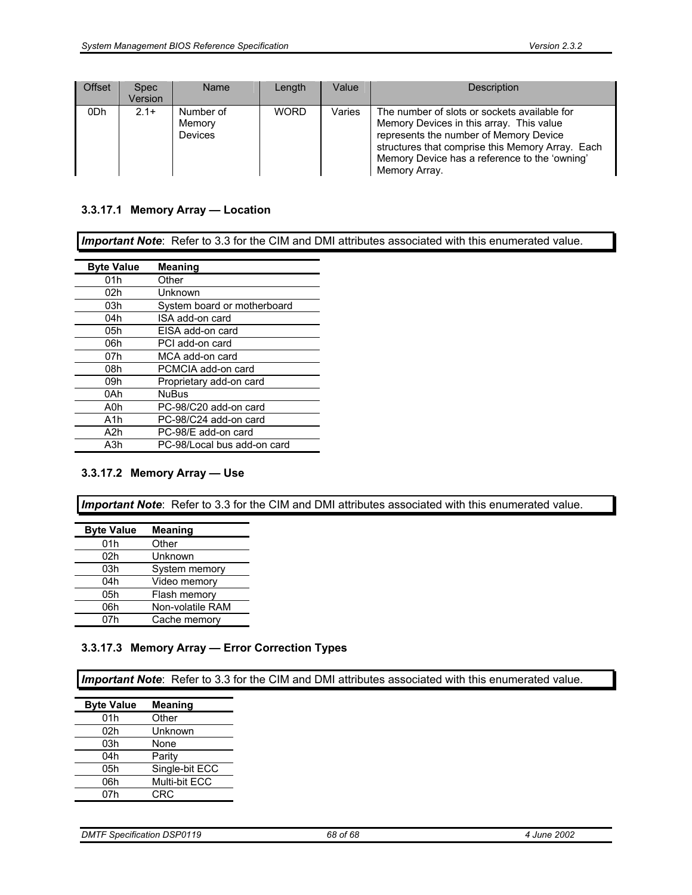| <b>Offset</b> | <b>Spec</b><br>Version | <b>Name</b>                           | Length      | Value  | <b>Description</b>                                                                                                                                                                                                                                       |
|---------------|------------------------|---------------------------------------|-------------|--------|----------------------------------------------------------------------------------------------------------------------------------------------------------------------------------------------------------------------------------------------------------|
| 0Dh           | $2.1+$                 | Number of<br>Memory<br><b>Devices</b> | <b>WORD</b> | Varies | The number of slots or sockets available for<br>Memory Devices in this array. This value<br>represents the number of Memory Device<br>structures that comprise this Memory Array. Each<br>Memory Device has a reference to the 'owning'<br>Memory Array. |

### **3.3.17.1 Memory Array — Location**

*Important Note*: Refer to 3.3 for the CIM and DMI attributes associated with this enumerated value.

| <b>Byte Value</b> | Meaning                     |
|-------------------|-----------------------------|
| 01h               | Other                       |
| 02h               | Unknown                     |
| 03h               | System board or motherboard |
| 04h               | ISA add-on card             |
| 05h               | EISA add-on card            |
| 06h               | PCI add-on card             |
| 07h               | MCA add-on card             |
| 08h               | PCMCIA add-on card          |
| 09h               | Proprietary add-on card     |
| 0Ah               | <b>NuBus</b>                |
| A0h               | PC-98/C20 add-on card       |
| A <sub>1</sub> h  | PC-98/C24 add-on card       |
| A2h               | PC-98/E add-on card         |
| A3h               | PC-98/Local bus add-on card |

### **3.3.17.2 Memory Array — Use**

*Important Note*: Refer to 3.3 for the CIM and DMI attributes associated with this enumerated value.

| <b>Byte Value</b> | <b>Meaning</b>   |
|-------------------|------------------|
| 01h               | Other            |
| 02h               | Unknown          |
| 03h               | System memory    |
| 04h               | Video memory     |
| 05h               | Flash memory     |
| 06h               | Non-volatile RAM |
| 07h               | Cache memory     |

### **3.3.17.3 Memory Array — Error Correction Types**

*Important Note*: Refer to 3.3 for the CIM and DMI attributes associated with this enumerated value.

| <b>Byte Value</b> | <b>Meaning</b> |
|-------------------|----------------|
| 01h               | Other          |
| 02h               | Unknown        |
| 03h               | None           |
| 04h               | Parity         |
| 05h               | Single-bit ECC |
| 06h               | Multi-bit ECC  |
| 07h               | CRC            |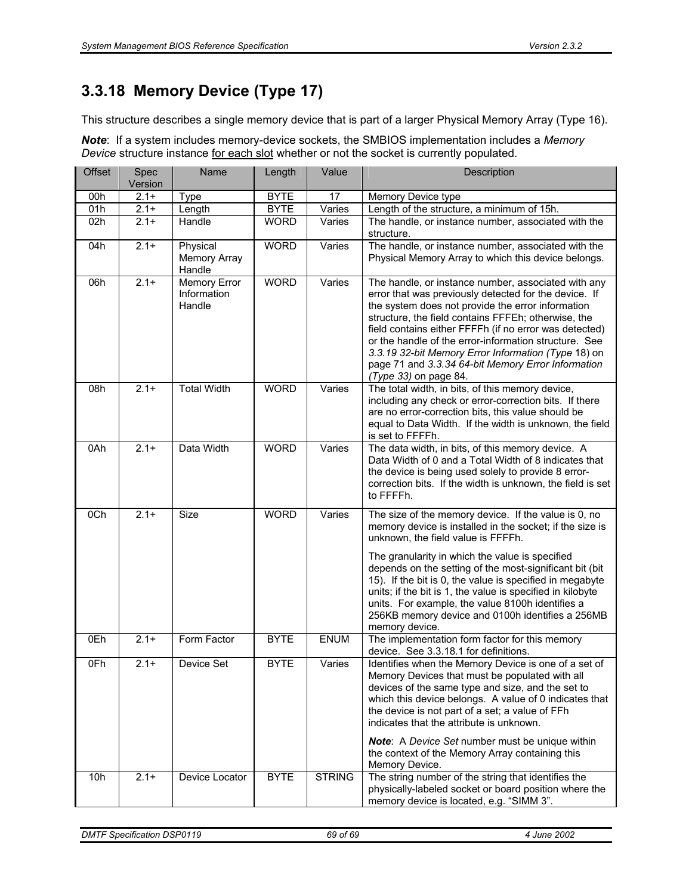# **3.3.18 Memory Device (Type 17)**

This structure describes a single memory device that is part of a larger Physical Memory Array (Type 16).

*Note*: If a system includes memory-device sockets, the SMBIOS implementation includes a *Memory Device* structure instance for each slot whether or not the socket is currently populated.

| <b>Offset</b> | Spec<br>Version | Name                                         | Length      | Value         | Description                                                                                                                                                                                                                                                                                                                                                                                                                                                                                                              |
|---------------|-----------------|----------------------------------------------|-------------|---------------|--------------------------------------------------------------------------------------------------------------------------------------------------------------------------------------------------------------------------------------------------------------------------------------------------------------------------------------------------------------------------------------------------------------------------------------------------------------------------------------------------------------------------|
| 00h           | $2.1 +$         | Type                                         | <b>BYTE</b> | 17            | Memory Device type                                                                                                                                                                                                                                                                                                                                                                                                                                                                                                       |
| 01h           | $2.1+$          | Length                                       | <b>BYTE</b> | Varies        | Length of the structure, a minimum of 15h.                                                                                                                                                                                                                                                                                                                                                                                                                                                                               |
| 02h           | $2.1+$          | Handle                                       | <b>WORD</b> | Varies        | The handle, or instance number, associated with the<br>structure.                                                                                                                                                                                                                                                                                                                                                                                                                                                        |
| 04h           | $2.1 +$         | Physical<br><b>Memory Array</b><br>Handle    | <b>WORD</b> | Varies        | The handle, or instance number, associated with the<br>Physical Memory Array to which this device belongs.                                                                                                                                                                                                                                                                                                                                                                                                               |
| 06h           | $2.1 +$         | <b>Memory Error</b><br>Information<br>Handle | <b>WORD</b> | Varies        | The handle, or instance number, associated with any<br>error that was previously detected for the device. If<br>the system does not provide the error information<br>structure, the field contains FFFEh; otherwise, the<br>field contains either FFFFh (if no error was detected)<br>or the handle of the error-information structure. See<br>3.3.19 32-bit Memory Error Information (Type 18) on<br>page 71 and 3.3.34 64-bit Memory Error Information<br>(Type 33) on page 84.                                        |
| 08h           | $2.1 +$         | <b>Total Width</b>                           | <b>WORD</b> | Varies        | The total width, in bits, of this memory device,<br>including any check or error-correction bits. If there<br>are no error-correction bits, this value should be<br>equal to Data Width. If the width is unknown, the field<br>is set to FFFFh.                                                                                                                                                                                                                                                                          |
| 0Ah           | $2.1+$          | Data Width                                   | <b>WORD</b> | Varies        | The data width, in bits, of this memory device. A<br>Data Width of 0 and a Total Width of 8 indicates that<br>the device is being used solely to provide 8 error-<br>correction bits. If the width is unknown, the field is set<br>to FFFFh.                                                                                                                                                                                                                                                                             |
| 0Ch           | $2.1 +$         | Size                                         | <b>WORD</b> | Varies        | The size of the memory device. If the value is 0, no<br>memory device is installed in the socket; if the size is<br>unknown, the field value is FFFFh.<br>The granularity in which the value is specified<br>depends on the setting of the most-significant bit (bit<br>15). If the bit is 0, the value is specified in megabyte<br>units; if the bit is 1, the value is specified in kilobyte<br>units. For example, the value 8100h identifies a<br>256KB memory device and 0100h identifies a 256MB<br>memory device. |
| 0Eh           | $2.1 +$         | Form Factor                                  | <b>BYTE</b> | <b>ENUM</b>   | The implementation form factor for this memory<br>device. See 3.3.18.1 for definitions.                                                                                                                                                                                                                                                                                                                                                                                                                                  |
| 0Fh           | $2.1 +$         | Device Set                                   | <b>BYTE</b> | Varies        | Identifies when the Memory Device is one of a set of<br>Memory Devices that must be populated with all<br>devices of the same type and size, and the set to<br>which this device belongs. A value of 0 indicates that<br>the device is not part of a set; a value of FFh<br>indicates that the attribute is unknown.<br><b>Note:</b> A Device Set number must be unique within<br>the context of the Memory Array containing this<br>Memory Device.                                                                      |
| 10h           | $2.1+$          | Device Locator                               | <b>BYTE</b> | <b>STRING</b> | The string number of the string that identifies the<br>physically-labeled socket or board position where the<br>memory device is located, e.g. "SIMM 3".                                                                                                                                                                                                                                                                                                                                                                 |

*DMTF Specification DSP0119 69 of 69 4 June 2002*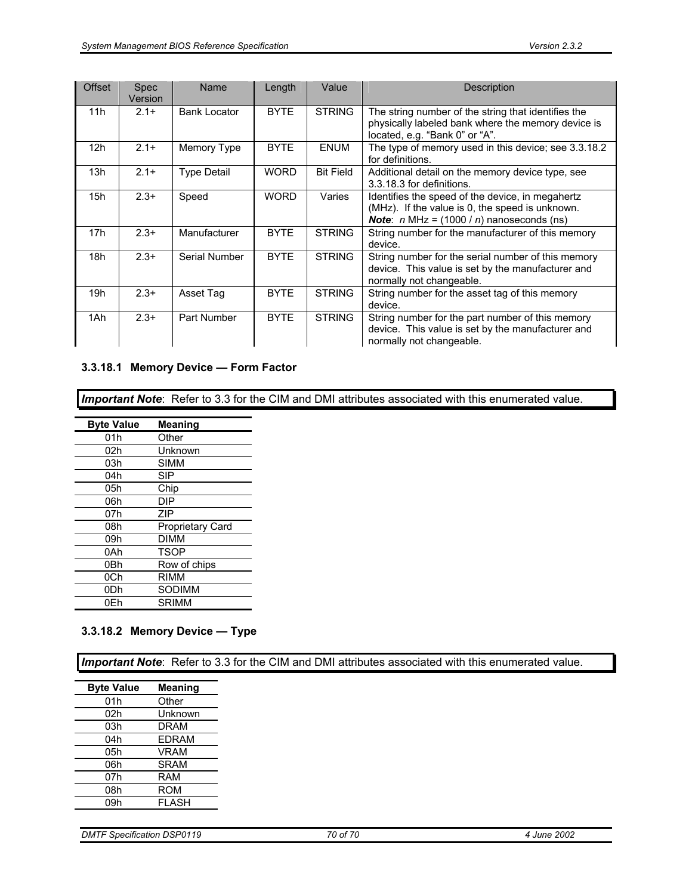| <b>Offset</b>   | <b>Spec</b><br>Version | Name                | Length      | Value            | <b>Description</b>                                                                                                                                          |
|-----------------|------------------------|---------------------|-------------|------------------|-------------------------------------------------------------------------------------------------------------------------------------------------------------|
| 11h             | $2.1+$                 | <b>Bank Locator</b> | <b>BYTE</b> | <b>STRING</b>    | The string number of the string that identifies the<br>physically labeled bank where the memory device is<br>located, e.g. "Bank 0" or "A".                 |
| 12 <sub>h</sub> | $2.1+$                 | Memory Type         | <b>BYTE</b> | <b>ENUM</b>      | The type of memory used in this device; see 3.3.18.2<br>for definitions.                                                                                    |
| 13h             | $2.1+$                 | <b>Type Detail</b>  | <b>WORD</b> | <b>Bit Field</b> | Additional detail on the memory device type, see<br>3.3.18.3 for definitions.                                                                               |
| 15h             | $2.3+$                 | Speed               | <b>WORD</b> | Varies           | Identifies the speed of the device, in megahertz<br>(MHz). If the value is 0, the speed is unknown.<br><b>Note:</b> $n$ MHz = $(1000 / n)$ nanoseconds (ns) |
| 17h             | $2.3+$                 | Manufacturer        | <b>BYTE</b> | <b>STRING</b>    | String number for the manufacturer of this memory<br>device.                                                                                                |
| 18h             | $2.3+$                 | Serial Number       | <b>BYTE</b> | <b>STRING</b>    | String number for the serial number of this memory<br>device. This value is set by the manufacturer and<br>normally not changeable.                         |
| 19h             | $2.3+$                 | Asset Tag           | <b>BYTE</b> | <b>STRING</b>    | String number for the asset tag of this memory<br>device.                                                                                                   |
| 1Ah             | $2.3+$                 | Part Number         | <b>BYTE</b> | <b>STRING</b>    | String number for the part number of this memory<br>device. This value is set by the manufacturer and<br>normally not changeable.                           |

### **3.3.18.1 Memory Device — Form Factor**

*Important Note*: Refer to 3.3 for the CIM and DMI attributes associated with this enumerated value.

| <b>Byte Value</b> | <b>Meaning</b>   |
|-------------------|------------------|
| 01h               | Other            |
| 02h               | Unknown          |
| 03h               | SIMM             |
| 04h               | <b>SIP</b>       |
| 05h               | Chip             |
| 06h               | DIP              |
| 07h               | 7IP              |
| 08h               | Proprietary Card |
| 09h               | DIMM             |
| 0Ah               | <b>TSOP</b>      |
| 0Bh               | Row of chips     |
| 0Ch               | RIMM             |
| 0Dh               | SODIMM           |
| 0Eh               | SRIMM            |

### **3.3.18.2 Memory Device — Type**

*Important Note*: Refer to 3.3 for the CIM and DMI attributes associated with this enumerated value.

| <b>Byte Value</b> | Meaning      |
|-------------------|--------------|
| 01h               | Other        |
| 02h               | Unknown      |
| 03h               | DRAM         |
| 04h               | <b>EDRAM</b> |
| 05h               | <b>VRAM</b>  |
| 06h               | <b>SRAM</b>  |
| 07h               | RAM          |
| 08h               | ROM          |
| 09h               | <b>FLASH</b> |
|                   |              |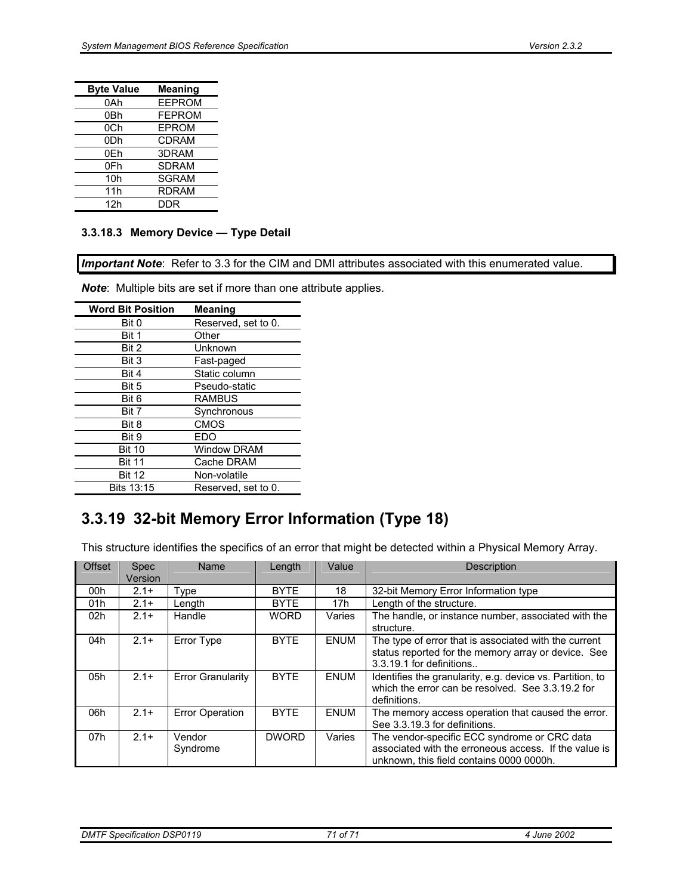| <b>Byte Value</b> | <b>Meaning</b> |
|-------------------|----------------|
| 0Ah               | <b>EEPROM</b>  |
| 0Bh               | <b>FEPROM</b>  |
| 0Ch               | EPROM          |
| 0 <sub>Dh</sub>   | <b>CDRAM</b>   |
| 0Eh               | 3DRAM          |
| 0Fh               | <b>SDRAM</b>   |
| 10 <sub>h</sub>   | <b>SGRAM</b>   |
| 11h               | <b>RDRAM</b>   |
| 12h               | DDR            |

#### **3.3.18.3 Memory Device — Type Detail**

*Important Note*: Refer to 3.3 for the CIM and DMI attributes associated with this enumerated value.

*Note*: Multiple bits are set if more than one attribute applies.

| <b>Word Bit Position</b> | <b>Meaning</b>      |
|--------------------------|---------------------|
| Bit 0                    | Reserved, set to 0. |
| Bit 1                    | Other               |
| Bit 2                    | Unknown             |
| Bit 3                    | Fast-paged          |
| Bit 4                    | Static column       |
| Bit 5                    | Pseudo-static       |
| Bit 6                    | <b>RAMBUS</b>       |
| Bit 7                    | Synchronous         |
| Bit 8                    | <b>CMOS</b>         |
| Bit 9                    | FDO                 |
| <b>Bit 10</b>            | <b>Window DRAM</b>  |
| <b>Bit 11</b>            | Cache DRAM          |
| <b>Bit 12</b>            | Non-volatile        |
| Bits 13:15               | Reserved, set to 0. |

# **3.3.19 32-bit Memory Error Information (Type 18)**

This structure identifies the specifics of an error that might be detected within a Physical Memory Array.

| <b>Offset</b> | <b>Spec</b><br>Version | Name                     | Length       | Value           | <b>Description</b>                                                                                                                                |
|---------------|------------------------|--------------------------|--------------|-----------------|---------------------------------------------------------------------------------------------------------------------------------------------------|
| 00h           | $2.1+$                 | Type                     | <b>BYTE</b>  | 18              | 32-bit Memory Error Information type                                                                                                              |
| 01h           | $2.1+$                 | Length                   | <b>BYTE</b>  | 17 <sub>h</sub> | Length of the structure.                                                                                                                          |
| 02h           | $2.1+$                 | Handle                   | <b>WORD</b>  | Varies          | The handle, or instance number, associated with the<br>structure.                                                                                 |
| 04h           | $2.1+$                 | Error Type               | <b>BYTE</b>  | <b>ENUM</b>     | The type of error that is associated with the current<br>status reported for the memory array or device. See<br>3.3.19.1 for definitions          |
| 05h           | $2.1+$                 | <b>Error Granularity</b> | <b>BYTE</b>  | <b>ENUM</b>     | Identifies the granularity, e.g. device vs. Partition, to<br>which the error can be resolved. See 3.3.19.2 for<br>definitions.                    |
| 06h           | $2.1+$                 | <b>Error Operation</b>   | <b>BYTE</b>  | <b>ENUM</b>     | The memory access operation that caused the error.<br>See 3.3.19.3 for definitions.                                                               |
| 07h           | $2.1+$                 | Vendor<br>Syndrome       | <b>DWORD</b> | Varies          | The vendor-specific ECC syndrome or CRC data<br>associated with the erroneous access. If the value is<br>unknown, this field contains 0000 0000h. |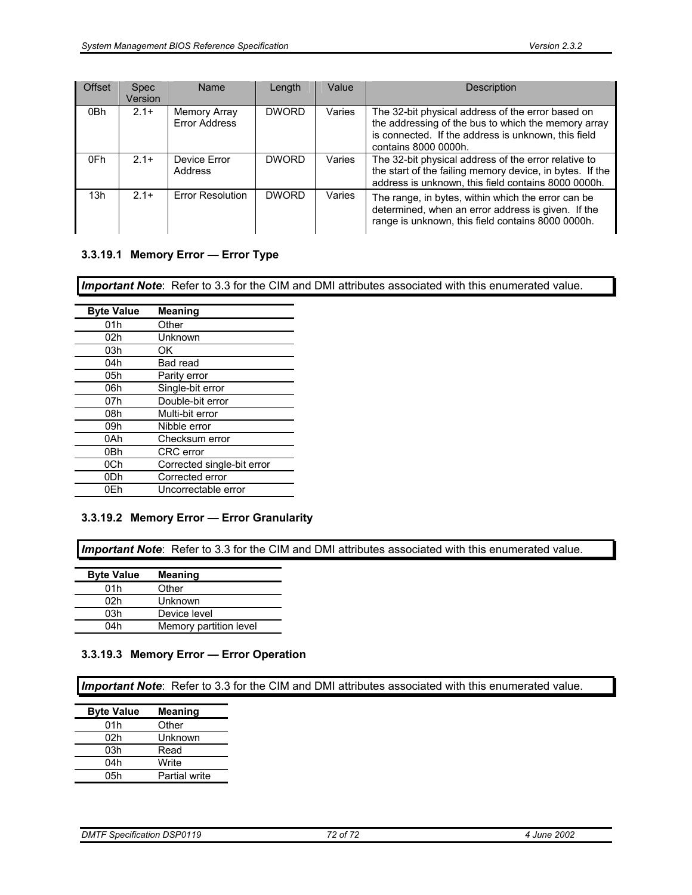| <b>Offset</b> | <b>Spec</b><br>Version | Name                          | Length       | Value  | <b>Description</b>                                                                                                                                                                      |
|---------------|------------------------|-------------------------------|--------------|--------|-----------------------------------------------------------------------------------------------------------------------------------------------------------------------------------------|
| 0Bh           | $2.1+$                 | Memory Array<br>Error Address | <b>DWORD</b> | Varies | The 32-bit physical address of the error based on<br>the addressing of the bus to which the memory array<br>is connected. If the address is unknown, this field<br>contains 8000 0000h. |
| 0Fh           | $2.1+$                 | Device Error<br>Address       | <b>DWORD</b> | Varies | The 32-bit physical address of the error relative to<br>the start of the failing memory device, in bytes. If the<br>address is unknown, this field contains 8000 0000h.                 |
| 13h           | $2.1+$                 | <b>Error Resolution</b>       | <b>DWORD</b> | Varies | The range, in bytes, within which the error can be<br>determined, when an error address is given. If the<br>range is unknown, this field contains 8000 0000h.                           |

### **3.3.19.1 Memory Error — Error Type**

*Important Note*: Refer to 3.3 for the CIM and DMI attributes associated with this enumerated value.

| <b>Byte Value</b> | <b>Meaning</b>             |
|-------------------|----------------------------|
| 01h               | Other                      |
| 02h               | Unknown                    |
| 03h               | ΩK                         |
| 04h               | Bad read                   |
| 05h               | Parity error               |
| 06h               | Single-bit error           |
| 07h               | Double-bit error           |
| 08h               | Multi-bit error            |
| 09h               | Nibble error               |
| 0Ah               | Checksum error             |
| 0Bh               | <b>CRC</b> error           |
| 0Ch               | Corrected single-bit error |
| 0Dh               | Corrected error            |
| 0Fh               | Uncorrectable error        |
|                   |                            |

#### **3.3.19.2 Memory Error — Error Granularity**

*Important Note*: Refer to 3.3 for the CIM and DMI attributes associated with this enumerated value.

| <b>Byte Value</b> | <b>Meaning</b>         |
|-------------------|------------------------|
| 01h               | Other                  |
| 02h               | Unknown                |
| 03h               | Device level           |
| 04h               | Memory partition level |

#### **3.3.19.3 Memory Error — Error Operation**

*Important Note*: Refer to 3.3 for the CIM and DMI attributes associated with this enumerated value.

| <b>Byte Value</b> | <b>Meaning</b> |
|-------------------|----------------|
| 01h               | Other          |
| 02h               | Unknown        |
| 03h               | Read           |
| 04h               | Write          |
| 05h               | Partial write  |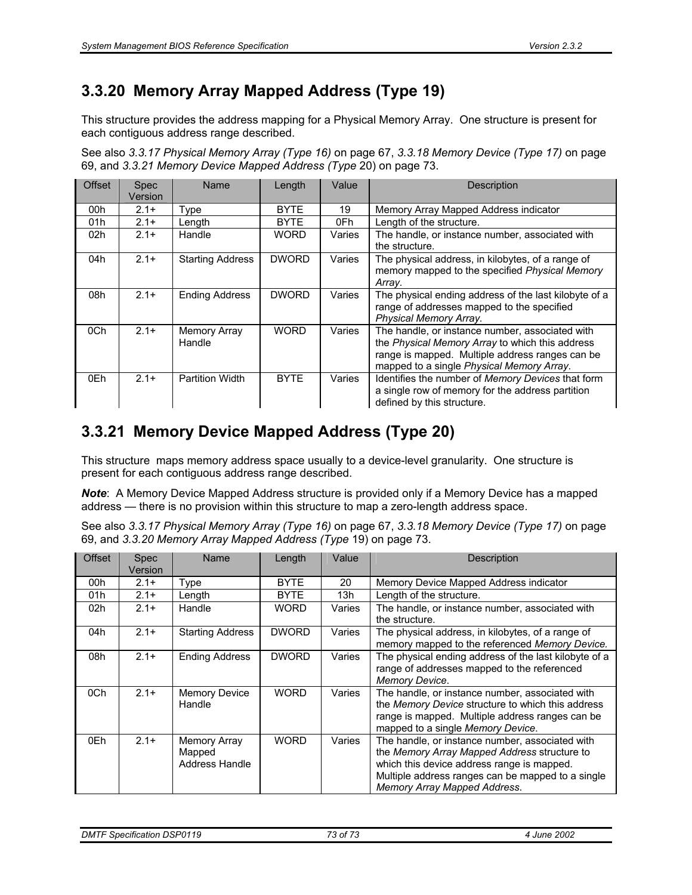### **3.3.20 Memory Array Mapped Address (Type 19)**

This structure provides the address mapping for a Physical Memory Array. One structure is present for each contiguous address range described.

See also *3.3.17 Physical Memory Array (Type 16)* on page 67, *3.3.18 Memory Device (Type 17)* on page 69, and *3.3.21 Memory Device Mapped Address (Type* 20) on page 73.

| <b>Offset</b> | <b>Spec</b><br>Version | Name                    | Length       | Value  | <b>Description</b>                                                                                                                                                                                 |
|---------------|------------------------|-------------------------|--------------|--------|----------------------------------------------------------------------------------------------------------------------------------------------------------------------------------------------------|
| 00h           | $2.1+$                 | Type                    | <b>BYTE</b>  | 19     | Memory Array Mapped Address indicator                                                                                                                                                              |
| 01h           | $2.1+$                 | Length                  | <b>BYTE</b>  | 0Fh    | Length of the structure.                                                                                                                                                                           |
| 02h           | $2.1+$                 | Handle                  | <b>WORD</b>  | Varies | The handle, or instance number, associated with<br>the structure.                                                                                                                                  |
| 04h           | $2.1+$                 | <b>Starting Address</b> | <b>DWORD</b> | Varies | The physical address, in kilobytes, of a range of<br>memory mapped to the specified Physical Memory<br>Array.                                                                                      |
| 08h           | $2.1+$                 | <b>Ending Address</b>   | <b>DWORD</b> | Varies | The physical ending address of the last kilobyte of a<br>range of addresses mapped to the specified<br>Physical Memory Array.                                                                      |
| 0Ch           | $2.1+$                 | Memory Array<br>Handle  | <b>WORD</b>  | Varies | The handle, or instance number, associated with<br>the Physical Memory Array to which this address<br>range is mapped. Multiple address ranges can be<br>mapped to a single Physical Memory Array. |
| 0Eh           | $2.1+$                 | <b>Partition Width</b>  | <b>BYTE</b>  | Varies | Identifies the number of Memory Devices that form<br>a single row of memory for the address partition<br>defined by this structure.                                                                |

### **3.3.21 Memory Device Mapped Address (Type 20)**

This structure maps memory address space usually to a device-level granularity. One structure is present for each contiguous address range described.

*Note*: A Memory Device Mapped Address structure is provided only if a Memory Device has a mapped address — there is no provision within this structure to map a zero-length address space.

See also *3.3.17 Physical Memory Array (Type 16)* on page 67, *3.3.18 Memory Device (Type 17)* on page 69, and *3.3.20 Memory Array Mapped Address (Type* 19) on page 73.

| <b>Offset</b> | <b>Spec</b><br>Version | Name                                                   | Length       | Value  | Description                                                                                                                                                                                                                        |
|---------------|------------------------|--------------------------------------------------------|--------------|--------|------------------------------------------------------------------------------------------------------------------------------------------------------------------------------------------------------------------------------------|
| 00h           | $2.1+$                 | Type                                                   | <b>BYTE</b>  | 20     | Memory Device Mapped Address indicator                                                                                                                                                                                             |
| 01h           | $2.1+$                 | Length                                                 | <b>BYTE</b>  | 13h    | Length of the structure.                                                                                                                                                                                                           |
| 02h           | $2.1+$                 | Handle                                                 | <b>WORD</b>  | Varies | The handle, or instance number, associated with<br>the structure.                                                                                                                                                                  |
| 04h           | $2.1+$                 | <b>Starting Address</b>                                | <b>DWORD</b> | Varies | The physical address, in kilobytes, of a range of<br>memory mapped to the referenced Memory Device.                                                                                                                                |
| 08h           | $2.1+$                 | <b>Ending Address</b>                                  | <b>DWORD</b> | Varies | The physical ending address of the last kilobyte of a<br>range of addresses mapped to the referenced<br>Memory Device.                                                                                                             |
| 0Ch           | $2.1+$                 | <b>Memory Device</b><br>Handle                         | <b>WORD</b>  | Varies | The handle, or instance number, associated with<br>the Memory Device structure to which this address<br>range is mapped. Multiple address ranges can be<br>mapped to a single Memory Device.                                       |
| 0Eh           | $2.1+$                 | <b>Memory Array</b><br>Mapped<br><b>Address Handle</b> | <b>WORD</b>  | Varies | The handle, or instance number, associated with<br>the Memory Array Mapped Address structure to<br>which this device address range is mapped.<br>Multiple address ranges can be mapped to a single<br>Memory Array Mapped Address. |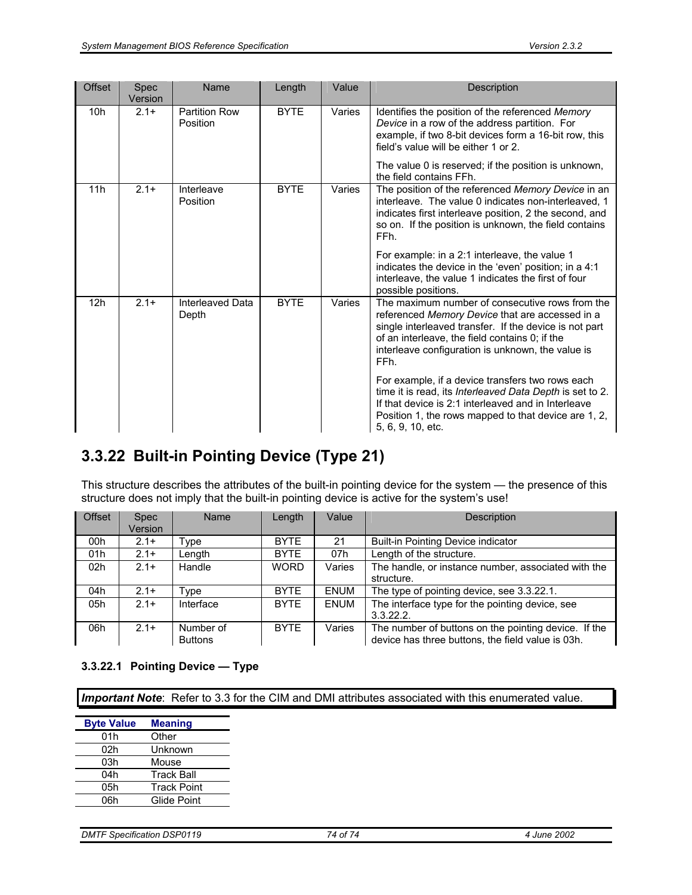| <b>Offset</b> | <b>Spec</b><br>Version | Name                             | Length      | Value  | <b>Description</b>                                                                                                                                                                                                                                                                    |
|---------------|------------------------|----------------------------------|-------------|--------|---------------------------------------------------------------------------------------------------------------------------------------------------------------------------------------------------------------------------------------------------------------------------------------|
| 10h           | $2.1+$                 | <b>Partition Row</b><br>Position | <b>BYTE</b> | Varies | Identifies the position of the referenced Memory<br>Device in a row of the address partition. For<br>example, if two 8-bit devices form a 16-bit row, this<br>field's value will be either 1 or 2.<br>The value 0 is reserved; if the position is unknown,<br>the field contains FFh. |
| 11h           | $2.1+$                 | Interleave<br>Position           | <b>BYTE</b> | Varies | The position of the referenced Memory Device in an<br>interleave. The value 0 indicates non-interleaved, 1<br>indicates first interleave position, 2 the second, and<br>so on. If the position is unknown, the field contains<br>FFh.                                                 |
|               |                        |                                  |             |        | For example: in a 2:1 interleave, the value 1<br>indicates the device in the 'even' position; in a 4:1<br>interleave, the value 1 indicates the first of four<br>possible positions.                                                                                                  |
| 12h           | $2.1+$                 | Interleaved Data<br>Depth        | <b>BYTE</b> | Varies | The maximum number of consecutive rows from the<br>referenced Memory Device that are accessed in a<br>single interleaved transfer. If the device is not part<br>of an interleave, the field contains 0; if the<br>interleave configuration is unknown, the value is<br>FFh.           |
|               |                        |                                  |             |        | For example, if a device transfers two rows each<br>time it is read, its Interleaved Data Depth is set to 2.<br>If that device is 2:1 interleaved and in Interleave<br>Position 1, the rows mapped to that device are 1, 2,<br>5, 6, 9, 10, etc.                                      |

### **3.3.22 Built-in Pointing Device (Type 21)**

This structure describes the attributes of the built-in pointing device for the system — the presence of this structure does not imply that the built-in pointing device is active for the system's use!

| <b>Offset</b> | <b>Spec</b> | Name           | Length      | Value       | Description                                          |
|---------------|-------------|----------------|-------------|-------------|------------------------------------------------------|
|               | Version     |                |             |             |                                                      |
| 00h           | $2.1+$      | vpe            | <b>BYTE</b> | 21          | Built-in Pointing Device indicator                   |
| 01h           | $2.1+$      | Length         | <b>BYTE</b> | 07h         | Length of the structure.                             |
| 02h           | $2.1+$      | Handle         | <b>WORD</b> | Varies      | The handle, or instance number, associated with the  |
|               |             |                |             |             | structure.                                           |
| 04h           | $2.1+$      | $\tau$ vpe     | <b>BYTE</b> | <b>ENUM</b> | The type of pointing device, see 3.3.22.1.           |
| 05h           | $2.1+$      | Interface      | <b>BYTE</b> | <b>ENUM</b> | The interface type for the pointing device, see      |
|               |             |                |             |             | 3.3.22.2                                             |
| 06h           | $2.1+$      | Number of      | <b>BYTE</b> | Varies      | The number of buttons on the pointing device. If the |
|               |             | <b>Buttons</b> |             |             | device has three buttons, the field value is 03h.    |

#### **3.3.22.1 Pointing Device — Type**

| <b>Byte Value</b> | <b>Meaning</b>     |
|-------------------|--------------------|
| 01h               | Other              |
| 02h               | Unknown            |
| 03h               | Mouse              |
| 04h               | <b>Track Ball</b>  |
| 05h               | <b>Track Point</b> |
| 06h               | Glide Point        |
|                   |                    |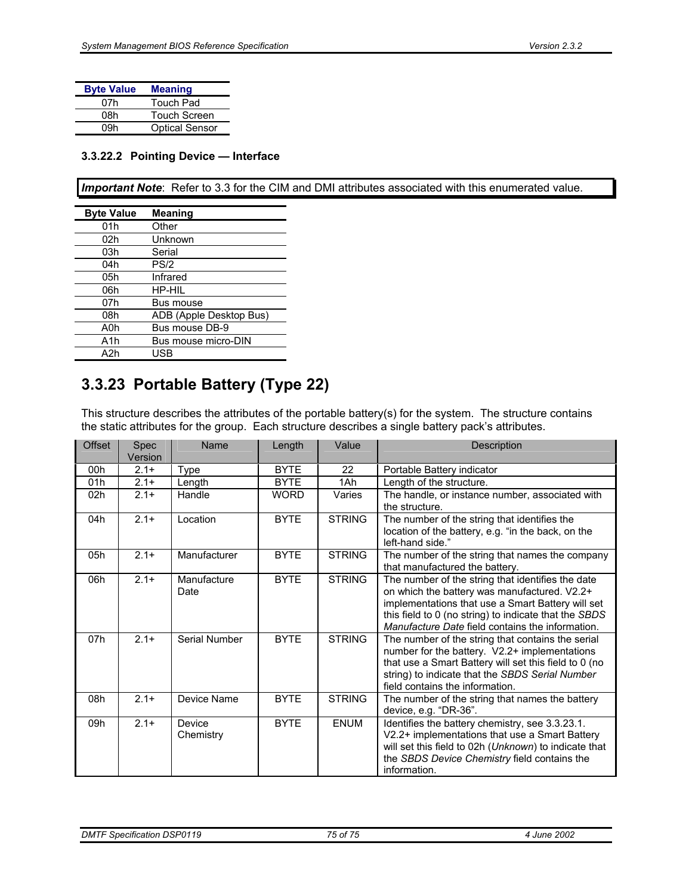| <b>Byte Value</b> | <b>Meaning</b>        |
|-------------------|-----------------------|
| 07h               | Touch Pad             |
| 08h               | <b>Touch Screen</b>   |
| 09h               | <b>Optical Sensor</b> |

#### **3.3.22.2 Pointing Device — Interface**

*Important Note*: Refer to 3.3 for the CIM and DMI attributes associated with this enumerated value.

| <b>Byte Value</b> | <b>Meaning</b>          |
|-------------------|-------------------------|
| 01h               | Other                   |
| 02h               | Unknown                 |
| 03h               | Serial                  |
| 04h               | PS/2                    |
| 05h               | Infrared                |
| 06h               | HP-HIL                  |
| 07h               | Bus mouse               |
| 08h               | ADB (Apple Desktop Bus) |
| A0h               | Bus mouse DB-9          |
| A1h               | Bus mouse micro-DIN     |
| A2h               | USB                     |

### **3.3.23 Portable Battery (Type 22)**

This structure describes the attributes of the portable battery(s) for the system. The structure contains the static attributes for the group. Each structure describes a single battery pack's attributes.

| Offset | Spec<br>Version | Name                | Length      | Value         | Description                                                                                                                                                                                                                                                         |
|--------|-----------------|---------------------|-------------|---------------|---------------------------------------------------------------------------------------------------------------------------------------------------------------------------------------------------------------------------------------------------------------------|
| 00h    | $2.1 +$         | Type                | <b>BYTE</b> | 22            | Portable Battery indicator                                                                                                                                                                                                                                          |
| 01h    | $2.1+$          | Length              | <b>BYTE</b> | 1Ah           | Length of the structure.                                                                                                                                                                                                                                            |
| 02h    | $2.1+$          | Handle              | <b>WORD</b> | Varies        | The handle, or instance number, associated with<br>the structure.                                                                                                                                                                                                   |
| 04h    | $2.1+$          | Location            | <b>BYTE</b> | <b>STRING</b> | The number of the string that identifies the<br>location of the battery, e.g. "in the back, on the<br>left-hand side."                                                                                                                                              |
| 05h    | $2.1 +$         | Manufacturer        | <b>BYTE</b> | <b>STRING</b> | The number of the string that names the company<br>that manufactured the battery.                                                                                                                                                                                   |
| 06h    | $2.1+$          | Manufacture<br>Date | <b>BYTE</b> | <b>STRING</b> | The number of the string that identifies the date<br>on which the battery was manufactured. V2.2+<br>implementations that use a Smart Battery will set<br>this field to 0 (no string) to indicate that the SBDS<br>Manufacture Date field contains the information. |
| 07h    | $2.1+$          | Serial Number       | <b>BYTE</b> | <b>STRING</b> | The number of the string that contains the serial<br>number for the battery. V2.2+ implementations<br>that use a Smart Battery will set this field to 0 (no<br>string) to indicate that the SBDS Serial Number<br>field contains the information.                   |
| 08h    | $2.1 +$         | Device Name         | <b>BYTE</b> | <b>STRING</b> | The number of the string that names the battery<br>device, e.g. "DR-36".                                                                                                                                                                                            |
| 09h    | $2.1+$          | Device<br>Chemistry | <b>BYTE</b> | <b>ENUM</b>   | Identifies the battery chemistry, see 3.3.23.1.<br>V2.2+ implementations that use a Smart Battery<br>will set this field to 02h (Unknown) to indicate that<br>the SBDS Device Chemistry field contains the<br>information.                                          |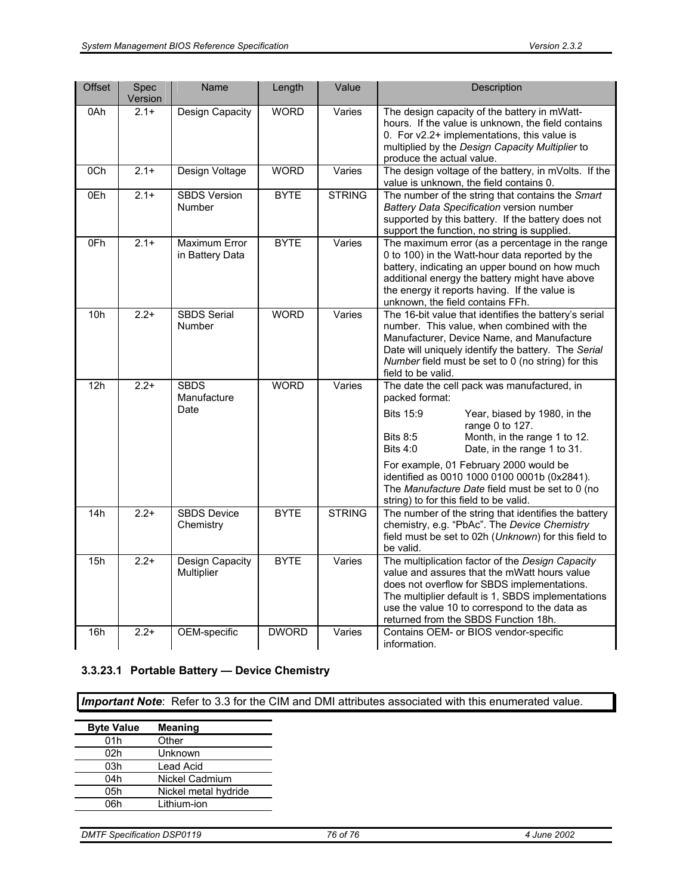| Offset          | Spec<br>Version | Name                                 | Length       | Value         | Description                                                                                                                                                                                                                                                                                   |
|-----------------|-----------------|--------------------------------------|--------------|---------------|-----------------------------------------------------------------------------------------------------------------------------------------------------------------------------------------------------------------------------------------------------------------------------------------------|
| 0Ah             | $2.1+$          | Design Capacity                      | <b>WORD</b>  | Varies        | The design capacity of the battery in mWatt-<br>hours. If the value is unknown, the field contains<br>0. For v2.2+ implementations, this value is<br>multiplied by the Design Capacity Multiplier to<br>produce the actual value.                                                             |
| 0 <sub>Ch</sub> | $2.1+$          | Design Voltage                       | <b>WORD</b>  | Varies        | The design voltage of the battery, in mVolts. If the<br>value is unknown, the field contains 0.                                                                                                                                                                                               |
| 0Eh             | $2.1+$          | <b>SBDS Version</b><br>Number        | <b>BYTE</b>  | <b>STRING</b> | The number of the string that contains the Smart<br>Battery Data Specification version number<br>supported by this battery. If the battery does not<br>support the function, no string is supplied.                                                                                           |
| 0Fh             | $2.1+$          | Maximum Error<br>in Battery Data     | <b>BYTE</b>  | Varies        | The maximum error (as a percentage in the range<br>0 to 100) in the Watt-hour data reported by the<br>battery, indicating an upper bound on how much<br>additional energy the battery might have above<br>the energy it reports having. If the value is<br>unknown, the field contains FFh.   |
| 10h             | $2.2+$          | <b>SBDS Serial</b><br>Number         | <b>WORD</b>  | Varies        | The 16-bit value that identifies the battery's serial<br>number. This value, when combined with the<br>Manufacturer, Device Name, and Manufacture<br>Date will uniquely identify the battery. The Serial<br>Number field must be set to 0 (no string) for this<br>field to be valid.          |
| 12h             | $2.2+$          | <b>SBDS</b><br>Manufacture<br>Date   | <b>WORD</b>  | Varies        | The date the cell pack was manufactured, in<br>packed format:<br><b>Bits 15:9</b><br>Year, biased by 1980, in the<br>range 0 to 127.<br>Month, in the range 1 to 12.<br><b>Bits 8:5</b><br>Date, in the range 1 to 31.<br>Bits $4:0$                                                          |
|                 |                 |                                      |              |               | For example, 01 February 2000 would be<br>identified as 0010 1000 0100 0001b (0x2841).<br>The Manufacture Date field must be set to 0 (no<br>string) to for this field to be valid.                                                                                                           |
| 14h             | $2.2+$          | <b>SBDS Device</b><br>Chemistry      | <b>BYTE</b>  | <b>STRING</b> | The number of the string that identifies the battery<br>chemistry, e.g. "PbAc". The Device Chemistry<br>field must be set to 02h (Unknown) for this field to<br>be valid.                                                                                                                     |
| 15h             | $2.2+$          | <b>Design Capacity</b><br>Multiplier | <b>BYTE</b>  | Varies        | The multiplication factor of the Design Capacity<br>value and assures that the mWatt hours value<br>does not overflow for SBDS implementations.<br>The multiplier default is 1, SBDS implementations<br>use the value 10 to correspond to the data as<br>returned from the SBDS Function 18h. |
| 16h             | $2.2+$          | OEM-specific                         | <b>DWORD</b> | Varies        | Contains OEM- or BIOS vendor-specific<br>information.                                                                                                                                                                                                                                         |

#### **3.3.23.1 Portable Battery — Device Chemistry**

| <b>Byte Value</b> | <b>Meaning</b>       |
|-------------------|----------------------|
| 01h               | Other                |
| 02h               | Unknown              |
| 03h               | Lead Acid            |
| 04h               | Nickel Cadmium       |
| 05h               | Nickel metal hydride |
| 06h               | Lithium-ion          |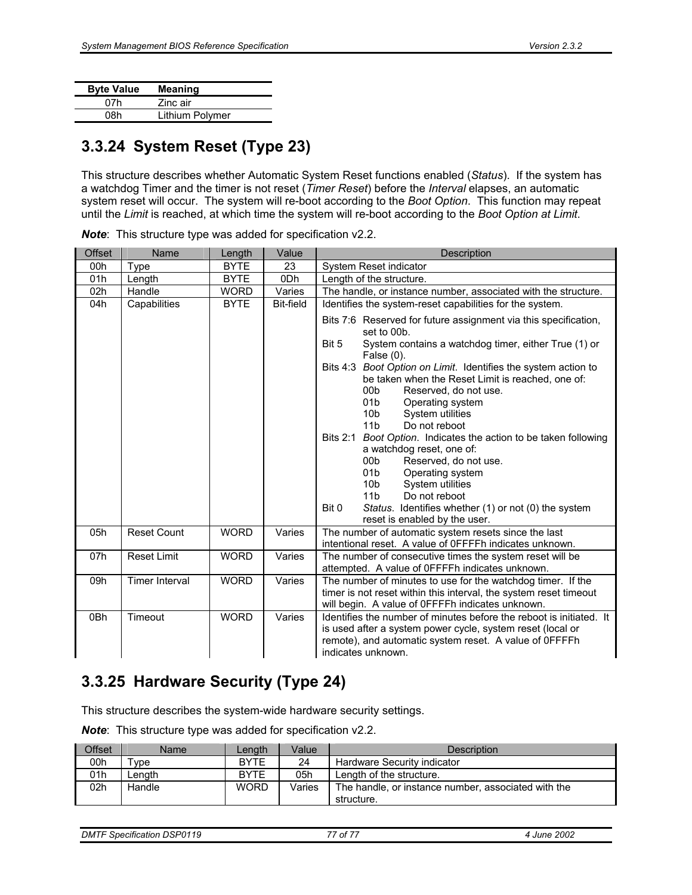| <b>Byte Value</b> | <b>Meaning</b>  |
|-------------------|-----------------|
| 07h               | Zinc air        |
| 08h               | Lithium Polymer |
|                   |                 |

#### **3.3.24 System Reset (Type 23)**

This structure describes whether Automatic System Reset functions enabled (*Status*). If the system has a watchdog Timer and the timer is not reset (*Timer Reset*) before the *Interval* elapses, an automatic system reset will occur. The system will re-boot according to the *Boot Option*. This function may repeat until the *Limit* is reached, at which time the system will re-boot according to the *Boot Option at Limit*.

| <b>Offset</b> | Name                  | Length      | Value            | Description                                                                                                                                                                                     |  |  |
|---------------|-----------------------|-------------|------------------|-------------------------------------------------------------------------------------------------------------------------------------------------------------------------------------------------|--|--|
| 00h           | Type                  | <b>BYTE</b> | 23               | System Reset indicator                                                                                                                                                                          |  |  |
| 01h           | Length                | <b>BYTE</b> | 0 <sub>Dh</sub>  | Length of the structure.                                                                                                                                                                        |  |  |
| 02h           | Handle                | <b>WORD</b> | Varies           | The handle, or instance number, associated with the structure.                                                                                                                                  |  |  |
| 04h           | Capabilities          | <b>BYTE</b> | <b>Bit-field</b> | Identifies the system-reset capabilities for the system.                                                                                                                                        |  |  |
|               |                       |             |                  | Bits 7:6 Reserved for future assignment via this specification,<br>set to 00b.<br>Bit 5<br>System contains a watchdog timer, either True (1) or                                                 |  |  |
|               |                       |             |                  | False $(0)$ .                                                                                                                                                                                   |  |  |
|               |                       |             |                  | Boot Option on Limit. Identifies the system action to<br>Bits $4:3$<br>be taken when the Reset Limit is reached, one of:<br>00 <sub>b</sub><br>Reserved, do not use.<br>01b<br>Operating system |  |  |
|               |                       |             |                  | 10 <sub>b</sub><br>System utilities                                                                                                                                                             |  |  |
|               |                       |             |                  | 11 <sub>b</sub><br>Do not reboot                                                                                                                                                                |  |  |
|               |                       |             |                  | Boot Option. Indicates the action to be taken following<br><b>Bits 2:1</b>                                                                                                                      |  |  |
|               |                       |             |                  | a watchdog reset, one of:                                                                                                                                                                       |  |  |
|               |                       |             |                  | 00b<br>Reserved, do not use.                                                                                                                                                                    |  |  |
|               |                       |             |                  | 01 <sub>b</sub><br>Operating system                                                                                                                                                             |  |  |
|               |                       |             |                  | System utilities<br>10 <sub>b</sub>                                                                                                                                                             |  |  |
|               |                       |             |                  | 11 <sub>b</sub><br>Do not reboot                                                                                                                                                                |  |  |
|               |                       |             |                  | Bit 0<br>Status. Identifies whether (1) or not (0) the system                                                                                                                                   |  |  |
|               |                       |             |                  | reset is enabled by the user.                                                                                                                                                                   |  |  |
| 05h           | <b>Reset Count</b>    | <b>WORD</b> | Varies           | The number of automatic system resets since the last<br>intentional reset. A value of OFFFFh indicates unknown.                                                                                 |  |  |
| 07h           | <b>Reset Limit</b>    | <b>WORD</b> | Varies           | The number of consecutive times the system reset will be<br>attempted. A value of OFFFFh indicates unknown.                                                                                     |  |  |
| 09h           | <b>Timer Interval</b> | <b>WORD</b> | Varies           | The number of minutes to use for the watchdog timer. If the<br>timer is not reset within this interval, the system reset timeout                                                                |  |  |
| 0Bh           | Timeout               | <b>WORD</b> | Varies           | will begin. A value of OFFFFh indicates unknown.<br>Identifies the number of minutes before the reboot is initiated. It                                                                         |  |  |
|               |                       |             |                  | is used after a system power cycle, system reset (local or                                                                                                                                      |  |  |
|               |                       |             |                  | remote), and automatic system reset. A value of OFFFFh                                                                                                                                          |  |  |
|               |                       |             |                  | indicates unknown.                                                                                                                                                                              |  |  |
|               |                       |             |                  |                                                                                                                                                                                                 |  |  |

*Note*: This structure type was added for specification v2.2.

#### **3.3.25 Hardware Security (Type 24)**

This structure describes the system-wide hardware security settings.

*Note*: This structure type was added for specification v2.2.

| <b>Offset</b> | Name       | Length      | Value  | Description                                                       |
|---------------|------------|-------------|--------|-------------------------------------------------------------------|
| 00h           | $\tau$ vpe | <b>BYTE</b> | 24     | Hardware Security indicator                                       |
| 01h           | Lenath.    | <b>BYTE</b> | 05h    | Length of the structure.                                          |
| 02h           | Handle     | <b>WORD</b> | Varies | The handle, or instance number, associated with the<br>structure. |

*DMTF Specification DSP0119 77 of 77 4 June 2002*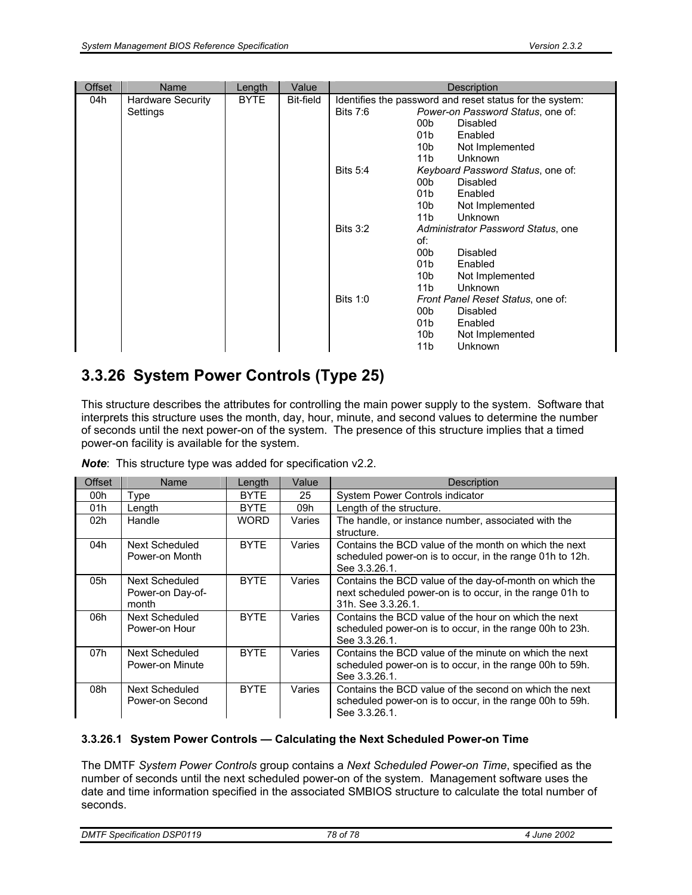| <b>Offset</b> | Name                                 | Length      | Value     | Description                                                                                                 |
|---------------|--------------------------------------|-------------|-----------|-------------------------------------------------------------------------------------------------------------|
| 04h           | <b>Hardware Security</b><br>Settings | <b>BYTE</b> | Bit-field | Identifies the password and reset status for the system:<br>Bits $7:6$<br>Power-on Password Status, one of: |
|               |                                      |             |           | 00 <sub>b</sub><br><b>Disabled</b>                                                                          |
|               |                                      |             |           | 01 <sub>b</sub><br>Enabled                                                                                  |
|               |                                      |             |           | 10b<br>Not Implemented                                                                                      |
|               |                                      |             |           | 11 <sub>b</sub><br><b>Unknown</b>                                                                           |
|               |                                      |             |           | <b>Bits 5:4</b><br>Keyboard Password Status, one of:                                                        |
|               |                                      |             |           | 00 <sub>b</sub><br>Disabled                                                                                 |
|               |                                      |             |           | 01 <sub>b</sub><br>Enabled                                                                                  |
|               |                                      |             |           | 10b<br>Not Implemented                                                                                      |
|               |                                      |             |           | 11 <sub>b</sub><br>Unknown                                                                                  |
|               |                                      |             |           | Bits $3:2$<br>Administrator Password Status, one<br>of:                                                     |
|               |                                      |             |           | 00 <sub>b</sub><br><b>Disabled</b>                                                                          |
|               |                                      |             |           | 01 <sub>b</sub><br>Enabled                                                                                  |
|               |                                      |             |           | 10b<br>Not Implemented                                                                                      |
|               |                                      |             |           | 11 <sub>b</sub><br>Unknown                                                                                  |
|               |                                      |             |           | Bits $1:0$<br>Front Panel Reset Status, one of:                                                             |
|               |                                      |             |           | 00 <sub>b</sub><br><b>Disabled</b>                                                                          |
|               |                                      |             |           | 01 <sub>b</sub><br>Enabled                                                                                  |
|               |                                      |             |           | 10b<br>Not Implemented                                                                                      |
|               |                                      |             |           | 11b<br>Unknown                                                                                              |

### **3.3.26 System Power Controls (Type 25)**

This structure describes the attributes for controlling the main power supply to the system. Software that interprets this structure uses the month, day, hour, minute, and second values to determine the number of seconds until the next power-on of the system. The presence of this structure implies that a timed power-on facility is available for the system.

|  | <b>Note:</b> This structure type was added for specification v2.2. |  |  |  |  |  |  |
|--|--------------------------------------------------------------------|--|--|--|--|--|--|
|--|--------------------------------------------------------------------|--|--|--|--|--|--|

| Offset | Name                                        | Length      | Value  | <b>Description</b>                                                                                                                        |
|--------|---------------------------------------------|-------------|--------|-------------------------------------------------------------------------------------------------------------------------------------------|
| 00h    | Type                                        | <b>BYTE</b> | 25     | System Power Controls indicator                                                                                                           |
| 01h    | Length                                      | <b>BYTE</b> | 09h    | Length of the structure.                                                                                                                  |
| 02h    | Handle                                      | <b>WORD</b> | Varies | The handle, or instance number, associated with the<br>structure.                                                                         |
| 04h    | Next Scheduled<br>Power-on Month            | <b>BYTE</b> | Varies | Contains the BCD value of the month on which the next<br>scheduled power-on is to occur, in the range 01h to 12h.<br>See 3.3.26.1.        |
| 05h    | Next Scheduled<br>Power-on Day-of-<br>month | <b>BYTE</b> | Varies | Contains the BCD value of the day-of-month on which the<br>next scheduled power-on is to occur, in the range 01h to<br>31h. See 3.3.26.1. |
| 06h    | Next Scheduled<br>Power-on Hour             | <b>BYTF</b> | Varies | Contains the BCD value of the hour on which the next<br>scheduled power-on is to occur, in the range 00h to 23h.<br>See 3.3.26.1.         |
| 07h    | Next Scheduled<br>Power-on Minute           | <b>BYTF</b> | Varies | Contains the BCD value of the minute on which the next<br>scheduled power-on is to occur, in the range 00h to 59h.<br>See 3.3.26.1.       |
| 08h    | Next Scheduled<br>Power-on Second           | <b>BYTE</b> | Varies | Contains the BCD value of the second on which the next<br>scheduled power-on is to occur, in the range 00h to 59h.<br>See 3.3.26.1.       |

#### **3.3.26.1 System Power Controls — Calculating the Next Scheduled Power-on Time**

The DMTF *System Power Controls* group contains a *Next Scheduled Power-on Time*, specified as the number of seconds until the next scheduled power-on of the system. Management software uses the date and time information specified in the associated SMBIOS structure to calculate the total number of seconds.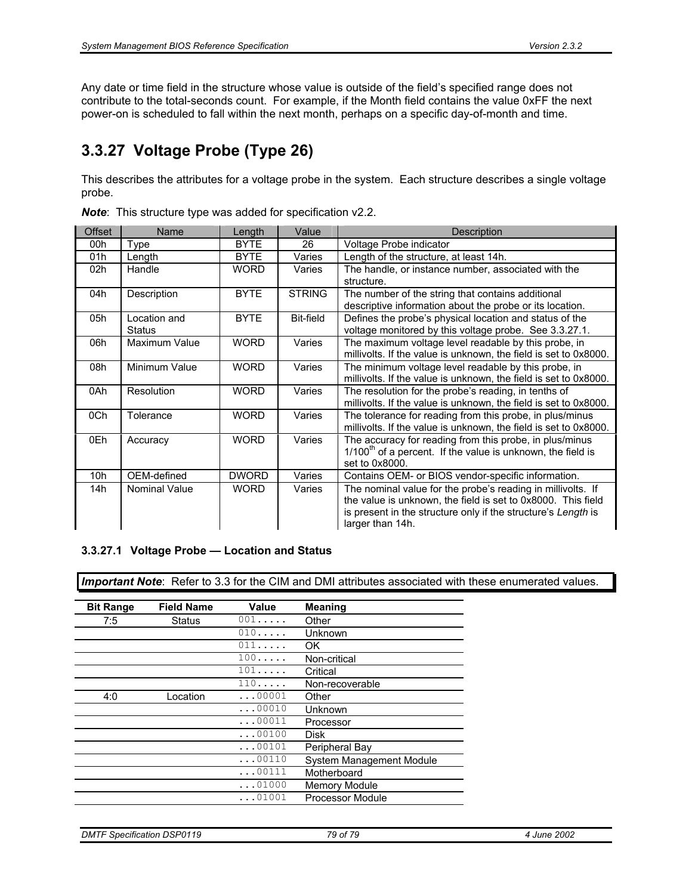Any date or time field in the structure whose value is outside of the field's specified range does not contribute to the total-seconds count. For example, if the Month field contains the value 0xFF the next power-on is scheduled to fall within the next month, perhaps on a specific day-of-month and time.

### **3.3.27 Voltage Probe (Type 26)**

This describes the attributes for a voltage probe in the system. Each structure describes a single voltage probe.

| Offset | Name                          | Length       | Value            | Description                                                                                                                                                                                                      |
|--------|-------------------------------|--------------|------------------|------------------------------------------------------------------------------------------------------------------------------------------------------------------------------------------------------------------|
| 00h    | Type                          | <b>BYTE</b>  | 26               | Voltage Probe indicator                                                                                                                                                                                          |
| 01h    | Length                        | <b>BYTE</b>  | Varies           | Length of the structure, at least 14h.                                                                                                                                                                           |
| 02h    | Handle                        | WORD         | Varies           | The handle, or instance number, associated with the<br>structure.                                                                                                                                                |
| 04h    | Description                   | <b>BYTE</b>  | <b>STRING</b>    | The number of the string that contains additional<br>descriptive information about the probe or its location.                                                                                                    |
| 05h    | Location and<br><b>Status</b> | <b>BYTE</b>  | <b>Bit-field</b> | Defines the probe's physical location and status of the<br>voltage monitored by this voltage probe. See 3.3.27.1.                                                                                                |
| 06h    | Maximum Value                 | <b>WORD</b>  | Varies           | The maximum voltage level readable by this probe, in<br>millivolts. If the value is unknown, the field is set to 0x8000.                                                                                         |
| 08h    | Minimum Value                 | <b>WORD</b>  | Varies           | The minimum voltage level readable by this probe, in<br>millivolts. If the value is unknown, the field is set to 0x8000.                                                                                         |
| 0Ah    | Resolution                    | <b>WORD</b>  | Varies           | The resolution for the probe's reading, in tenths of<br>millivolts. If the value is unknown, the field is set to 0x8000.                                                                                         |
| 0Ch    | Tolerance                     | <b>WORD</b>  | Varies           | The tolerance for reading from this probe, in plus/minus<br>millivolts. If the value is unknown, the field is set to 0x8000.                                                                                     |
| 0Eh    | Accuracy                      | <b>WORD</b>  | Varies           | The accuracy for reading from this probe, in plus/minus<br>$1/100th$ of a percent. If the value is unknown, the field is<br>set to 0x8000.                                                                       |
| 10h    | OEM-defined                   | <b>DWORD</b> | Varies           | Contains OEM- or BIOS vendor-specific information.                                                                                                                                                               |
| 14h    | <b>Nominal Value</b>          | WORD         | Varies           | The nominal value for the probe's reading in millivolts. If<br>the value is unknown, the field is set to 0x8000. This field<br>is present in the structure only if the structure's Length is<br>larger than 14h. |

*Note*: This structure type was added for specification v2.2.

#### **3.3.27.1 Voltage Probe — Location and Status**

| <b>Bit Range</b> | <b>Field Name</b> | Value          | <b>Meaning</b>           |
|------------------|-------------------|----------------|--------------------------|
| 7:5              | Status            | 001            | Other                    |
|                  |                   | 010            | Unknown                  |
|                  |                   | 011            | OK.                      |
|                  |                   | 100            | Non-critical             |
|                  |                   | $101 \ldots$   | Critical                 |
|                  |                   | 110            | Non-recoverable          |
| 4:0              | Location          | $\ldots$ 00001 | Other                    |
|                  |                   | $\ldots$ 00010 | Unknown                  |
|                  |                   | $\ldots$ 00011 | Processor                |
|                  |                   | $\ldots$ 00100 | Disk                     |
|                  |                   | 00101          | Peripheral Bay           |
|                  |                   | $\ldots 00110$ | System Management Module |
|                  |                   | $\ldots$ 00111 | Motherboard              |
|                  |                   | $\ldots$ 01000 | <b>Memory Module</b>     |
|                  |                   | 01001          | <b>Processor Module</b>  |
|                  |                   |                |                          |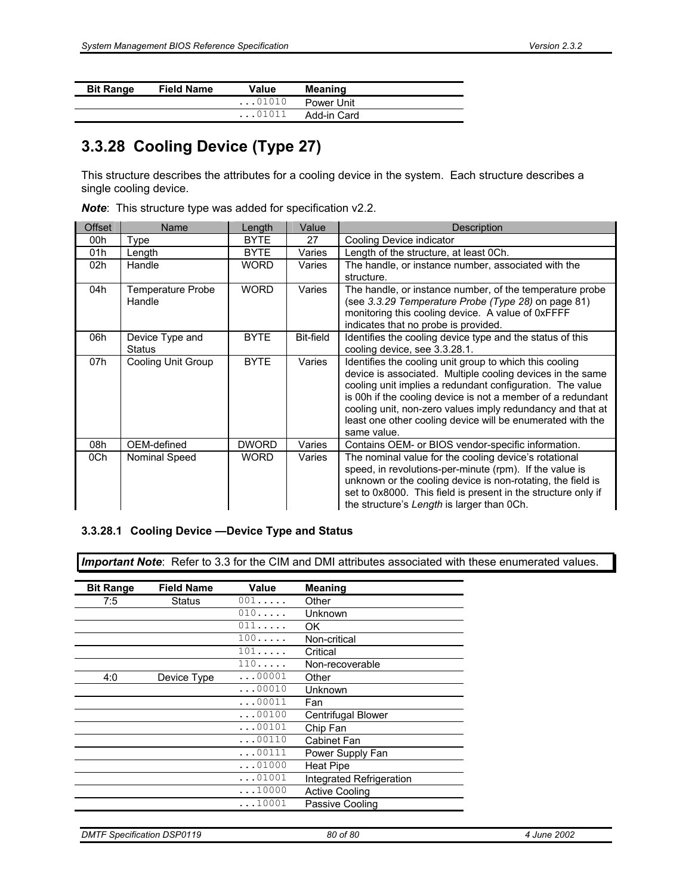| <b>Bit Range</b> | <b>Field Name</b> | Value          | <b>Meaning</b> |  |
|------------------|-------------------|----------------|----------------|--|
|                  |                   | $\ldots$ 01010 | Power Unit     |  |
|                  |                   | $\ldots$ 01011 | Add-in Card    |  |

#### **3.3.28 Cooling Device (Type 27)**

This structure describes the attributes for a cooling device in the system. Each structure describes a single cooling device.

|  |  |  |  | <b>Note:</b> This structure type was added for specification v2.2. |
|--|--|--|--|--------------------------------------------------------------------|
|--|--|--|--|--------------------------------------------------------------------|

| <b>Offset</b> | Name                     | Length       | Value            | <b>Description</b>                                            |  |
|---------------|--------------------------|--------------|------------------|---------------------------------------------------------------|--|
| 00h           | Type                     | <b>BYTE</b>  | 27               | Cooling Device indicator                                      |  |
| 01h           | Length                   | <b>BYTE</b>  | Varies           | Length of the structure, at least 0Ch.                        |  |
| 02h           | Handle                   | <b>WORD</b>  | Varies           | The handle, or instance number, associated with the           |  |
|               |                          |              |                  | structure.                                                    |  |
| 04h           | <b>Temperature Probe</b> | <b>WORD</b>  | Varies           | The handle, or instance number, of the temperature probe      |  |
|               | Handle                   |              |                  | (see 3.3.29 Temperature Probe (Type 28) on page 81)           |  |
|               |                          |              |                  | monitoring this cooling device. A value of 0xFFFF             |  |
|               |                          |              |                  | indicates that no probe is provided.                          |  |
| 06h           | Device Type and          | <b>BYTE</b>  | <b>Bit-field</b> | Identifies the cooling device type and the status of this     |  |
|               | <b>Status</b>            |              |                  | cooling device, see 3.3.28.1.                                 |  |
| 07h           | Cooling Unit Group       | <b>BYTE</b>  | Varies           | Identifies the cooling unit group to which this cooling       |  |
|               |                          |              |                  | device is associated. Multiple cooling devices in the same    |  |
|               |                          |              |                  | cooling unit implies a redundant configuration. The value     |  |
|               |                          |              |                  | is 00h if the cooling device is not a member of a redundant   |  |
|               |                          |              |                  | cooling unit, non-zero values imply redundancy and that at    |  |
|               |                          |              |                  | least one other cooling device will be enumerated with the    |  |
|               |                          |              |                  | same value.                                                   |  |
| 08h           | OEM-defined              | <b>DWORD</b> | Varies           | Contains OEM- or BIOS vendor-specific information.            |  |
| 0Ch           | Nominal Speed            | <b>WORD</b>  | Varies           | The nominal value for the cooling device's rotational         |  |
|               |                          |              |                  | speed, in revolutions-per-minute (rpm). If the value is       |  |
|               |                          |              |                  | unknown or the cooling device is non-rotating, the field is   |  |
|               |                          |              |                  | set to 0x8000. This field is present in the structure only if |  |
|               |                          |              |                  | the structure's Length is larger than 0Ch.                    |  |

#### **3.3.28.1 Cooling Device —Device Type and Status**

| <b>Bit Range</b> | <b>Field Name</b> | Value          | <b>Meaning</b>           |
|------------------|-------------------|----------------|--------------------------|
| 7:5              | Status            | 001            | Other                    |
|                  |                   | 010            | Unknown                  |
|                  |                   | 011            | OK.                      |
|                  |                   | 100            | Non-critical             |
|                  |                   | 101            | Critical                 |
|                  |                   | 110            | Non-recoverable          |
| 4:0              | Device Type       | $\ldots$ 00001 | Other                    |
|                  |                   | $\ldots$ 00010 | Unknown                  |
|                  |                   | $\ldots 00011$ | Fan                      |
|                  |                   | $\ldots$ 00100 | Centrifugal Blower       |
|                  |                   | $\ldots$ 00101 | Chip Fan                 |
|                  |                   | $\ldots$ 00110 | Cabinet Fan              |
|                  |                   | $\ldots$ 00111 | Power Supply Fan         |
|                  |                   | $\ldots$ 01000 | <b>Heat Pipe</b>         |
|                  |                   | $\ldots$ 01001 | Integrated Refrigeration |
|                  |                   | $\ldots$ 10000 | <b>Active Cooling</b>    |
|                  |                   | $\ldots$ 10001 | Passive Cooling          |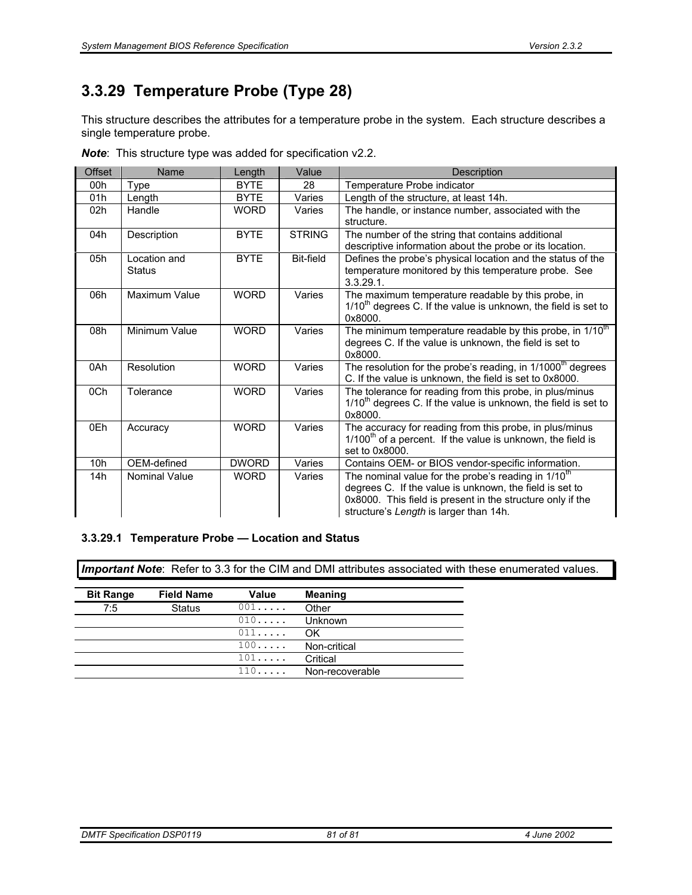### **3.3.29 Temperature Probe (Type 28)**

This structure describes the attributes for a temperature probe in the system. Each structure describes a single temperature probe.

| <b>Offset</b> | Name                          | Length       | Value            | Description                                                                                                                                                                                                                        |  |
|---------------|-------------------------------|--------------|------------------|------------------------------------------------------------------------------------------------------------------------------------------------------------------------------------------------------------------------------------|--|
| 00h           | Type                          | <b>BYTE</b>  | 28               | Temperature Probe indicator                                                                                                                                                                                                        |  |
| 01h           | Length                        | <b>BYTE</b>  | Varies           | Length of the structure, at least 14h.                                                                                                                                                                                             |  |
| 02h           | Handle                        | <b>WORD</b>  | Varies           | The handle, or instance number, associated with the<br>structure.                                                                                                                                                                  |  |
| 04h           | Description                   | <b>BYTE</b>  | <b>STRING</b>    | The number of the string that contains additional<br>descriptive information about the probe or its location.                                                                                                                      |  |
| 05h           | Location and<br><b>Status</b> | <b>BYTE</b>  | <b>Bit-field</b> | Defines the probe's physical location and the status of the<br>temperature monitored by this temperature probe. See<br>$3.3.29.1$ .                                                                                                |  |
| 06h           | Maximum Value                 | <b>WORD</b>  | Varies           | The maximum temperature readable by this probe, in<br>$1/10th$ degrees C. If the value is unknown, the field is set to<br>0x8000.                                                                                                  |  |
| 08h           | Minimum Value                 | <b>WORD</b>  | Varies           | The minimum temperature readable by this probe, in 1/10 <sup>th</sup><br>degrees C. If the value is unknown, the field is set to<br>0x8000.                                                                                        |  |
| 0Ah           | Resolution                    | <b>WORD</b>  | Varies           | The resolution for the probe's reading, in 1/1000 <sup>th</sup> degrees<br>C. If the value is unknown, the field is set to 0x8000.                                                                                                 |  |
| 0Ch           | Tolerance                     | <b>WORD</b>  | Varies           | The tolerance for reading from this probe, in plus/minus<br>$1/10th$ degrees C. If the value is unknown, the field is set to<br>0x8000.                                                                                            |  |
| 0Eh           | Accuracy                      | <b>WORD</b>  | Varies           | The accuracy for reading from this probe, in plus/minus<br>$1/100th$ of a percent. If the value is unknown, the field is<br>set to 0x8000.                                                                                         |  |
| 10h           | OEM-defined                   | <b>DWORD</b> | Varies           | Contains OEM- or BIOS vendor-specific information.                                                                                                                                                                                 |  |
| 14h           | <b>Nominal Value</b>          | <b>WORD</b>  | Varies           | The nominal value for the probe's reading in 1/10 <sup>th</sup><br>degrees C. If the value is unknown, the field is set to<br>0x8000. This field is present in the structure only if the<br>structure's Length is larger than 14h. |  |

*Note*: This structure type was added for specification v2.2.

#### **3.3.29.1 Temperature Probe — Location and Status**

| <b>Bit Range</b> | <b>Field Name</b> | Value | <b>Meaning</b>  |
|------------------|-------------------|-------|-----------------|
| 7:5              | <b>Status</b>     | 001   | Other           |
|                  |                   | 010   | Unknown         |
|                  |                   | 011   | OK              |
|                  |                   | 100   | Non-critical    |
|                  |                   | 101   | Critical        |
|                  |                   | 110   | Non-recoverable |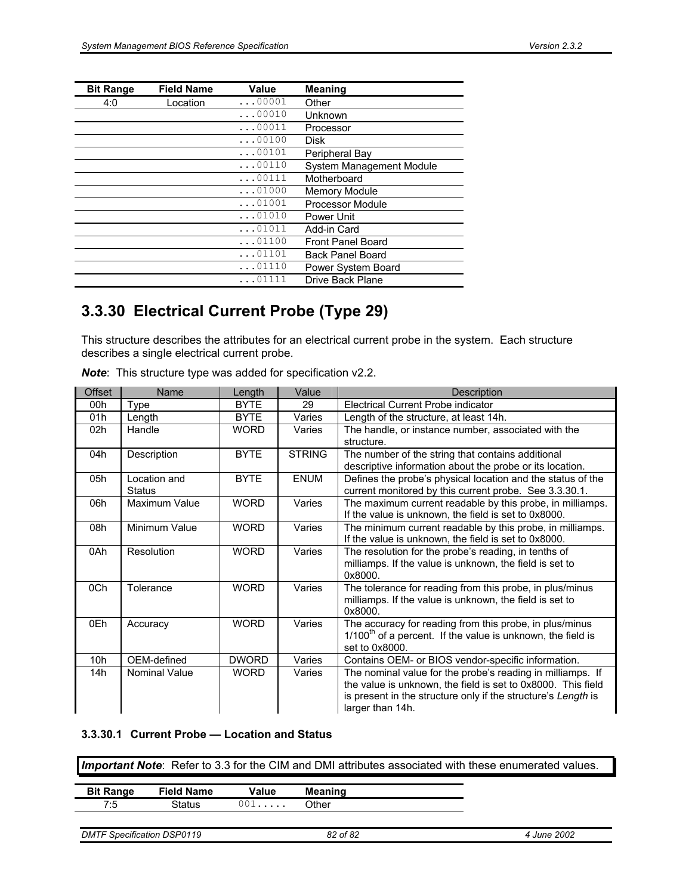| <b>Bit Range</b> | <b>Field Name</b> | Value          | <b>Meaning</b>           |
|------------------|-------------------|----------------|--------------------------|
| 4:0              | Location          | $\ldots$ 00001 | Other                    |
|                  |                   | $\ldots$ 00010 | Unknown                  |
|                  |                   | $\ldots$ 00011 | Processor                |
|                  |                   | $\ldots$ 00100 | <b>Disk</b>              |
|                  |                   | $\ldots$ 00101 | Peripheral Bay           |
|                  |                   | $\ldots$ 00110 | System Management Module |
|                  |                   | $\ldots$ 00111 | Motherboard              |
|                  |                   | $\ldots$ 01000 | <b>Memory Module</b>     |
|                  |                   | $\ldots$ 01001 | Processor Module         |
|                  |                   | $\ldots$ 01010 | Power Unit               |
|                  |                   | $\ldots$ 01011 | Add-in Card              |
|                  |                   | $\ldots$ 01100 | <b>Front Panel Board</b> |
|                  |                   | $\ldots$ 01101 | <b>Back Panel Board</b>  |
|                  |                   | $\ldots$ 01110 | Power System Board       |
|                  |                   | 01111          | Drive Back Plane         |

#### **3.3.30 Electrical Current Probe (Type 29)**

This structure describes the attributes for an electrical current probe in the system. Each structure describes a single electrical current probe.

| <b>Offset</b> | Name                          | Length       | Value         | Description                                                                                                                                                                                                     |
|---------------|-------------------------------|--------------|---------------|-----------------------------------------------------------------------------------------------------------------------------------------------------------------------------------------------------------------|
| 00h           | Type                          | <b>BYTE</b>  | 29            | Electrical Current Probe indicator                                                                                                                                                                              |
| 01h           | Length                        | <b>BYTE</b>  | Varies        | Length of the structure, at least 14h.                                                                                                                                                                          |
| 02h           | Handle                        | <b>WORD</b>  | Varies        | The handle, or instance number, associated with the<br>structure.                                                                                                                                               |
| 04h           | Description                   | <b>BYTE</b>  | <b>STRING</b> | The number of the string that contains additional<br>descriptive information about the probe or its location.                                                                                                   |
| 05h           | Location and<br><b>Status</b> | <b>BYTE</b>  | <b>ENUM</b>   | Defines the probe's physical location and the status of the<br>current monitored by this current probe. See 3.3.30.1.                                                                                           |
| 06h           | Maximum Value                 | <b>WORD</b>  | Varies        | The maximum current readable by this probe, in milliamps.<br>If the value is unknown, the field is set to 0x8000.                                                                                               |
| 08h           | Minimum Value                 | <b>WORD</b>  | Varies        | The minimum current readable by this probe, in milliamps.<br>If the value is unknown, the field is set to 0x8000.                                                                                               |
| 0Ah           | Resolution                    | <b>WORD</b>  | Varies        | The resolution for the probe's reading, in tenths of<br>milliamps. If the value is unknown, the field is set to<br>0x8000                                                                                       |
| 0Ch           | Tolerance                     | <b>WORD</b>  | Varies        | The tolerance for reading from this probe, in plus/minus<br>milliamps. If the value is unknown, the field is set to<br>0x8000.                                                                                  |
| 0Eh           | Accuracy                      | <b>WORD</b>  | Varies        | The accuracy for reading from this probe, in plus/minus<br>$1/100th$ of a percent. If the value is unknown, the field is<br>set to 0x8000.                                                                      |
| 10h           | OEM-defined                   | <b>DWORD</b> | Varies        | Contains OEM- or BIOS vendor-specific information.                                                                                                                                                              |
| 14h           | <b>Nominal Value</b>          | <b>WORD</b>  | Varies        | The nominal value for the probe's reading in milliamps. If<br>the value is unknown, the field is set to 0x8000. This field<br>is present in the structure only if the structure's Length is<br>larger than 14h. |

*Note*: This structure type was added for specification v2.2.

#### **3.3.30.1 Current Probe — Location and Status**

| <b>Bit Range</b> | <b>Field Name</b> | Value | <b>Meaning</b> |
|------------------|-------------------|-------|----------------|
| フ・ト              | 3tatus            | 001   | Other          |

```
DMTF Specification DSP0119 82 of 82 4 June 2002
```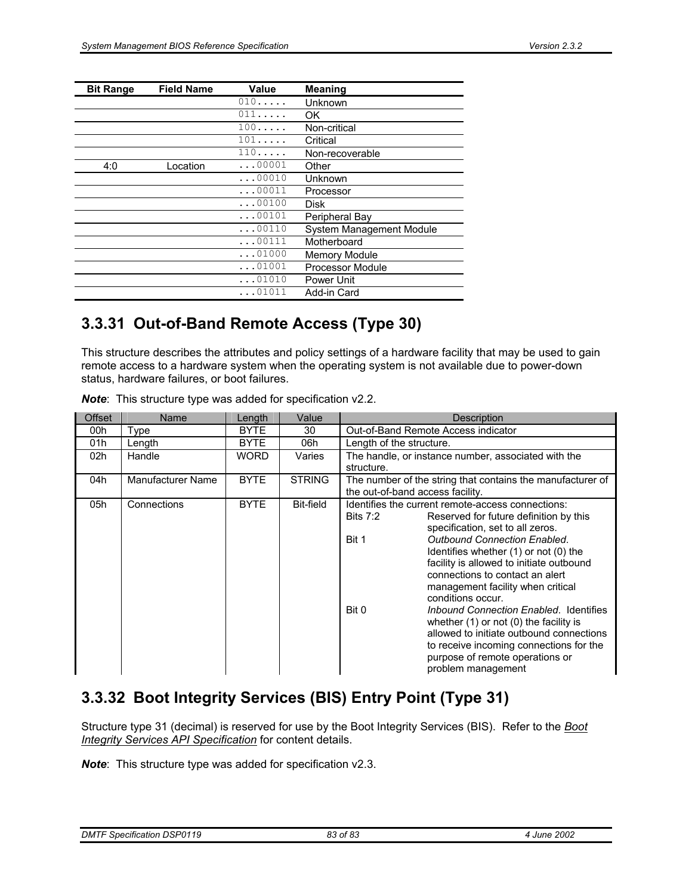| <b>Bit Range</b> | <b>Field Name</b> | Value          | <b>Meaning</b>           |
|------------------|-------------------|----------------|--------------------------|
|                  |                   | 010            | Unknown                  |
|                  |                   | 011            | OK                       |
|                  |                   | 100            | Non-critical             |
|                  |                   | 101            | Critical                 |
|                  |                   | 110            | Non-recoverable          |
| 4:0              | Location          | $\ldots00001$  | Other                    |
|                  |                   | $\ldots$ 00010 | Unknown                  |
|                  |                   | $\ldots$ 00011 | Processor                |
|                  |                   | $\ldots 00100$ | <b>Disk</b>              |
|                  |                   | $\ldots$ 00101 | Peripheral Bay           |
|                  |                   | $\ldots$ 00110 | System Management Module |
|                  |                   | $\ldots 00111$ | Motherboard              |
|                  |                   | $\ldots$ 01000 | <b>Memory Module</b>     |
|                  |                   | $\ldots$ 01001 | <b>Processor Module</b>  |
|                  |                   | $\ldots$ 01010 | Power Unit               |
|                  |                   | $\ldots$ 01011 | Add-in Card              |

#### **3.3.31 Out-of-Band Remote Access (Type 30)**

This structure describes the attributes and policy settings of a hardware facility that may be used to gain remote access to a hardware system when the operating system is not available due to power-down status, hardware failures, or boot failures.

| Offset                          | Name        | Length      | Value         | Description                                                                                                                                                                                                                                                                                                                                                                                                                                                                                                                                                                                                                      |  |
|---------------------------------|-------------|-------------|---------------|----------------------------------------------------------------------------------------------------------------------------------------------------------------------------------------------------------------------------------------------------------------------------------------------------------------------------------------------------------------------------------------------------------------------------------------------------------------------------------------------------------------------------------------------------------------------------------------------------------------------------------|--|
| 00h                             | Type        | <b>BYTE</b> | 30            | Out-of-Band Remote Access indicator                                                                                                                                                                                                                                                                                                                                                                                                                                                                                                                                                                                              |  |
| 01h                             | Length      | <b>BYTE</b> | 06h           | Length of the structure.                                                                                                                                                                                                                                                                                                                                                                                                                                                                                                                                                                                                         |  |
| 02h                             | Handle      | <b>WORD</b> | Varies        | The handle, or instance number, associated with the<br>structure.                                                                                                                                                                                                                                                                                                                                                                                                                                                                                                                                                                |  |
| <b>Manufacturer Name</b><br>04h |             | <b>BYTE</b> | <b>STRING</b> | The number of the string that contains the manufacturer of<br>the out-of-band access facility.                                                                                                                                                                                                                                                                                                                                                                                                                                                                                                                                   |  |
| 05h                             | Connections | <b>BYTE</b> | Bit-field     | Identifies the current remote-access connections:<br>Bits $7:2$<br>Reserved for future definition by this<br>specification, set to all zeros.<br><b>Outbound Connection Enabled.</b><br>Bit 1<br>Identifies whether (1) or not (0) the<br>facility is allowed to initiate outbound<br>connections to contact an alert<br>management facility when critical<br>conditions occur.<br>Bit 0<br>Inbound Connection Enabled. Identifies<br>whether $(1)$ or not $(0)$ the facility is<br>allowed to initiate outbound connections<br>to receive incoming connections for the<br>purpose of remote operations or<br>problem management |  |

*Note*: This structure type was added for specification v2.2.

### **3.3.32 Boot Integrity Services (BIS) Entry Point (Type 31)**

Structure type 31 (decimal) is reserved for use by the Boot Integrity Services (BIS). Refer to the *Boot Integrity Services API Specification* for content details.

*Note*: This structure type was added for specification v2.3.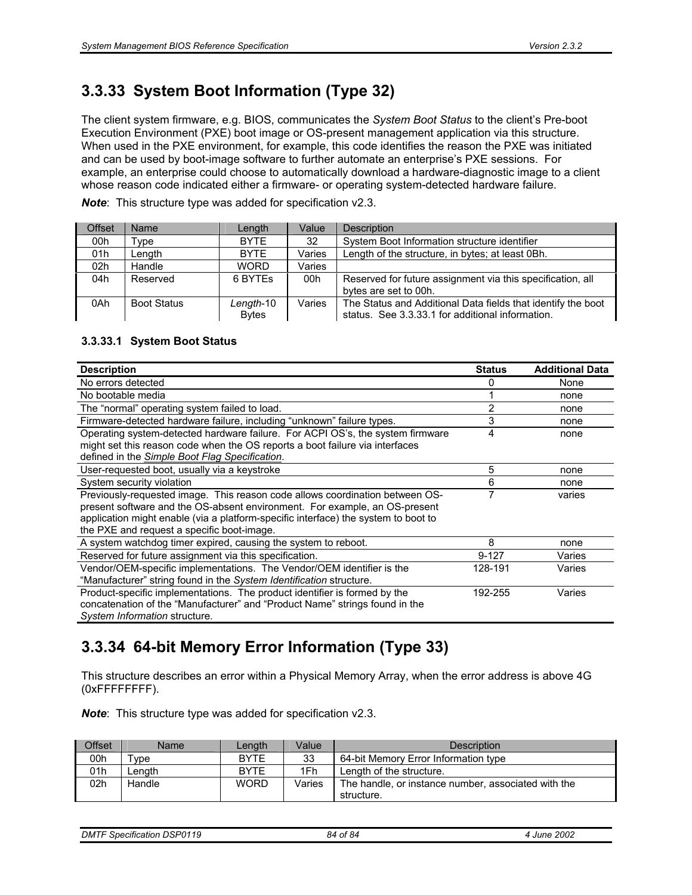### **3.3.33 System Boot Information (Type 32)**

The client system firmware, e.g. BIOS, communicates the *System Boot Status* to the client's Pre-boot Execution Environment (PXE) boot image or OS-present management application via this structure. When used in the PXE environment, for example, this code identifies the reason the PXE was initiated and can be used by boot-image software to further automate an enterprise's PXE sessions. For example, an enterprise could choose to automatically download a hardware-diagnostic image to a client whose reason code indicated either a firmware- or operating system-detected hardware failure.

*Note*: This structure type was added for specification v2.3.

| Offset | Name               | Length                    | Value  | Description                                                                                                      |
|--------|--------------------|---------------------------|--------|------------------------------------------------------------------------------------------------------------------|
| 00h    | Type               | <b>BYTE</b>               | 32     | System Boot Information structure identifier                                                                     |
| 01h    | Length             | <b>BYTE</b>               | Varies | Length of the structure, in bytes; at least 0Bh.                                                                 |
| 02h    | Handle             | <b>WORD</b>               | Varies |                                                                                                                  |
| 04h    | Reserved           | 6 BYTES                   | 00h    | Reserved for future assignment via this specification, all<br>bytes are set to 00h.                              |
| 0Ah    | <b>Boot Status</b> | Length-10<br><b>Bytes</b> | Varies | The Status and Additional Data fields that identify the boot<br>status. See 3.3.33.1 for additional information. |

#### **3.3.33.1 System Boot Status**

| <b>Description</b>                                                                 | <b>Status</b> | <b>Additional Data</b> |
|------------------------------------------------------------------------------------|---------------|------------------------|
| No errors detected                                                                 | 0             | None                   |
| No bootable media                                                                  |               | none                   |
| The "normal" operating system failed to load.                                      | 2             | none                   |
| Firmware-detected hardware failure, including "unknown" failure types.             | 3             | none                   |
| Operating system-detected hardware failure. For ACPI OS's, the system firmware     | 4             | none                   |
| might set this reason code when the OS reports a boot failure via interfaces       |               |                        |
| defined in the <b>Simple Boot Flag Specification</b> .                             |               |                        |
| User-requested boot, usually via a keystroke                                       | 5             | none                   |
| System security violation                                                          | 6             | none                   |
| Previously-requested image. This reason code allows coordination between OS-       |               | varies                 |
| present software and the OS-absent environment. For example, an OS-present         |               |                        |
| application might enable (via a platform-specific interface) the system to boot to |               |                        |
| the PXE and request a specific boot-image.                                         |               |                        |
| A system watchdog timer expired, causing the system to reboot.                     | 8             | none                   |
| Reserved for future assignment via this specification.                             | $9 - 127$     | Varies                 |
| Vendor/OEM-specific implementations. The Vendor/OEM identifier is the              | 128-191       | Varies                 |
| "Manufacturer" string found in the System Identification structure.                |               |                        |
| Product-specific implementations. The product identifier is formed by the          | 192-255       | Varies                 |
| concatenation of the "Manufacturer" and "Product Name" strings found in the        |               |                        |
| System Information structure.                                                      |               |                        |

### **3.3.34 64-bit Memory Error Information (Type 33)**

This structure describes an error within a Physical Memory Array, when the error address is above 4G (0xFFFFFFFF).

*Note*: This structure type was added for specification v2.3.

| Offset | Name                | Length      | Value  | <b>Description</b>                                                |
|--------|---------------------|-------------|--------|-------------------------------------------------------------------|
| 00h    | $^{\mathsf{T}}$ vpe | <b>BYTE</b> | 33     | 64-bit Memory Error Information type                              |
| 01h    | _ength              | <b>BYTE</b> | 1Fh    | Length of the structure.                                          |
| 02h    | Handle              | <b>WORD</b> | Varies | The handle, or instance number, associated with the<br>structure. |

*DMTF Specification DSP0119 84 of 84 4 June 2002*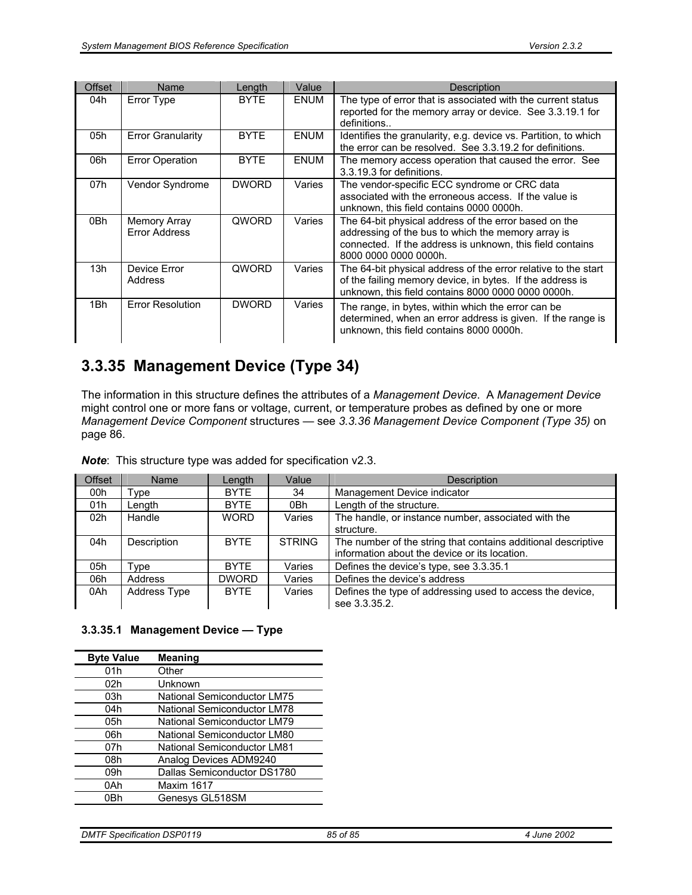| Offset | <b>Name</b>                          | Length       | Value       | <b>Description</b>                                                                                                                                                                                |
|--------|--------------------------------------|--------------|-------------|---------------------------------------------------------------------------------------------------------------------------------------------------------------------------------------------------|
| 04h    | Error Type                           | <b>BYTE</b>  | <b>ENUM</b> | The type of error that is associated with the current status<br>reported for the memory array or device. See 3.3.19.1 for<br>definitions                                                          |
| 05h    | <b>Error Granularity</b>             | <b>BYTE</b>  | <b>ENUM</b> | Identifies the granularity, e.g. device vs. Partition, to which<br>the error can be resolved. See 3.3.19.2 for definitions.                                                                       |
| 06h    | <b>Error Operation</b>               | <b>BYTE</b>  | ENUM        | The memory access operation that caused the error. See<br>3.3.19.3 for definitions.                                                                                                               |
| 07h    | Vendor Syndrome                      | <b>DWORD</b> | Varies      | The vendor-specific ECC syndrome or CRC data<br>associated with the erroneous access. If the value is<br>unknown, this field contains 0000 0000h.                                                 |
| 0Bh    | Memory Array<br><b>Error Address</b> | QWORD        | Varies      | The 64-bit physical address of the error based on the<br>addressing of the bus to which the memory array is<br>connected. If the address is unknown, this field contains<br>8000 0000 0000 0000h. |
| 13h    | Device Error<br>Address              | QWORD        | Varies      | The 64-bit physical address of the error relative to the start<br>of the failing memory device, in bytes. If the address is<br>unknown, this field contains 8000 0000 0000 0000h.                 |
| 1Bh    | <b>Error Resolution</b>              | <b>DWORD</b> | Varies      | The range, in bytes, within which the error can be<br>determined, when an error address is given. If the range is<br>unknown, this field contains 8000 0000h.                                     |

### **3.3.35 Management Device (Type 34)**

The information in this structure defines the attributes of a *Management Device*. A *Management Device* might control one or more fans or voltage, current, or temperature probes as defined by one or more *Management Device Component* structures — see *3.3.36 Management Device Component (Type 35)* on page 86.

*Note*: This structure type was added for specification v2.3.

| Offset | <b>Name</b>         | Length       | Value         | <b>Description</b>                                            |
|--------|---------------------|--------------|---------------|---------------------------------------------------------------|
| 00h    | Type                | <b>BYTE</b>  | 34            | Management Device indicator                                   |
| 01h    | Length              | <b>BYTE</b>  | 0Bh           | Length of the structure.                                      |
| 02h    | Handle              | <b>WORD</b>  | Varies        | The handle, or instance number, associated with the           |
|        |                     |              |               | structure.                                                    |
| 04h    | Description         | <b>BYTE</b>  | <b>STRING</b> | The number of the string that contains additional descriptive |
|        |                     |              |               | information about the device or its location.                 |
| 05h    | Type                | <b>BYTE</b>  | Varies        | Defines the device's type, see 3.3.35.1                       |
| 06h    | Address             | <b>DWORD</b> | Varies        | Defines the device's address                                  |
| 0Ah    | <b>Address Type</b> | <b>BYTE</b>  | Varies        | Defines the type of addressing used to access the device,     |
|        |                     |              |               | see 3.3.35.2.                                                 |

#### **3.3.35.1 Management Device — Type**

| <b>Byte Value</b> | <b>Meaning</b>                     |
|-------------------|------------------------------------|
| 01h               | Other                              |
| 02h               | Unknown                            |
| 03h               | National Semiconductor LM75        |
| 04h               | <b>National Semiconductor LM78</b> |
| 05h               | National Semiconductor LM79        |
| 06h               | National Semiconductor LM80        |
| 07h               | <b>National Semiconductor LM81</b> |
| 08h               | Analog Devices ADM9240             |
| 09h               | Dallas Semiconductor DS1780        |
| 0Ah               | Maxim 1617                         |
| 0Rh               | Genesys GL518SM                    |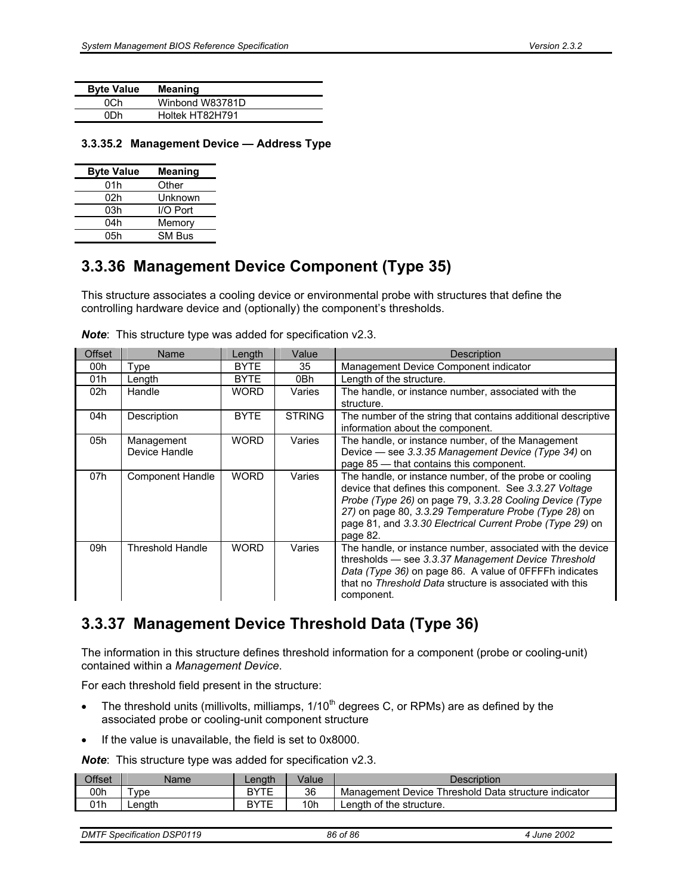| <b>Byte Value</b> | <b>Meaning</b>  |
|-------------------|-----------------|
| NC.h              | Winbond W83781D |
| NDh               | Holtek HT82H791 |

#### **3.3.35.2 Management Device — Address Type**

| <b>Byte Value</b> | <b>Meaning</b> |
|-------------------|----------------|
| 01h               | Other          |
| 02h               | Unknown        |
| 03h               | I/O Port       |
| 04h               | Memory         |
| 05h               | SM Bus         |

#### **3.3.36 Management Device Component (Type 35)**

This structure associates a cooling device or environmental probe with structures that define the controlling hardware device and (optionally) the component's thresholds.

| <b>Offset</b> | <b>Name</b>                 | Length      | Value         | <b>Description</b>                                                                                                                                                                                                                                                                                             |
|---------------|-----------------------------|-------------|---------------|----------------------------------------------------------------------------------------------------------------------------------------------------------------------------------------------------------------------------------------------------------------------------------------------------------------|
| 00h           | Type                        | <b>BYTE</b> | 35            | Management Device Component indicator                                                                                                                                                                                                                                                                          |
| 01h           | Length                      | <b>BYTE</b> | 0Bh           | Length of the structure.                                                                                                                                                                                                                                                                                       |
| 02h           | Handle                      | WORD.       | Varies        | The handle, or instance number, associated with the<br>structure.                                                                                                                                                                                                                                              |
| 04h           | Description                 | <b>BYTE</b> | <b>STRING</b> | The number of the string that contains additional descriptive<br>information about the component.                                                                                                                                                                                                              |
| 05h           | Management<br>Device Handle | <b>WORD</b> | Varies        | The handle, or instance number, of the Management<br>Device - see 3.3.35 Management Device (Type 34) on<br>page 85 - that contains this component.                                                                                                                                                             |
| 07h           | <b>Component Handle</b>     | <b>WORD</b> | Varies        | The handle, or instance number, of the probe or cooling<br>device that defines this component. See 3.3.27 Voltage<br>Probe (Type 26) on page 79, 3.3.28 Cooling Device (Type<br>27) on page 80, 3.3.29 Temperature Probe (Type 28) on<br>page 81, and 3.3.30 Electrical Current Probe (Type 29) on<br>page 82. |
| 09h           | Threshold Handle            | <b>WORD</b> | Varies        | The handle, or instance number, associated with the device<br>thresholds - see 3.3.37 Management Device Threshold<br>Data (Type 36) on page 86. A value of 0FFFFh indicates<br>that no Threshold Data structure is associated with this<br>component.                                                          |

*Note*: This structure type was added for specification v2.3.

### **3.3.37 Management Device Threshold Data (Type 36)**

The information in this structure defines threshold information for a component (probe or cooling-unit) contained within a *Management Device*.

For each threshold field present in the structure:

- The threshold units (millivolts, milliamps,  $1/10<sup>th</sup>$  degrees C, or RPMs) are as defined by the associated probe or cooling-unit component structure
- If the value is unavailable, the field is set to 0x8000.

*Note*: This structure type was added for specification v2.3.

| <b>Offset</b> | Name   | Lenath | Value | Description                                          |
|---------------|--------|--------|-------|------------------------------------------------------|
| 00h           | vpe    | RVTE   | 36    | Management Device Threshold Data structure indicator |
| 01h           | Lenath | RVTE   | 10h   | Length of the structure.                             |

| <b>DMTF Specification DSP0119</b><br>86 of 86 | 4 June 2002 |  |
|-----------------------------------------------|-------------|--|
|-----------------------------------------------|-------------|--|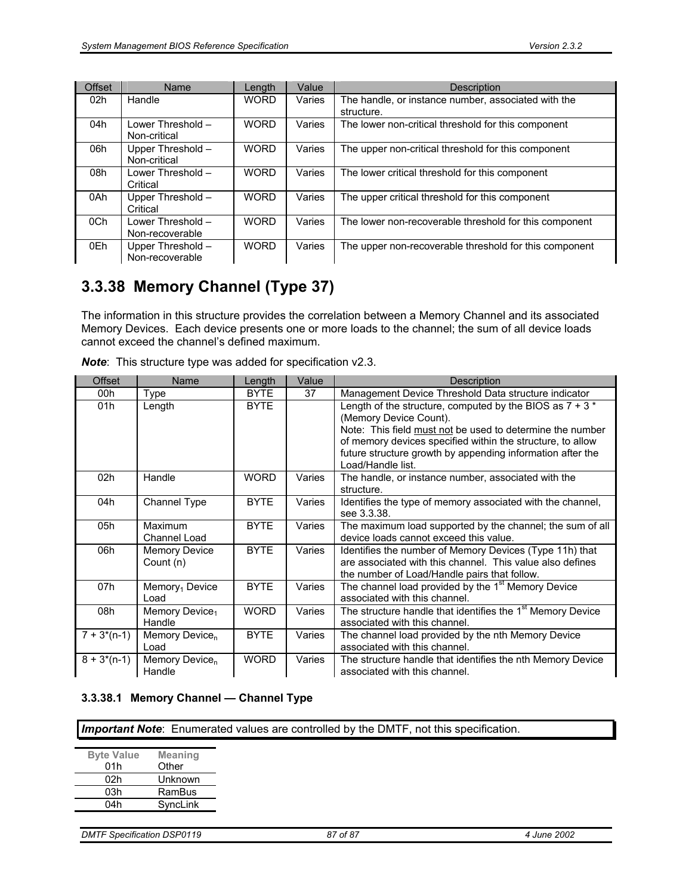| <b>Offset</b> | <b>Name</b>                          | Length      | Value  | <b>Description</b>                                                |
|---------------|--------------------------------------|-------------|--------|-------------------------------------------------------------------|
| 02h           | Handle                               | <b>WORD</b> | Varies | The handle, or instance number, associated with the<br>structure. |
| 04h           | Lower Threshold -<br>Non-critical    | <b>WORD</b> | Varies | The lower non-critical threshold for this component               |
| 06h           | Upper Threshold -<br>Non-critical    | <b>WORD</b> | Varies | The upper non-critical threshold for this component               |
| 08h           | Lower Threshold -<br>Critical        | <b>WORD</b> | Varies | The lower critical threshold for this component                   |
| 0Ah           | Upper Threshold -<br>Critical        | <b>WORD</b> | Varies | The upper critical threshold for this component                   |
| 0Ch           | Lower Threshold -<br>Non-recoverable | <b>WORD</b> | Varies | The lower non-recoverable threshold for this component            |
| 0Eh           | Upper Threshold -<br>Non-recoverable | <b>WORD</b> | Varies | The upper non-recoverable threshold for this component            |

### **3.3.38 Memory Channel (Type 37)**

The information in this structure provides the correlation between a Memory Channel and its associated Memory Devices. Each device presents one or more loads to the channel; the sum of all device loads cannot exceed the channel's defined maximum.

| <b>Offset</b> | Name                                 | Length      | Value  | Description                                                                                                                                                                                                                                                                                       |
|---------------|--------------------------------------|-------------|--------|---------------------------------------------------------------------------------------------------------------------------------------------------------------------------------------------------------------------------------------------------------------------------------------------------|
| 00h           | Type                                 | <b>BYTE</b> | 37     | Management Device Threshold Data structure indicator                                                                                                                                                                                                                                              |
| 01h           | Length                               | <b>BYTE</b> |        | Length of the structure, computed by the BIOS as $7 + 3*$<br>(Memory Device Count).<br>Note: This field must not be used to determine the number<br>of memory devices specified within the structure, to allow<br>future structure growth by appending information after the<br>Load/Handle list. |
| 02h           | Handle                               | <b>WORD</b> | Varies | The handle, or instance number, associated with the<br>structure.                                                                                                                                                                                                                                 |
| 04h           | Channel Type                         | <b>BYTE</b> | Varies | Identifies the type of memory associated with the channel,<br>see 3.3.38.                                                                                                                                                                                                                         |
| 05h           | Maximum<br>Channel Load              | <b>BYTE</b> | Varies | The maximum load supported by the channel; the sum of all<br>device loads cannot exceed this value.                                                                                                                                                                                               |
| 06h           | <b>Memory Device</b><br>Count (n)    | <b>BYTE</b> | Varies | Identifies the number of Memory Devices (Type 11h) that<br>are associated with this channel. This value also defines<br>the number of Load/Handle pairs that follow.                                                                                                                              |
| 07h           | Memory <sub>1</sub> Device<br>Load   | <b>BYTE</b> | Varies | The channel load provided by the 1 <sup>st</sup> Memory Device<br>associated with this channel.                                                                                                                                                                                                   |
| 08h           | Memory Device <sub>1</sub><br>Handle | <b>WORD</b> | Varies | The structure handle that identifies the 1 <sup>st</sup> Memory Device<br>associated with this channel.                                                                                                                                                                                           |
| $7 + 3*(n-1)$ | Memory Device <sub>n</sub><br>Load   | <b>BYTE</b> | Varies | The channel load provided by the nth Memory Device<br>associated with this channel.                                                                                                                                                                                                               |
| $8 + 3*(n-1)$ | Memory Device <sub>n</sub><br>Handle | <b>WORD</b> | Varies | The structure handle that identifies the nth Memory Device<br>associated with this channel.                                                                                                                                                                                                       |

*Note*: This structure type was added for specification v2.3.

#### **3.3.38.1 Memory Channel — Channel Type**

**Important Note**: Enumerated values are controlled by the DMTF, not this specification.

| <b>Meaning</b> |
|----------------|
| Other          |
| Unknown        |
| RamBus         |
| SyncLink       |
|                |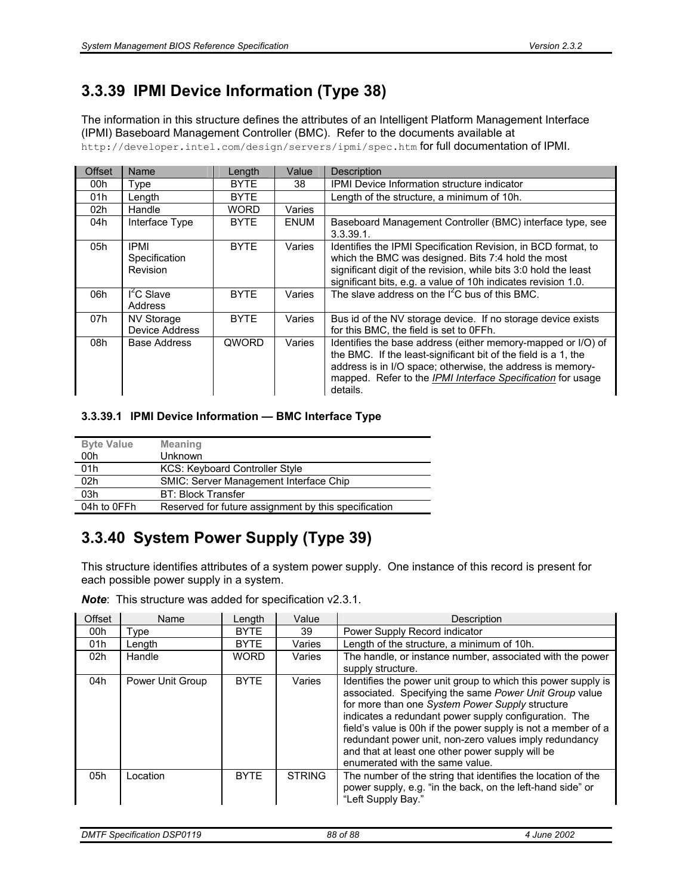### **3.3.39 IPMI Device Information (Type 38)**

The information in this structure defines the attributes of an Intelligent Platform Management Interface (IPMI) Baseboard Management Controller (BMC). Refer to the documents available at http://developer.intel.com/design/servers/ipmi/spec.htm for full documentation of IPMI.

| <b>Offset</b> | Name                                | Length      | Value       | Description                                                                                                                                                                                                                                                                    |
|---------------|-------------------------------------|-------------|-------------|--------------------------------------------------------------------------------------------------------------------------------------------------------------------------------------------------------------------------------------------------------------------------------|
| 00h           | Type                                | <b>BYTE</b> | 38          | IPMI Device Information structure indicator                                                                                                                                                                                                                                    |
| 01h           | Length                              | <b>BYTE</b> |             | Length of the structure, a minimum of 10h.                                                                                                                                                                                                                                     |
| 02h           | Handle                              | <b>WORD</b> | Varies      |                                                                                                                                                                                                                                                                                |
| 04h           | Interface Type                      | <b>BYTE</b> | <b>ENUM</b> | Baseboard Management Controller (BMC) interface type, see<br>$3.3.39.1$ .                                                                                                                                                                                                      |
| 05h           | IPMI<br>Specification<br>Revision   | <b>BYTE</b> | Varies      | Identifies the IPMI Specification Revision, in BCD format, to<br>which the BMC was designed. Bits 7:4 hold the most<br>significant digit of the revision, while bits 3:0 hold the least<br>significant bits, e.g. a value of 10h indicates revision 1.0.                       |
| 06h           | $I^2C$ Slave<br>Address             | <b>BYTE</b> | Varies      | The slave address on the $I^2C$ bus of this BMC.                                                                                                                                                                                                                               |
| 07h           | <b>NV Storage</b><br>Device Address | <b>BYTE</b> | Varies      | Bus id of the NV storage device. If no storage device exists<br>for this BMC, the field is set to OFFh.                                                                                                                                                                        |
| 08h           | Base Address                        | QWORD       | Varies      | Identifies the base address (either memory-mapped or I/O) of<br>the BMC. If the least-significant bit of the field is a 1, the<br>address is in I/O space; otherwise, the address is memory-<br>mapped. Refer to the <i>IPMI Interface Specification</i> for usage<br>details. |

#### **3.3.39.1 IPMI Device Information — BMC Interface Type**

| <b>Byte Value</b> | <b>Meaning</b>                                       |
|-------------------|------------------------------------------------------|
| 00h               | <b>Unknown</b>                                       |
| 01h               | <b>KCS: Keyboard Controller Style</b>                |
| 02h               | <b>SMIC: Server Management Interface Chip</b>        |
| 03h               | <b>BT: Block Transfer</b>                            |
| 04h to 0FFh       | Reserved for future assignment by this specification |

### **3.3.40 System Power Supply (Type 39)**

This structure identifies attributes of a system power supply. One instance of this record is present for each possible power supply in a system.

*Note*: This structure was added for specification v2.3.1.

| Offset          | Name             | Length      | Value         | Description                                                                                                                                                                                                                                                                                                                                                                                                                                           |
|-----------------|------------------|-------------|---------------|-------------------------------------------------------------------------------------------------------------------------------------------------------------------------------------------------------------------------------------------------------------------------------------------------------------------------------------------------------------------------------------------------------------------------------------------------------|
| 00h             | Type             | <b>BYTE</b> | 39            | Power Supply Record indicator                                                                                                                                                                                                                                                                                                                                                                                                                         |
| 01h             | Length           | <b>BYTE</b> | Varies        | Length of the structure, a minimum of 10h.                                                                                                                                                                                                                                                                                                                                                                                                            |
| 02 <sub>h</sub> | Handle           | <b>WORD</b> | Varies        | The handle, or instance number, associated with the power<br>supply structure.                                                                                                                                                                                                                                                                                                                                                                        |
| 04h             | Power Unit Group | <b>BYTE</b> | Varies        | Identifies the power unit group to which this power supply is<br>associated. Specifying the same Power Unit Group value<br>for more than one System Power Supply structure<br>indicates a redundant power supply configuration. The<br>field's value is 00h if the power supply is not a member of a<br>redundant power unit, non-zero values imply redundancy<br>and that at least one other power supply will be<br>enumerated with the same value. |
| 05h             | Location         | <b>BYTE</b> | <b>STRING</b> | The number of the string that identifies the location of the<br>power supply, e.g. "in the back, on the left-hand side" or<br>"Left Supply Bay."                                                                                                                                                                                                                                                                                                      |

| <b>DMTF Specification DSP0119</b> | 88 of 88 | June 2002 |
|-----------------------------------|----------|-----------|
|                                   |          |           |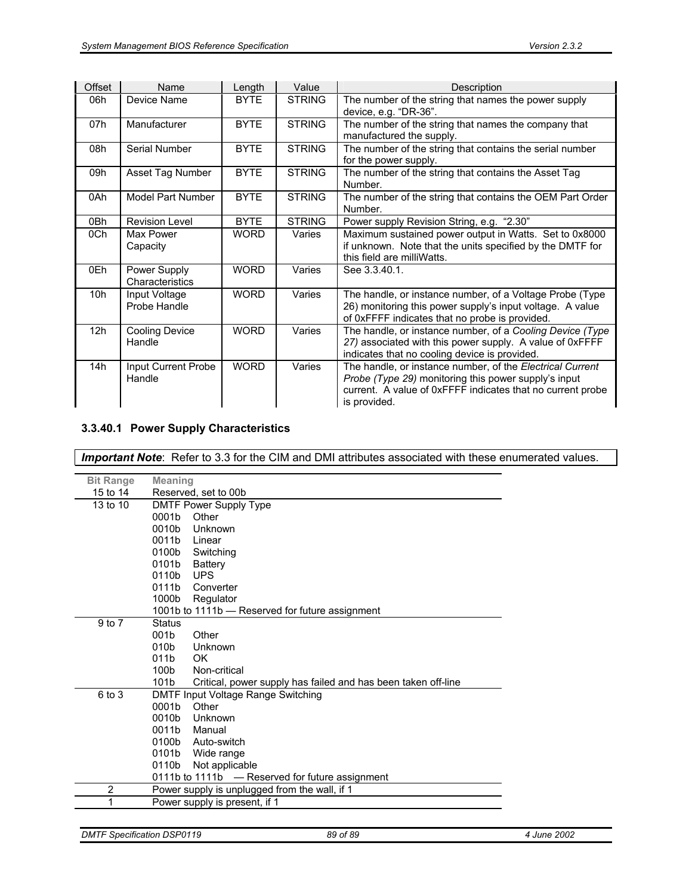| Offset | Name                            | Length      | Value         | Description                                                                                                                                                                                     |
|--------|---------------------------------|-------------|---------------|-------------------------------------------------------------------------------------------------------------------------------------------------------------------------------------------------|
| 06h    | Device Name                     | <b>BYTE</b> | <b>STRING</b> | The number of the string that names the power supply<br>device, e.g. "DR-36".                                                                                                                   |
| 07h    | Manufacturer                    | <b>BYTE</b> | <b>STRING</b> | The number of the string that names the company that<br>manufactured the supply.                                                                                                                |
| 08h    | Serial Number                   | <b>BYTE</b> | <b>STRING</b> | The number of the string that contains the serial number<br>for the power supply.                                                                                                               |
| 09h    | Asset Tag Number                | <b>BYTE</b> | <b>STRING</b> | The number of the string that contains the Asset Tag<br>Number.                                                                                                                                 |
| 0Ah    | Model Part Number               | <b>BYTE</b> | <b>STRING</b> | The number of the string that contains the OEM Part Order<br>Number.                                                                                                                            |
| 0Bh    | <b>Revision Level</b>           | <b>BYTE</b> | <b>STRING</b> | Power supply Revision String, e.g. "2.30"                                                                                                                                                       |
| 0Ch    | Max Power<br>Capacity           | <b>WORD</b> | Varies        | Maximum sustained power output in Watts. Set to 0x8000<br>if unknown. Note that the units specified by the DMTF for<br>this field are milliWatts.                                               |
| 0Eh    | Power Supply<br>Characteristics | <b>WORD</b> | Varies        | See 3.3.40.1.                                                                                                                                                                                   |
| 10h    | Input Voltage<br>Probe Handle   | <b>WORD</b> | Varies        | The handle, or instance number, of a Voltage Probe (Type<br>26) monitoring this power supply's input voltage. A value<br>of 0xFFFF indicates that no probe is provided.                         |
| 12h    | <b>Cooling Device</b><br>Handle | <b>WORD</b> | Varies        | The handle, or instance number, of a Cooling Device (Type<br>27) associated with this power supply. A value of 0xFFFF<br>indicates that no cooling device is provided.                          |
| 14h    | Input Current Probe<br>Handle   | <b>WORD</b> | Varies        | The handle, or instance number, of the Electrical Current<br>Probe (Type 29) monitoring this power supply's input<br>current. A value of 0xFFFF indicates that no current probe<br>is provided. |

#### **3.3.40.1 Power Supply Characteristics**

| <b>Bit Range</b> | <b>Meaning</b>                                                                    |  |  |  |  |
|------------------|-----------------------------------------------------------------------------------|--|--|--|--|
| 15 to 14         | Reserved, set to 00b                                                              |  |  |  |  |
| 13 to 10         | <b>DMTF Power Supply Type</b>                                                     |  |  |  |  |
|                  | 0001b<br>Other                                                                    |  |  |  |  |
|                  | Unknown<br>0010b                                                                  |  |  |  |  |
|                  | 0011b<br>Linear                                                                   |  |  |  |  |
|                  | 0100b<br>Switching                                                                |  |  |  |  |
|                  | 0101b<br><b>Battery</b>                                                           |  |  |  |  |
|                  | 0110b<br><b>UPS</b>                                                               |  |  |  |  |
|                  | 0111b<br>Converter                                                                |  |  |  |  |
|                  | Regulator<br>1000b                                                                |  |  |  |  |
|                  | 1001b to 1111b - Reserved for future assignment                                   |  |  |  |  |
| $9$ to $7$       | <b>Status</b>                                                                     |  |  |  |  |
|                  | 001b<br>Other                                                                     |  |  |  |  |
|                  | 010b<br>Unknown                                                                   |  |  |  |  |
|                  | 011b<br>OK.                                                                       |  |  |  |  |
|                  | Non-critical<br>100b                                                              |  |  |  |  |
|                  | 101 <sub>b</sub><br>Critical, power supply has failed and has been taken off-line |  |  |  |  |
| 6 to 3           | DMTF Input Voltage Range Switching                                                |  |  |  |  |
|                  | 0001b<br>Other                                                                    |  |  |  |  |
|                  | 0010b<br>Unknown                                                                  |  |  |  |  |
|                  | 0011b<br>Manual                                                                   |  |  |  |  |
|                  | 0100b<br>Auto-switch                                                              |  |  |  |  |
|                  | 0101b<br>Wide range                                                               |  |  |  |  |
|                  | 0110b<br>Not applicable                                                           |  |  |  |  |
|                  | 0111b to 1111b - Reserved for future assignment                                   |  |  |  |  |
| $\overline{2}$   | Power supply is unplugged from the wall, if 1                                     |  |  |  |  |
| 1                | Power supply is present, if 1                                                     |  |  |  |  |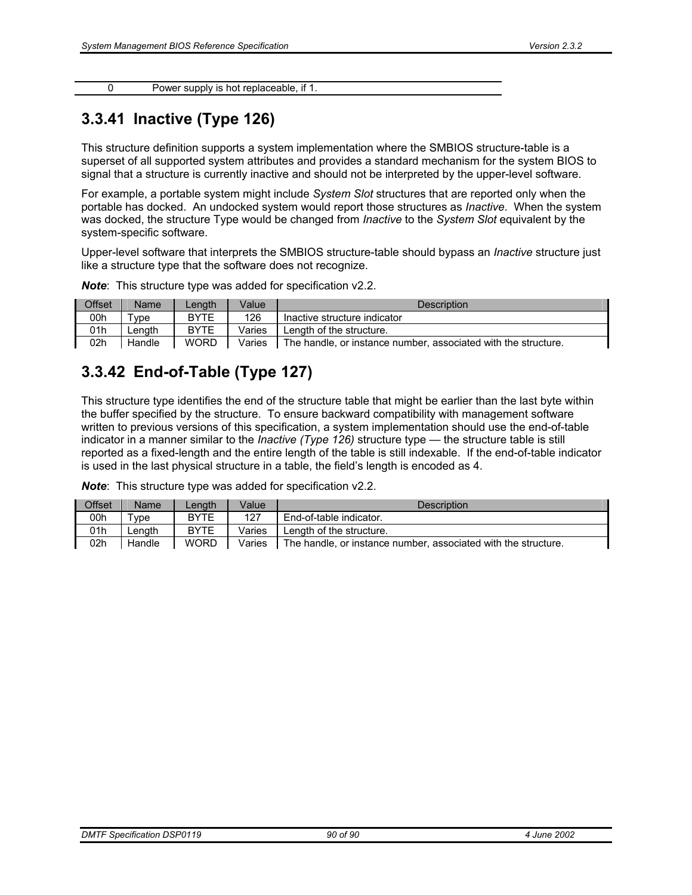| Power supply is hot replaceable, if 1. |
|----------------------------------------|
|                                        |

#### **3.3.41 Inactive (Type 126)**

This structure definition supports a system implementation where the SMBIOS structure-table is a superset of all supported system attributes and provides a standard mechanism for the system BIOS to signal that a structure is currently inactive and should not be interpreted by the upper-level software.

For example, a portable system might include *System Slot* structures that are reported only when the portable has docked. An undocked system would report those structures as *Inactive*. When the system was docked, the structure Type would be changed from *Inactive* to the *System Slot* equivalent by the system-specific software.

Upper-level software that interprets the SMBIOS structure-table should bypass an *Inactive* structure just like a structure type that the software does not recognize.

| Offset | <b>Name</b>         | .enath      | Value  | <b>Description</b>                                             |
|--------|---------------------|-------------|--------|----------------------------------------------------------------|
| 00h    | $^{\mathsf{T}}$ vpe | <b>BYTE</b> | 126    | Inactive structure indicator                                   |
| 01h    | .enath              | <b>BYTE</b> | Varies | Lenath of the structure.                                       |
| 02h    | Handle              | <b>WORD</b> | Varies | The handle, or instance number, associated with the structure. |

*Note*: This structure type was added for specification v2.2.

### **3.3.42 End-of-Table (Type 127)**

This structure type identifies the end of the structure table that might be earlier than the last byte within the buffer specified by the structure. To ensure backward compatibility with management software written to previous versions of this specification, a system implementation should use the end-of-table indicator in a manner similar to the *Inactive (Type 126)* structure type — the structure table is still reported as a fixed-length and the entire length of the table is still indexable. If the end-of-table indicator is used in the last physical structure in a table, the field's length is encoded as 4.

*Note*: This structure type was added for specification v2.2.

| Offset | Name       | _ength      | Value  | <b>Description</b>                                             |
|--------|------------|-------------|--------|----------------------------------------------------------------|
| 00h    | $\tau$ vpe | <b>BYTE</b> | 127    | End-of-table indicator.                                        |
| 01h    | _enath     | <b>BYTE</b> | Varies | Length of the structure.                                       |
| 02h    | Handle     | <b>WORD</b> | Varies | The handle, or instance number, associated with the structure. |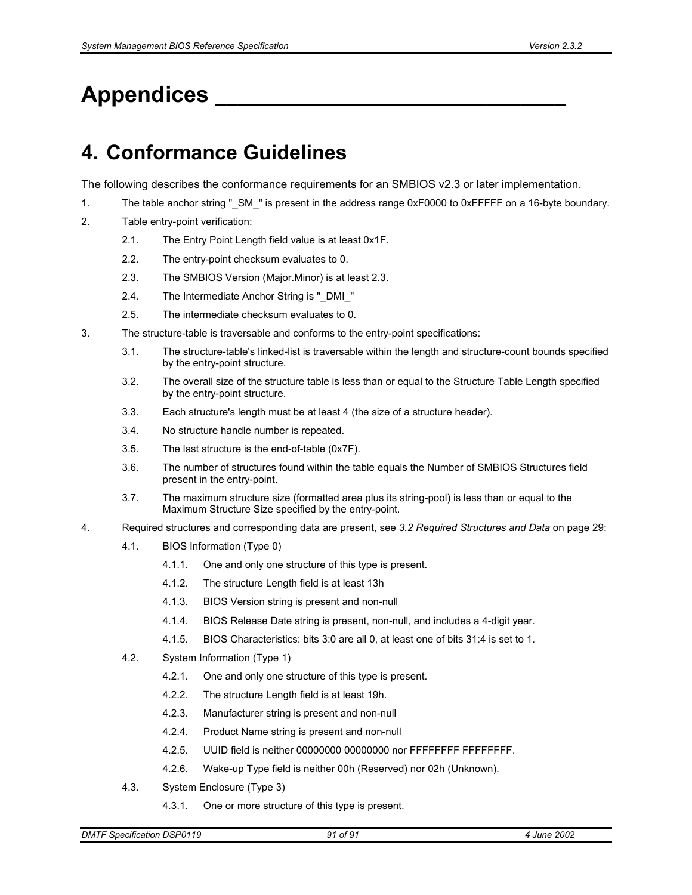# **Appendices \_\_\_\_\_\_\_\_\_\_\_\_\_\_\_\_\_\_\_\_\_\_\_\_\_\_\_\_\_\_\_**

## **4. Conformance Guidelines**

The following describes the conformance requirements for an SMBIOS v2.3 or later implementation.

- 1. The table anchor string "\_SM\_" is present in the address range 0xF0000 to 0xFFFFF on a 16-byte boundary.
- 2. Table entry-point verification:
	- 2.1. The Entry Point Length field value is at least 0x1F.
	- 2.2. The entry-point checksum evaluates to 0.
	- 2.3. The SMBIOS Version (Major.Minor) is at least 2.3.
	- 2.4. The Intermediate Anchor String is " DMI "
	- 2.5. The intermediate checksum evaluates to 0.
- 3. The structure-table is traversable and conforms to the entry-point specifications:
	- 3.1. The structure-table's linked-list is traversable within the length and structure-count bounds specified by the entry-point structure.
	- 3.2. The overall size of the structure table is less than or equal to the Structure Table Length specified by the entry-point structure.
	- 3.3. Each structure's length must be at least 4 (the size of a structure header).
	- 3.4. No structure handle number is repeated.
	- 3.5. The last structure is the end-of-table (0x7F).
	- 3.6. The number of structures found within the table equals the Number of SMBIOS Structures field present in the entry-point.
	- 3.7. The maximum structure size (formatted area plus its string-pool) is less than or equal to the Maximum Structure Size specified by the entry-point.
- 4. Required structures and corresponding data are present, see *3.2 Required Structures and Data* on page 29:
	- 4.1. BIOS Information (Type 0)
		- 4.1.1. One and only one structure of this type is present.
		- 4.1.2. The structure Length field is at least 13h
		- 4.1.3. BIOS Version string is present and non-null
		- 4.1.4. BIOS Release Date string is present, non-null, and includes a 4-digit year.
		- 4.1.5. BIOS Characteristics: bits 3:0 are all 0, at least one of bits 31:4 is set to 1.
	- 4.2. System Information (Type 1)
		- 4.2.1. One and only one structure of this type is present.
		- 4.2.2. The structure Length field is at least 19h.
		- 4.2.3. Manufacturer string is present and non-null
		- 4.2.4. Product Name string is present and non-null
		- 4.2.5. UUID field is neither 00000000 00000000 nor FFFFFFFF FFFFFFFF.
		- 4.2.6. Wake-up Type field is neither 00h (Reserved) nor 02h (Unknown).
	- 4.3. System Enclosure (Type 3)
		- 4.3.1. One or more structure of this type is present.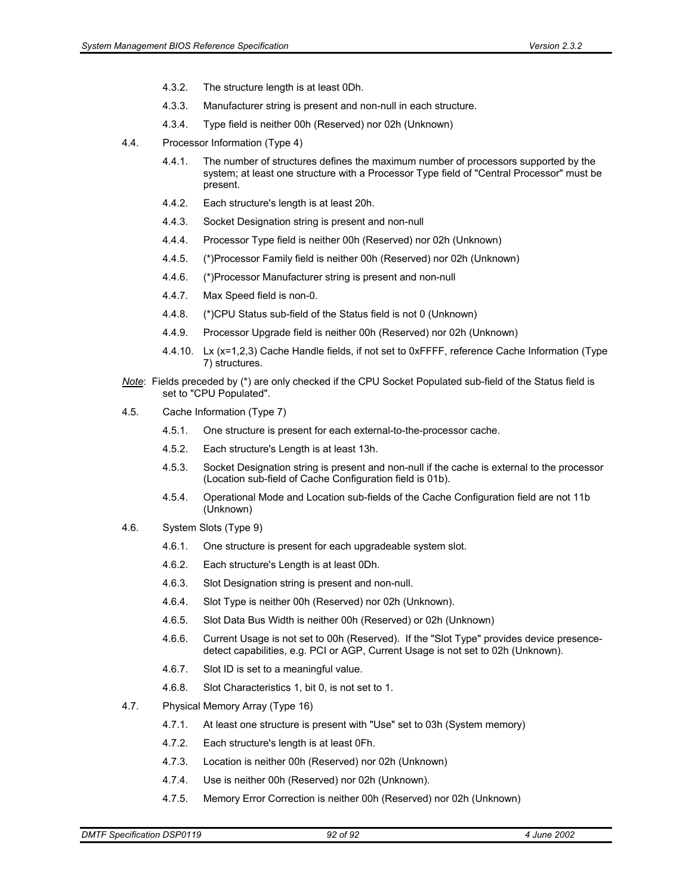- 4.3.2. The structure length is at least 0Dh.
- 4.3.3. Manufacturer string is present and non-null in each structure.
- 4.3.4. Type field is neither 00h (Reserved) nor 02h (Unknown)
- 4.4. Processor Information (Type 4)
	- 4.4.1. The number of structures defines the maximum number of processors supported by the system; at least one structure with a Processor Type field of "Central Processor" must be present.
	- 4.4.2. Each structure's length is at least 20h.
	- 4.4.3. Socket Designation string is present and non-null
	- 4.4.4. Processor Type field is neither 00h (Reserved) nor 02h (Unknown)
	- 4.4.5. (\*)Processor Family field is neither 00h (Reserved) nor 02h (Unknown)
	- 4.4.6. (\*)Processor Manufacturer string is present and non-null
	- 4.4.7. Max Speed field is non-0.
	- 4.4.8. (\*)CPU Status sub-field of the Status field is not 0 (Unknown)
	- 4.4.9. Processor Upgrade field is neither 00h (Reserved) nor 02h (Unknown)
	- 4.4.10. Lx (x=1,2,3) Cache Handle fields, if not set to 0xFFFF, reference Cache Information (Type 7) structures.
- *Note*: Fields preceded by (\*) are only checked if the CPU Socket Populated sub-field of the Status field is set to "CPU Populated".
- 4.5. Cache Information (Type 7)
	- 4.5.1. One structure is present for each external-to-the-processor cache.
	- 4.5.2. Each structure's Length is at least 13h.
	- 4.5.3. Socket Designation string is present and non-null if the cache is external to the processor (Location sub-field of Cache Configuration field is 01b).
	- 4.5.4. Operational Mode and Location sub-fields of the Cache Configuration field are not 11b (Unknown)
- 4.6. System Slots (Type 9)
	- 4.6.1. One structure is present for each upgradeable system slot.
	- 4.6.2. Each structure's Length is at least 0Dh.
	- 4.6.3. Slot Designation string is present and non-null.
	- 4.6.4. Slot Type is neither 00h (Reserved) nor 02h (Unknown).
	- 4.6.5. Slot Data Bus Width is neither 00h (Reserved) or 02h (Unknown)
	- 4.6.6. Current Usage is not set to 00h (Reserved). If the "Slot Type" provides device presencedetect capabilities, e.g. PCI or AGP, Current Usage is not set to 02h (Unknown).
	- 4.6.7. Slot ID is set to a meaningful value.
	- 4.6.8. Slot Characteristics 1, bit 0, is not set to 1.
- 4.7. Physical Memory Array (Type 16)
	- 4.7.1. At least one structure is present with "Use" set to 03h (System memory)
	- 4.7.2. Each structure's length is at least 0Fh.
	- 4.7.3. Location is neither 00h (Reserved) nor 02h (Unknown)
	- 4.7.4. Use is neither 00h (Reserved) nor 02h (Unknown).
	- 4.7.5. Memory Error Correction is neither 00h (Reserved) nor 02h (Unknown)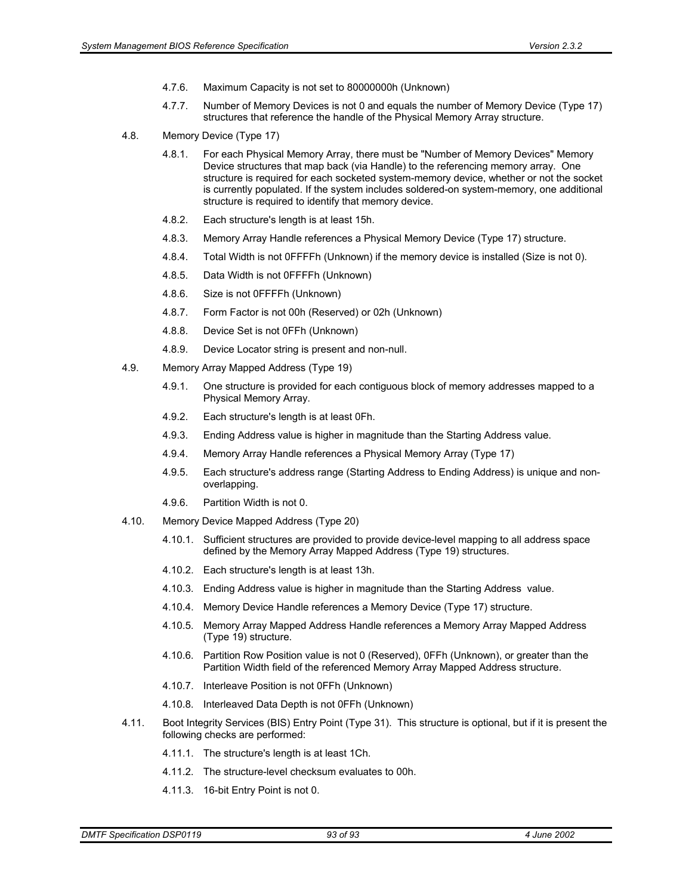- 4.7.6. Maximum Capacity is not set to 80000000h (Unknown)
- 4.7.7. Number of Memory Devices is not 0 and equals the number of Memory Device (Type 17) structures that reference the handle of the Physical Memory Array structure.
- 4.8. Memory Device (Type 17)
	- 4.8.1. For each Physical Memory Array, there must be "Number of Memory Devices" Memory Device structures that map back (via Handle) to the referencing memory array. One structure is required for each socketed system-memory device, whether or not the socket is currently populated. If the system includes soldered-on system-memory, one additional structure is required to identify that memory device.
	- 4.8.2. Each structure's length is at least 15h.
	- 4.8.3. Memory Array Handle references a Physical Memory Device (Type 17) structure.
	- 4.8.4. Total Width is not 0FFFFh (Unknown) if the memory device is installed (Size is not 0).
	- 4.8.5. Data Width is not 0FFFFh (Unknown)
	- 4.8.6. Size is not 0FFFFh (Unknown)
	- 4.8.7. Form Factor is not 00h (Reserved) or 02h (Unknown)
	- 4.8.8. Device Set is not 0FFh (Unknown)
	- 4.8.9. Device Locator string is present and non-null.
- 4.9. Memory Array Mapped Address (Type 19)
	- 4.9.1. One structure is provided for each contiguous block of memory addresses mapped to a Physical Memory Array.
	- 4.9.2. Each structure's length is at least 0Fh.
	- 4.9.3. Ending Address value is higher in magnitude than the Starting Address value.
	- 4.9.4. Memory Array Handle references a Physical Memory Array (Type 17)
	- 4.9.5. Each structure's address range (Starting Address to Ending Address) is unique and nonoverlapping.
	- 4.9.6. Partition Width is not 0.
- 4.10. Memory Device Mapped Address (Type 20)
	- 4.10.1. Sufficient structures are provided to provide device-level mapping to all address space defined by the Memory Array Mapped Address (Type 19) structures.
	- 4.10.2. Each structure's length is at least 13h.
	- 4.10.3. Ending Address value is higher in magnitude than the Starting Address value.
	- 4.10.4. Memory Device Handle references a Memory Device (Type 17) structure.
	- 4.10.5. Memory Array Mapped Address Handle references a Memory Array Mapped Address (Type 19) structure.
	- 4.10.6. Partition Row Position value is not 0 (Reserved), 0FFh (Unknown), or greater than the Partition Width field of the referenced Memory Array Mapped Address structure.
	- 4.10.7. Interleave Position is not 0FFh (Unknown)
	- 4.10.8. Interleaved Data Depth is not 0FFh (Unknown)
- 4.11. Boot Integrity Services (BIS) Entry Point (Type 31). This structure is optional, but if it is present the following checks are performed:
	- 4.11.1. The structure's length is at least 1Ch.
	- 4.11.2. The structure-level checksum evaluates to 00h.
	- 4.11.3. 16-bit Entry Point is not 0.